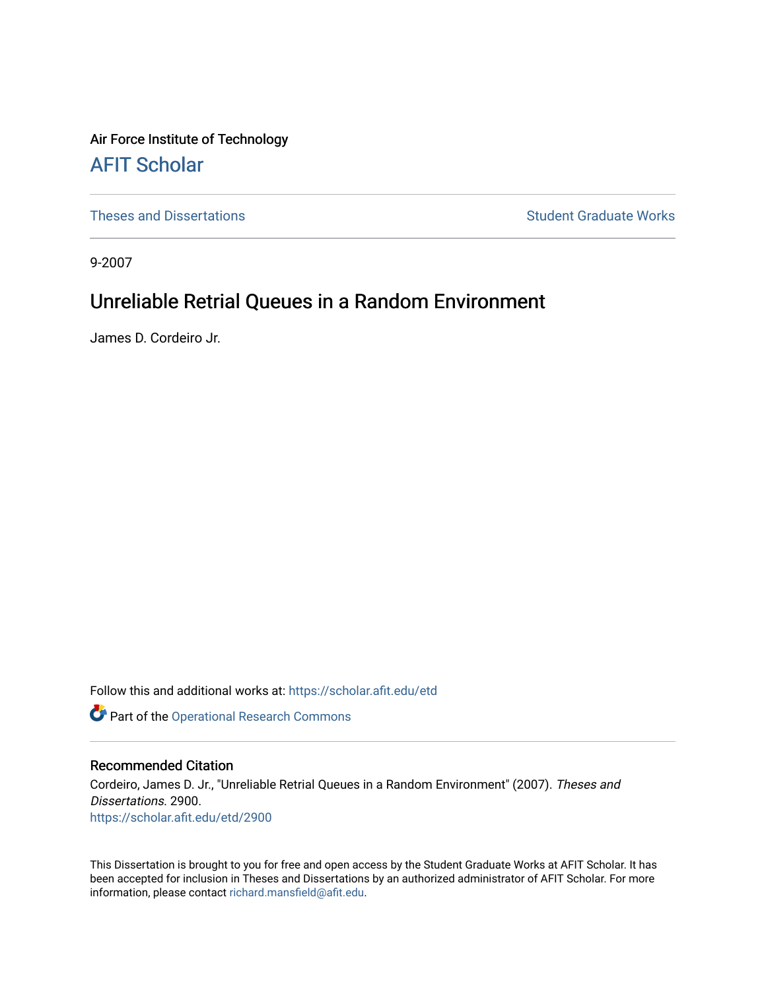Air Force Institute of Technology [AFIT Scholar](https://scholar.afit.edu/) 

[Theses and Dissertations](https://scholar.afit.edu/etd) **Student Graduate Works** Student Graduate Works

9-2007

## Unreliable Retrial Queues in a Random Environment

James D. Cordeiro Jr.

Follow this and additional works at: [https://scholar.afit.edu/etd](https://scholar.afit.edu/etd?utm_source=scholar.afit.edu%2Fetd%2F2900&utm_medium=PDF&utm_campaign=PDFCoverPages) 

Part of the [Operational Research Commons](http://network.bepress.com/hgg/discipline/308?utm_source=scholar.afit.edu%2Fetd%2F2900&utm_medium=PDF&utm_campaign=PDFCoverPages) 

#### Recommended Citation

Cordeiro, James D. Jr., "Unreliable Retrial Queues in a Random Environment" (2007). Theses and Dissertations. 2900. [https://scholar.afit.edu/etd/2900](https://scholar.afit.edu/etd/2900?utm_source=scholar.afit.edu%2Fetd%2F2900&utm_medium=PDF&utm_campaign=PDFCoverPages)

This Dissertation is brought to you for free and open access by the Student Graduate Works at AFIT Scholar. It has been accepted for inclusion in Theses and Dissertations by an authorized administrator of AFIT Scholar. For more information, please contact [richard.mansfield@afit.edu](mailto:richard.mansfield@afit.edu).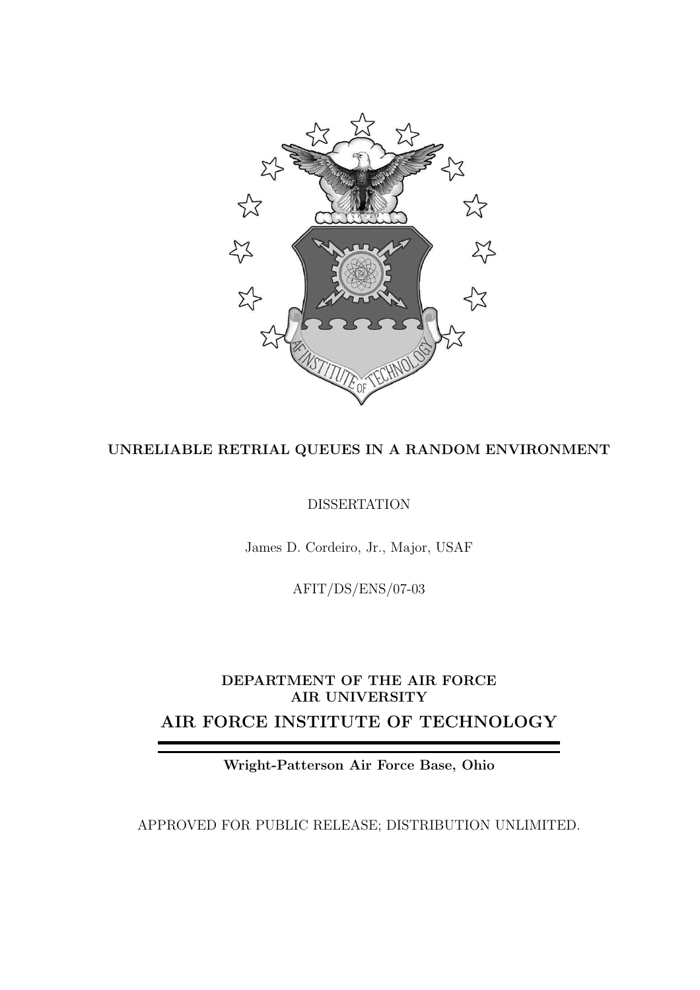

### UNRELIABLE RETRIAL QUEUES IN A RANDOM ENVIRONMENT

DISSERTATION

James D. Cordeiro, Jr., Major, USAF

AFIT/DS/ENS/07-03

## DEPARTMENT OF THE AIR FORCE AIR UNIVERSITY AIR FORCE INSTITUTE OF TECHNOLOGY

Wright-Patterson Air Force Base, Ohio

APPROVED FOR PUBLIC RELEASE; DISTRIBUTION UNLIMITED.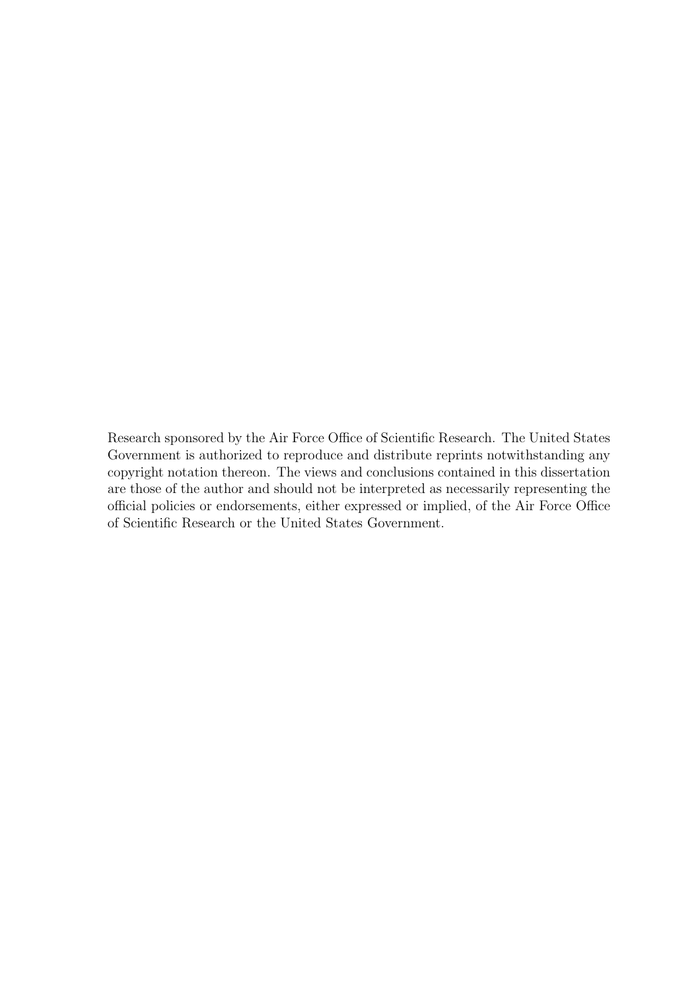Research sponsored by the Air Force Office of Scientific Research. The United States Government is authorized to reproduce and distribute reprints notwithstanding any copyright notation thereon. The views and conclusions contained in this dissertation are those of the author and should not be interpreted as necessarily representing the official policies or endorsements, either expressed or implied, of the Air Force Office of Scientific Research or the United States Government.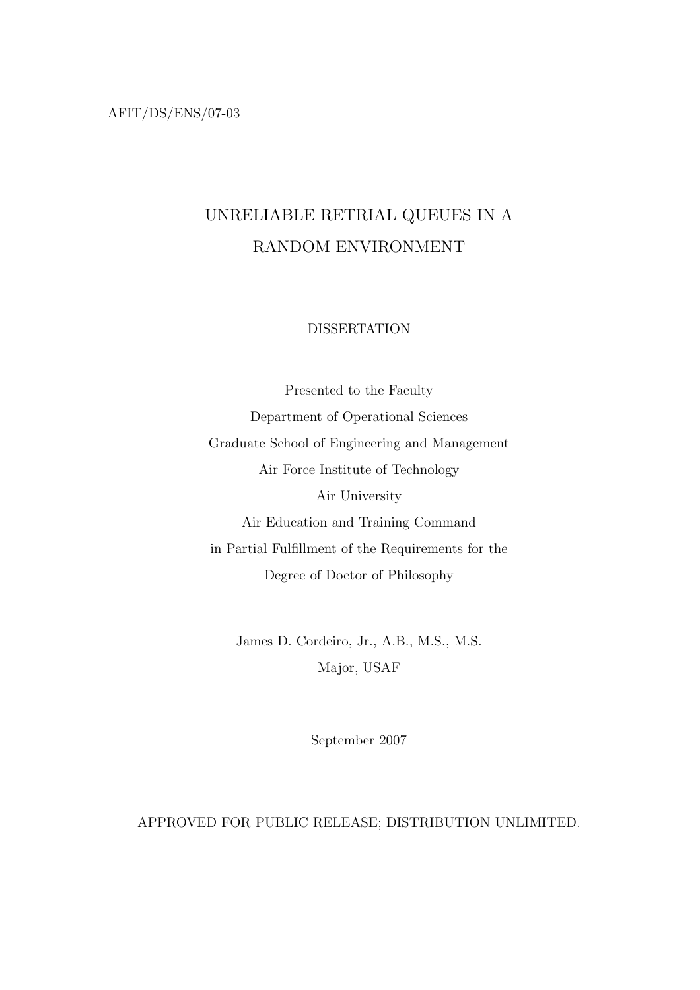AFIT/DS/ENS/07-03

## UNRELIABLE RETRIAL QUEUES IN A RANDOM ENVIRONMENT

#### DISSERTATION

Presented to the Faculty Department of Operational Sciences Graduate School of Engineering and Management Air Force Institute of Technology Air University Air Education and Training Command in Partial Fulfillment of the Requirements for the Degree of Doctor of Philosophy

James D. Cordeiro, Jr., A.B., M.S., M.S. Major, USAF

September 2007

### APPROVED FOR PUBLIC RELEASE; DISTRIBUTION UNLIMITED.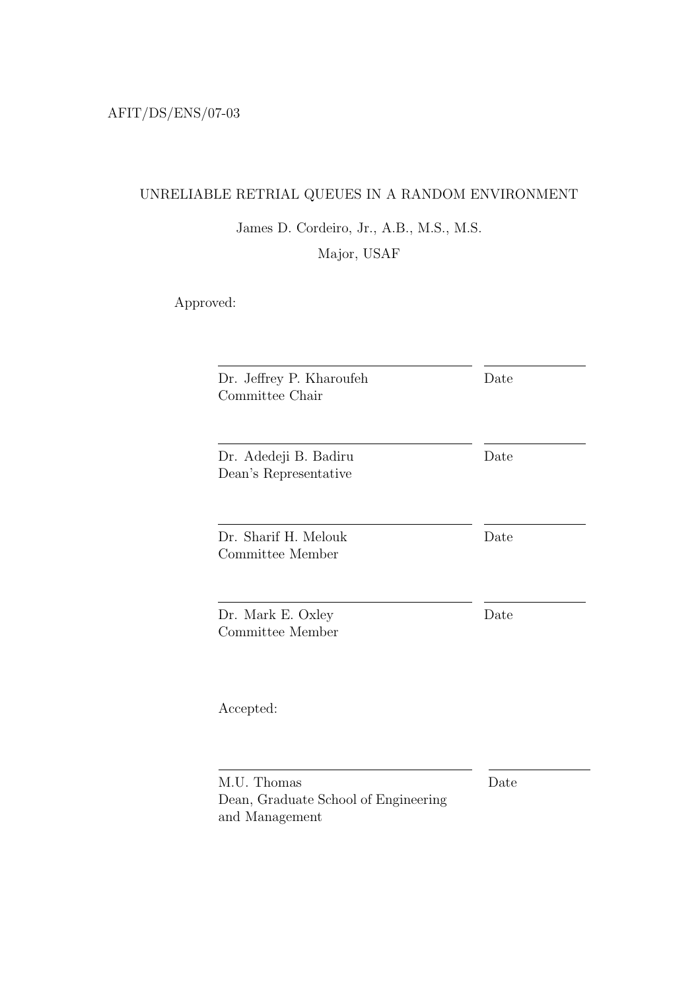## UNRELIABLE RETRIAL QUEUES IN A RANDOM ENVIRONMENT

## James D. Cordeiro, Jr., A.B., M.S., M.S.

Major, USAF

Approved:

| Dr. Jeffrey P. Kharoufeh<br>Committee Chair            | Date |
|--------------------------------------------------------|------|
| Dr. Adedeji B. Badiru<br>Dean's Representative         | Date |
| Dr. Sharif H. Melouk<br>Committee Member               | Date |
| Dr. Mark E. Oxley<br>Committee Member                  | Date |
| Accepted:                                              |      |
| M.U. Thomas                                            | Date |
| Dean, Graduate School of Engineering<br>and Management |      |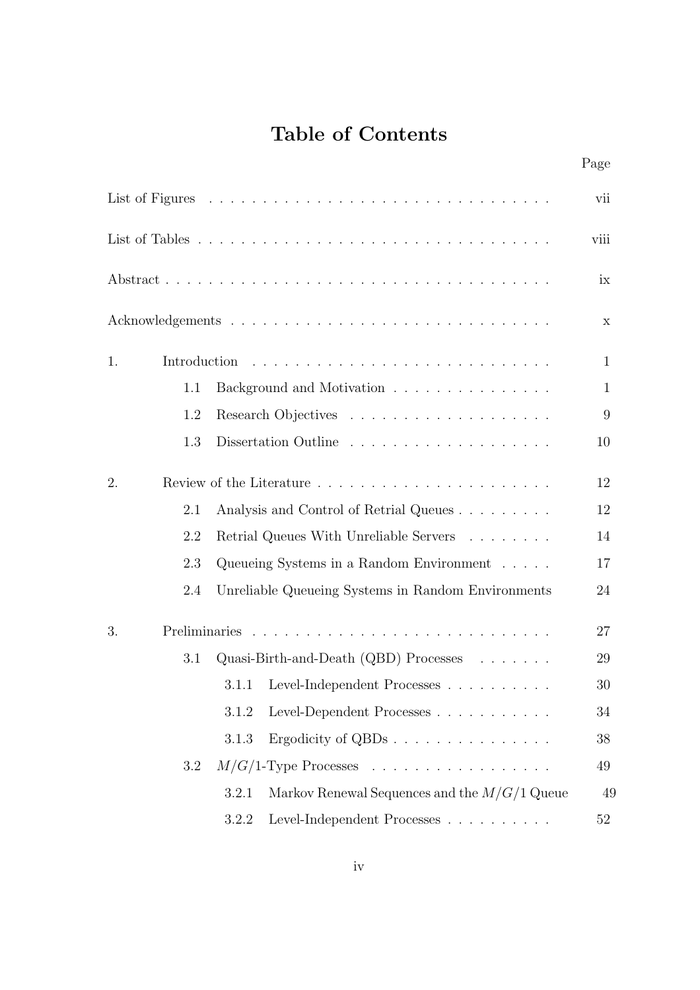## Table of Contents

|    |              |                                                         | Page         |
|----|--------------|---------------------------------------------------------|--------------|
|    |              |                                                         | vii          |
|    |              |                                                         | viii         |
|    |              |                                                         | ix           |
|    |              |                                                         | X            |
| 1. | Introduction |                                                         | $\mathbf{1}$ |
|    | 1.1          | Background and Motivation                               | $\mathbf{1}$ |
|    | 1.2          |                                                         | 9            |
|    | 1.3          |                                                         | 10           |
| 2. |              |                                                         | 12           |
|    | 2.1          | Analysis and Control of Retrial Queues                  | 12           |
|    | 2.2          | Retrial Queues With Unreliable Servers                  | 14           |
|    | 2.3          | Queueing Systems in a Random Environment                | 17           |
|    | 2.4          | Unreliable Queueing Systems in Random Environments      | 24           |
| 3. |              |                                                         | 27           |
|    | 3.1          | Quasi-Birth-and-Death $(QBD)$ Processes                 | 29           |
|    |              | 3.1.1 Level-Independent Processes                       | $30\,$       |
|    |              | 3.1.2<br>Level-Dependent Processes                      | 34           |
|    |              | Ergodicity of QBDs<br>3.1.3                             | 38           |
|    | 3.2          | $M/G/1$ -Type Processes                                 | 49           |
|    |              | Markov Renewal Sequences and the $M/G/1$ Queue<br>3.2.1 | 49           |
|    |              | Level-Independent Processes<br>3.2.2                    | 52           |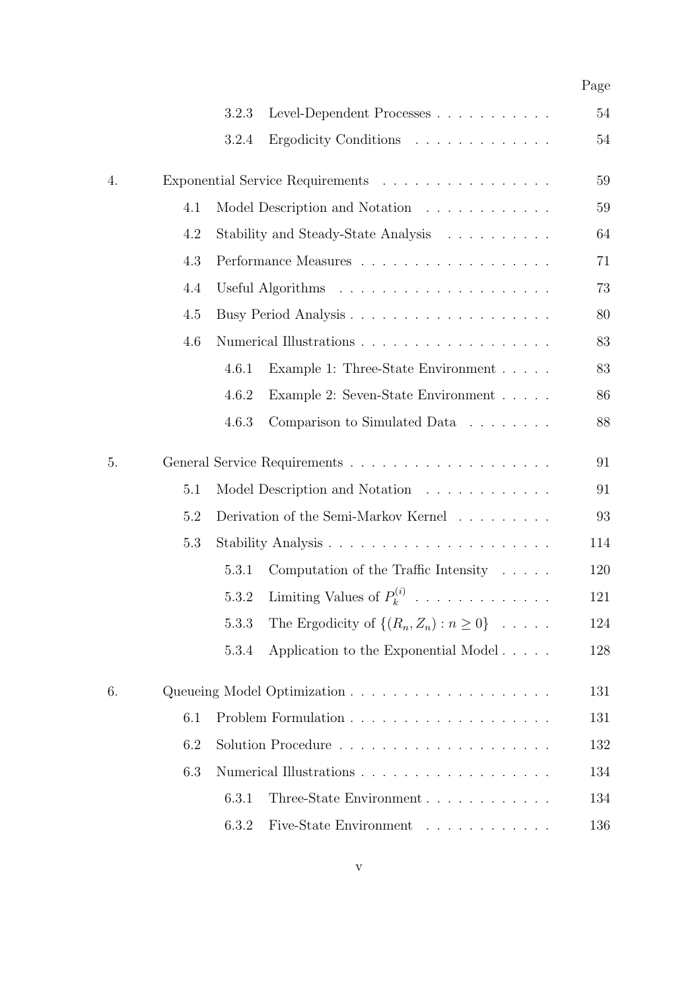|    |     |       |                                                       | Page |
|----|-----|-------|-------------------------------------------------------|------|
|    |     | 3.2.3 | Level-Dependent Processes                             | 54   |
|    |     | 3.2.4 | Ergodicity Conditions                                 | 54   |
| 4. |     |       | Exponential Service Requirements                      | 59   |
|    | 4.1 |       | Model Description and Notation                        | 59   |
|    | 4.2 |       | Stability and Steady-State Analysis                   | 64   |
|    | 4.3 |       |                                                       | 71   |
|    | 4.4 |       |                                                       | 73   |
|    | 4.5 |       |                                                       | 80   |
|    | 4.6 |       |                                                       | 83   |
|    |     | 4.6.1 | Example 1: Three-State Environment                    | 83   |
|    |     | 4.6.2 | Example 2: Seven-State Environment                    | 86   |
|    |     | 4.6.3 | Comparison to Simulated Data                          | 88   |
| 5. |     |       |                                                       | 91   |
|    | 5.1 |       | Model Description and Notation                        | 91   |
|    | 5.2 |       | Derivation of the Semi-Markov Kernel                  | 93   |
|    | 5.3 |       |                                                       | 114  |
|    |     | 5.3.1 | Computation of the Traffic Intensity $\ldots$ .       | 120  |
|    |     | 5.3.2 | Limiting Values of $P_k^{(i)}$                        | 121  |
|    |     | 5.3.3 | The Ergodicity of $\{(R_n, Z_n) : n \geq 0\} \dots$ . | 124  |
|    |     | 5.3.4 | Application to the Exponential Model                  | 128  |
| 6. |     |       |                                                       | 131  |
|    | 6.1 |       |                                                       | 131  |
|    | 6.2 |       |                                                       | 132  |
|    | 6.3 |       |                                                       | 134  |
|    |     | 6.3.1 | Three-State Environment                               | 134  |
|    |     | 6.3.2 | Five-State Environment                                | 136  |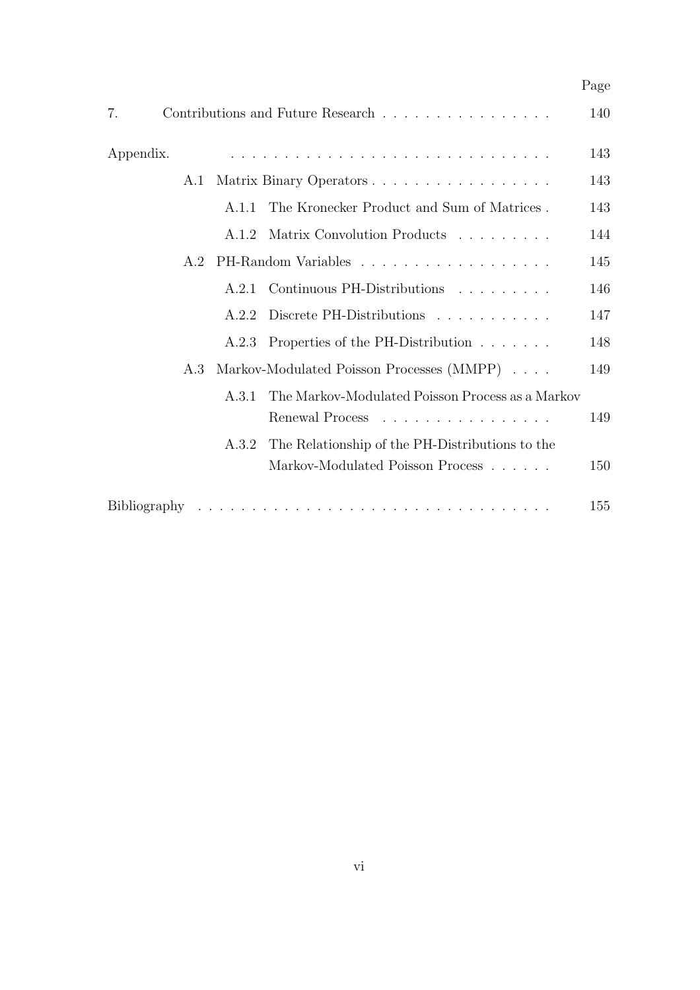|              |       |                                                  | Page |
|--------------|-------|--------------------------------------------------|------|
| 7.           |       | Contributions and Future Research                | 140  |
| Appendix.    |       |                                                  | 143  |
| A.1          |       | Matrix Binary Operators                          | 143  |
|              | A.1.1 | The Kronecker Product and Sum of Matrices.       | 143  |
|              | A.1.2 | Matrix Convolution Products                      | 144  |
| A.2          |       |                                                  | 145  |
|              | A.2.1 | Continuous PH-Distributions                      | 146  |
|              | A.2.2 | Discrete PH-Distributions                        | 147  |
|              | A.2.3 | Properties of the PH-Distribution                | 148  |
| A.3          |       | Markov-Modulated Poisson Processes (MMPP)        | 149  |
|              | A.3.1 | The Markov-Modulated Poisson Process as a Markov |      |
|              |       | Renewal Process                                  | 149  |
|              | A 3.2 | The Relationship of the PH-Distributions to the  |      |
|              |       | Markov-Modulated Poisson Process                 | 150  |
| Bibliography |       |                                                  | 155  |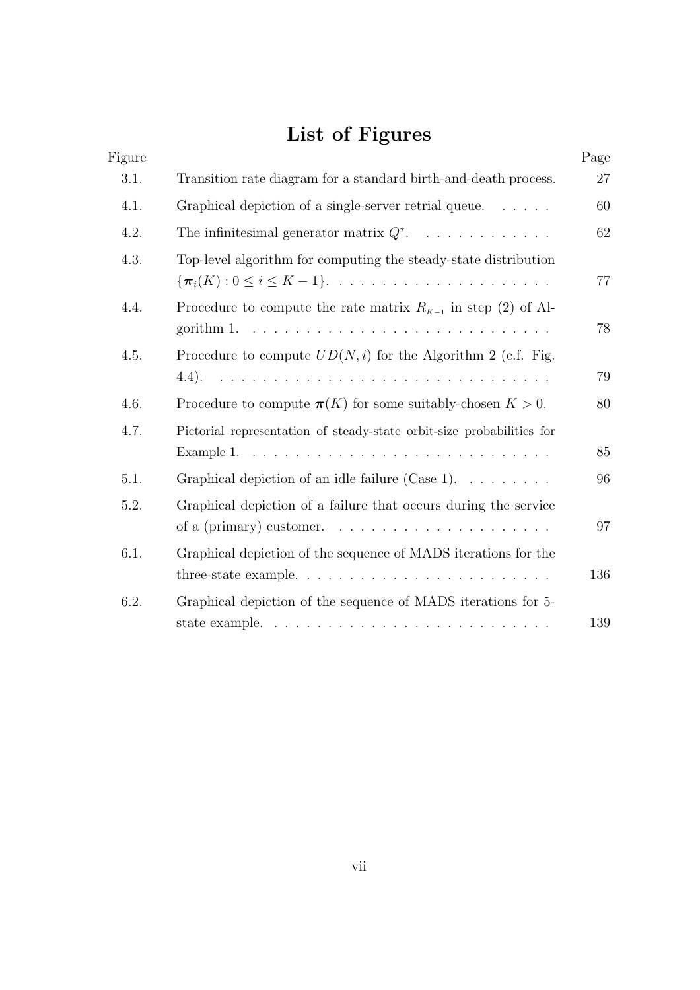# List of Figures

| Figure |                                                                                                                                                         | Page |
|--------|---------------------------------------------------------------------------------------------------------------------------------------------------------|------|
| 3.1.   | Transition rate diagram for a standard birth-and-death process.                                                                                         | 27   |
| 4.1.   | Graphical depiction of a single-server retrial queue.                                                                                                   | 60   |
| 4.2.   | The infinitesimal generator matrix $Q^*$ .                                                                                                              | 62   |
| 4.3.   | Top-level algorithm for computing the steady-state distribution<br>$\{\boldsymbol{\pi}_i(K): 0 \leq i \leq K-1\}$                                       | 77   |
| 4.4.   | Procedure to compute the rate matrix $R_{K-1}$ in step (2) of Al-<br>gorithm 1. $\ldots \ldots \ldots \ldots \ldots \ldots \ldots \ldots \ldots \ldots$ | 78   |
| 4.5.   | Procedure to compute $UD(N, i)$ for the Algorithm 2 (c.f. Fig.                                                                                          |      |
|        |                                                                                                                                                         | 79   |
| 4.6.   | Procedure to compute $\pi(K)$ for some suitably-chosen $K > 0$ .                                                                                        | 80   |
| 4.7.   | Pictorial representation of steady-state orbit-size probabilities for                                                                                   |      |
|        |                                                                                                                                                         | 85   |
| 5.1.   | Graphical depiction of an idle failure (Case 1). $\dots \dots$                                                                                          | 96   |
| 5.2.   | Graphical depiction of a failure that occurs during the service<br>of a (primary) customer. $\dots \dots \dots \dots \dots \dots \dots \dots$           | 97   |
| 6.1.   | Graphical depiction of the sequence of MADS iterations for the<br>three-state example. $\dots \dots \dots \dots \dots \dots \dots \dots \dots \dots$    | 136  |
| 6.2.   | Graphical depiction of the sequence of MADS iterations for 5-                                                                                           |      |
|        | state example. $\ldots \ldots \ldots \ldots \ldots \ldots \ldots \ldots \ldots$                                                                         | 139  |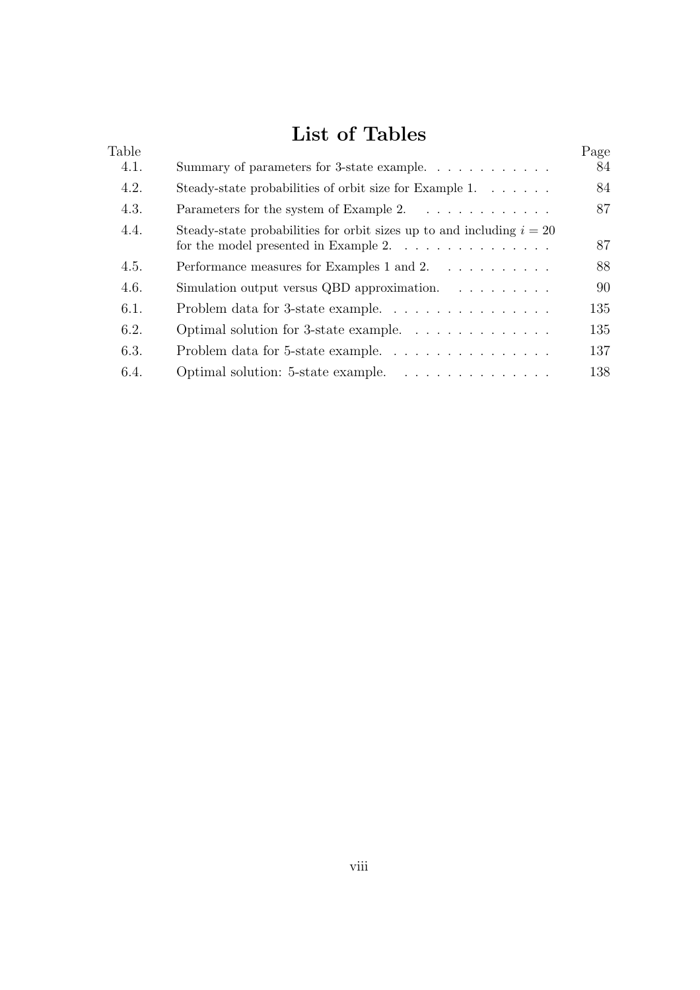## List of Tables

| Table |                                                                         | Page |
|-------|-------------------------------------------------------------------------|------|
| 4.1.  | Summary of parameters for 3-state example.                              | 84   |
| 4.2.  | Steady-state probabilities of orbit size for Example 1.                 | 84   |
| 4.3.  | Parameters for the system of Example 2.                                 | 87   |
| 4.4.  | Steady-state probabilities for orbit sizes up to and including $i = 20$ | 87   |
| 4.5.  | Performance measures for Examples 1 and 2.                              | 88   |
| 4.6.  | Simulation output versus QBD approximation. $\ldots \ldots \ldots$      | 90   |
| 6.1.  |                                                                         | 135  |
| 6.2.  | Optimal solution for 3-state example. $\dots \dots \dots \dots$         | 135  |
| 6.3.  | Problem data for 5-state example                                        | 137  |
| 6.4.  | Optimal solution: 5-state example.                                      | 138  |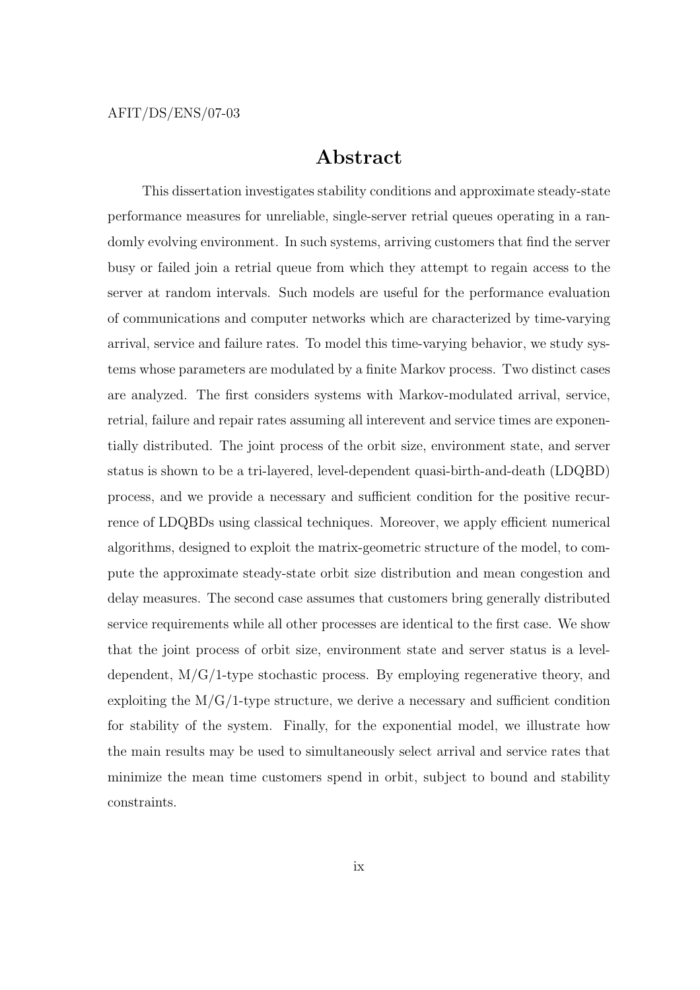### Abstract

This dissertation investigates stability conditions and approximate steady-state performance measures for unreliable, single-server retrial queues operating in a randomly evolving environment. In such systems, arriving customers that find the server busy or failed join a retrial queue from which they attempt to regain access to the server at random intervals. Such models are useful for the performance evaluation of communications and computer networks which are characterized by time-varying arrival, service and failure rates. To model this time-varying behavior, we study systems whose parameters are modulated by a finite Markov process. Two distinct cases are analyzed. The first considers systems with Markov-modulated arrival, service, retrial, failure and repair rates assuming all interevent and service times are exponentially distributed. The joint process of the orbit size, environment state, and server status is shown to be a tri-layered, level-dependent quasi-birth-and-death (LDQBD) process, and we provide a necessary and sufficient condition for the positive recurrence of LDQBDs using classical techniques. Moreover, we apply efficient numerical algorithms, designed to exploit the matrix-geometric structure of the model, to compute the approximate steady-state orbit size distribution and mean congestion and delay measures. The second case assumes that customers bring generally distributed service requirements while all other processes are identical to the first case. We show that the joint process of orbit size, environment state and server status is a leveldependent,  $M/G/1$ -type stochastic process. By employing regenerative theory, and exploiting the  $M/G/1$ -type structure, we derive a necessary and sufficient condition for stability of the system. Finally, for the exponential model, we illustrate how the main results may be used to simultaneously select arrival and service rates that minimize the mean time customers spend in orbit, subject to bound and stability constraints.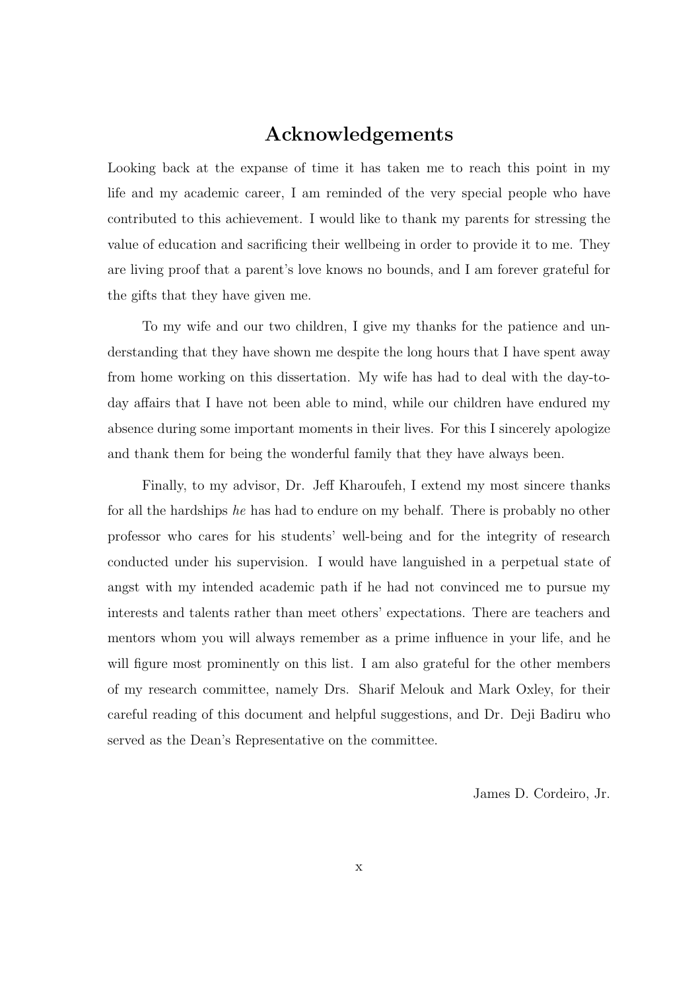## Acknowledgements

Looking back at the expanse of time it has taken me to reach this point in my life and my academic career, I am reminded of the very special people who have contributed to this achievement. I would like to thank my parents for stressing the value of education and sacrificing their wellbeing in order to provide it to me. They are living proof that a parent's love knows no bounds, and I am forever grateful for the gifts that they have given me.

To my wife and our two children, I give my thanks for the patience and understanding that they have shown me despite the long hours that I have spent away from home working on this dissertation. My wife has had to deal with the day-today affairs that I have not been able to mind, while our children have endured my absence during some important moments in their lives. For this I sincerely apologize and thank them for being the wonderful family that they have always been.

Finally, to my advisor, Dr. Jeff Kharoufeh, I extend my most sincere thanks for all the hardships he has had to endure on my behalf. There is probably no other professor who cares for his students' well-being and for the integrity of research conducted under his supervision. I would have languished in a perpetual state of angst with my intended academic path if he had not convinced me to pursue my interests and talents rather than meet others' expectations. There are teachers and mentors whom you will always remember as a prime influence in your life, and he will figure most prominently on this list. I am also grateful for the other members of my research committee, namely Drs. Sharif Melouk and Mark Oxley, for their careful reading of this document and helpful suggestions, and Dr. Deji Badiru who served as the Dean's Representative on the committee.

James D. Cordeiro, Jr.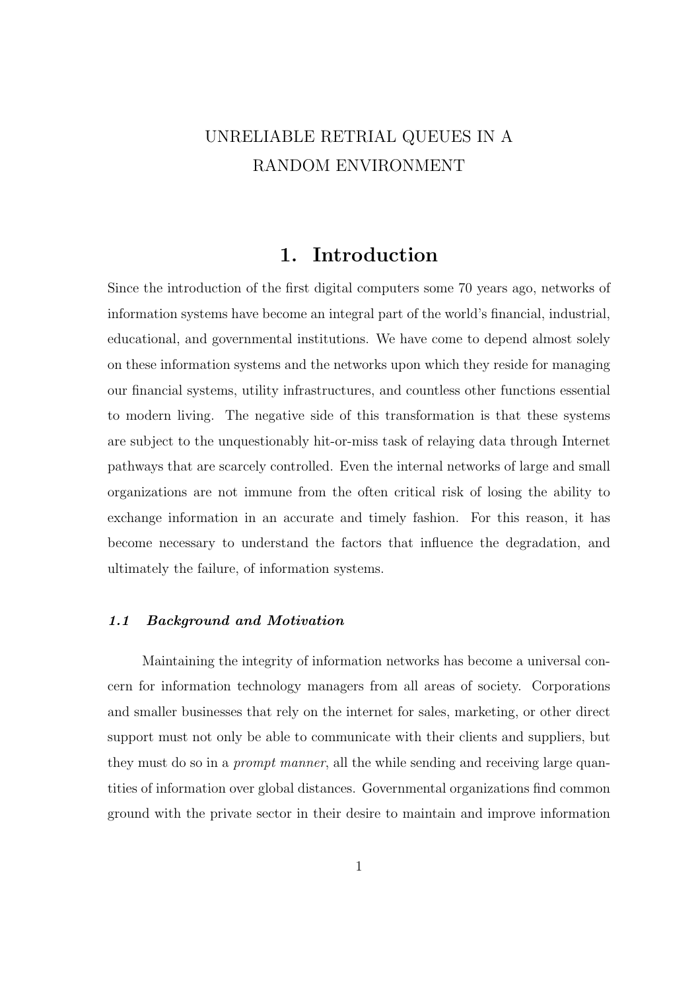## UNRELIABLE RETRIAL QUEUES IN A RANDOM ENVIRONMENT

### 1. Introduction

Since the introduction of the first digital computers some 70 years ago, networks of information systems have become an integral part of the world's financial, industrial, educational, and governmental institutions. We have come to depend almost solely on these information systems and the networks upon which they reside for managing our financial systems, utility infrastructures, and countless other functions essential to modern living. The negative side of this transformation is that these systems are subject to the unquestionably hit-or-miss task of relaying data through Internet pathways that are scarcely controlled. Even the internal networks of large and small organizations are not immune from the often critical risk of losing the ability to exchange information in an accurate and timely fashion. For this reason, it has become necessary to understand the factors that influence the degradation, and ultimately the failure, of information systems.

#### 1.1 Background and Motivation

Maintaining the integrity of information networks has become a universal concern for information technology managers from all areas of society. Corporations and smaller businesses that rely on the internet for sales, marketing, or other direct support must not only be able to communicate with their clients and suppliers, but they must do so in a *prompt manner*, all the while sending and receiving large quantities of information over global distances. Governmental organizations find common ground with the private sector in their desire to maintain and improve information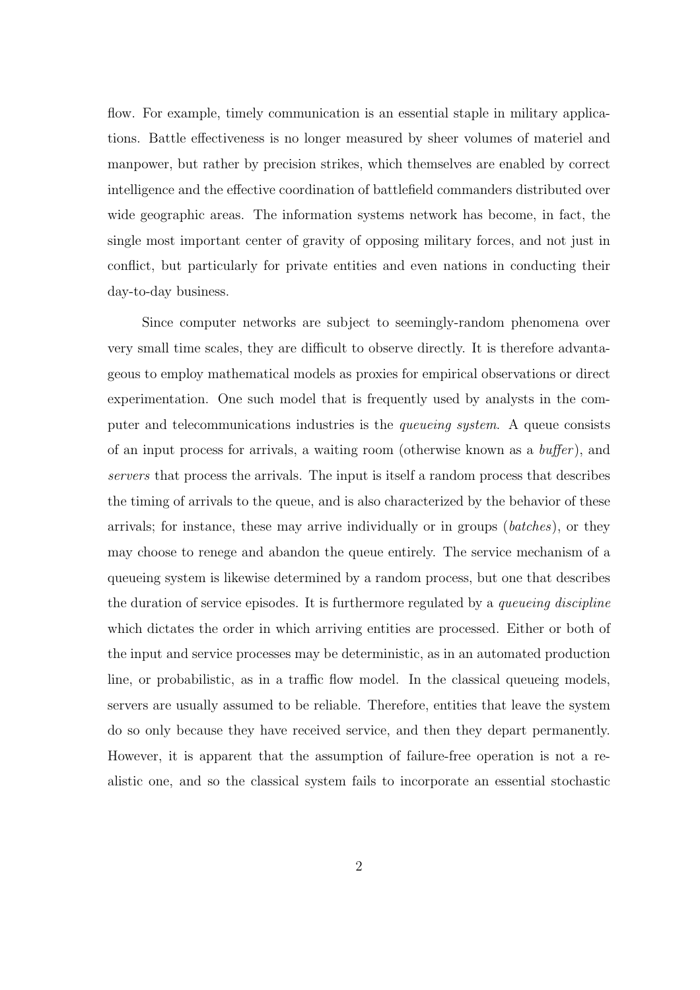flow. For example, timely communication is an essential staple in military applications. Battle effectiveness is no longer measured by sheer volumes of materiel and manpower, but rather by precision strikes, which themselves are enabled by correct intelligence and the effective coordination of battlefield commanders distributed over wide geographic areas. The information systems network has become, in fact, the single most important center of gravity of opposing military forces, and not just in conflict, but particularly for private entities and even nations in conducting their day-to-day business.

Since computer networks are subject to seemingly-random phenomena over very small time scales, they are difficult to observe directly. It is therefore advantageous to employ mathematical models as proxies for empirical observations or direct experimentation. One such model that is frequently used by analysts in the computer and telecommunications industries is the *queueing system*. A queue consists of an input process for arrivals, a waiting room (otherwise known as a buffer ), and servers that process the arrivals. The input is itself a random process that describes the timing of arrivals to the queue, and is also characterized by the behavior of these arrivals; for instance, these may arrive individually or in groups (batches), or they may choose to renege and abandon the queue entirely. The service mechanism of a queueing system is likewise determined by a random process, but one that describes the duration of service episodes. It is furthermore regulated by a *queueing discipline* which dictates the order in which arriving entities are processed. Either or both of the input and service processes may be deterministic, as in an automated production line, or probabilistic, as in a traffic flow model. In the classical queueing models, servers are usually assumed to be reliable. Therefore, entities that leave the system do so only because they have received service, and then they depart permanently. However, it is apparent that the assumption of failure-free operation is not a realistic one, and so the classical system fails to incorporate an essential stochastic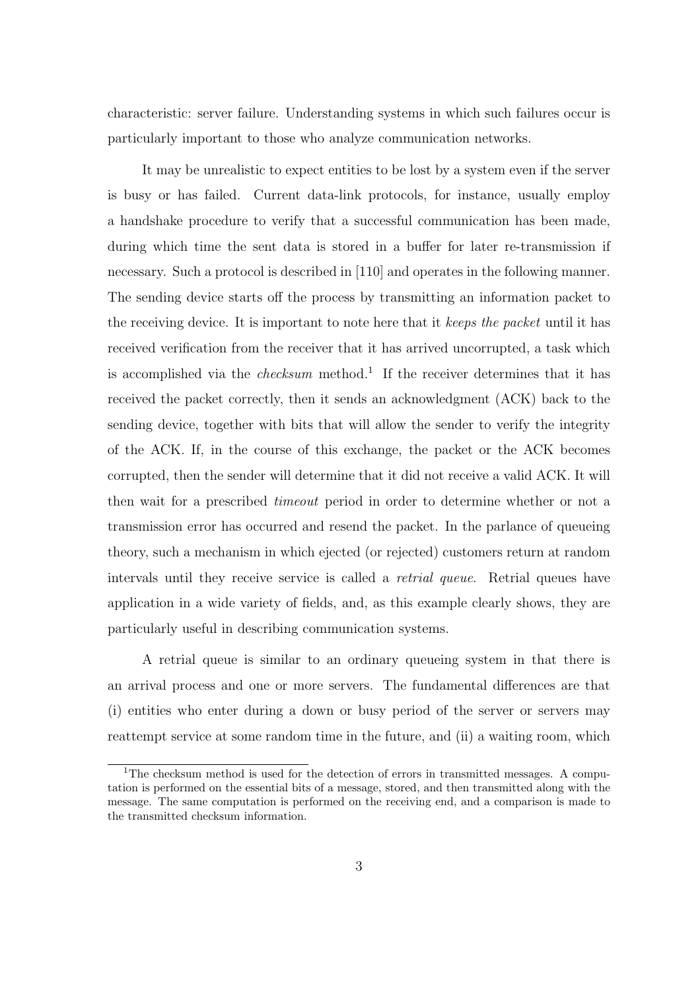characteristic: server failure. Understanding systems in which such failures occur is particularly important to those who analyze communication networks.

It may be unrealistic to expect entities to be lost by a system even if the server is busy or has failed. Current data-link protocols, for instance, usually employ a handshake procedure to verify that a successful communication has been made, during which time the sent data is stored in a buffer for later re-transmission if necessary. Such a protocol is described in [110] and operates in the following manner. The sending device starts off the process by transmitting an information packet to the receiving device. It is important to note here that it keeps the packet until it has received verification from the receiver that it has arrived uncorrupted, a task which is accomplished via the *checksum* method.<sup>1</sup> If the receiver determines that it has received the packet correctly, then it sends an acknowledgment (ACK) back to the sending device, together with bits that will allow the sender to verify the integrity of the ACK. If, in the course of this exchange, the packet or the ACK becomes corrupted, then the sender will determine that it did not receive a valid ACK. It will then wait for a prescribed timeout period in order to determine whether or not a transmission error has occurred and resend the packet. In the parlance of queueing theory, such a mechanism in which ejected (or rejected) customers return at random intervals until they receive service is called a retrial queue. Retrial queues have application in a wide variety of fields, and, as this example clearly shows, they are particularly useful in describing communication systems.

A retrial queue is similar to an ordinary queueing system in that there is an arrival process and one or more servers. The fundamental differences are that (i) entities who enter during a down or busy period of the server or servers may reattempt service at some random time in the future, and (ii) a waiting room, which

<sup>&</sup>lt;sup>1</sup>The checksum method is used for the detection of errors in transmitted messages. A computation is performed on the essential bits of a message, stored, and then transmitted along with the message. The same computation is performed on the receiving end, and a comparison is made to the transmitted checksum information.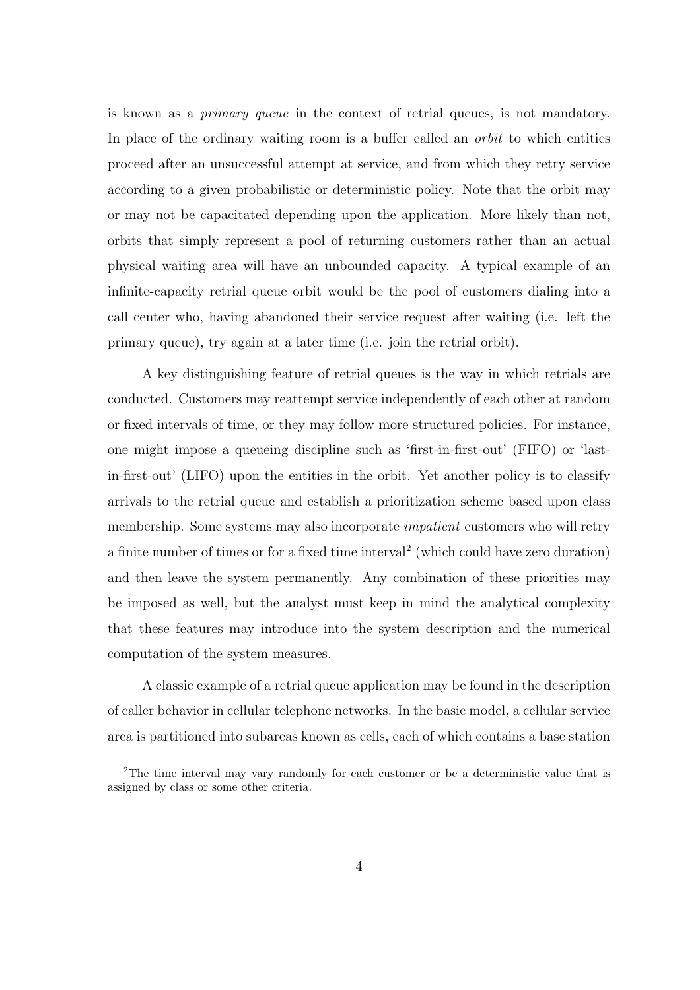is known as a primary queue in the context of retrial queues, is not mandatory. In place of the ordinary waiting room is a buffer called an *orbit* to which entities proceed after an unsuccessful attempt at service, and from which they retry service according to a given probabilistic or deterministic policy. Note that the orbit may or may not be capacitated depending upon the application. More likely than not, orbits that simply represent a pool of returning customers rather than an actual physical waiting area will have an unbounded capacity. A typical example of an infinite-capacity retrial queue orbit would be the pool of customers dialing into a call center who, having abandoned their service request after waiting (i.e. left the primary queue), try again at a later time (i.e. join the retrial orbit).

A key distinguishing feature of retrial queues is the way in which retrials are conducted. Customers may reattempt service independently of each other at random or fixed intervals of time, or they may follow more structured policies. For instance, one might impose a queueing discipline such as 'first-in-first-out' (FIFO) or 'lastin-first-out' (LIFO) upon the entities in the orbit. Yet another policy is to classify arrivals to the retrial queue and establish a prioritization scheme based upon class membership. Some systems may also incorporate *impatient* customers who will retry a finite number of times or for a fixed time interval<sup>2</sup> (which could have zero duration) and then leave the system permanently. Any combination of these priorities may be imposed as well, but the analyst must keep in mind the analytical complexity that these features may introduce into the system description and the numerical computation of the system measures.

A classic example of a retrial queue application may be found in the description of caller behavior in cellular telephone networks. In the basic model, a cellular service area is partitioned into subareas known as cells, each of which contains a base station

<sup>2</sup>The time interval may vary randomly for each customer or be a deterministic value that is assigned by class or some other criteria.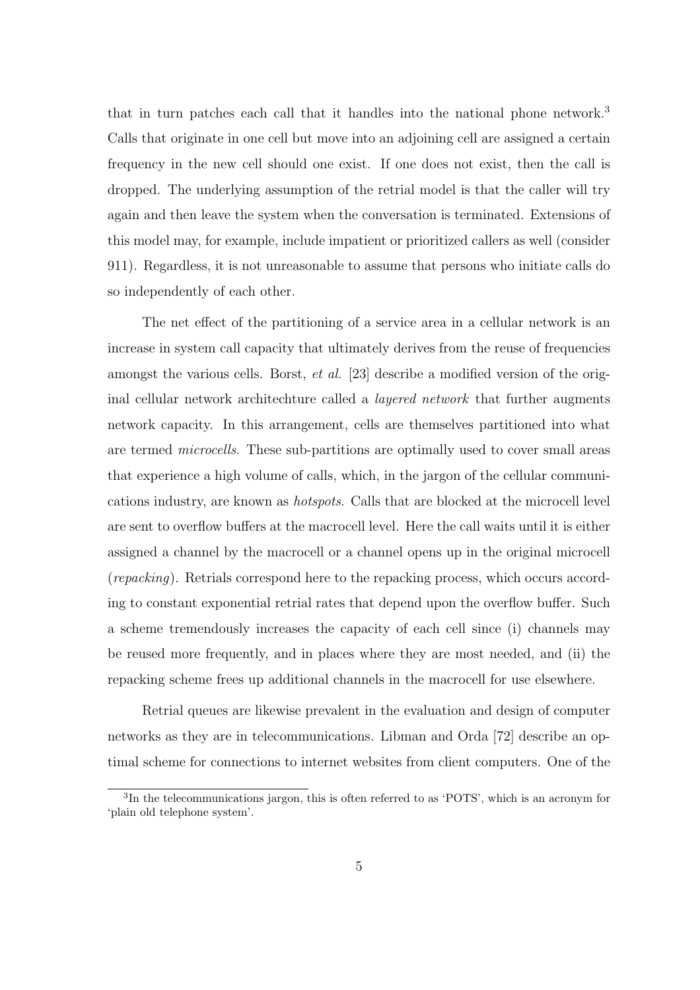that in turn patches each call that it handles into the national phone network.<sup>3</sup> Calls that originate in one cell but move into an adjoining cell are assigned a certain frequency in the new cell should one exist. If one does not exist, then the call is dropped. The underlying assumption of the retrial model is that the caller will try again and then leave the system when the conversation is terminated. Extensions of this model may, for example, include impatient or prioritized callers as well (consider 911). Regardless, it is not unreasonable to assume that persons who initiate calls do so independently of each other.

The net effect of the partitioning of a service area in a cellular network is an increase in system call capacity that ultimately derives from the reuse of frequencies amongst the various cells. Borst, et al. [23] describe a modified version of the original cellular network architechture called a layered network that further augments network capacity. In this arrangement, cells are themselves partitioned into what are termed microcells. These sub-partitions are optimally used to cover small areas that experience a high volume of calls, which, in the jargon of the cellular communications industry, are known as hotspots. Calls that are blocked at the microcell level are sent to overflow buffers at the macrocell level. Here the call waits until it is either assigned a channel by the macrocell or a channel opens up in the original microcell (repacking). Retrials correspond here to the repacking process, which occurs according to constant exponential retrial rates that depend upon the overflow buffer. Such a scheme tremendously increases the capacity of each cell since (i) channels may be reused more frequently, and in places where they are most needed, and (ii) the repacking scheme frees up additional channels in the macrocell for use elsewhere.

Retrial queues are likewise prevalent in the evaluation and design of computer networks as they are in telecommunications. Libman and Orda [72] describe an optimal scheme for connections to internet websites from client computers. One of the

<sup>&</sup>lt;sup>3</sup>In the telecommunications jargon, this is often referred to as 'POTS', which is an acronym for 'plain old telephone system'.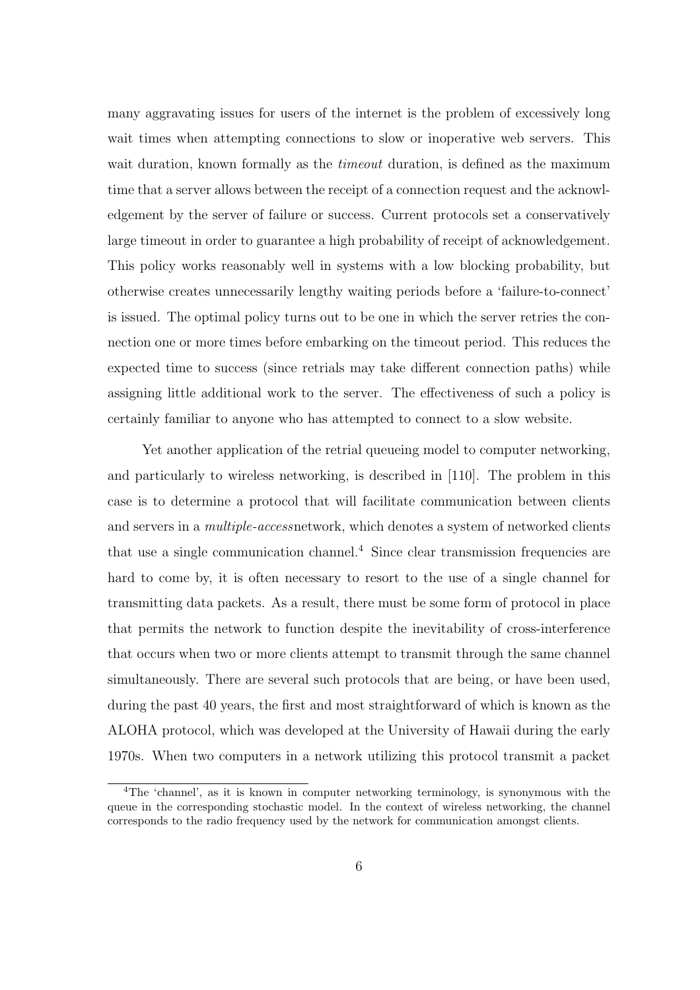many aggravating issues for users of the internet is the problem of excessively long wait times when attempting connections to slow or inoperative web servers. This wait duration, known formally as the *timeout* duration, is defined as the maximum time that a server allows between the receipt of a connection request and the acknowledgement by the server of failure or success. Current protocols set a conservatively large timeout in order to guarantee a high probability of receipt of acknowledgement. This policy works reasonably well in systems with a low blocking probability, but otherwise creates unnecessarily lengthy waiting periods before a 'failure-to-connect' is issued. The optimal policy turns out to be one in which the server retries the connection one or more times before embarking on the timeout period. This reduces the expected time to success (since retrials may take different connection paths) while assigning little additional work to the server. The effectiveness of such a policy is certainly familiar to anyone who has attempted to connect to a slow website.

Yet another application of the retrial queueing model to computer networking, and particularly to wireless networking, is described in [110]. The problem in this case is to determine a protocol that will facilitate communication between clients and servers in a *multiple-accessnetwork*, which denotes a system of networked clients that use a single communication channel.<sup>4</sup> Since clear transmission frequencies are hard to come by, it is often necessary to resort to the use of a single channel for transmitting data packets. As a result, there must be some form of protocol in place that permits the network to function despite the inevitability of cross-interference that occurs when two or more clients attempt to transmit through the same channel simultaneously. There are several such protocols that are being, or have been used, during the past 40 years, the first and most straightforward of which is known as the ALOHA protocol, which was developed at the University of Hawaii during the early 1970s. When two computers in a network utilizing this protocol transmit a packet

<sup>4</sup>The 'channel', as it is known in computer networking terminology, is synonymous with the queue in the corresponding stochastic model. In the context of wireless networking, the channel corresponds to the radio frequency used by the network for communication amongst clients.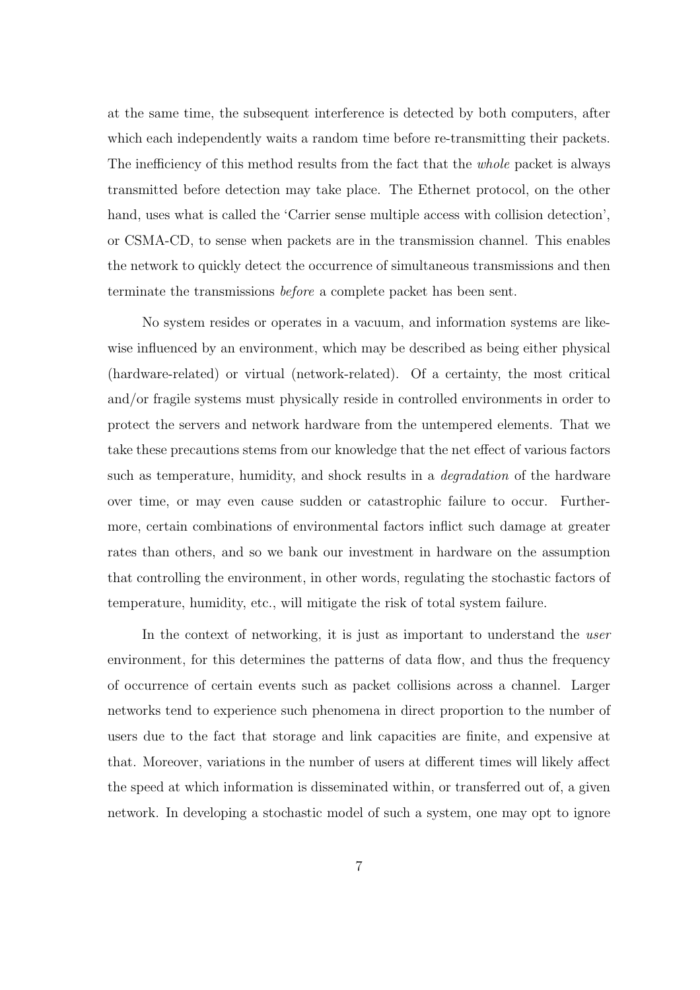at the same time, the subsequent interference is detected by both computers, after which each independently waits a random time before re-transmitting their packets. The inefficiency of this method results from the fact that the *whole* packet is always transmitted before detection may take place. The Ethernet protocol, on the other hand, uses what is called the 'Carrier sense multiple access with collision detection', or CSMA-CD, to sense when packets are in the transmission channel. This enables the network to quickly detect the occurrence of simultaneous transmissions and then terminate the transmissions before a complete packet has been sent.

No system resides or operates in a vacuum, and information systems are likewise influenced by an environment, which may be described as being either physical (hardware-related) or virtual (network-related). Of a certainty, the most critical and/or fragile systems must physically reside in controlled environments in order to protect the servers and network hardware from the untempered elements. That we take these precautions stems from our knowledge that the net effect of various factors such as temperature, humidity, and shock results in a *degradation* of the hardware over time, or may even cause sudden or catastrophic failure to occur. Furthermore, certain combinations of environmental factors inflict such damage at greater rates than others, and so we bank our investment in hardware on the assumption that controlling the environment, in other words, regulating the stochastic factors of temperature, humidity, etc., will mitigate the risk of total system failure.

In the context of networking, it is just as important to understand the user environment, for this determines the patterns of data flow, and thus the frequency of occurrence of certain events such as packet collisions across a channel. Larger networks tend to experience such phenomena in direct proportion to the number of users due to the fact that storage and link capacities are finite, and expensive at that. Moreover, variations in the number of users at different times will likely affect the speed at which information is disseminated within, or transferred out of, a given network. In developing a stochastic model of such a system, one may opt to ignore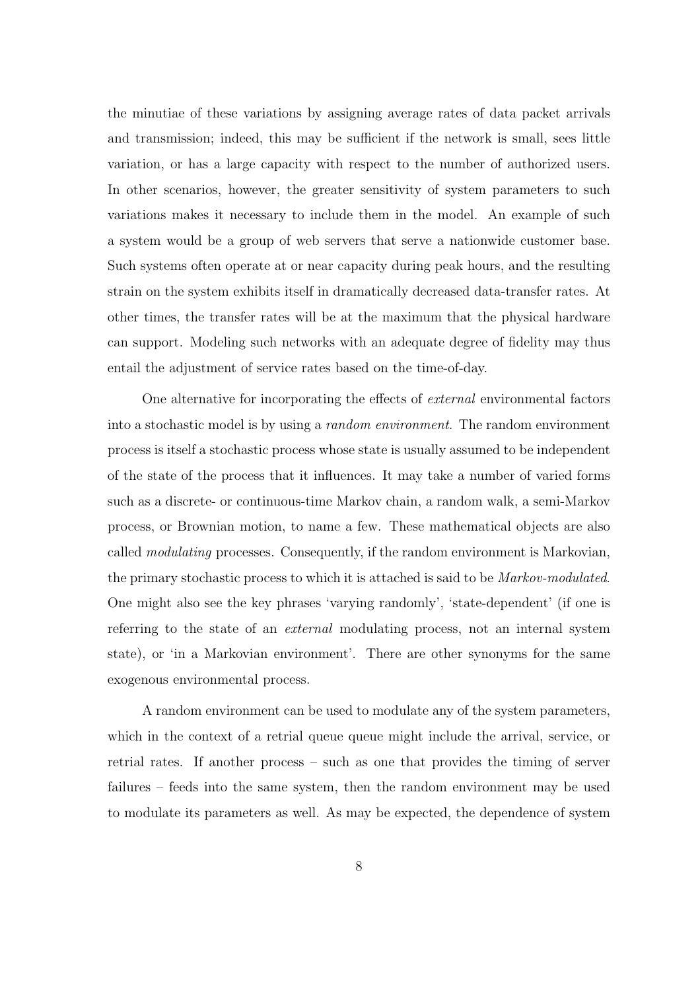the minutiae of these variations by assigning average rates of data packet arrivals and transmission; indeed, this may be sufficient if the network is small, sees little variation, or has a large capacity with respect to the number of authorized users. In other scenarios, however, the greater sensitivity of system parameters to such variations makes it necessary to include them in the model. An example of such a system would be a group of web servers that serve a nationwide customer base. Such systems often operate at or near capacity during peak hours, and the resulting strain on the system exhibits itself in dramatically decreased data-transfer rates. At other times, the transfer rates will be at the maximum that the physical hardware can support. Modeling such networks with an adequate degree of fidelity may thus entail the adjustment of service rates based on the time-of-day.

One alternative for incorporating the effects of external environmental factors into a stochastic model is by using a random environment. The random environment process is itself a stochastic process whose state is usually assumed to be independent of the state of the process that it influences. It may take a number of varied forms such as a discrete- or continuous-time Markov chain, a random walk, a semi-Markov process, or Brownian motion, to name a few. These mathematical objects are also called modulating processes. Consequently, if the random environment is Markovian, the primary stochastic process to which it is attached is said to be Markov-modulated. One might also see the key phrases 'varying randomly', 'state-dependent' (if one is referring to the state of an external modulating process, not an internal system state), or 'in a Markovian environment'. There are other synonyms for the same exogenous environmental process.

A random environment can be used to modulate any of the system parameters, which in the context of a retrial queue queue might include the arrival, service, or retrial rates. If another process – such as one that provides the timing of server failures – feeds into the same system, then the random environment may be used to modulate its parameters as well. As may be expected, the dependence of system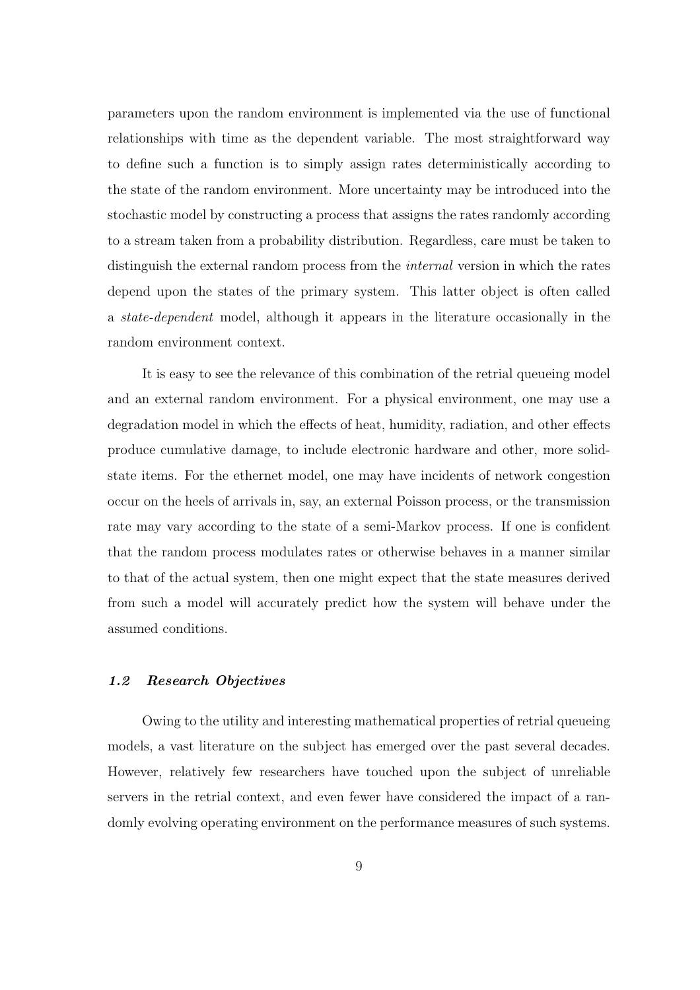parameters upon the random environment is implemented via the use of functional relationships with time as the dependent variable. The most straightforward way to define such a function is to simply assign rates deterministically according to the state of the random environment. More uncertainty may be introduced into the stochastic model by constructing a process that assigns the rates randomly according to a stream taken from a probability distribution. Regardless, care must be taken to distinguish the external random process from the *internal* version in which the rates depend upon the states of the primary system. This latter object is often called a state-dependent model, although it appears in the literature occasionally in the random environment context.

It is easy to see the relevance of this combination of the retrial queueing model and an external random environment. For a physical environment, one may use a degradation model in which the effects of heat, humidity, radiation, and other effects produce cumulative damage, to include electronic hardware and other, more solidstate items. For the ethernet model, one may have incidents of network congestion occur on the heels of arrivals in, say, an external Poisson process, or the transmission rate may vary according to the state of a semi-Markov process. If one is confident that the random process modulates rates or otherwise behaves in a manner similar to that of the actual system, then one might expect that the state measures derived from such a model will accurately predict how the system will behave under the assumed conditions.

#### 1.2 Research Objectives

Owing to the utility and interesting mathematical properties of retrial queueing models, a vast literature on the subject has emerged over the past several decades. However, relatively few researchers have touched upon the subject of unreliable servers in the retrial context, and even fewer have considered the impact of a randomly evolving operating environment on the performance measures of such systems.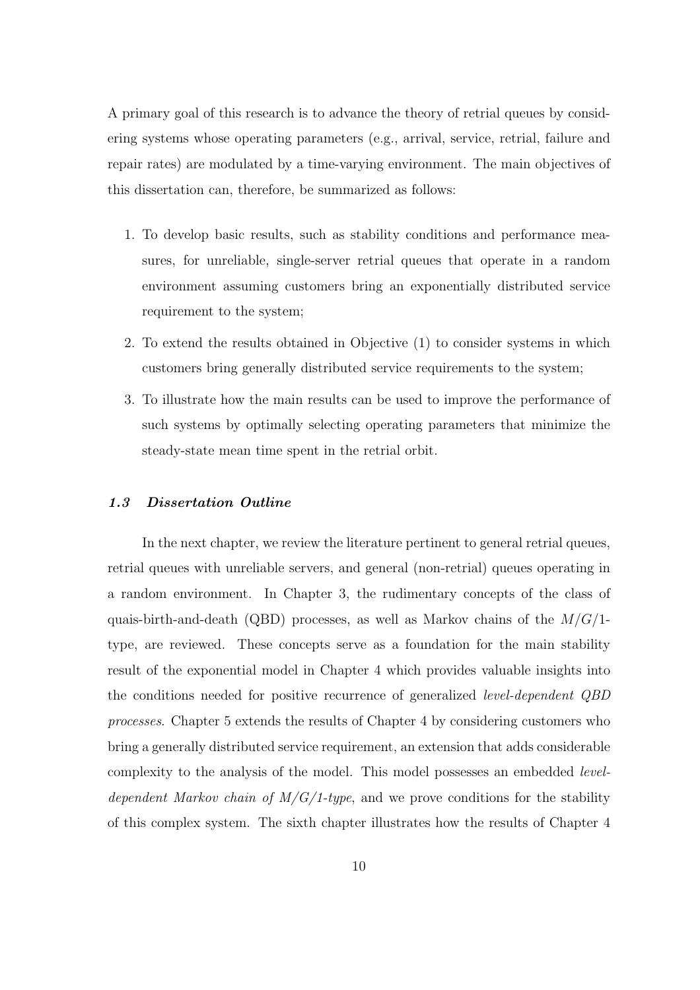A primary goal of this research is to advance the theory of retrial queues by considering systems whose operating parameters (e.g., arrival, service, retrial, failure and repair rates) are modulated by a time-varying environment. The main objectives of this dissertation can, therefore, be summarized as follows:

- 1. To develop basic results, such as stability conditions and performance measures, for unreliable, single-server retrial queues that operate in a random environment assuming customers bring an exponentially distributed service requirement to the system;
- 2. To extend the results obtained in Objective (1) to consider systems in which customers bring generally distributed service requirements to the system;
- 3. To illustrate how the main results can be used to improve the performance of such systems by optimally selecting operating parameters that minimize the steady-state mean time spent in the retrial orbit.

#### 1.3 Dissertation Outline

In the next chapter, we review the literature pertinent to general retrial queues, retrial queues with unreliable servers, and general (non-retrial) queues operating in a random environment. In Chapter 3, the rudimentary concepts of the class of quais-birth-and-death (QBD) processes, as well as Markov chains of the  $M/G/1$ type, are reviewed. These concepts serve as a foundation for the main stability result of the exponential model in Chapter 4 which provides valuable insights into the conditions needed for positive recurrence of generalized level-dependent QBD processes. Chapter 5 extends the results of Chapter 4 by considering customers who bring a generally distributed service requirement, an extension that adds considerable complexity to the analysis of the model. This model possesses an embedded *level*dependent Markov chain of  $M/G/1$ -type, and we prove conditions for the stability of this complex system. The sixth chapter illustrates how the results of Chapter 4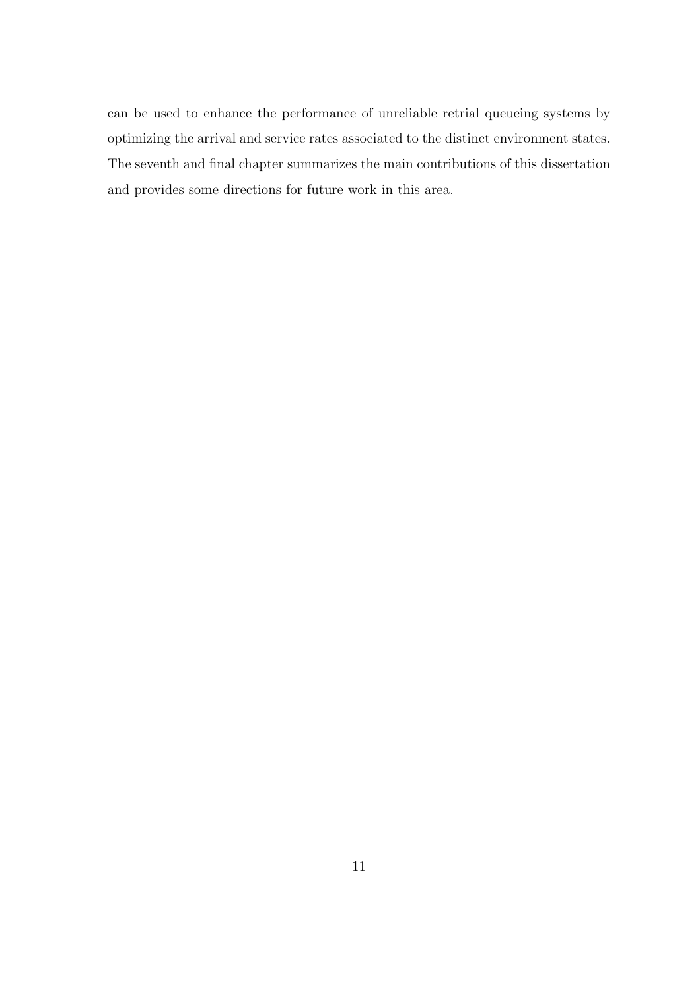can be used to enhance the performance of unreliable retrial queueing systems by optimizing the arrival and service rates associated to the distinct environment states. The seventh and final chapter summarizes the main contributions of this dissertation and provides some directions for future work in this area.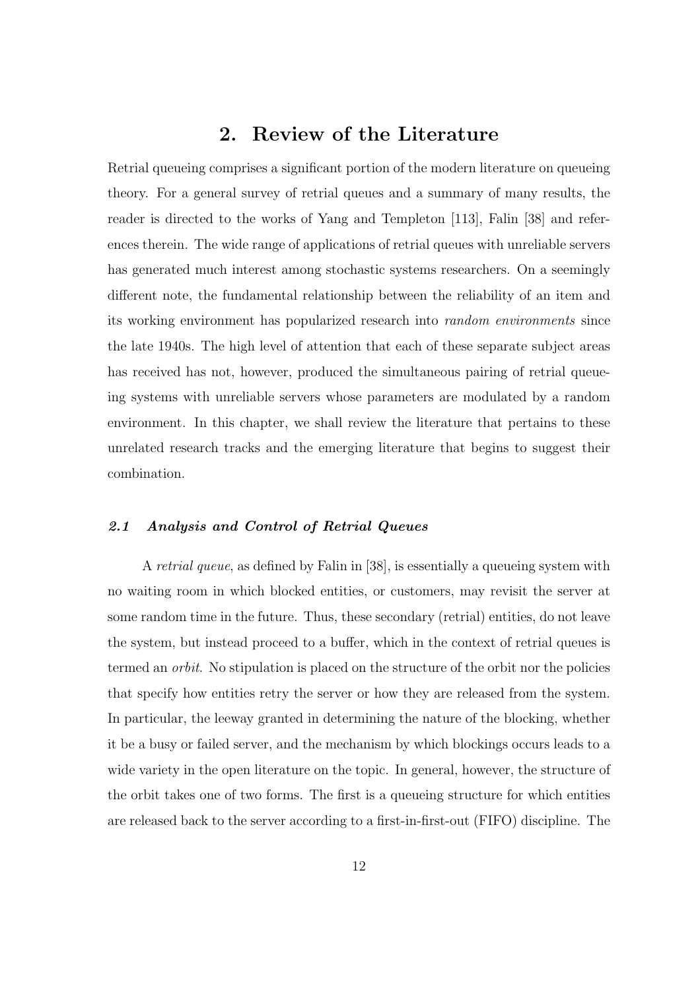## 2. Review of the Literature

Retrial queueing comprises a significant portion of the modern literature on queueing theory. For a general survey of retrial queues and a summary of many results, the reader is directed to the works of Yang and Templeton [113], Falin [38] and references therein. The wide range of applications of retrial queues with unreliable servers has generated much interest among stochastic systems researchers. On a seemingly different note, the fundamental relationship between the reliability of an item and its working environment has popularized research into random environments since the late 1940s. The high level of attention that each of these separate subject areas has received has not, however, produced the simultaneous pairing of retrial queueing systems with unreliable servers whose parameters are modulated by a random environment. In this chapter, we shall review the literature that pertains to these unrelated research tracks and the emerging literature that begins to suggest their combination.

#### 2.1 Analysis and Control of Retrial Queues

A retrial queue, as defined by Falin in [38], is essentially a queueing system with no waiting room in which blocked entities, or customers, may revisit the server at some random time in the future. Thus, these secondary (retrial) entities, do not leave the system, but instead proceed to a buffer, which in the context of retrial queues is termed an orbit. No stipulation is placed on the structure of the orbit nor the policies that specify how entities retry the server or how they are released from the system. In particular, the leeway granted in determining the nature of the blocking, whether it be a busy or failed server, and the mechanism by which blockings occurs leads to a wide variety in the open literature on the topic. In general, however, the structure of the orbit takes one of two forms. The first is a queueing structure for which entities are released back to the server according to a first-in-first-out (FIFO) discipline. The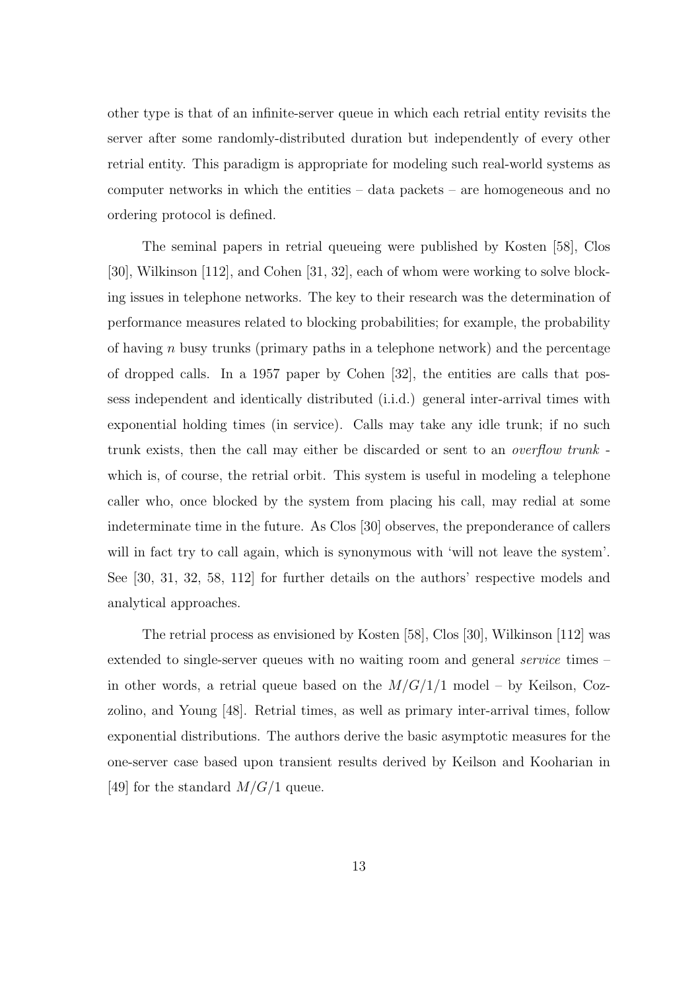other type is that of an infinite-server queue in which each retrial entity revisits the server after some randomly-distributed duration but independently of every other retrial entity. This paradigm is appropriate for modeling such real-world systems as computer networks in which the entities – data packets – are homogeneous and no ordering protocol is defined.

The seminal papers in retrial queueing were published by Kosten [58], Clos [30], Wilkinson [112], and Cohen [31, 32], each of whom were working to solve blocking issues in telephone networks. The key to their research was the determination of performance measures related to blocking probabilities; for example, the probability of having n busy trunks (primary paths in a telephone network) and the percentage of dropped calls. In a 1957 paper by Cohen [32], the entities are calls that possess independent and identically distributed (i.i.d.) general inter-arrival times with exponential holding times (in service). Calls may take any idle trunk; if no such trunk exists, then the call may either be discarded or sent to an overflow trunk which is, of course, the retrial orbit. This system is useful in modeling a telephone caller who, once blocked by the system from placing his call, may redial at some indeterminate time in the future. As Clos [30] observes, the preponderance of callers will in fact try to call again, which is synonymous with 'will not leave the system'. See [30, 31, 32, 58, 112] for further details on the authors' respective models and analytical approaches.

The retrial process as envisioned by Kosten [58], Clos [30], Wilkinson [112] was extended to single-server queues with no waiting room and general *service* times in other words, a retrial queue based on the  $M/G/1/1$  model – by Keilson, Cozzolino, and Young [48]. Retrial times, as well as primary inter-arrival times, follow exponential distributions. The authors derive the basic asymptotic measures for the one-server case based upon transient results derived by Keilson and Kooharian in [49] for the standard  $M/G/1$  queue.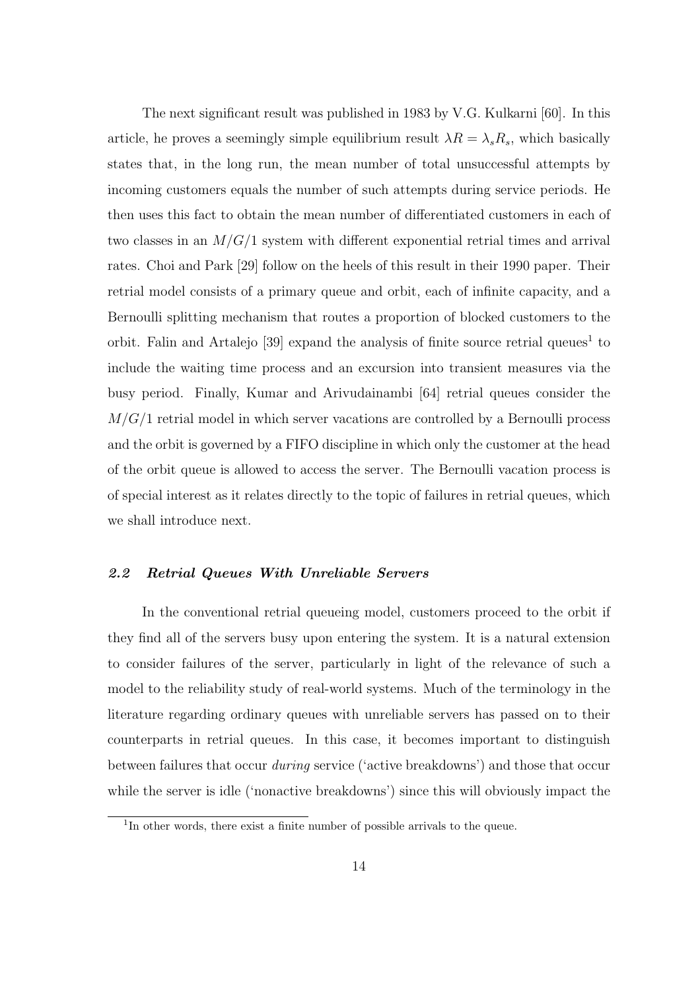The next significant result was published in 1983 by V.G. Kulkarni [60]. In this article, he proves a seemingly simple equilibrium result  $\lambda R = \lambda_s R_s$ , which basically states that, in the long run, the mean number of total unsuccessful attempts by incoming customers equals the number of such attempts during service periods. He then uses this fact to obtain the mean number of differentiated customers in each of two classes in an  $M/G/1$  system with different exponential retrial times and arrival rates. Choi and Park [29] follow on the heels of this result in their 1990 paper. Their retrial model consists of a primary queue and orbit, each of infinite capacity, and a Bernoulli splitting mechanism that routes a proportion of blocked customers to the orbit. Falin and Artalejo  $[39]$  expand the analysis of finite source retrial queues<sup>1</sup> to include the waiting time process and an excursion into transient measures via the busy period. Finally, Kumar and Arivudainambi [64] retrial queues consider the  $M/G/1$  retrial model in which server vacations are controlled by a Bernoulli process and the orbit is governed by a FIFO discipline in which only the customer at the head of the orbit queue is allowed to access the server. The Bernoulli vacation process is of special interest as it relates directly to the topic of failures in retrial queues, which we shall introduce next.

#### 2.2 Retrial Queues With Unreliable Servers

In the conventional retrial queueing model, customers proceed to the orbit if they find all of the servers busy upon entering the system. It is a natural extension to consider failures of the server, particularly in light of the relevance of such a model to the reliability study of real-world systems. Much of the terminology in the literature regarding ordinary queues with unreliable servers has passed on to their counterparts in retrial queues. In this case, it becomes important to distinguish between failures that occur during service ('active breakdowns') and those that occur while the server is idle ('nonactive breakdowns') since this will obviously impact the

<sup>&</sup>lt;sup>1</sup>In other words, there exist a finite number of possible arrivals to the queue.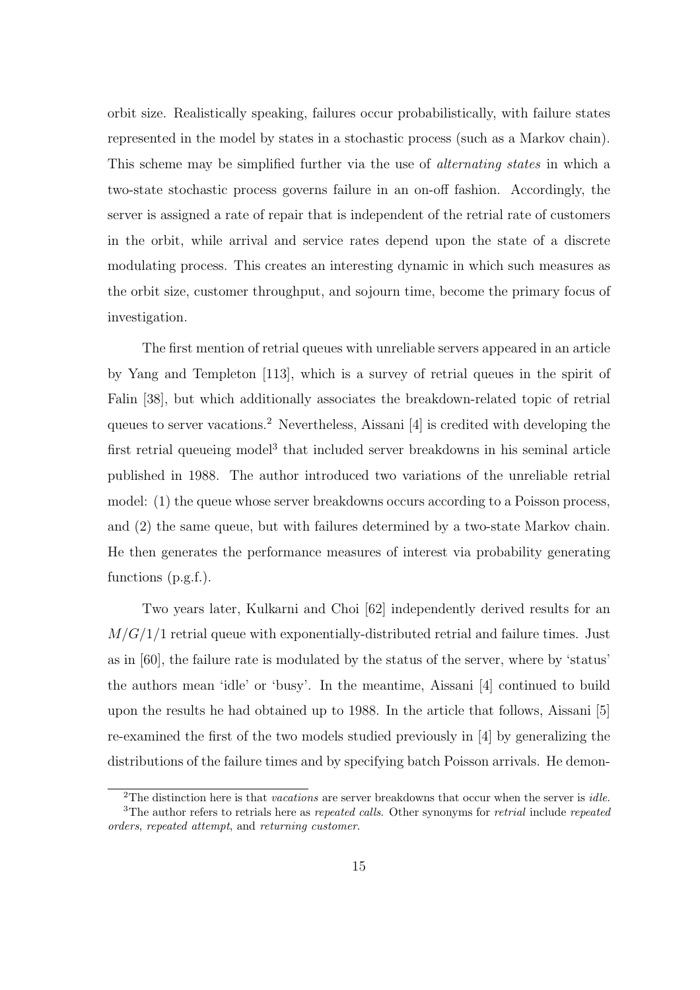orbit size. Realistically speaking, failures occur probabilistically, with failure states represented in the model by states in a stochastic process (such as a Markov chain). This scheme may be simplified further via the use of *alternating states* in which a two-state stochastic process governs failure in an on-off fashion. Accordingly, the server is assigned a rate of repair that is independent of the retrial rate of customers in the orbit, while arrival and service rates depend upon the state of a discrete modulating process. This creates an interesting dynamic in which such measures as the orbit size, customer throughput, and sojourn time, become the primary focus of investigation.

The first mention of retrial queues with unreliable servers appeared in an article by Yang and Templeton [113], which is a survey of retrial queues in the spirit of Falin [38], but which additionally associates the breakdown-related topic of retrial queues to server vacations.<sup>2</sup> Nevertheless, Aissani [4] is credited with developing the first retrial queueing model<sup>3</sup> that included server breakdowns in his seminal article published in 1988. The author introduced two variations of the unreliable retrial model: (1) the queue whose server breakdowns occurs according to a Poisson process, and (2) the same queue, but with failures determined by a two-state Markov chain. He then generates the performance measures of interest via probability generating functions (p.g.f.).

Two years later, Kulkarni and Choi [62] independently derived results for an  $M/G/1/1$  retrial queue with exponentially-distributed retrial and failure times. Just as in [60], the failure rate is modulated by the status of the server, where by 'status' the authors mean 'idle' or 'busy'. In the meantime, Aissani [4] continued to build upon the results he had obtained up to 1988. In the article that follows, Aissani [5] re-examined the first of the two models studied previously in [4] by generalizing the distributions of the failure times and by specifying batch Poisson arrivals. He demon-

<sup>&</sup>lt;sup>2</sup>The distinction here is that *vacations* are server breakdowns that occur when the server is *idle*.

<sup>&</sup>lt;sup>3</sup>The author refers to retrials here as *repeated calls*. Other synonyms for *retrial* include *repeated* orders, repeated attempt, and returning customer.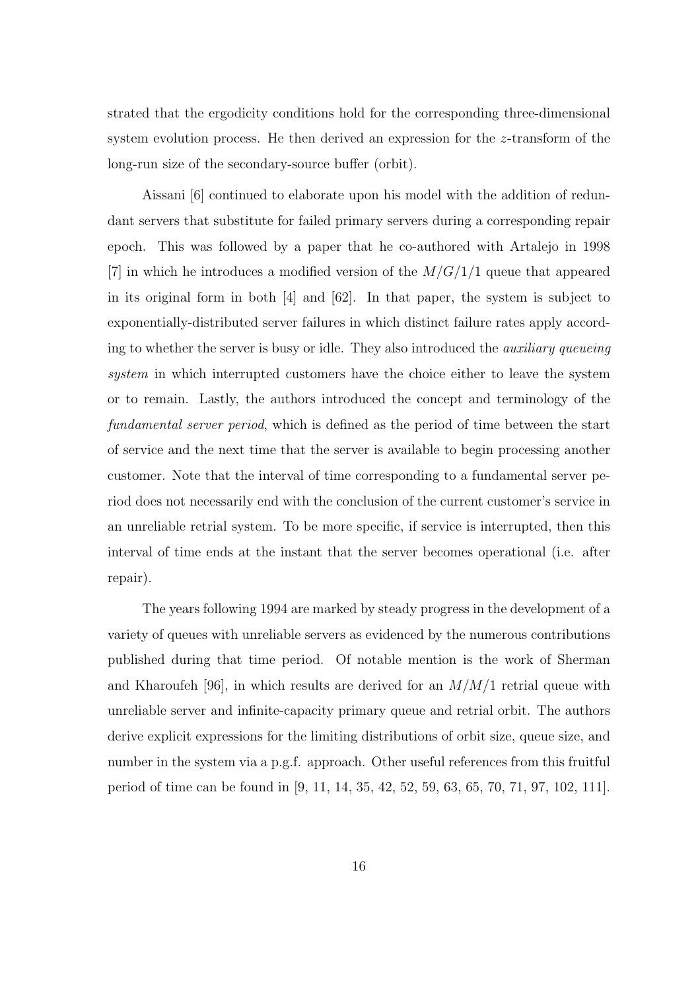strated that the ergodicity conditions hold for the corresponding three-dimensional system evolution process. He then derived an expression for the z-transform of the long-run size of the secondary-source buffer (orbit).

Aissani [6] continued to elaborate upon his model with the addition of redundant servers that substitute for failed primary servers during a corresponding repair epoch. This was followed by a paper that he co-authored with Artalejo in 1998 [7] in which he introduces a modified version of the  $M/G/1/1$  queue that appeared in its original form in both [4] and [62]. In that paper, the system is subject to exponentially-distributed server failures in which distinct failure rates apply according to whether the server is busy or idle. They also introduced the *auxiliary queueing* system in which interrupted customers have the choice either to leave the system or to remain. Lastly, the authors introduced the concept and terminology of the fundamental server period, which is defined as the period of time between the start of service and the next time that the server is available to begin processing another customer. Note that the interval of time corresponding to a fundamental server period does not necessarily end with the conclusion of the current customer's service in an unreliable retrial system. To be more specific, if service is interrupted, then this interval of time ends at the instant that the server becomes operational (i.e. after repair).

The years following 1994 are marked by steady progress in the development of a variety of queues with unreliable servers as evidenced by the numerous contributions published during that time period. Of notable mention is the work of Sherman and Kharoufeh [96], in which results are derived for an  $M/M/1$  retrial queue with unreliable server and infinite-capacity primary queue and retrial orbit. The authors derive explicit expressions for the limiting distributions of orbit size, queue size, and number in the system via a p.g.f. approach. Other useful references from this fruitful period of time can be found in [9, 11, 14, 35, 42, 52, 59, 63, 65, 70, 71, 97, 102, 111].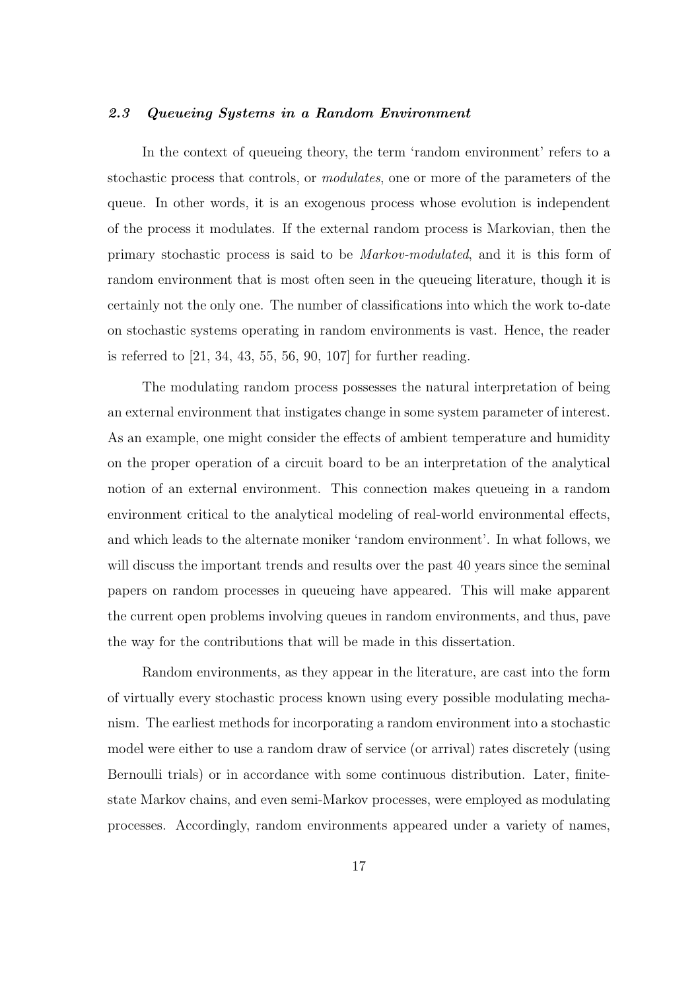#### 2.3 Queueing Systems in a Random Environment

In the context of queueing theory, the term 'random environment' refers to a stochastic process that controls, or *modulates*, one or more of the parameters of the queue. In other words, it is an exogenous process whose evolution is independent of the process it modulates. If the external random process is Markovian, then the primary stochastic process is said to be Markov-modulated, and it is this form of random environment that is most often seen in the queueing literature, though it is certainly not the only one. The number of classifications into which the work to-date on stochastic systems operating in random environments is vast. Hence, the reader is referred to [21, 34, 43, 55, 56, 90, 107] for further reading.

The modulating random process possesses the natural interpretation of being an external environment that instigates change in some system parameter of interest. As an example, one might consider the effects of ambient temperature and humidity on the proper operation of a circuit board to be an interpretation of the analytical notion of an external environment. This connection makes queueing in a random environment critical to the analytical modeling of real-world environmental effects, and which leads to the alternate moniker 'random environment'. In what follows, we will discuss the important trends and results over the past 40 years since the seminal papers on random processes in queueing have appeared. This will make apparent the current open problems involving queues in random environments, and thus, pave the way for the contributions that will be made in this dissertation.

Random environments, as they appear in the literature, are cast into the form of virtually every stochastic process known using every possible modulating mechanism. The earliest methods for incorporating a random environment into a stochastic model were either to use a random draw of service (or arrival) rates discretely (using Bernoulli trials) or in accordance with some continuous distribution. Later, finitestate Markov chains, and even semi-Markov processes, were employed as modulating processes. Accordingly, random environments appeared under a variety of names,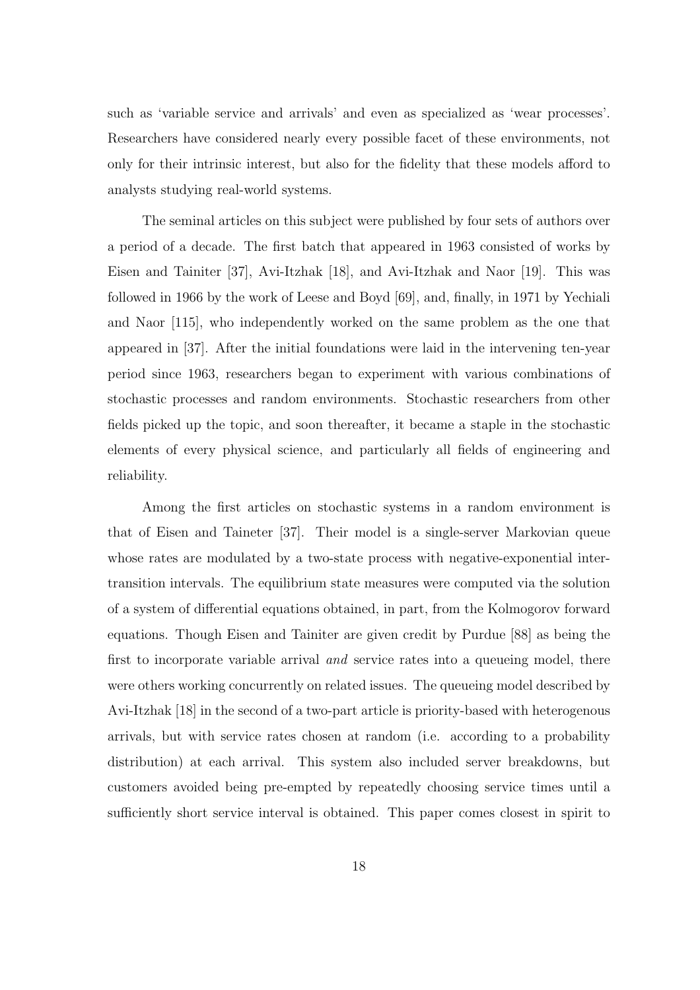such as 'variable service and arrivals' and even as specialized as 'wear processes'. Researchers have considered nearly every possible facet of these environments, not only for their intrinsic interest, but also for the fidelity that these models afford to analysts studying real-world systems.

The seminal articles on this subject were published by four sets of authors over a period of a decade. The first batch that appeared in 1963 consisted of works by Eisen and Tainiter [37], Avi-Itzhak [18], and Avi-Itzhak and Naor [19]. This was followed in 1966 by the work of Leese and Boyd [69], and, finally, in 1971 by Yechiali and Naor [115], who independently worked on the same problem as the one that appeared in [37]. After the initial foundations were laid in the intervening ten-year period since 1963, researchers began to experiment with various combinations of stochastic processes and random environments. Stochastic researchers from other fields picked up the topic, and soon thereafter, it became a staple in the stochastic elements of every physical science, and particularly all fields of engineering and reliability.

Among the first articles on stochastic systems in a random environment is that of Eisen and Taineter [37]. Their model is a single-server Markovian queue whose rates are modulated by a two-state process with negative-exponential intertransition intervals. The equilibrium state measures were computed via the solution of a system of differential equations obtained, in part, from the Kolmogorov forward equations. Though Eisen and Tainiter are given credit by Purdue [88] as being the first to incorporate variable arrival *and* service rates into a queueing model, there were others working concurrently on related issues. The queueing model described by Avi-Itzhak [18] in the second of a two-part article is priority-based with heterogenous arrivals, but with service rates chosen at random (i.e. according to a probability distribution) at each arrival. This system also included server breakdowns, but customers avoided being pre-empted by repeatedly choosing service times until a sufficiently short service interval is obtained. This paper comes closest in spirit to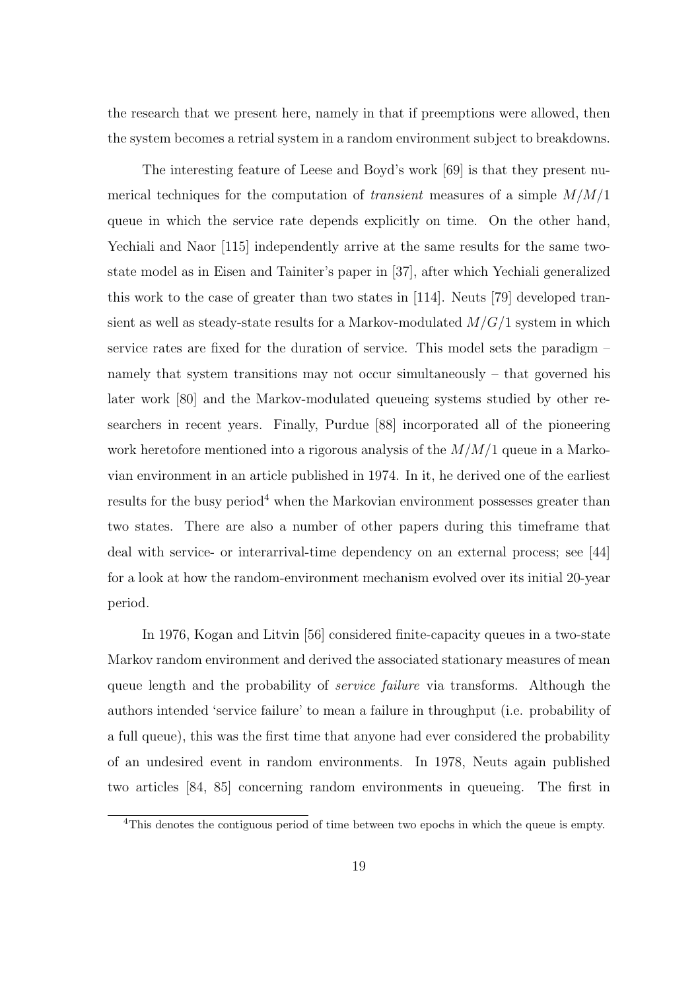the research that we present here, namely in that if preemptions were allowed, then the system becomes a retrial system in a random environment subject to breakdowns.

The interesting feature of Leese and Boyd's work [69] is that they present numerical techniques for the computation of *transient* measures of a simple  $M/M/1$ queue in which the service rate depends explicitly on time. On the other hand, Yechiali and Naor [115] independently arrive at the same results for the same twostate model as in Eisen and Tainiter's paper in [37], after which Yechiali generalized this work to the case of greater than two states in [114]. Neuts [79] developed transient as well as steady-state results for a Markov-modulated  $M/G/1$  system in which service rates are fixed for the duration of service. This model sets the paradigm – namely that system transitions may not occur simultaneously – that governed his later work [80] and the Markov-modulated queueing systems studied by other researchers in recent years. Finally, Purdue [88] incorporated all of the pioneering work heretofore mentioned into a rigorous analysis of the  $M/M/1$  queue in a Markovian environment in an article published in 1974. In it, he derived one of the earliest results for the busy period<sup>4</sup> when the Markovian environment possesses greater than two states. There are also a number of other papers during this timeframe that deal with service- or interarrival-time dependency on an external process; see [44] for a look at how the random-environment mechanism evolved over its initial 20-year period.

In 1976, Kogan and Litvin [56] considered finite-capacity queues in a two-state Markov random environment and derived the associated stationary measures of mean queue length and the probability of *service failure* via transforms. Although the authors intended 'service failure' to mean a failure in throughput (i.e. probability of a full queue), this was the first time that anyone had ever considered the probability of an undesired event in random environments. In 1978, Neuts again published two articles [84, 85] concerning random environments in queueing. The first in

<sup>4</sup>This denotes the contiguous period of time between two epochs in which the queue is empty.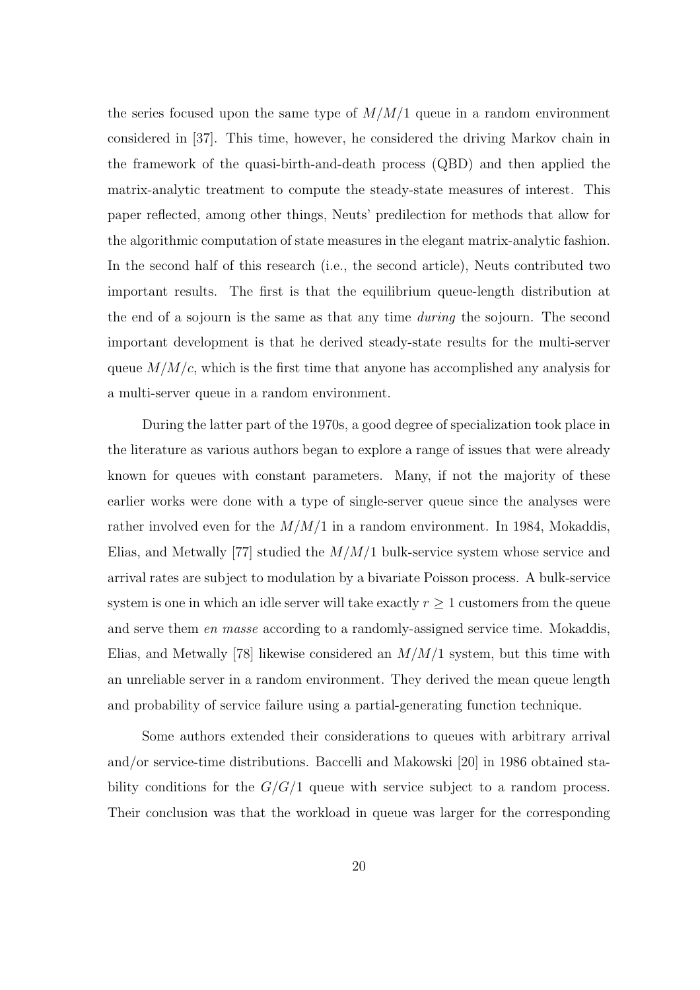the series focused upon the same type of  $M/M/1$  queue in a random environment considered in [37]. This time, however, he considered the driving Markov chain in the framework of the quasi-birth-and-death process (QBD) and then applied the matrix-analytic treatment to compute the steady-state measures of interest. This paper reflected, among other things, Neuts' predilection for methods that allow for the algorithmic computation of state measures in the elegant matrix-analytic fashion. In the second half of this research (i.e., the second article), Neuts contributed two important results. The first is that the equilibrium queue-length distribution at the end of a sojourn is the same as that any time during the sojourn. The second important development is that he derived steady-state results for the multi-server queue  $M/M/c$ , which is the first time that anyone has accomplished any analysis for a multi-server queue in a random environment.

During the latter part of the 1970s, a good degree of specialization took place in the literature as various authors began to explore a range of issues that were already known for queues with constant parameters. Many, if not the majority of these earlier works were done with a type of single-server queue since the analyses were rather involved even for the  $M/M/1$  in a random environment. In 1984, Mokaddis, Elias, and Metwally [77] studied the  $M/M/1$  bulk-service system whose service and arrival rates are subject to modulation by a bivariate Poisson process. A bulk-service system is one in which an idle server will take exactly  $r \geq 1$  customers from the queue and serve them en masse according to a randomly-assigned service time. Mokaddis, Elias, and Metwally [78] likewise considered an  $M/M/1$  system, but this time with an unreliable server in a random environment. They derived the mean queue length and probability of service failure using a partial-generating function technique.

Some authors extended their considerations to queues with arbitrary arrival and/or service-time distributions. Baccelli and Makowski [20] in 1986 obtained stability conditions for the  $G/G/1$  queue with service subject to a random process. Their conclusion was that the workload in queue was larger for the corresponding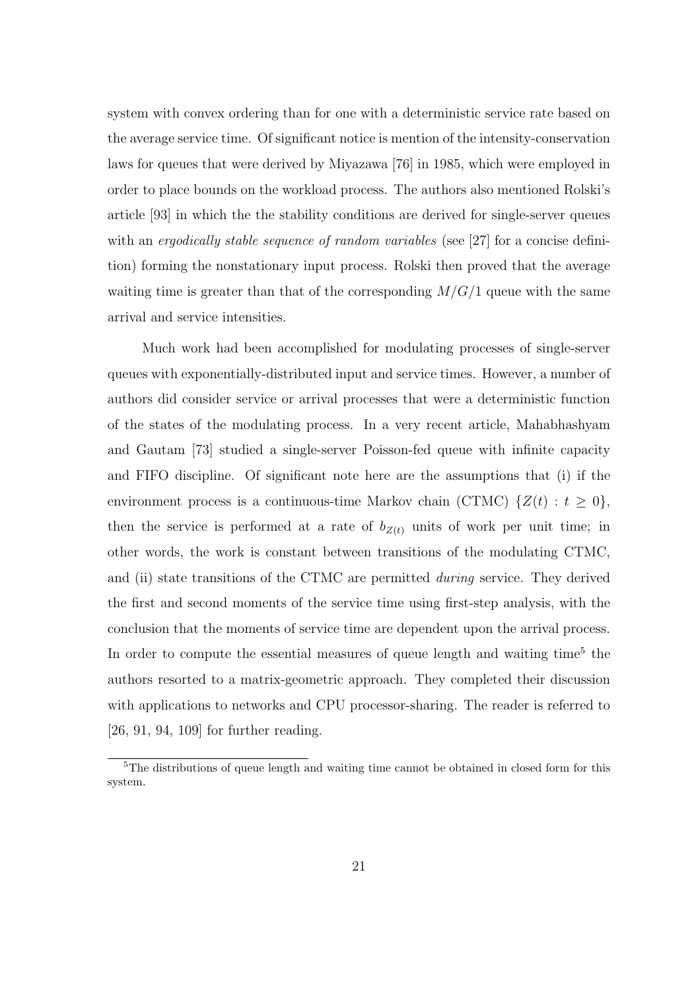system with convex ordering than for one with a deterministic service rate based on the average service time. Of significant notice is mention of the intensity-conservation laws for queues that were derived by Miyazawa [76] in 1985, which were employed in order to place bounds on the workload process. The authors also mentioned Rolski's article [93] in which the the stability conditions are derived for single-server queues with an *ergodically stable sequence of random variables* (see [27] for a concise definition) forming the nonstationary input process. Rolski then proved that the average waiting time is greater than that of the corresponding  $M/G/1$  queue with the same arrival and service intensities.

Much work had been accomplished for modulating processes of single-server queues with exponentially-distributed input and service times. However, a number of authors did consider service or arrival processes that were a deterministic function of the states of the modulating process. In a very recent article, Mahabhashyam and Gautam [73] studied a single-server Poisson-fed queue with infinite capacity and FIFO discipline. Of significant note here are the assumptions that (i) if the environment process is a continuous-time Markov chain (CTMC)  $\{Z(t): t \geq 0\},\$ then the service is performed at a rate of  $b_{Z(t)}$  units of work per unit time; in other words, the work is constant between transitions of the modulating CTMC, and (ii) state transitions of the CTMC are permitted during service. They derived the first and second moments of the service time using first-step analysis, with the conclusion that the moments of service time are dependent upon the arrival process. In order to compute the essential measures of queue length and waiting time<sup>5</sup> the authors resorted to a matrix-geometric approach. They completed their discussion with applications to networks and CPU processor-sharing. The reader is referred to [26, 91, 94, 109] for further reading.

<sup>&</sup>lt;sup>5</sup>The distributions of queue length and waiting time cannot be obtained in closed form for this system.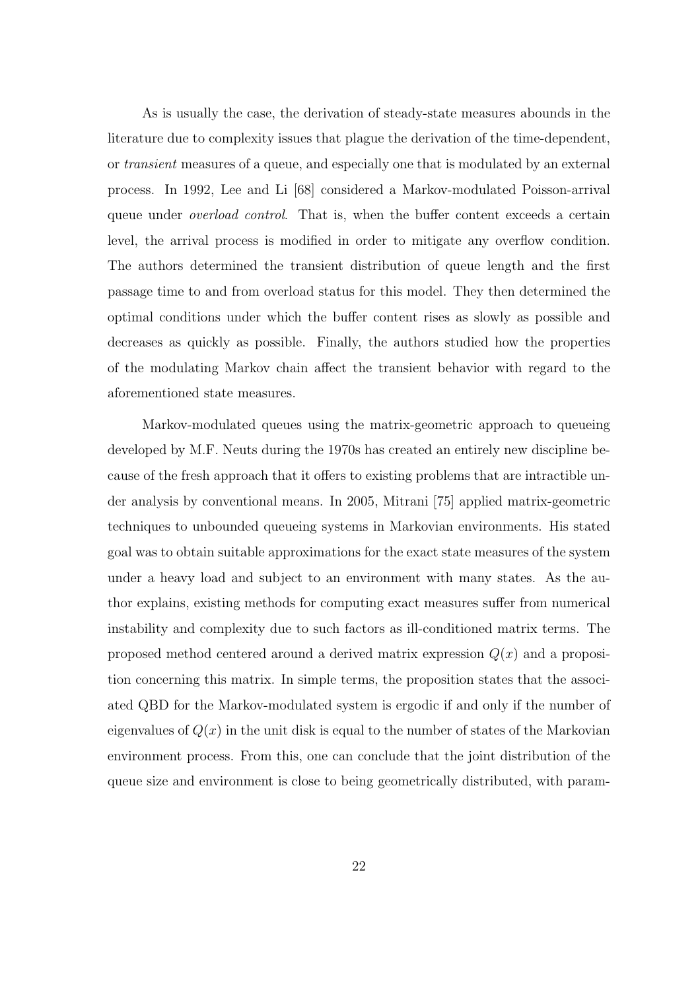As is usually the case, the derivation of steady-state measures abounds in the literature due to complexity issues that plague the derivation of the time-dependent, or transient measures of a queue, and especially one that is modulated by an external process. In 1992, Lee and Li [68] considered a Markov-modulated Poisson-arrival queue under *overload control*. That is, when the buffer content exceeds a certain level, the arrival process is modified in order to mitigate any overflow condition. The authors determined the transient distribution of queue length and the first passage time to and from overload status for this model. They then determined the optimal conditions under which the buffer content rises as slowly as possible and decreases as quickly as possible. Finally, the authors studied how the properties of the modulating Markov chain affect the transient behavior with regard to the aforementioned state measures.

Markov-modulated queues using the matrix-geometric approach to queueing developed by M.F. Neuts during the 1970s has created an entirely new discipline because of the fresh approach that it offers to existing problems that are intractible under analysis by conventional means. In 2005, Mitrani [75] applied matrix-geometric techniques to unbounded queueing systems in Markovian environments. His stated goal was to obtain suitable approximations for the exact state measures of the system under a heavy load and subject to an environment with many states. As the author explains, existing methods for computing exact measures suffer from numerical instability and complexity due to such factors as ill-conditioned matrix terms. The proposed method centered around a derived matrix expression  $Q(x)$  and a proposition concerning this matrix. In simple terms, the proposition states that the associated QBD for the Markov-modulated system is ergodic if and only if the number of eigenvalues of  $Q(x)$  in the unit disk is equal to the number of states of the Markovian environment process. From this, one can conclude that the joint distribution of the queue size and environment is close to being geometrically distributed, with param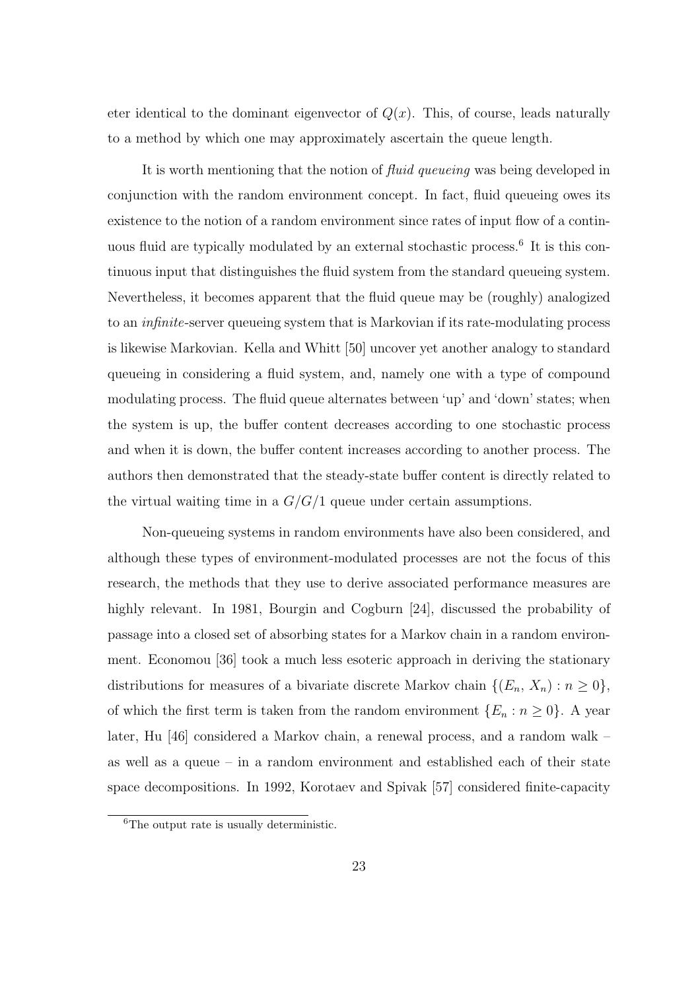eter identical to the dominant eigenvector of  $Q(x)$ . This, of course, leads naturally to a method by which one may approximately ascertain the queue length.

It is worth mentioning that the notion of fluid queueing was being developed in conjunction with the random environment concept. In fact, fluid queueing owes its existence to the notion of a random environment since rates of input flow of a continuous fluid are typically modulated by an external stochastic process.<sup>6</sup> It is this continuous input that distinguishes the fluid system from the standard queueing system. Nevertheless, it becomes apparent that the fluid queue may be (roughly) analogized to an infinite-server queueing system that is Markovian if its rate-modulating process is likewise Markovian. Kella and Whitt [50] uncover yet another analogy to standard queueing in considering a fluid system, and, namely one with a type of compound modulating process. The fluid queue alternates between 'up' and 'down' states; when the system is up, the buffer content decreases according to one stochastic process and when it is down, the buffer content increases according to another process. The authors then demonstrated that the steady-state buffer content is directly related to the virtual waiting time in a  $G/G/1$  queue under certain assumptions.

Non-queueing systems in random environments have also been considered, and although these types of environment-modulated processes are not the focus of this research, the methods that they use to derive associated performance measures are highly relevant. In 1981, Bourgin and Cogburn [24], discussed the probability of passage into a closed set of absorbing states for a Markov chain in a random environment. Economou [36] took a much less esoteric approach in deriving the stationary distributions for measures of a bivariate discrete Markov chain  $\{(E_n, X_n) : n \geq 0\},\$ of which the first term is taken from the random environment  $\{E_n : n \geq 0\}$ . A year later, Hu [46] considered a Markov chain, a renewal process, and a random walk – as well as a queue – in a random environment and established each of their state space decompositions. In 1992, Korotaev and Spivak [57] considered finite-capacity

 ${}^{6}$ The output rate is usually deterministic.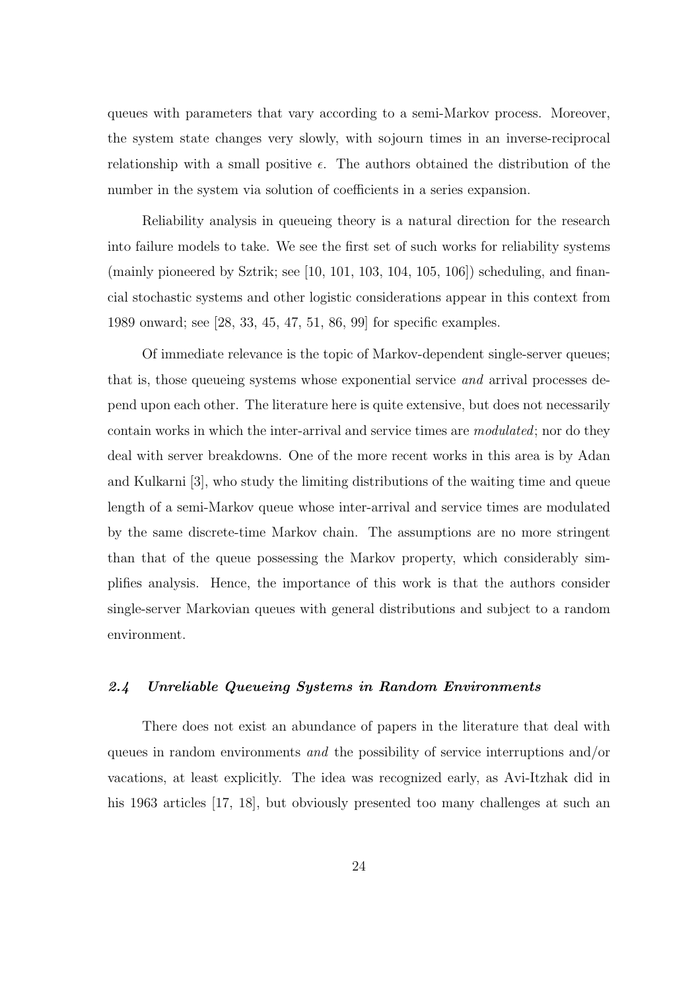queues with parameters that vary according to a semi-Markov process. Moreover, the system state changes very slowly, with sojourn times in an inverse-reciprocal relationship with a small positive  $\epsilon$ . The authors obtained the distribution of the number in the system via solution of coefficients in a series expansion.

Reliability analysis in queueing theory is a natural direction for the research into failure models to take. We see the first set of such works for reliability systems (mainly pioneered by Sztrik; see  $[10, 101, 103, 104, 105, 106]$ ) scheduling, and financial stochastic systems and other logistic considerations appear in this context from 1989 onward; see [28, 33, 45, 47, 51, 86, 99] for specific examples.

Of immediate relevance is the topic of Markov-dependent single-server queues; that is, those queueing systems whose exponential service and arrival processes depend upon each other. The literature here is quite extensive, but does not necessarily contain works in which the inter-arrival and service times are modulated; nor do they deal with server breakdowns. One of the more recent works in this area is by Adan and Kulkarni [3], who study the limiting distributions of the waiting time and queue length of a semi-Markov queue whose inter-arrival and service times are modulated by the same discrete-time Markov chain. The assumptions are no more stringent than that of the queue possessing the Markov property, which considerably simplifies analysis. Hence, the importance of this work is that the authors consider single-server Markovian queues with general distributions and subject to a random environment.

#### 2.4 Unreliable Queueing Systems in Random Environments

There does not exist an abundance of papers in the literature that deal with queues in random environments and the possibility of service interruptions and/or vacations, at least explicitly. The idea was recognized early, as Avi-Itzhak did in his 1963 articles [17, 18], but obviously presented too many challenges at such an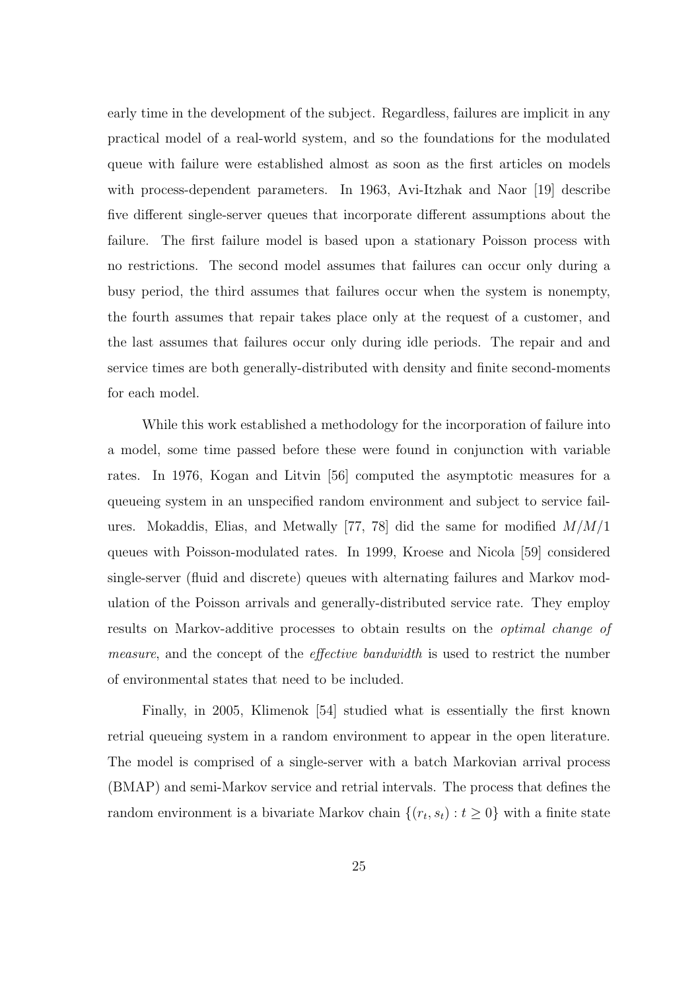early time in the development of the subject. Regardless, failures are implicit in any practical model of a real-world system, and so the foundations for the modulated queue with failure were established almost as soon as the first articles on models with process-dependent parameters. In 1963, Avi-Itzhak and Naor [19] describe five different single-server queues that incorporate different assumptions about the failure. The first failure model is based upon a stationary Poisson process with no restrictions. The second model assumes that failures can occur only during a busy period, the third assumes that failures occur when the system is nonempty, the fourth assumes that repair takes place only at the request of a customer, and the last assumes that failures occur only during idle periods. The repair and and service times are both generally-distributed with density and finite second-moments for each model.

While this work established a methodology for the incorporation of failure into a model, some time passed before these were found in conjunction with variable rates. In 1976, Kogan and Litvin [56] computed the asymptotic measures for a queueing system in an unspecified random environment and subject to service failures. Mokaddis, Elias, and Metwally [77, 78] did the same for modified  $M/M/1$ queues with Poisson-modulated rates. In 1999, Kroese and Nicola [59] considered single-server (fluid and discrete) queues with alternating failures and Markov modulation of the Poisson arrivals and generally-distributed service rate. They employ results on Markov-additive processes to obtain results on the optimal change of measure, and the concept of the effective bandwidth is used to restrict the number of environmental states that need to be included.

Finally, in 2005, Klimenok [54] studied what is essentially the first known retrial queueing system in a random environment to appear in the open literature. The model is comprised of a single-server with a batch Markovian arrival process (BMAP) and semi-Markov service and retrial intervals. The process that defines the random environment is a bivariate Markov chain  $\{(r_t, s_t) : t \geq 0\}$  with a finite state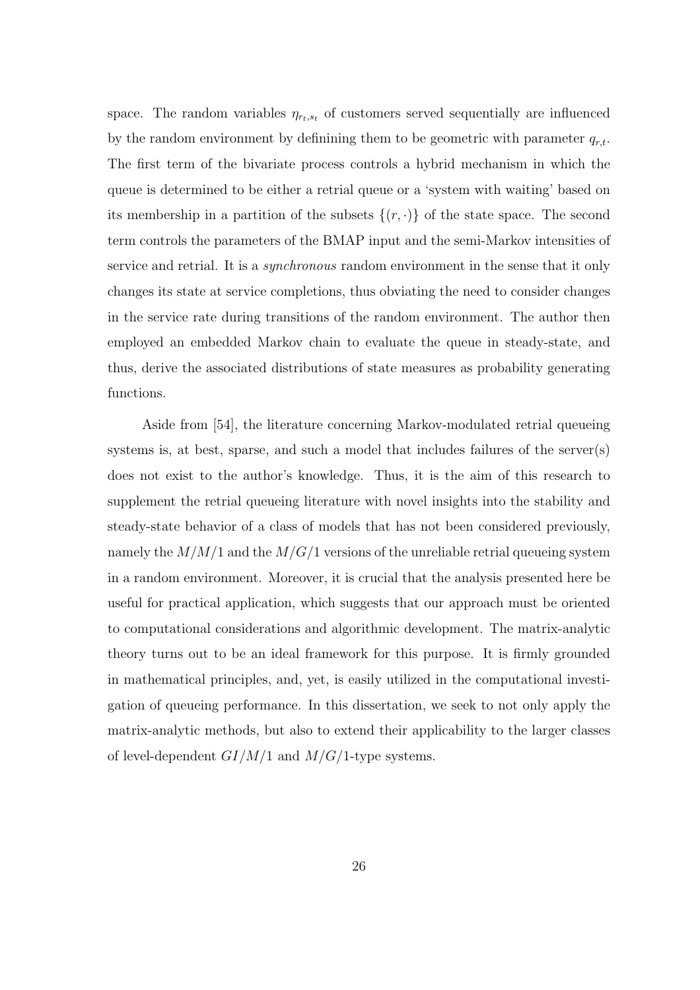space. The random variables  $\eta_{rt,s}$  of customers served sequentially are influenced by the random environment by definining them to be geometric with parameter  $q_{r,t}$ . The first term of the bivariate process controls a hybrid mechanism in which the queue is determined to be either a retrial queue or a 'system with waiting' based on its membership in a partition of the subsets  $\{(r, \cdot)\}\$  of the state space. The second term controls the parameters of the BMAP input and the semi-Markov intensities of service and retrial. It is a *synchronous* random environment in the sense that it only changes its state at service completions, thus obviating the need to consider changes in the service rate during transitions of the random environment. The author then employed an embedded Markov chain to evaluate the queue in steady-state, and thus, derive the associated distributions of state measures as probability generating functions.

Aside from [54], the literature concerning Markov-modulated retrial queueing systems is, at best, sparse, and such a model that includes failures of the server(s) does not exist to the author's knowledge. Thus, it is the aim of this research to supplement the retrial queueing literature with novel insights into the stability and steady-state behavior of a class of models that has not been considered previously, namely the  $M/M/1$  and the  $M/G/1$  versions of the unreliable retrial queueing system in a random environment. Moreover, it is crucial that the analysis presented here be useful for practical application, which suggests that our approach must be oriented to computational considerations and algorithmic development. The matrix-analytic theory turns out to be an ideal framework for this purpose. It is firmly grounded in mathematical principles, and, yet, is easily utilized in the computational investigation of queueing performance. In this dissertation, we seek to not only apply the matrix-analytic methods, but also to extend their applicability to the larger classes of level-dependent  $GI/M/1$  and  $M/G/1$ -type systems.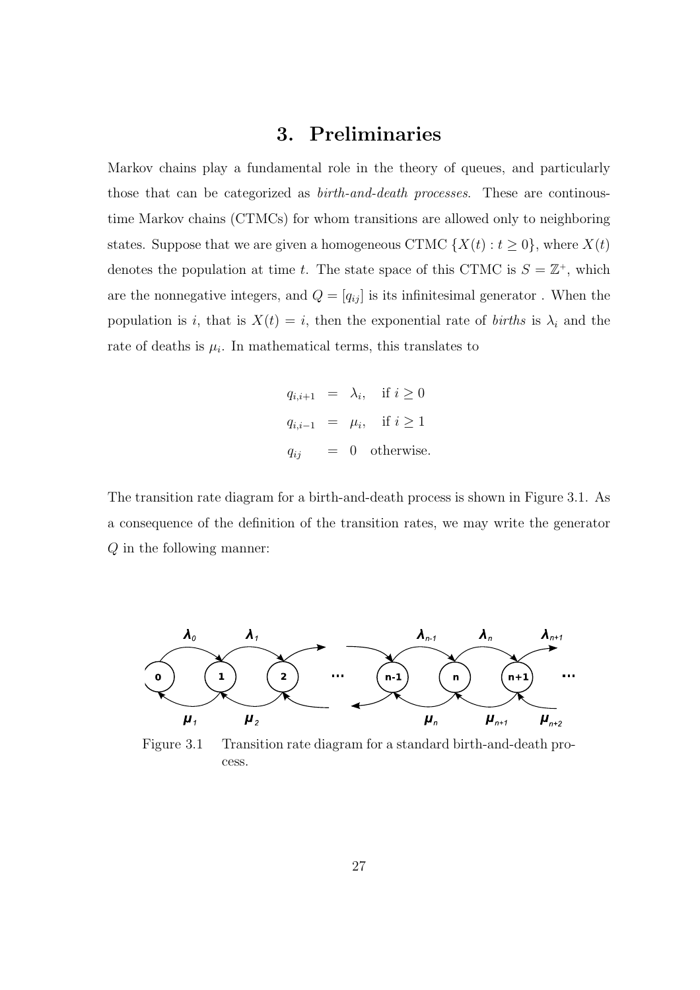# 3. Preliminaries

Markov chains play a fundamental role in the theory of queues, and particularly those that can be categorized as *birth-and-death processes*. These are continoustime Markov chains (CTMCs) for whom transitions are allowed only to neighboring states. Suppose that we are given a homogeneous CTMC  $\{X(t): t \geq 0\}$ , where  $X(t)$ denotes the population at time t. The state space of this CTMC is  $S = \mathbb{Z}^+$ , which are the nonnegative integers, and  $\mathcal{Q} = [q_{ij}]$  is its infinitesimal generator . When the population is i, that is  $X(t) = i$ , then the exponential rate of *births* is  $\lambda_i$  and the rate of deaths is  $\mu_i$ . In mathematical terms, this translates to

$$
q_{i,i+1} = \lambda_i, \quad \text{if } i \ge 0
$$
  

$$
q_{i,i-1} = \mu_i, \quad \text{if } i \ge 1
$$
  

$$
q_{ij} = 0 \quad \text{otherwise.}
$$

The transition rate diagram for a birth-and-death process is shown in Figure 3.1. As a consequence of the definition of the transition rates, we may write the generator Q in the following manner:



Figure 3.1 Transition rate diagram for a standard birth-and-death process.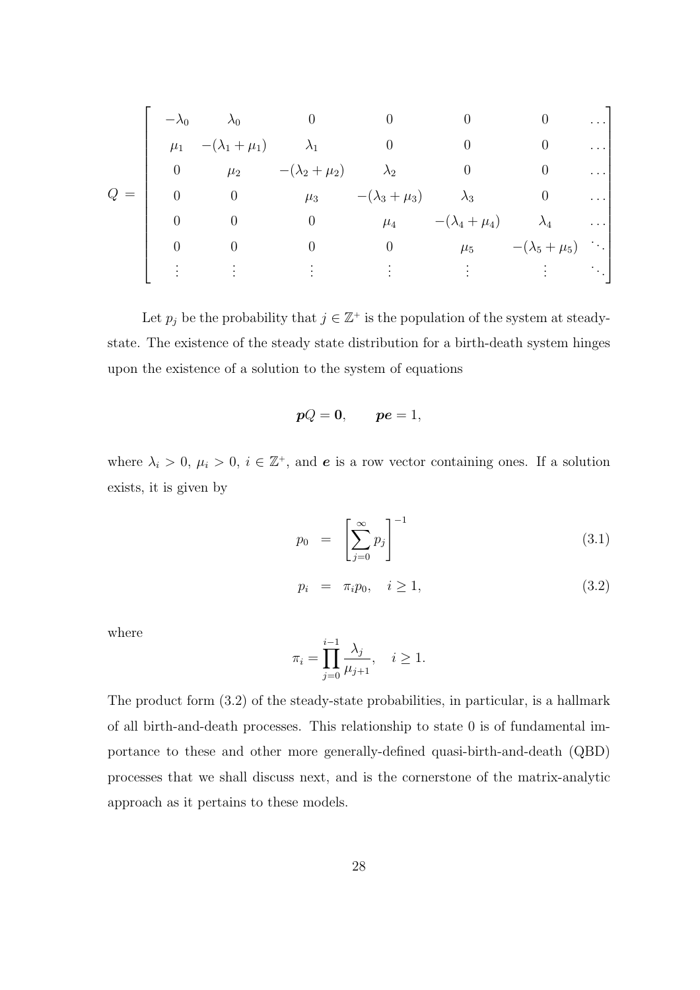$$
Q = \begin{bmatrix} -\lambda_0 & \lambda_0 & 0 & 0 & 0 & 0 & \cdots \\ \mu_1 & -(\lambda_1 + \mu_1) & \lambda_1 & 0 & 0 & 0 & \cdots \\ 0 & \mu_2 & -(\lambda_2 + \mu_2) & \lambda_2 & 0 & 0 & \cdots \\ 0 & 0 & \mu_3 & -(\lambda_3 + \mu_3) & \lambda_3 & 0 & \cdots \\ 0 & 0 & 0 & \mu_4 & -(\lambda_4 + \mu_4) & \lambda_4 & \cdots \\ 0 & 0 & 0 & 0 & \mu_5 & -(\lambda_5 + \mu_5) & \vdots \\ \vdots & \vdots & \vdots & \vdots & \vdots & \vdots & \vdots \end{bmatrix}
$$

Let  $p_j$  be the probability that  $j \in \mathbb{Z}^+$  is the population of the system at steadystate. The existence of the steady state distribution for a birth-death system hinges upon the existence of a solution to the system of equations

$$
pQ=0, \qquad pe=1,
$$

where  $\lambda_i > 0$ ,  $\mu_i > 0$ ,  $i \in \mathbb{Z}^+$ , and **e** is a row vector containing ones. If a solution exists, it is given by

$$
p_0 = \left[\sum_{j=0}^{\infty} p_j\right]^{-1} \tag{3.1}
$$

$$
p_i = \pi_i p_0, \quad i \ge 1,
$$
\n
$$
(3.2)
$$

where

$$
\pi_i = \prod_{j=0}^{i-1} \frac{\lambda_j}{\mu_{j+1}}, \quad i \ge 1.
$$

The product form (3.2) of the steady-state probabilities, in particular, is a hallmark of all birth-and-death processes. This relationship to state 0 is of fundamental importance to these and other more generally-defined quasi-birth-and-death (QBD) processes that we shall discuss next, and is the cornerstone of the matrix-analytic approach as it pertains to these models.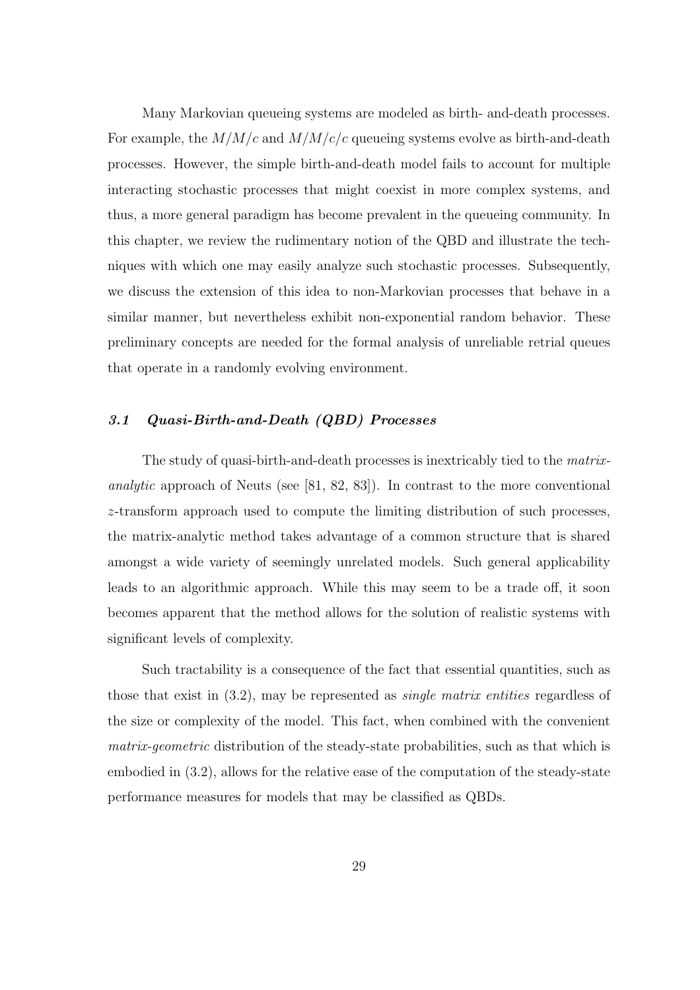Many Markovian queueing systems are modeled as birth- and-death processes. For example, the  $M/M/c$  and  $M/M/c/c$  queueing systems evolve as birth-and-death processes. However, the simple birth-and-death model fails to account for multiple interacting stochastic processes that might coexist in more complex systems, and thus, a more general paradigm has become prevalent in the queueing community. In this chapter, we review the rudimentary notion of the QBD and illustrate the techniques with which one may easily analyze such stochastic processes. Subsequently, we discuss the extension of this idea to non-Markovian processes that behave in a similar manner, but nevertheless exhibit non-exponential random behavior. These preliminary concepts are needed for the formal analysis of unreliable retrial queues that operate in a randomly evolving environment.

### 3.1 Quasi-Birth-and-Death (QBD) Processes

The study of quasi-birth-and-death processes is inextricably tied to the matrixanalytic approach of Neuts (see [81, 82, 83]). In contrast to the more conventional z-transform approach used to compute the limiting distribution of such processes, the matrix-analytic method takes advantage of a common structure that is shared amongst a wide variety of seemingly unrelated models. Such general applicability leads to an algorithmic approach. While this may seem to be a trade off, it soon becomes apparent that the method allows for the solution of realistic systems with significant levels of complexity.

Such tractability is a consequence of the fact that essential quantities, such as those that exist in (3.2), may be represented as single matrix entities regardless of the size or complexity of the model. This fact, when combined with the convenient matrix-geometric distribution of the steady-state probabilities, such as that which is embodied in (3.2), allows for the relative ease of the computation of the steady-state performance measures for models that may be classified as QBDs.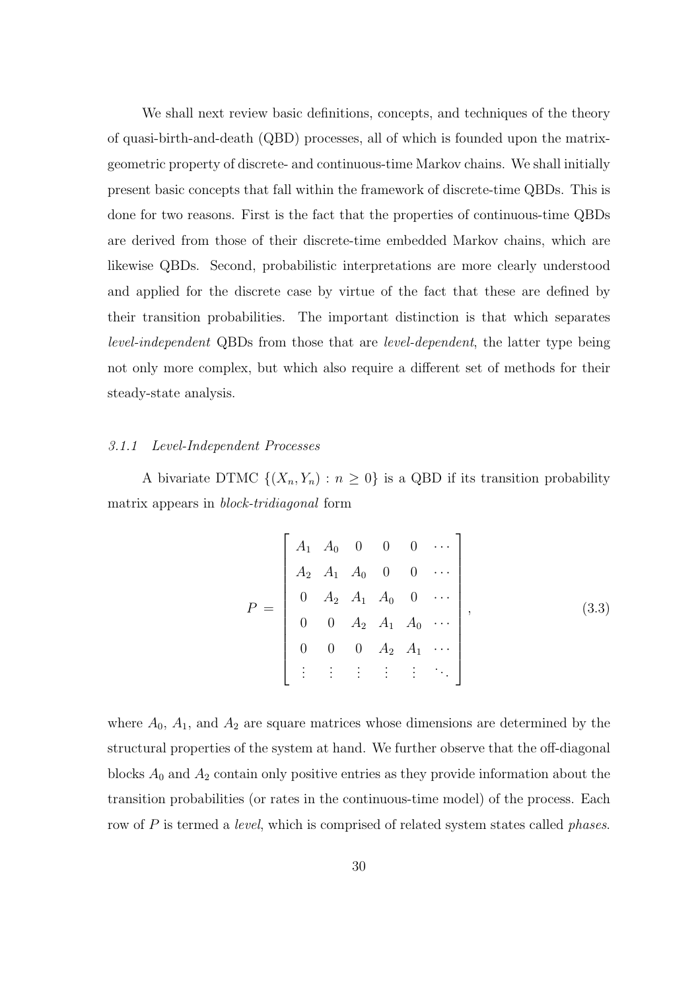We shall next review basic definitions, concepts, and techniques of the theory of quasi-birth-and-death (QBD) processes, all of which is founded upon the matrixgeometric property of discrete- and continuous-time Markov chains. We shall initially present basic concepts that fall within the framework of discrete-time QBDs. This is done for two reasons. First is the fact that the properties of continuous-time QBDs are derived from those of their discrete-time embedded Markov chains, which are likewise QBDs. Second, probabilistic interpretations are more clearly understood and applied for the discrete case by virtue of the fact that these are defined by their transition probabilities. The important distinction is that which separates level-independent QBDs from those that are level-dependent, the latter type being not only more complex, but which also require a different set of methods for their steady-state analysis.

### 3.1.1 Level-Independent Processes

A bivariate DTMC  $\{(X_n, Y_n) : n \geq 0\}$  is a QBD if its transition probability matrix appears in block-tridiagonal form

$$
P = \begin{bmatrix} A_1 & A_0 & 0 & 0 & 0 & \cdots \\ A_2 & A_1 & A_0 & 0 & 0 & \cdots \\ 0 & A_2 & A_1 & A_0 & 0 & \cdots \\ 0 & 0 & A_2 & A_1 & A_0 & \cdots \\ 0 & 0 & 0 & A_2 & A_1 & \cdots \\ \vdots & \vdots & \vdots & \vdots & \vdots & \ddots \end{bmatrix},
$$
(3.3)

where  $A_0$ ,  $A_1$ , and  $A_2$  are square matrices whose dimensions are determined by the structural properties of the system at hand. We further observe that the off-diagonal blocks  $A_0$  and  $A_2$  contain only positive entries as they provide information about the transition probabilities (or rates in the continuous-time model) of the process. Each row of P is termed a *level*, which is comprised of related system states called *phases*.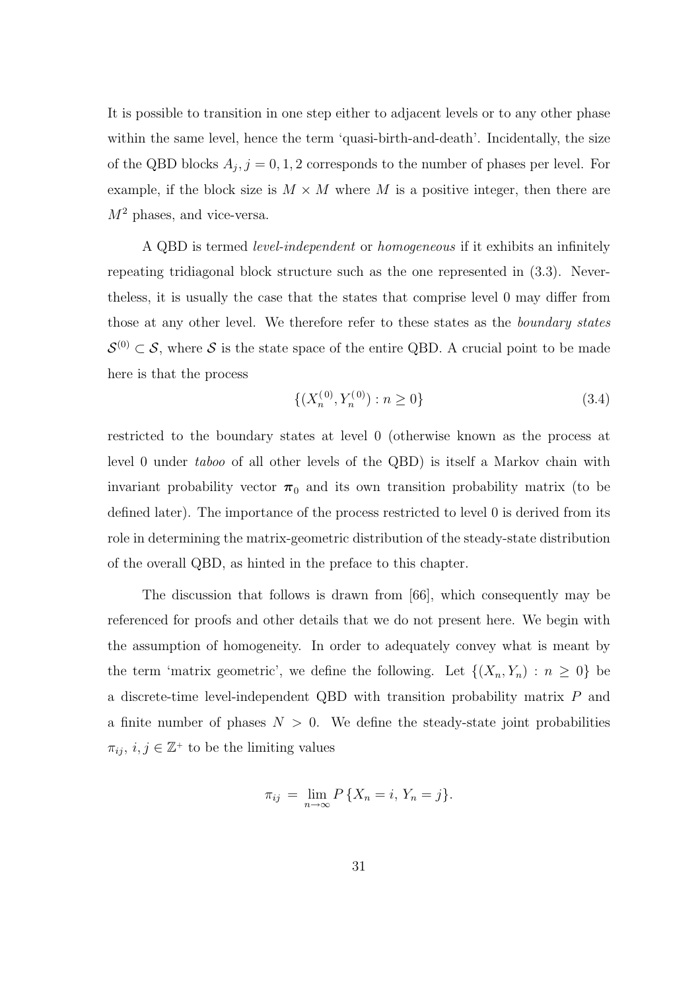It is possible to transition in one step either to adjacent levels or to any other phase within the same level, hence the term 'quasi-birth-and-death'. Incidentally, the size of the QBD blocks  $A_j$ ,  $j = 0, 1, 2$  corresponds to the number of phases per level. For example, if the block size is  $M \times M$  where M is a positive integer, then there are  $M^2$  phases, and vice-versa.

A QBD is termed level-independent or homogeneous if it exhibits an infinitely repeating tridiagonal block structure such as the one represented in (3.3). Nevertheless, it is usually the case that the states that comprise level 0 may differ from those at any other level. We therefore refer to these states as the boundary states  $\mathcal{S}^{(0)} \subset \mathcal{S}$ , where S is the state space of the entire QBD. A crucial point to be made here is that the process

$$
\{(X_n^{(0)}, Y_n^{(0)}) : n \ge 0\}
$$
\n
$$
(3.4)
$$

restricted to the boundary states at level 0 (otherwise known as the process at level 0 under taboo of all other levels of the QBD) is itself a Markov chain with invariant probability vector  $\pi_0$  and its own transition probability matrix (to be defined later). The importance of the process restricted to level 0 is derived from its role in determining the matrix-geometric distribution of the steady-state distribution of the overall QBD, as hinted in the preface to this chapter.

The discussion that follows is drawn from [66], which consequently may be referenced for proofs and other details that we do not present here. We begin with the assumption of homogeneity. In order to adequately convey what is meant by the term 'matrix geometric', we define the following. Let  $\{(X_n, Y_n) : n \geq 0\}$  be a discrete-time level-independent QBD with transition probability matrix P and a finite number of phases  $N > 0$ . We define the steady-state joint probabilities  $\pi_{ij}, i, j \in \mathbb{Z}^+$  to be the limiting values

$$
\pi_{ij} = \lim_{n \to \infty} P\{X_n = i, Y_n = j\}.
$$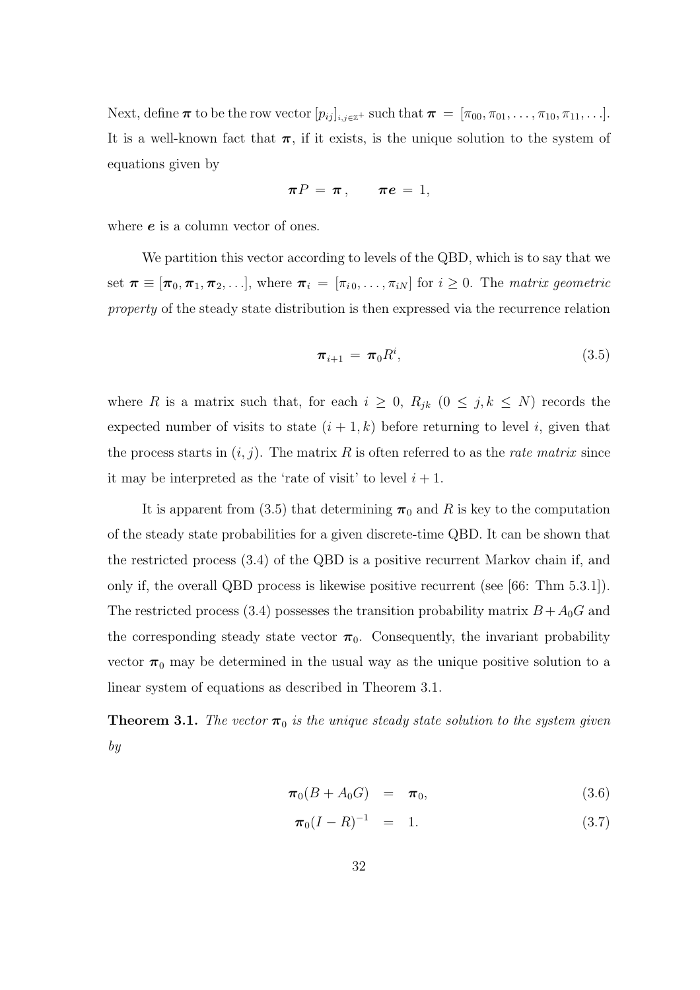Next, define  $\pi$  to be the row vector  $[p_{ij}]_{i,j\in\mathbb{Z}^+}$  such that  $\pi = [\pi_{00}, \pi_{01}, \ldots, \pi_{10}, \pi_{11}, \ldots]$ . It is a well-known fact that  $\pi$ , if it exists, is the unique solution to the system of equations given by

$$
\pi P = \pi \,, \qquad \pi e = 1,
$$

where  $e$  is a column vector of ones.

We partition this vector according to levels of the QBD, which is to say that we set  $\boldsymbol{\pi} \equiv [\pi_0, \pi_1, \pi_2, \ldots]$ , where  $\boldsymbol{\pi}_i = [\pi_{i_0}, \ldots, \pi_{i_N}]$  for  $i \geq 0$ . The matrix geometric property of the steady state distribution is then expressed via the recurrence relation

$$
\boldsymbol{\pi}_{i+1} = \boldsymbol{\pi}_0 R^i, \tag{3.5}
$$

where R is a matrix such that, for each  $i \geq 0$ ,  $R_{jk}$   $(0 \leq j, k \leq N)$  records the expected number of visits to state  $(i + 1, k)$  before returning to level i, given that the process starts in  $(i, j)$ . The matrix R is often referred to as the *rate matrix* since it may be interpreted as the 'rate of visit' to level  $i + 1$ .

It is apparent from (3.5) that determining  $\pi_0$  and R is key to the computation of the steady state probabilities for a given discrete-time QBD. It can be shown that the restricted process (3.4) of the QBD is a positive recurrent Markov chain if, and only if, the overall QBD process is likewise positive recurrent (see [66: Thm 5.3.1]). The restricted process (3.4) possesses the transition probability matrix  $B + A_0G$  and the corresponding steady state vector  $\pi_0$ . Consequently, the invariant probability vector  $\pi_0$  may be determined in the usual way as the unique positive solution to a linear system of equations as described in Theorem 3.1.

**Theorem 3.1.** The vector  $\pi_0$  is the unique steady state solution to the system given by

$$
\boldsymbol{\pi}_0(B+A_0G) = \boldsymbol{\pi}_0, \tag{3.6}
$$

$$
\pi_0(I - R)^{-1} = 1. \tag{3.7}
$$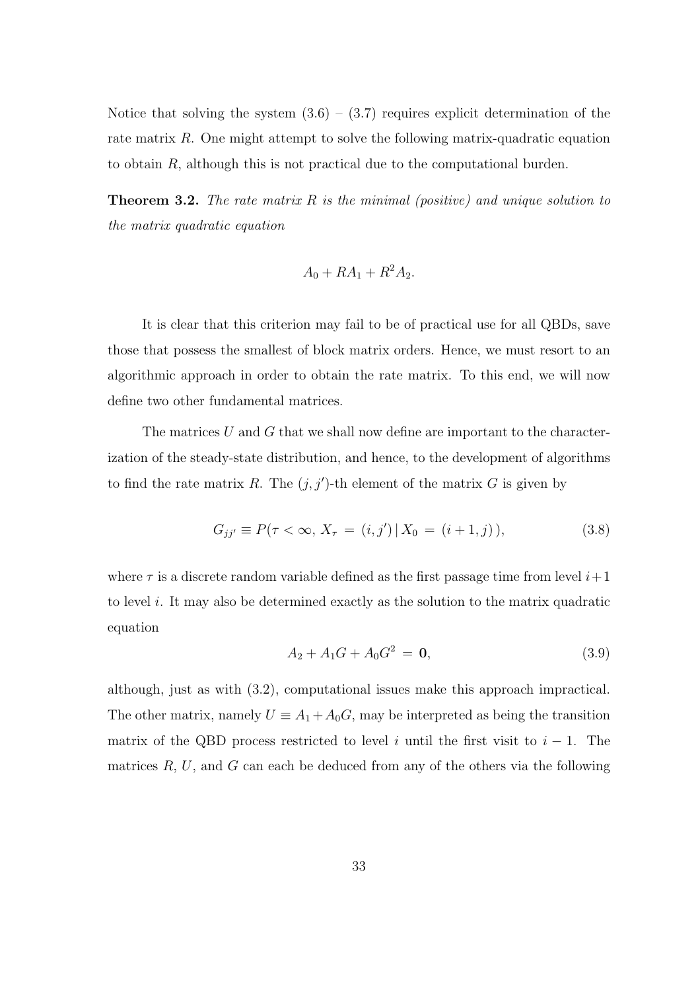Notice that solving the system  $(3.6) - (3.7)$  requires explicit determination of the rate matrix R. One might attempt to solve the following matrix-quadratic equation to obtain R, although this is not practical due to the computational burden.

**Theorem 3.2.** The rate matrix R is the minimal (positive) and unique solution to the matrix quadratic equation

$$
A_0 + RA_1 + R^2 A_2.
$$

It is clear that this criterion may fail to be of practical use for all QBDs, save those that possess the smallest of block matrix orders. Hence, we must resort to an algorithmic approach in order to obtain the rate matrix. To this end, we will now define two other fundamental matrices.

The matrices  $U$  and  $G$  that we shall now define are important to the characterization of the steady-state distribution, and hence, to the development of algorithms to find the rate matrix R. The  $(j, j')$ -th element of the matrix G is given by

$$
G_{jj'} \equiv P(\tau < \infty, X_\tau = (i, j') \, | \, X_0 = (i + 1, j)),\tag{3.8}
$$

where  $\tau$  is a discrete random variable defined as the first passage time from level  $i+1$ to level i. It may also be determined exactly as the solution to the matrix quadratic equation

$$
A_2 + A_1 G + A_0 G^2 = \mathbf{0},\tag{3.9}
$$

although, just as with (3.2), computational issues make this approach impractical. The other matrix, namely  $U \equiv A_1 + A_0 G$ , may be interpreted as being the transition matrix of the QBD process restricted to level i until the first visit to  $i - 1$ . The matrices  $R, U$ , and  $G$  can each be deduced from any of the others via the following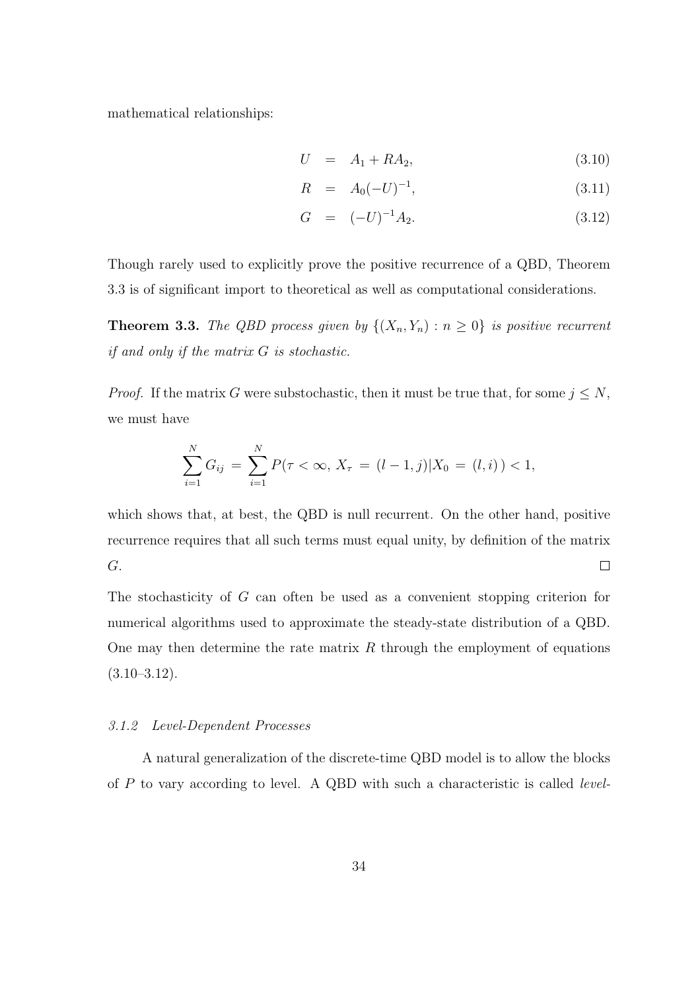mathematical relationships:

$$
U = A_1 + RA_2, \t\t(3.10)
$$

$$
R = A_0(-U)^{-1}, \t\t(3.11)
$$

$$
G = (-U)^{-1}A_2.
$$
\n(3.12)

Though rarely used to explicitly prove the positive recurrence of a QBD, Theorem 3.3 is of significant import to theoretical as well as computational considerations.

**Theorem 3.3.** The QBD process given by  $\{(X_n, Y_n) : n \geq 0\}$  is positive recurrent if and only if the matrix G is stochastic.

*Proof.* If the matrix G were substochastic, then it must be true that, for some  $j \leq N$ , we must have

$$
\sum_{i=1}^{N} G_{ij} = \sum_{i=1}^{N} P(\tau < \infty, X_{\tau} = (l-1, j) | X_0 = (l, i)) < 1,
$$

which shows that, at best, the QBD is null recurrent. On the other hand, positive recurrence requires that all such terms must equal unity, by definition of the matrix G.  $\Box$ 

The stochasticity of G can often be used as a convenient stopping criterion for numerical algorithms used to approximate the steady-state distribution of a QBD. One may then determine the rate matrix  $R$  through the employment of equations  $(3.10-3.12).$ 

#### 3.1.2 Level-Dependent Processes

A natural generalization of the discrete-time QBD model is to allow the blocks of  $P$  to vary according to level. A QBD with such a characteristic is called *level*-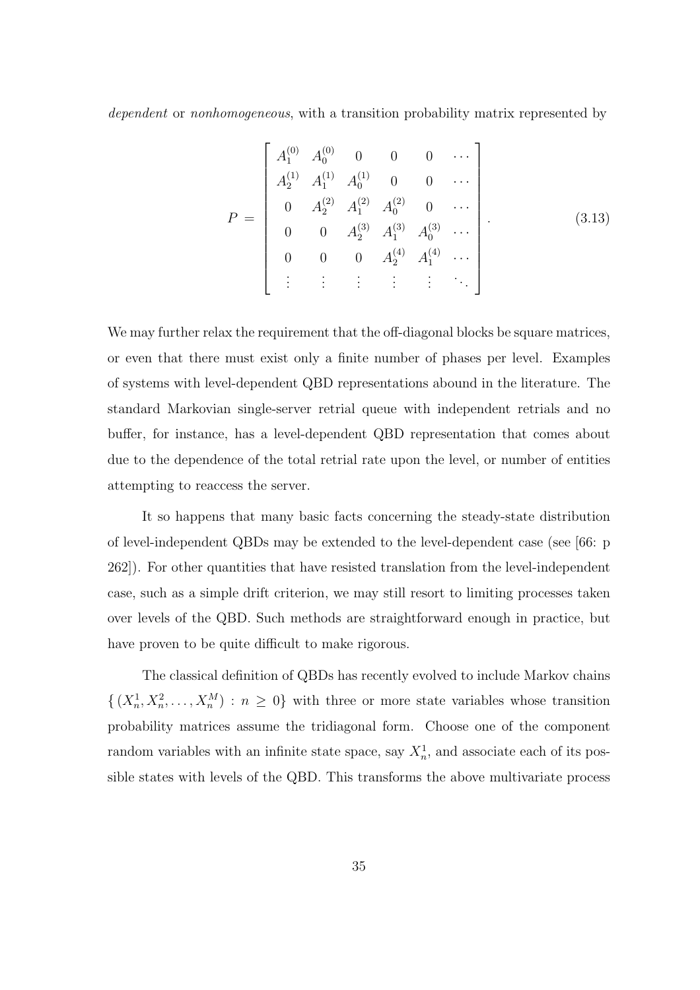dependent or nonhomogeneous, with a transition probability matrix represented by

$$
P = \begin{bmatrix} A_1^{(0)} & A_0^{(0)} & 0 & 0 & 0 & \cdots \\ A_2^{(1)} & A_1^{(1)} & A_0^{(1)} & 0 & 0 & \cdots \\ 0 & A_2^{(2)} & A_1^{(2)} & A_0^{(2)} & 0 & \cdots \\ 0 & 0 & A_2^{(3)} & A_1^{(3)} & A_0^{(3)} & \cdots \\ 0 & 0 & 0 & A_2^{(4)} & A_1^{(4)} & \cdots \\ \vdots & \vdots & \vdots & \vdots & \vdots & \ddots \end{bmatrix} . \tag{3.13}
$$

We may further relax the requirement that the off-diagonal blocks be square matrices, or even that there must exist only a finite number of phases per level. Examples of systems with level-dependent QBD representations abound in the literature. The standard Markovian single-server retrial queue with independent retrials and no buffer, for instance, has a level-dependent QBD representation that comes about due to the dependence of the total retrial rate upon the level, or number of entities attempting to reaccess the server.

It so happens that many basic facts concerning the steady-state distribution of level-independent QBDs may be extended to the level-dependent case (see [66: p 262]). For other quantities that have resisted translation from the level-independent case, such as a simple drift criterion, we may still resort to limiting processes taken over levels of the QBD. Such methods are straightforward enough in practice, but have proven to be quite difficult to make rigorous.

The classical definition of QBDs has recently evolved to include Markov chains  $\{(X_n^1, X_n^2, \ldots, X_n^M) : n \geq 0\}$  with three or more state variables whose transition probability matrices assume the tridiagonal form. Choose one of the component random variables with an infinite state space, say  $X_n^1$ , and associate each of its possible states with levels of the QBD. This transforms the above multivariate process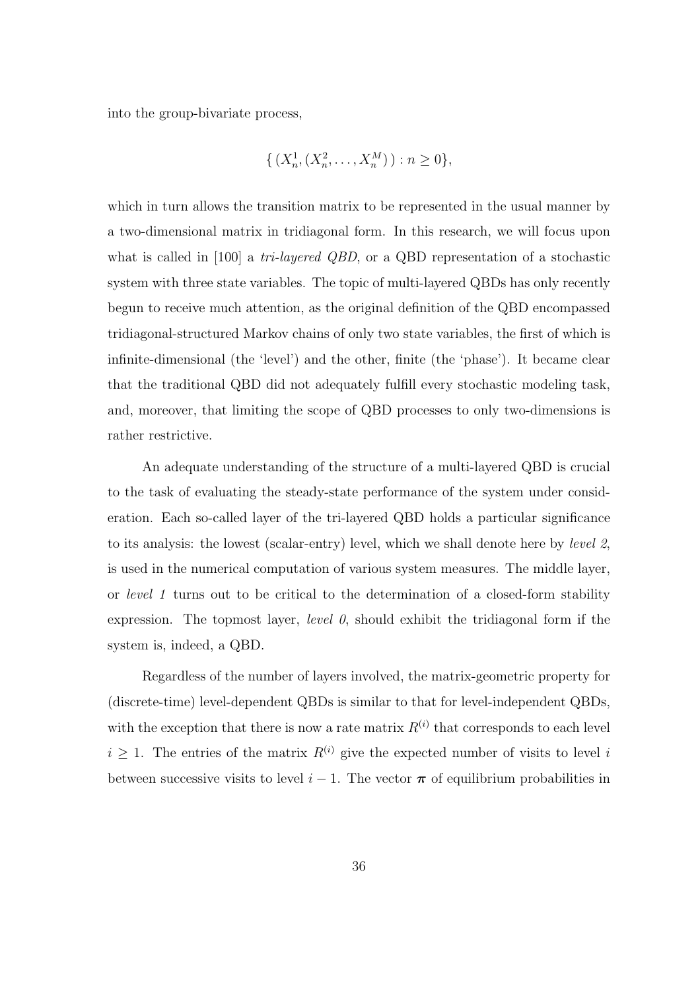into the group-bivariate process,

$$
\{ (X_n^1, (X_n^2, \dots, X_n^M)) : n \ge 0 \},\
$$

which in turn allows the transition matrix to be represented in the usual manner by a two-dimensional matrix in tridiagonal form. In this research, we will focus upon what is called in [100] a *tri-layered QBD*, or a QBD representation of a stochastic system with three state variables. The topic of multi-layered QBDs has only recently begun to receive much attention, as the original definition of the QBD encompassed tridiagonal-structured Markov chains of only two state variables, the first of which is infinite-dimensional (the 'level') and the other, finite (the 'phase'). It became clear that the traditional QBD did not adequately fulfill every stochastic modeling task, and, moreover, that limiting the scope of QBD processes to only two-dimensions is rather restrictive.

An adequate understanding of the structure of a multi-layered QBD is crucial to the task of evaluating the steady-state performance of the system under consideration. Each so-called layer of the tri-layered QBD holds a particular significance to its analysis: the lowest (scalar-entry) level, which we shall denote here by level 2, is used in the numerical computation of various system measures. The middle layer, or level 1 turns out to be critical to the determination of a closed-form stability expression. The topmost layer, *level*  $\theta$ , should exhibit the tridiagonal form if the system is, indeed, a QBD.

Regardless of the number of layers involved, the matrix-geometric property for (discrete-time) level-dependent QBDs is similar to that for level-independent QBDs, with the exception that there is now a rate matrix  $R^{(i)}$  that corresponds to each level  $i \geq 1$ . The entries of the matrix  $R^{(i)}$  give the expected number of visits to level i between successive visits to level  $i - 1$ . The vector  $\pi$  of equilibrium probabilities in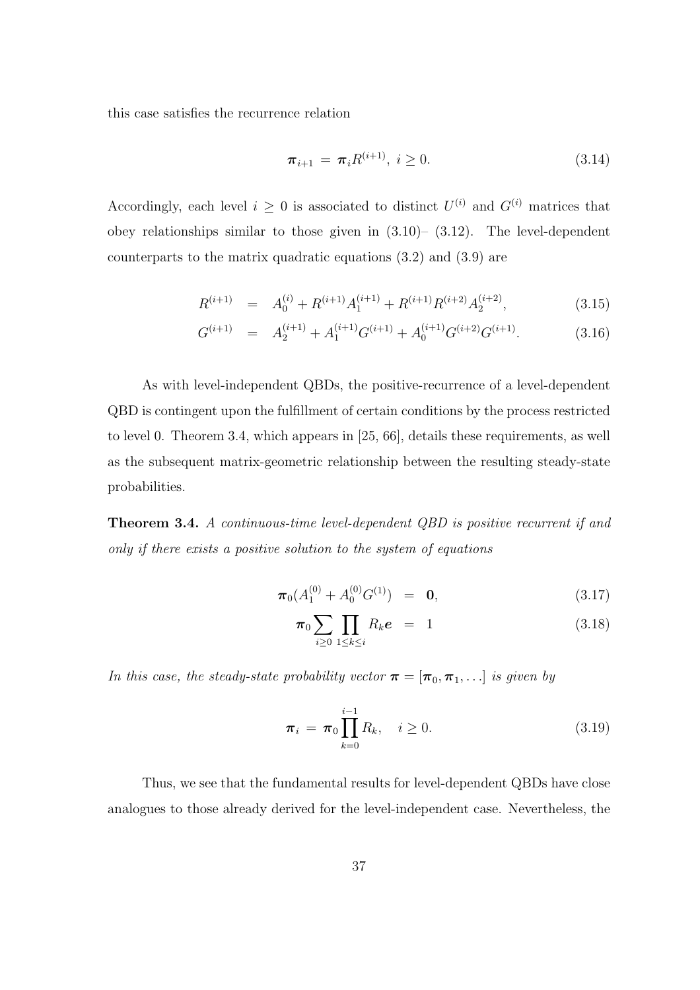this case satisfies the recurrence relation

$$
\pi_{i+1} = \pi_i R^{(i+1)}, \ i \ge 0. \tag{3.14}
$$

Accordingly, each level  $i \geq 0$  is associated to distinct  $U^{(i)}$  and  $G^{(i)}$  matrices that obey relationships similar to those given in  $(3.10)$ –  $(3.12)$ . The level-dependent counterparts to the matrix quadratic equations (3.2) and (3.9) are

$$
R^{(i+1)} = A_0^{(i)} + R^{(i+1)}A_1^{(i+1)} + R^{(i+1)}R^{(i+2)}A_2^{(i+2)}, \qquad (3.15)
$$

$$
G^{(i+1)} = A_2^{(i+1)} + A_1^{(i+1)}G^{(i+1)} + A_0^{(i+1)}G^{(i+2)}G^{(i+1)}.
$$
 (3.16)

As with level-independent QBDs, the positive-recurrence of a level-dependent QBD is contingent upon the fulfillment of certain conditions by the process restricted to level 0. Theorem 3.4, which appears in [25, 66], details these requirements, as well as the subsequent matrix-geometric relationship between the resulting steady-state probabilities.

Theorem 3.4. A continuous-time level-dependent QBD is positive recurrent if and only if there exists a positive solution to the system of equations

$$
\boldsymbol{\pi}_0(A_1^{(0)} + A_0^{(0)} G^{(1)}) = \mathbf{0}, \tag{3.17}
$$

$$
\boldsymbol{\pi}_0 \sum_{i \geq 0} \prod_{1 \leq k \leq i} R_k \boldsymbol{e} = 1 \tag{3.18}
$$

In this case, the steady-state probability vector  $\boldsymbol{\pi} = [\boldsymbol{\pi}_0, \boldsymbol{\pi}_1, \ldots]$  is given by

$$
\pi_i = \pi_0 \prod_{k=0}^{i-1} R_k, \quad i \ge 0.
$$
\n(3.19)

Thus, we see that the fundamental results for level-dependent QBDs have close analogues to those already derived for the level-independent case. Nevertheless, the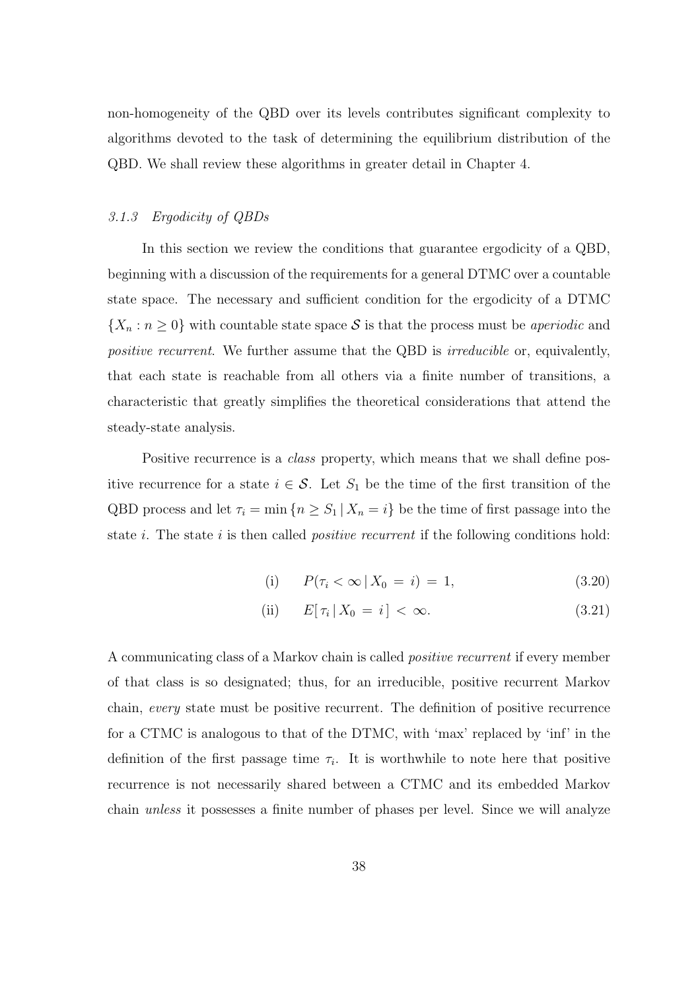non-homogeneity of the QBD over its levels contributes significant complexity to algorithms devoted to the task of determining the equilibrium distribution of the QBD. We shall review these algorithms in greater detail in Chapter 4.

### 3.1.3 Ergodicity of QBDs

In this section we review the conditions that guarantee ergodicity of a QBD, beginning with a discussion of the requirements for a general DTMC over a countable state space. The necessary and sufficient condition for the ergodicity of a DTMC  $\{X_n : n \geq 0\}$  with countable state space S is that the process must be *aperiodic* and positive recurrent. We further assume that the QBD is *irreducible* or, equivalently, that each state is reachable from all others via a finite number of transitions, a characteristic that greatly simplifies the theoretical considerations that attend the steady-state analysis.

Positive recurrence is a *class* property, which means that we shall define positive recurrence for a state  $i \in \mathcal{S}$ . Let  $S_1$  be the time of the first transition of the QBD process and let  $\tau_i = \min \{n \ge S_1 | X_n = i\}$  be the time of first passage into the state i. The state i is then called *positive recurrent* if the following conditions hold:

(i) 
$$
P(\tau_i < \infty | X_0 = i) = 1,
$$
 (3.20)

$$
\text{(ii)} \qquad E[\,\tau_i \,|\, X_0 = i\,] < \infty. \tag{3.21}
$$

A communicating class of a Markov chain is called positive recurrent if every member of that class is so designated; thus, for an irreducible, positive recurrent Markov chain, every state must be positive recurrent. The definition of positive recurrence for a CTMC is analogous to that of the DTMC, with 'max' replaced by 'inf' in the definition of the first passage time  $\tau_i$ . It is worthwhile to note here that positive recurrence is not necessarily shared between a CTMC and its embedded Markov chain unless it possesses a finite number of phases per level. Since we will analyze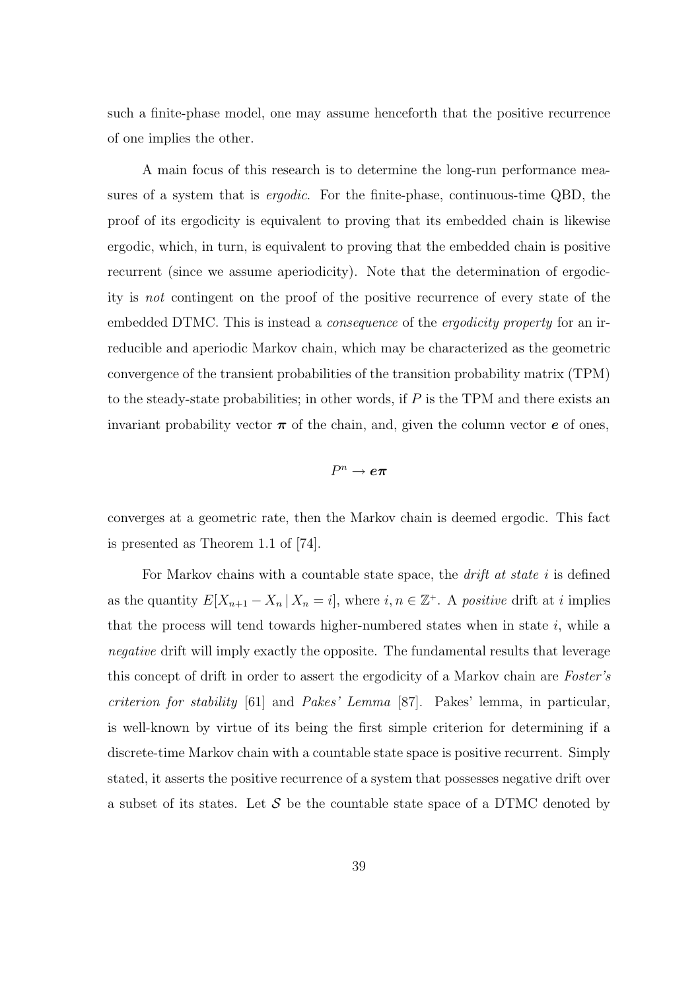such a finite-phase model, one may assume henceforth that the positive recurrence of one implies the other.

A main focus of this research is to determine the long-run performance measures of a system that is *ergodic*. For the finite-phase, continuous-time QBD, the proof of its ergodicity is equivalent to proving that its embedded chain is likewise ergodic, which, in turn, is equivalent to proving that the embedded chain is positive recurrent (since we assume aperiodicity). Note that the determination of ergodicity is not contingent on the proof of the positive recurrence of every state of the embedded DTMC. This is instead a *consequence* of the *ergodicity property* for an irreducible and aperiodic Markov chain, which may be characterized as the geometric convergence of the transient probabilities of the transition probability matrix (TPM) to the steady-state probabilities; in other words, if  $P$  is the TPM and there exists an invariant probability vector  $\pi$  of the chain, and, given the column vector  $e$  of ones,

 $P^n\to\bm{e}\bm{\pi}$ 

converges at a geometric rate, then the Markov chain is deemed ergodic. This fact is presented as Theorem 1.1 of [74].

For Markov chains with a countable state space, the *drift at state i* is defined as the quantity  $E[X_{n+1} - X_n | X_n = i]$ , where  $i, n \in \mathbb{Z}^+$ . A positive drift at i implies that the process will tend towards higher-numbered states when in state  $i$ , while a negative drift will imply exactly the opposite. The fundamental results that leverage this concept of drift in order to assert the ergodicity of a Markov chain are Foster's criterion for stability [61] and Pakes' Lemma [87]. Pakes' lemma, in particular, is well-known by virtue of its being the first simple criterion for determining if a discrete-time Markov chain with a countable state space is positive recurrent. Simply stated, it asserts the positive recurrence of a system that possesses negative drift over a subset of its states. Let S be the countable state space of a DTMC denoted by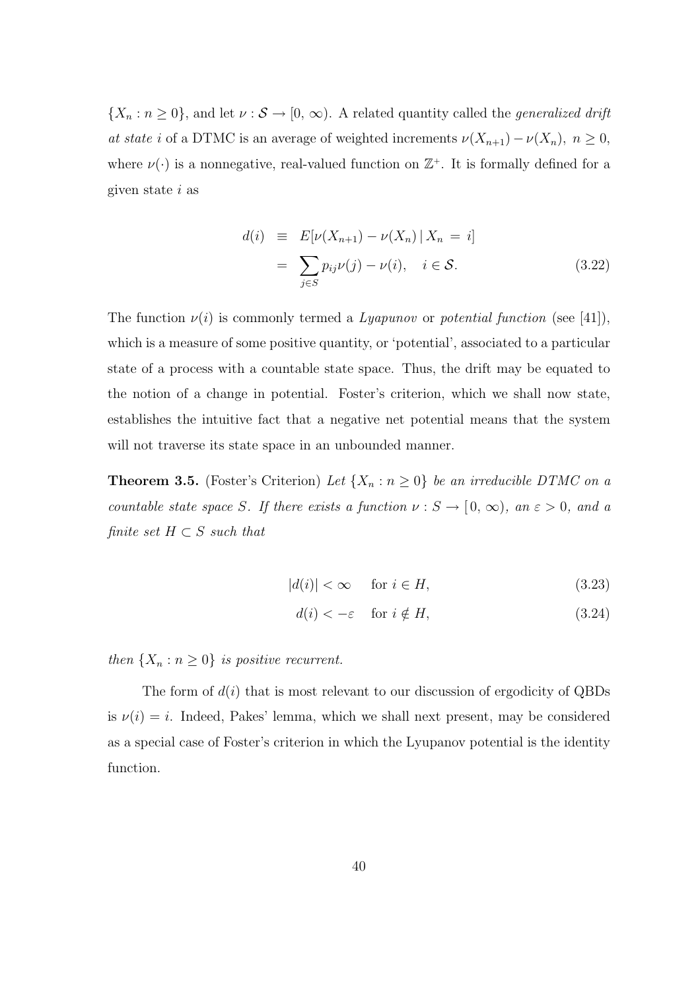$\{X_n : n \geq 0\}$ , and let  $\nu : \mathcal{S} \to [0, \infty)$ . A related quantity called the *generalized drift* at state i of a DTMC is an average of weighted increments  $\nu(X_{n+1}) - \nu(X_n)$ ,  $n \ge 0$ , where  $\nu(\cdot)$  is a nonnegative, real-valued function on  $\mathbb{Z}^+$ . It is formally defined for a given state i as

$$
d(i) \equiv E[\nu(X_{n+1}) - \nu(X_n) | X_n = i]
$$

$$
= \sum_{j \in S} p_{ij} \nu(j) - \nu(i), \quad i \in S.
$$
(3.22)

The function  $\nu(i)$  is commonly termed a Lyapunov or potential function (see [41]), which is a measure of some positive quantity, or 'potential', associated to a particular state of a process with a countable state space. Thus, the drift may be equated to the notion of a change in potential. Foster's criterion, which we shall now state, establishes the intuitive fact that a negative net potential means that the system will not traverse its state space in an unbounded manner.

**Theorem 3.5.** (Foster's Criterion) Let  $\{X_n : n \geq 0\}$  be an irreducible DTMC on a countable state space S. If there exists a function  $\nu : S \to [0, \infty)$ , an  $\varepsilon > 0$ , and a finite set  $H \subset S$  such that

$$
|d(i)| < \infty \quad \text{for } i \in H,\tag{3.23}
$$

$$
d(i) < -\varepsilon \quad \text{ for } i \notin H,
$$
\n
$$
(3.24)
$$

then  $\{X_n : n \geq 0\}$  is positive recurrent.

The form of  $d(i)$  that is most relevant to our discussion of ergodicity of QBDs is  $\nu(i) = i$ . Indeed, Pakes' lemma, which we shall next present, may be considered as a special case of Foster's criterion in which the Lyupanov potential is the identity function.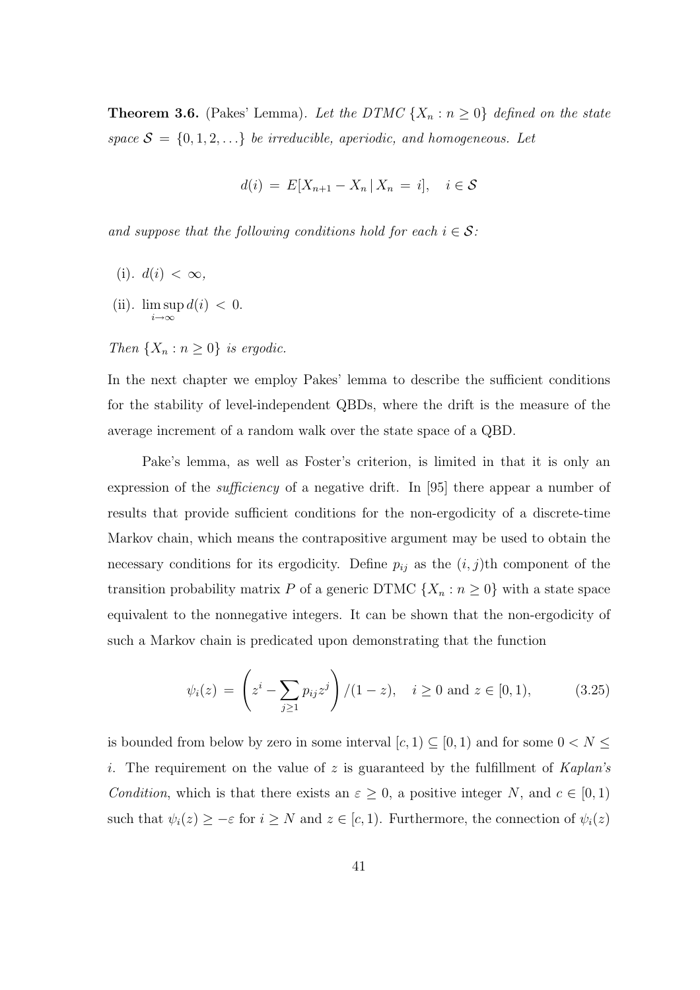**Theorem 3.6.** (Pakes' Lemma). Let the DTMC  $\{X_n : n \geq 0\}$  defined on the state space  $S = \{0, 1, 2, \ldots\}$  be irreducible, aperiodic, and homogeneous. Let

$$
d(i) = E[X_{n+1} - X_n \,|\, X_n = i], \quad i \in \mathcal{S}
$$

and suppose that the following conditions hold for each  $i \in \mathcal{S}$ :

- (i).  $d(i) < \infty$ ,
- (ii). lim sup  $i \rightarrow \infty$  $d(i) < 0.$

Then  $\{X_n : n \geq 0\}$  is ergodic.

In the next chapter we employ Pakes' lemma to describe the sufficient conditions for the stability of level-independent QBDs, where the drift is the measure of the average increment of a random walk over the state space of a QBD.

Pake's lemma, as well as Foster's criterion, is limited in that it is only an expression of the *sufficiency* of a negative drift. In [95] there appear a number of results that provide sufficient conditions for the non-ergodicity of a discrete-time Markov chain, which means the contrapositive argument may be used to obtain the necessary conditions for its ergodicity. Define  $p_{ij}$  as the  $(i, j)$ th component of the transition probability matrix P of a generic DTMC  $\{X_n : n \geq 0\}$  with a state space equivalent to the nonnegative integers. It can be shown that the non-ergodicity of such a Markov chain is predicated upon demonstrating that the function

$$
\psi_i(z) = \left(z^i - \sum_{j \ge 1} p_{ij} z^j\right) / (1 - z), \quad i \ge 0 \text{ and } z \in [0, 1), \tag{3.25}
$$

is bounded from below by zero in some interval  $[c, 1) \subseteq [0, 1)$  and for some  $0 < N \leq$ i. The requirement on the value of z is guaranteed by the fulfillment of  $Kaplan's$ Condition, which is that there exists an  $\varepsilon \geq 0$ , a positive integer N, and  $c \in [0,1)$ such that  $\psi_i(z) \geq -\varepsilon$  for  $i \geq N$  and  $z \in [c, 1)$ . Furthermore, the connection of  $\psi_i(z)$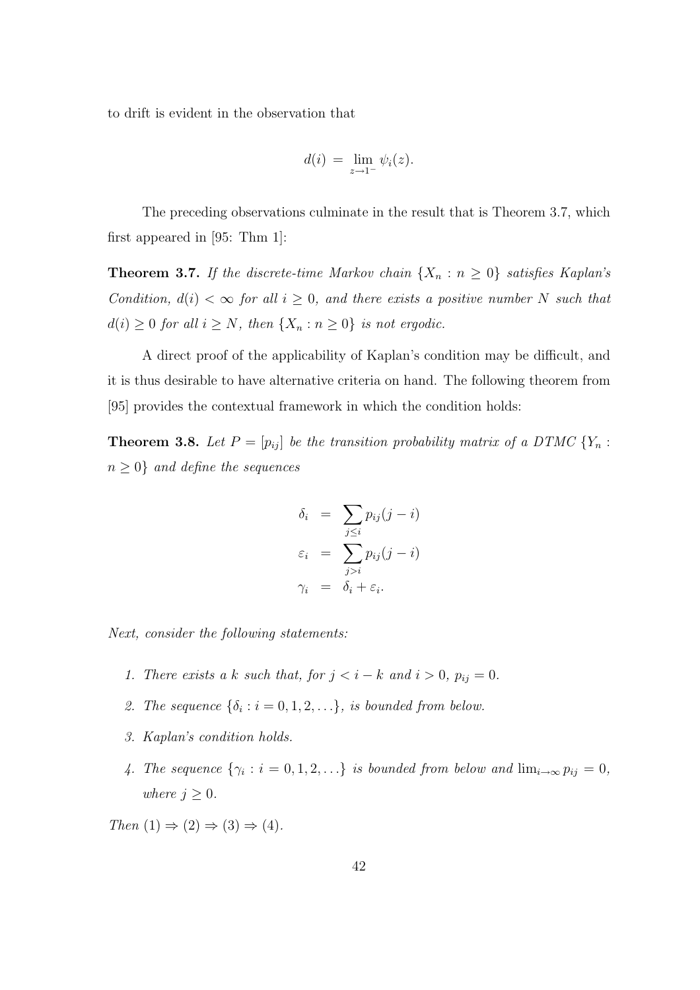to drift is evident in the observation that

$$
d(i) = \lim_{z \to 1^-} \psi_i(z).
$$

The preceding observations culminate in the result that is Theorem 3.7, which first appeared in [95: Thm 1]:

**Theorem 3.7.** If the discrete-time Markov chain  $\{X_n : n \geq 0\}$  satisfies Kaplan's Condition,  $d(i) < \infty$  for all  $i \geq 0$ , and there exists a positive number N such that  $d(i) \geq 0$  for all  $i \geq N$ , then  $\{X_n : n \geq 0\}$  is not ergodic.

A direct proof of the applicability of Kaplan's condition may be difficult, and it is thus desirable to have alternative criteria on hand. The following theorem from [95] provides the contextual framework in which the condition holds:

**Theorem 3.8.** Let  $P = [p_{ij}]$  be the transition probability matrix of a DTMC  $\{Y_n :$  $n \geq 0$ } and define the sequences

$$
\delta_i = \sum_{j \leq i} p_{ij} (j - i)
$$
  

$$
\varepsilon_i = \sum_{j > i} p_{ij} (j - i)
$$
  

$$
\gamma_i = \delta_i + \varepsilon_i.
$$

Next, consider the following statements:

- 1. There exists a k such that, for  $j < i k$  and  $i > 0$ ,  $p_{ij} = 0$ .
- 2. The sequence  $\{\delta_i : i = 0, 1, 2, \ldots\}$ , is bounded from below.
- 3. Kaplan's condition holds.
- 4. The sequence  $\{\gamma_i : i = 0, 1, 2, ...\}$  is bounded from below and  $\lim_{i \to \infty} p_{ij} = 0$ , where  $j \geq 0$ .

Then  $(1) \Rightarrow (2) \Rightarrow (3) \Rightarrow (4)$ .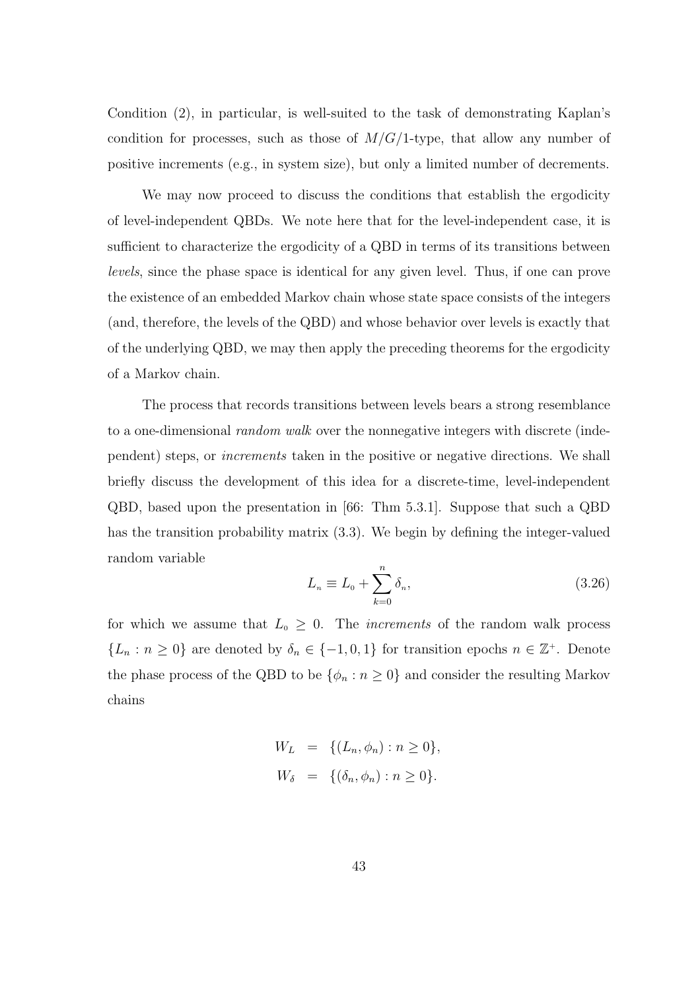Condition (2), in particular, is well-suited to the task of demonstrating Kaplan's condition for processes, such as those of  $M/G/1$ -type, that allow any number of positive increments (e.g., in system size), but only a limited number of decrements.

We may now proceed to discuss the conditions that establish the ergodicity of level-independent QBDs. We note here that for the level-independent case, it is sufficient to characterize the ergodicity of a QBD in terms of its transitions between levels, since the phase space is identical for any given level. Thus, if one can prove the existence of an embedded Markov chain whose state space consists of the integers (and, therefore, the levels of the QBD) and whose behavior over levels is exactly that of the underlying QBD, we may then apply the preceding theorems for the ergodicity of a Markov chain.

The process that records transitions between levels bears a strong resemblance to a one-dimensional *random walk* over the nonnegative integers with discrete (independent) steps, or increments taken in the positive or negative directions. We shall briefly discuss the development of this idea for a discrete-time, level-independent QBD, based upon the presentation in [66: Thm 5.3.1]. Suppose that such a QBD has the transition probability matrix (3.3). We begin by defining the integer-valued random variable

$$
L_n \equiv L_0 + \sum_{k=0}^n \delta_n,\tag{3.26}
$$

for which we assume that  $L_0 \geq 0$ . The *increments* of the random walk process  $\{L_n : n \geq 0\}$  are denoted by  $\delta_n \in \{-1,0,1\}$  for transition epochs  $n \in \mathbb{Z}^+$ . Denote the phase process of the QBD to be  $\{\phi_n : n \geq 0\}$  and consider the resulting Markov chains

$$
W_L = \{ (L_n, \phi_n) : n \ge 0 \},
$$
  

$$
W_{\delta} = \{ (\delta_n, \phi_n) : n \ge 0 \}.
$$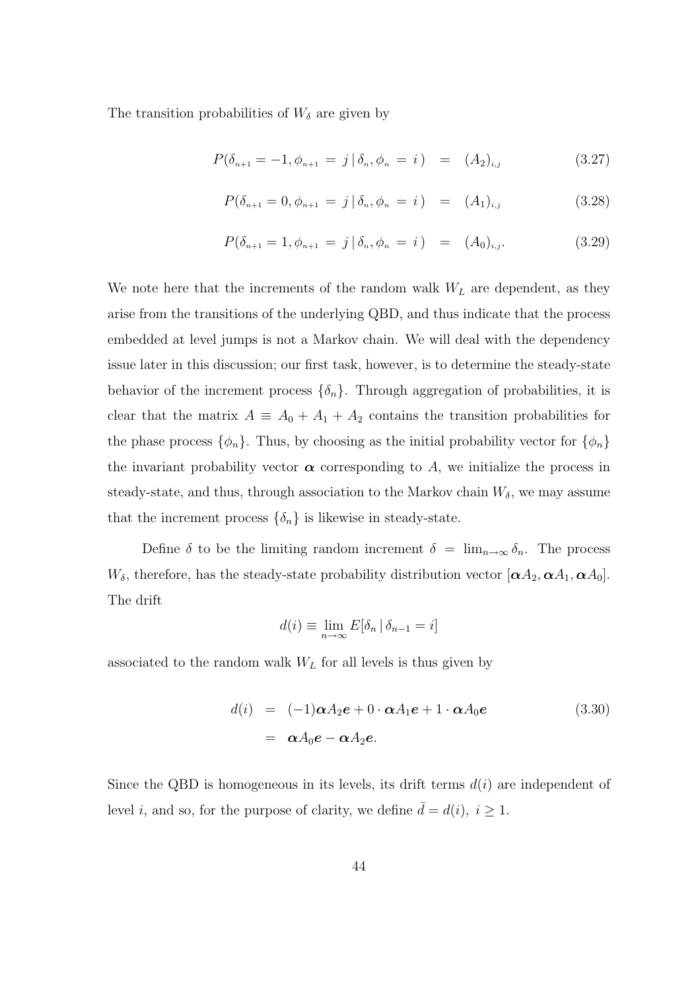The transition probabilities of  $W_{\delta}$  are given by

$$
P(\delta_{n+1} = -1, \phi_{n+1} = j | \delta_n, \phi_n = i) = (A_2)_{i,j}
$$
 (3.27)

$$
P(\delta_{n+1} = 0, \phi_{n+1} = j | \delta_n, \phi_n = i) = (A_1)_{i,j}
$$
 (3.28)

$$
P(\delta_{n+1} = 1, \phi_{n+1} = j \mid \delta_n, \phi_n = i) = (A_0)_{i,j}.
$$
 (3.29)

We note here that the increments of the random walk  $W_L$  are dependent, as they arise from the transitions of the underlying QBD, and thus indicate that the process embedded at level jumps is not a Markov chain. We will deal with the dependency issue later in this discussion; our first task, however, is to determine the steady-state behavior of the increment process  $\{\delta_n\}$ . Through aggregation of probabilities, it is clear that the matrix  $A \equiv A_0 + A_1 + A_2$  contains the transition probabilities for the phase process  $\{\phi_n\}$ . Thus, by choosing as the initial probability vector for  $\{\phi_n\}$ the invariant probability vector  $\alpha$  corresponding to A, we initialize the process in steady-state, and thus, through association to the Markov chain  $W_{\delta}$ , we may assume that the increment process  $\{\delta_n\}$  is likewise in steady-state.

Define  $\delta$  to be the limiting random increment  $\delta = \lim_{n \to \infty} \delta_n$ . The process  $W_{\delta}$ , therefore, has the steady-state probability distribution vector  $[\alpha A_2, \alpha A_1, \alpha A_0]$ . The drift

$$
d(i) \equiv \lim_{n \to \infty} E[\delta_n | \delta_{n-1} = i]
$$

associated to the random walk  $W<sub>L</sub>$  for all levels is thus given by

$$
d(i) = (-1)\alpha A_2 e + 0 \cdot \alpha A_1 e + 1 \cdot \alpha A_0 e
$$
  
=  $\alpha A_0 e - \alpha A_2 e$ . (3.30)

Since the QBD is homogeneous in its levels, its drift terms  $d(i)$  are independent of level *i*, and so, for the purpose of clarity, we define  $\bar{d} = d(i)$ ,  $i \geq 1$ .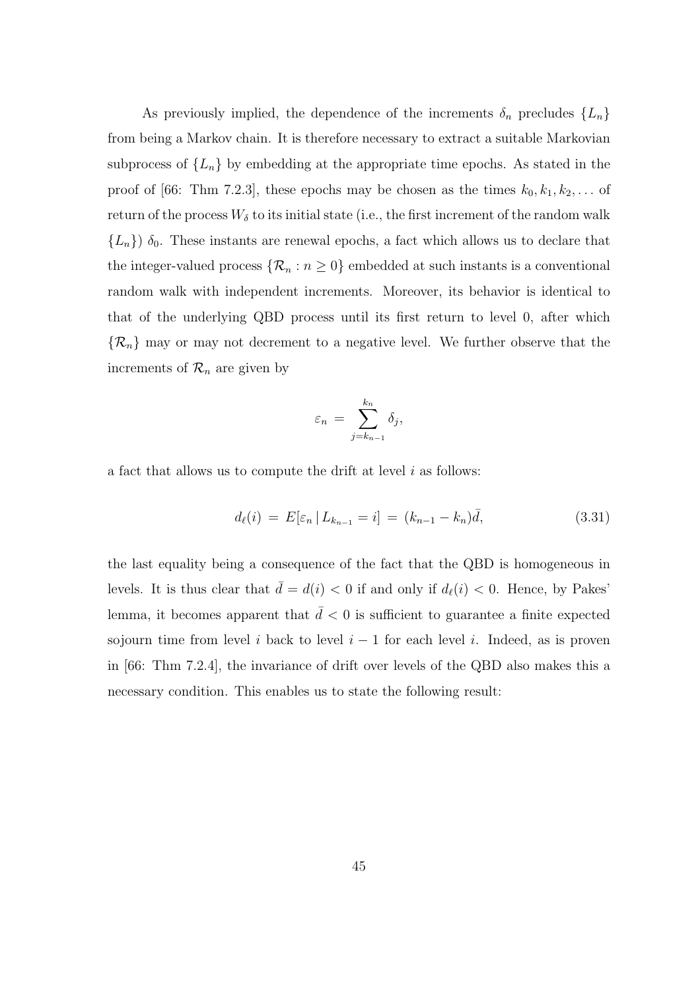As previously implied, the dependence of the increments  $\delta_n$  precludes  $\{L_n\}$ from being a Markov chain. It is therefore necessary to extract a suitable Markovian subprocess of  ${L_n}$  by embedding at the appropriate time epochs. As stated in the proof of [66: Thm 7.2.3], these epochs may be chosen as the times  $k_0, k_1, k_2, \ldots$  of return of the process  $W_{\delta}$  to its initial state (i.e., the first increment of the random walk  ${L_n}$ )  $\delta_0$ . These instants are renewal epochs, a fact which allows us to declare that the integer-valued process  $\{\mathcal{R}_n : n \geq 0\}$  embedded at such instants is a conventional random walk with independent increments. Moreover, its behavior is identical to that of the underlying QBD process until its first return to level 0, after which  $\{\mathcal{R}_n\}$  may or may not decrement to a negative level. We further observe that the increments of  $\mathcal{R}_n$  are given by

$$
\varepsilon_n = \sum_{j=k_{n-1}}^{k_n} \delta_j,
$$

a fact that allows us to compute the drift at level  $i$  as follows:

$$
d_{\ell}(i) = E[\varepsilon_n | L_{k_{n-1}} = i] = (k_{n-1} - k_n)\bar{d}, \qquad (3.31)
$$

the last equality being a consequence of the fact that the QBD is homogeneous in levels. It is thus clear that  $\bar{d} = d(i) < 0$  if and only if  $d_{\ell}(i) < 0$ . Hence, by Pakes' lemma, it becomes apparent that  $\bar{d}$  < 0 is sufficient to guarantee a finite expected sojourn time from level i back to level  $i - 1$  for each level i. Indeed, as is proven in [66: Thm 7.2.4], the invariance of drift over levels of the QBD also makes this a necessary condition. This enables us to state the following result: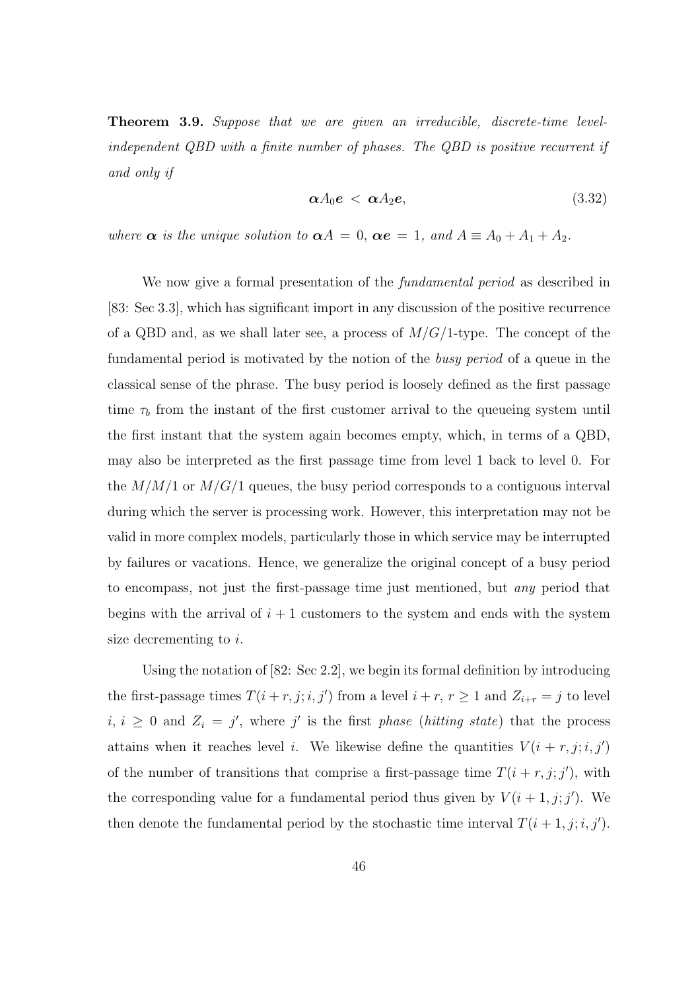**Theorem 3.9.** Suppose that we are given an irreducible, discrete-time levelindependent QBD with a finite number of phases. The QBD is positive recurrent if and only if

$$
\alpha A_0 e \, < \, \alpha A_2 e, \tag{3.32}
$$

where  $\alpha$  is the unique solution to  $\alpha A = 0$ ,  $\alpha e = 1$ , and  $A \equiv A_0 + A_1 + A_2$ .

We now give a formal presentation of the *fundamental period* as described in [83: Sec 3.3], which has significant import in any discussion of the positive recurrence of a QBD and, as we shall later see, a process of  $M/G/1$ -type. The concept of the fundamental period is motivated by the notion of the busy period of a queue in the classical sense of the phrase. The busy period is loosely defined as the first passage time  $\tau_b$  from the instant of the first customer arrival to the queueing system until the first instant that the system again becomes empty, which, in terms of a QBD, may also be interpreted as the first passage time from level 1 back to level 0. For the  $M/M/1$  or  $M/G/1$  queues, the busy period corresponds to a contiguous interval during which the server is processing work. However, this interpretation may not be valid in more complex models, particularly those in which service may be interrupted by failures or vacations. Hence, we generalize the original concept of a busy period to encompass, not just the first-passage time just mentioned, but any period that begins with the arrival of  $i + 1$  customers to the system and ends with the system size decrementing to i.

Using the notation of [82: Sec 2.2], we begin its formal definition by introducing the first-passage times  $T(i + r, j; i, j')$  from a level  $i + r, r \ge 1$  and  $Z_{i+r} = j$  to level  $i, i \geq 0$  and  $Z_i = j'$ , where j' is the first phase (hitting state) that the process attains when it reaches level *i*. We likewise define the quantities  $V(i + r, j; i, j')$ of the number of transitions that comprise a first-passage time  $T(i + r, j; j')$ , with the corresponding value for a fundamental period thus given by  $V(i + 1, j; j')$ . We then denote the fundamental period by the stochastic time interval  $T(i + 1, j; i, j')$ .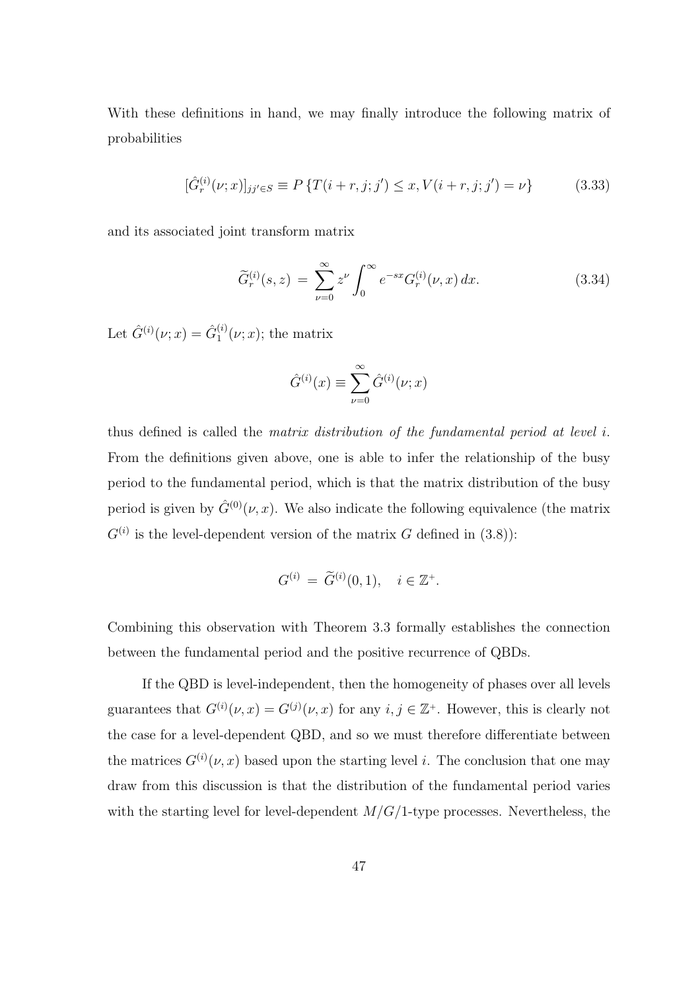With these definitions in hand, we may finally introduce the following matrix of probabilities

$$
[\hat{G}_r^{(i)}(\nu;x)]_{jj'\in S} \equiv P\left\{T(i+r,j;j') \le x, V(i+r,j;j') = \nu\right\}
$$
(3.33)

and its associated joint transform matrix

$$
\widetilde{G}_r^{(i)}(s,z) = \sum_{\nu=0}^{\infty} z^{\nu} \int_0^{\infty} e^{-sx} G_r^{(i)}(\nu, x) dx.
$$
 (3.34)

Let  $\hat{G}^{(i)}(\nu; x) = \hat{G}_1^{(i)}$  $j_1^{(i)}(\nu; x)$ ; the matrix

$$
\hat{G}^{(i)}(x) \equiv \sum_{\nu=0}^{\infty} \hat{G}^{(i)}(\nu; x)
$$

thus defined is called the matrix distribution of the fundamental period at level  $i$ . From the definitions given above, one is able to infer the relationship of the busy period to the fundamental period, which is that the matrix distribution of the busy period is given by  $\hat{G}^{(0)}(\nu, x)$ . We also indicate the following equivalence (the matrix  $G^{(i)}$  is the level-dependent version of the matrix G defined in (3.8)):

$$
G^{(i)} = \tilde{G}^{(i)}(0, 1), \quad i \in \mathbb{Z}^+.
$$

Combining this observation with Theorem 3.3 formally establishes the connection between the fundamental period and the positive recurrence of QBDs.

If the QBD is level-independent, then the homogeneity of phases over all levels guarantees that  $G^{(i)}(\nu, x) = G^{(j)}(\nu, x)$  for any  $i, j \in \mathbb{Z}^+$ . However, this is clearly not the case for a level-dependent QBD, and so we must therefore differentiate between the matrices  $G^{(i)}(\nu, x)$  based upon the starting level i. The conclusion that one may draw from this discussion is that the distribution of the fundamental period varies with the starting level for level-dependent  $M/G/1$ -type processes. Nevertheless, the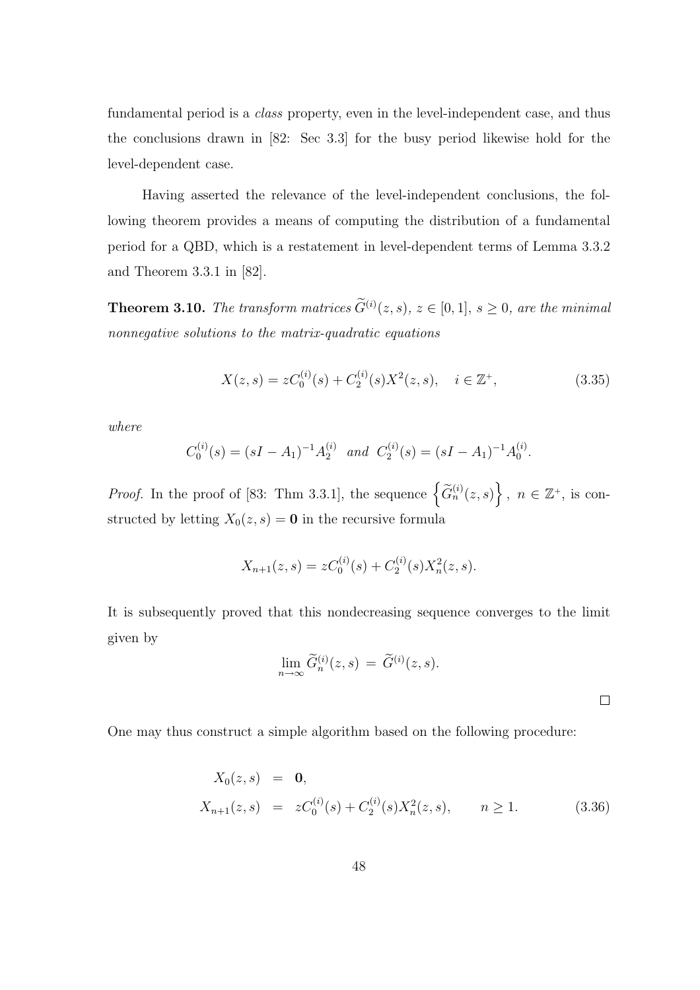fundamental period is a class property, even in the level-independent case, and thus the conclusions drawn in [82: Sec 3.3] for the busy period likewise hold for the level-dependent case.

Having asserted the relevance of the level-independent conclusions, the following theorem provides a means of computing the distribution of a fundamental period for a QBD, which is a restatement in level-dependent terms of Lemma 3.3.2 and Theorem 3.3.1 in [82].

**Theorem 3.10.** The transform matrices  $\widetilde{G}^{(i)}(z,s)$ ,  $z \in [0,1]$ ,  $s \geq 0$ , are the minimal nonnegative solutions to the matrix-quadratic equations

$$
X(z,s) = zC_0^{(i)}(s) + C_2^{(i)}(s)X^2(z,s), \quad i \in \mathbb{Z}^+, \tag{3.35}
$$

where

$$
C_0^{(i)}(s) = (sI - A_1)^{-1}A_2^{(i)}
$$
 and  $C_2^{(i)}(s) = (sI - A_1)^{-1}A_0^{(i)}$ .

*Proof.* In the proof of [83: Thm 3.3.1], the sequence  $\left\{ \widetilde{G}_{n}^{(i)}(z,s) \right\}$ o ,  $n \in \mathbb{Z}^+$ , is constructed by letting  $X_0(z, s) = \mathbf{0}$  in the recursive formula

$$
X_{n+1}(z,s) = zC_0^{(i)}(s) + C_2^{(i)}(s)X_n^2(z,s).
$$

It is subsequently proved that this nondecreasing sequence converges to the limit given by

$$
\lim_{n \to \infty} \widetilde{G}_n^{(i)}(z, s) = \widetilde{G}^{(i)}(z, s).
$$

One may thus construct a simple algorithm based on the following procedure:

$$
X_0(z,s) = \mathbf{0},
$$
  
\n
$$
X_{n+1}(z,s) = zC_0^{(i)}(s) + C_2^{(i)}(s)X_n^2(z,s), \qquad n \ge 1.
$$
\n(3.36)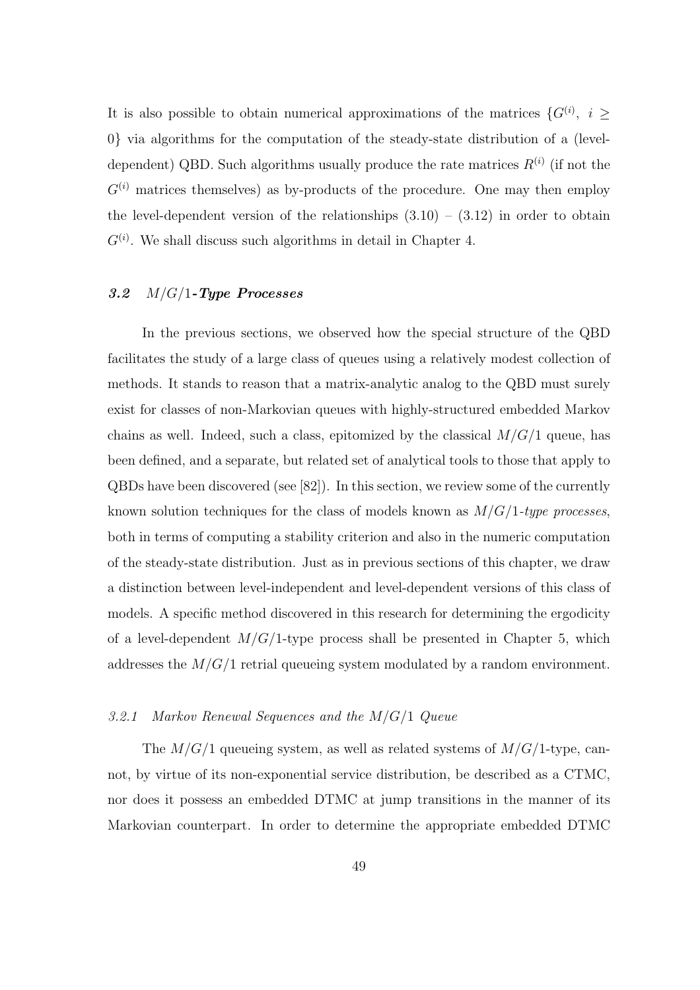It is also possible to obtain numerical approximations of the matrices  $\{G^{(i)}, i \geq 1\}$ 0} via algorithms for the computation of the steady-state distribution of a (leveldependent) QBD. Such algorithms usually produce the rate matrices  $R^{(i)}$  (if not the  $G^{(i)}$  matrices themselves) as by-products of the procedure. One may then employ the level-dependent version of the relationships  $(3.10) - (3.12)$  in order to obtain  $G^{(i)}$ . We shall discuss such algorithms in detail in Chapter 4.

### 3.2  $M/G/1$ -Type Processes

In the previous sections, we observed how the special structure of the QBD facilitates the study of a large class of queues using a relatively modest collection of methods. It stands to reason that a matrix-analytic analog to the QBD must surely exist for classes of non-Markovian queues with highly-structured embedded Markov chains as well. Indeed, such a class, epitomized by the classical  $M/G/1$  queue, has been defined, and a separate, but related set of analytical tools to those that apply to QBDs have been discovered (see [82]). In this section, we review some of the currently known solution techniques for the class of models known as  $M/G/1$ -type processes, both in terms of computing a stability criterion and also in the numeric computation of the steady-state distribution. Just as in previous sections of this chapter, we draw a distinction between level-independent and level-dependent versions of this class of models. A specific method discovered in this research for determining the ergodicity of a level-dependent  $M/G/1$ -type process shall be presented in Chapter 5, which addresses the  $M/G/1$  retrial queueing system modulated by a random environment.

### 3.2.1 Markov Renewal Sequences and the M/G/1 Queue

The  $M/G/1$  queueing system, as well as related systems of  $M/G/1$ -type, cannot, by virtue of its non-exponential service distribution, be described as a CTMC, nor does it possess an embedded DTMC at jump transitions in the manner of its Markovian counterpart. In order to determine the appropriate embedded DTMC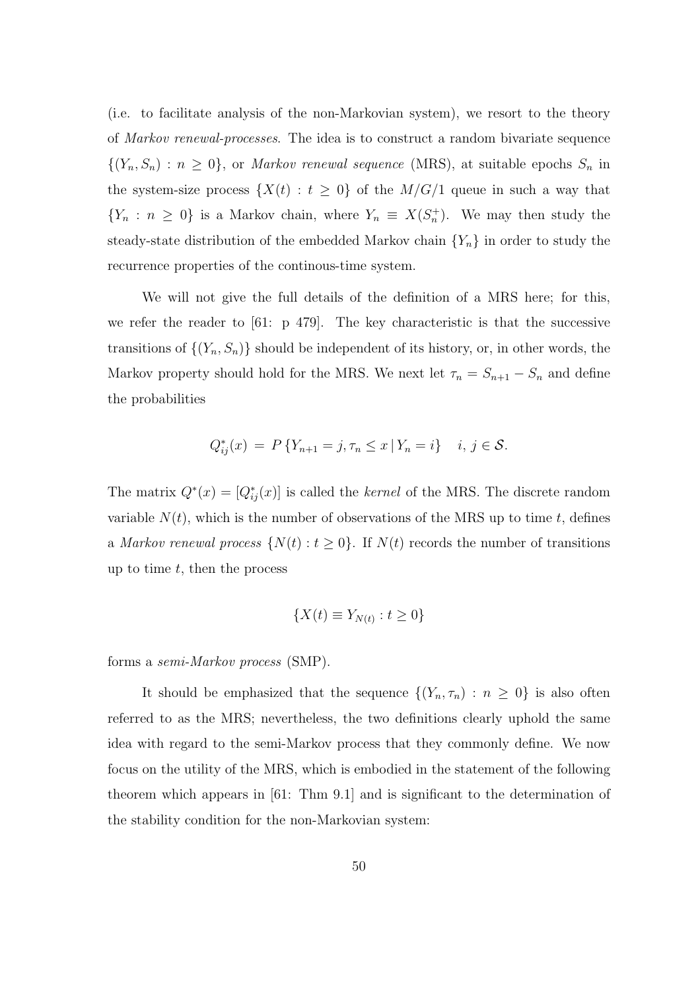(i.e. to facilitate analysis of the non-Markovian system), we resort to the theory of Markov renewal-processes. The idea is to construct a random bivariate sequence  $\{(Y_n, S_n) : n \geq 0\}$ , or *Markov renewal sequence* (MRS), at suitable epochs  $S_n$  in the system-size process  $\{X(t): t \geq 0\}$  of the  $M/G/1$  queue in such a way that  ${Y_n : n \ge 0}$  is a Markov chain, where  $Y_n \equiv X(S_n^+)$ . We may then study the steady-state distribution of the embedded Markov chain  ${Y_n}$  in order to study the recurrence properties of the continous-time system.

We will not give the full details of the definition of a MRS here; for this, we refer the reader to [61: p 479]. The key characteristic is that the successive transitions of  $\{(Y_n, S_n)\}\$  should be independent of its history, or, in other words, the Markov property should hold for the MRS. We next let  $\tau_n = S_{n+1} - S_n$  and define the probabilities

$$
Q_{ij}^*(x) = P\{Y_{n+1} = j, \tau_n \le x \,|\, Y_n = i\} \quad i, j \in \mathcal{S}.
$$

The matrix  $Q^*(x) = [Q_{ij}^*(x)]$  is called the *kernel* of the MRS. The discrete random variable  $N(t)$ , which is the number of observations of the MRS up to time t, defines a Markov renewal process  $\{N(t): t \geq 0\}$ . If  $N(t)$  records the number of transitions up to time  $t$ , then the process

$$
\{X(t) \equiv Y_{N(t)} : t \ge 0\}
$$

forms a semi-Markov process (SMP).

It should be emphasized that the sequence  $\{(Y_n, \tau_n) : n \geq 0\}$  is also often referred to as the MRS; nevertheless, the two definitions clearly uphold the same idea with regard to the semi-Markov process that they commonly define. We now focus on the utility of the MRS, which is embodied in the statement of the following theorem which appears in [61: Thm 9.1] and is significant to the determination of the stability condition for the non-Markovian system: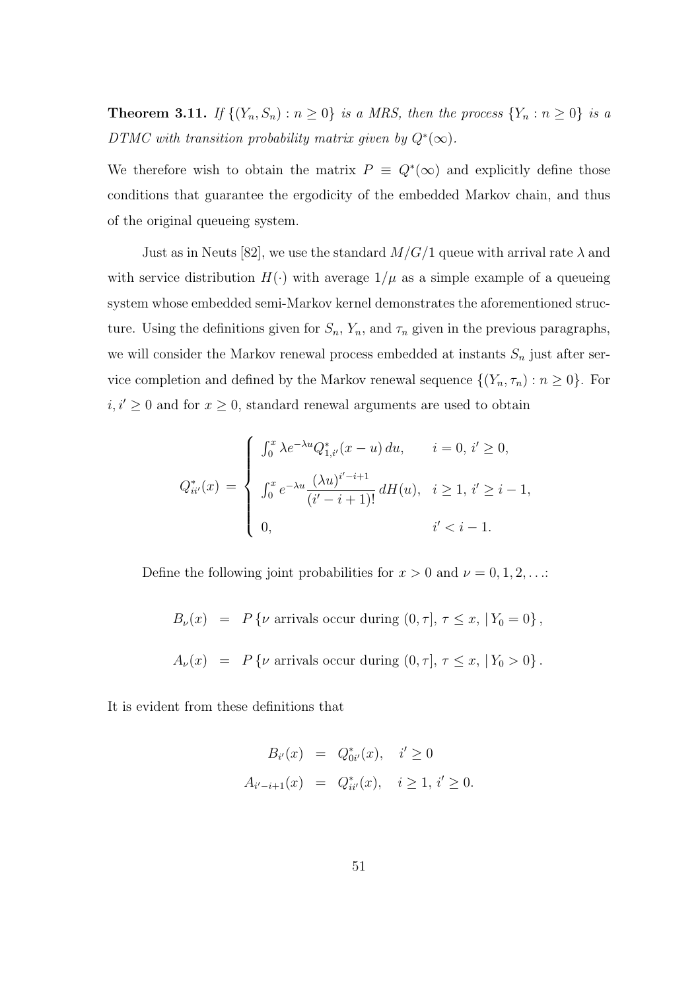**Theorem 3.11.** If  $\{(Y_n, S_n) : n \geq 0\}$  is a MRS, then the process  $\{Y_n : n \geq 0\}$  is a DTMC with transition probability matrix given by  $Q^*(\infty)$ .

We therefore wish to obtain the matrix  $P = Q^*(\infty)$  and explicitly define those conditions that guarantee the ergodicity of the embedded Markov chain, and thus of the original queueing system.

Just as in Neuts [82], we use the standard  $M/G/1$  queue with arrival rate  $\lambda$  and with service distribution  $H(\cdot)$  with average  $1/\mu$  as a simple example of a queueing system whose embedded semi-Markov kernel demonstrates the aforementioned structure. Using the definitions given for  $S_n$ ,  $Y_n$ , and  $\tau_n$  given in the previous paragraphs, we will consider the Markov renewal process embedded at instants  $S_n$  just after service completion and defined by the Markov renewal sequence  $\{(Y_n, \tau_n) : n \geq 0\}$ . For  $i, i' \geq 0$  and for  $x \geq 0$ , standard renewal arguments are used to obtain

$$
Q_{ii'}^*(x) = \begin{cases} \int_0^x \lambda e^{-\lambda u} Q_{1,i'}^*(x - u) du, & i = 0, i' \ge 0, \\ \int_0^x e^{-\lambda u} \frac{(\lambda u)^{i'-i+1}}{(i'-i+1)!} dH(u), & i \ge 1, i' \ge i-1, \\ 0, & i' < i-1. \end{cases}
$$

Define the following joint probabilities for  $x > 0$  and  $\nu = 0, 1, 2, \ldots$ :

 $B_{\nu}(x) = P\{\nu \text{ arrivals occur during } (0, \tau], \tau \leq x, |Y_0 = 0\},\$  $A_{\nu}(x) = P\{\nu \text{ arrivals occur during } (0, \tau], \tau \leq x, |Y_0 > 0\}.$ 

It is evident from these definitions that

$$
B_{i'}(x) = Q_{0i'}^{*}(x), \quad i' \ge 0
$$
  

$$
A_{i'-i+1}(x) = Q_{ii'}^{*}(x), \quad i \ge 1, i' \ge 0.
$$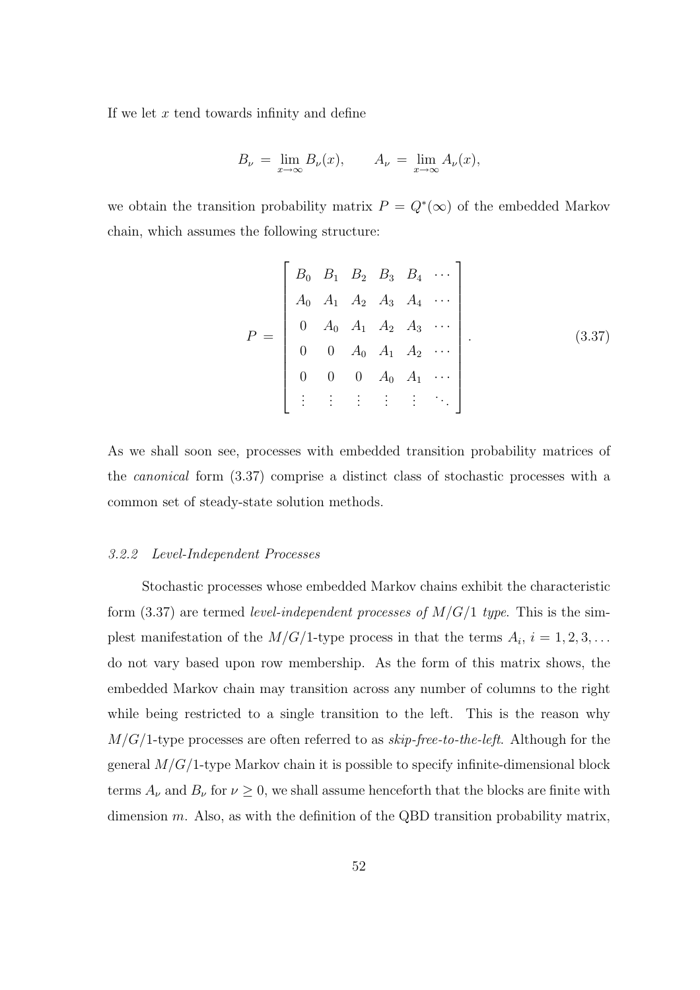If we let  $x$  tend towards infinity and define

$$
B_{\nu} = \lim_{x \to \infty} B_{\nu}(x), \qquad A_{\nu} = \lim_{x \to \infty} A_{\nu}(x),
$$

we obtain the transition probability matrix  $P = Q^*(\infty)$  of the embedded Markov chain, which assumes the following structure:

$$
P = \begin{bmatrix} B_0 & B_1 & B_2 & B_3 & B_4 & \cdots \\ A_0 & A_1 & A_2 & A_3 & A_4 & \cdots \\ 0 & A_0 & A_1 & A_2 & A_3 & \cdots \\ 0 & 0 & A_0 & A_1 & A_2 & \cdots \\ 0 & 0 & 0 & A_0 & A_1 & \cdots \\ \vdots & \vdots & \vdots & \vdots & \vdots & \ddots \end{bmatrix} . \tag{3.37}
$$

As we shall soon see, processes with embedded transition probability matrices of the canonical form (3.37) comprise a distinct class of stochastic processes with a common set of steady-state solution methods.

### 3.2.2 Level-Independent Processes

Stochastic processes whose embedded Markov chains exhibit the characteristic form (3.37) are termed level-independent processes of  $M/G/1$  type. This is the simplest manifestation of the  $M/G/1$ -type process in that the terms  $A_i$ ,  $i = 1, 2, 3, \ldots$ do not vary based upon row membership. As the form of this matrix shows, the embedded Markov chain may transition across any number of columns to the right while being restricted to a single transition to the left. This is the reason why  $M/G/1$ -type processes are often referred to as  $skip-free-to-the-left$ . Although for the general  $M/G/1$ -type Markov chain it is possible to specify infinite-dimensional block terms  $A_{\nu}$  and  $B_{\nu}$  for  $\nu \geq 0$ , we shall assume henceforth that the blocks are finite with dimension  $m$ . Also, as with the definition of the QBD transition probability matrix,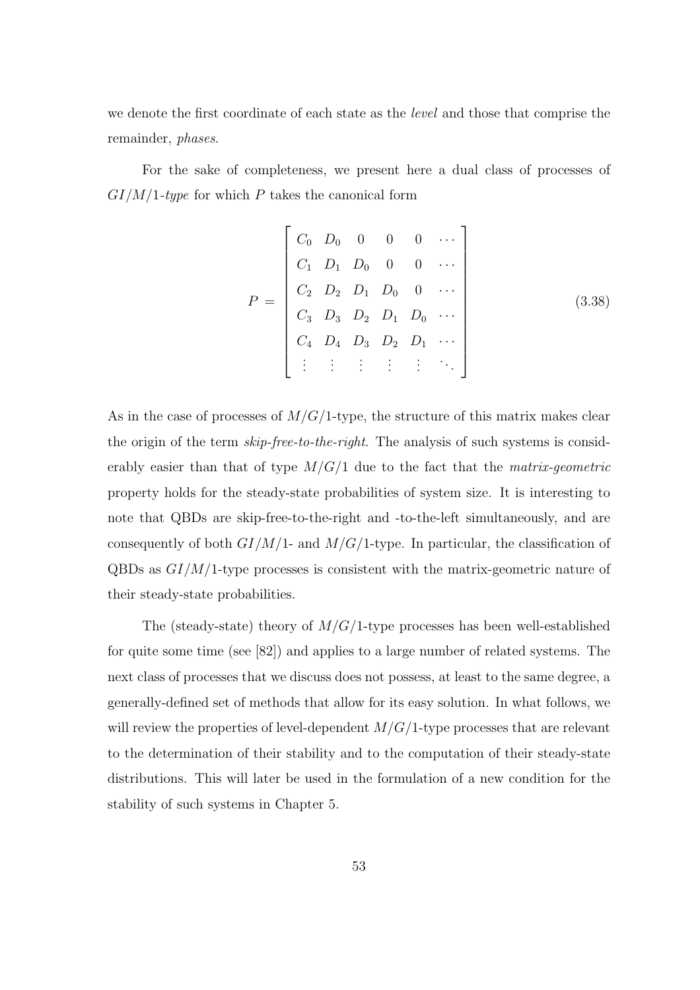we denote the first coordinate of each state as the level and those that comprise the remainder, phases.

For the sake of completeness, we present here a dual class of processes of  $GI/M/1$ -type for which P takes the canonical form

$$
P = \begin{bmatrix} C_0 & D_0 & 0 & 0 & 0 & \cdots \\ C_1 & D_1 & D_0 & 0 & 0 & \cdots \\ C_2 & D_2 & D_1 & D_0 & 0 & \cdots \\ C_3 & D_3 & D_2 & D_1 & D_0 & \cdots \\ C_4 & D_4 & D_3 & D_2 & D_1 & \cdots \\ \vdots & \vdots & \vdots & \vdots & \vdots & \ddots \end{bmatrix}
$$
(3.38)

As in the case of processes of  $M/G/1$ -type, the structure of this matrix makes clear the origin of the term *skip-free-to-the-right*. The analysis of such systems is considerably easier than that of type  $M/G/1$  due to the fact that the *matrix-geometric* property holds for the steady-state probabilities of system size. It is interesting to note that QBDs are skip-free-to-the-right and -to-the-left simultaneously, and are consequently of both  $GI/M/1$ - and  $M/G/1$ -type. In particular, the classification of  $QBDs$  as  $GI/M/1$ -type processes is consistent with the matrix-geometric nature of their steady-state probabilities.

The (steady-state) theory of  $M/G/1$ -type processes has been well-established for quite some time (see [82]) and applies to a large number of related systems. The next class of processes that we discuss does not possess, at least to the same degree, a generally-defined set of methods that allow for its easy solution. In what follows, we will review the properties of level-dependent  $M/G/1$ -type processes that are relevant to the determination of their stability and to the computation of their steady-state distributions. This will later be used in the formulation of a new condition for the stability of such systems in Chapter 5.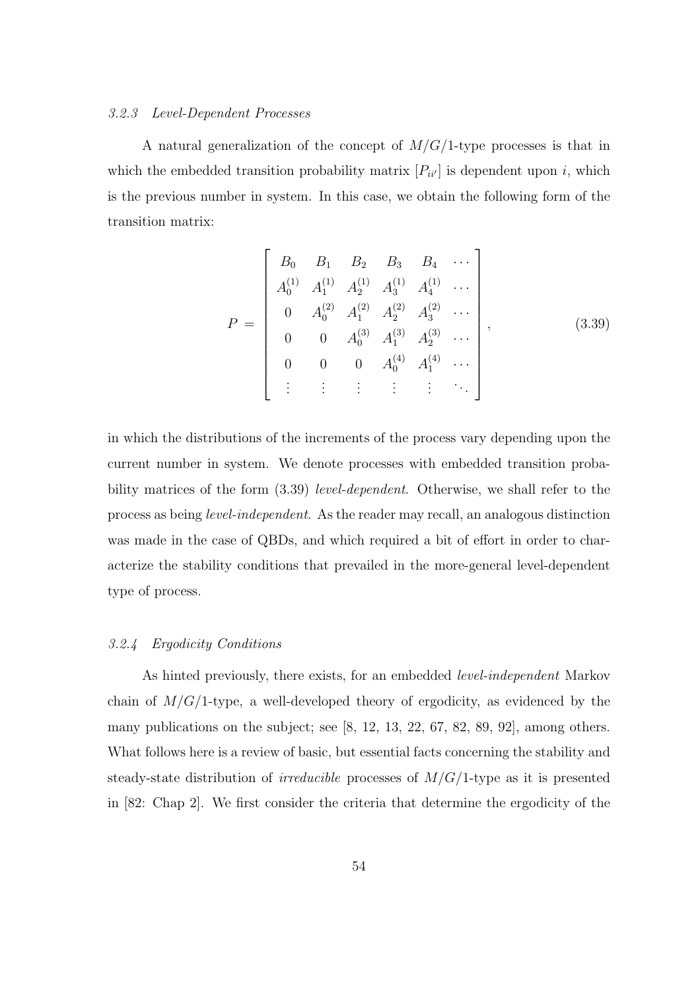#### 3.2.3 Level-Dependent Processes

A natural generalization of the concept of  $M/G/1$ -type processes is that in which the embedded transition probability matrix  $[P_{ii'}]$  is dependent upon i, which is the previous number in system. In this case, we obtain the following form of the transition matrix:

$$
P = \begin{bmatrix} B_0 & B_1 & B_2 & B_3 & B_4 & \cdots \\ A_0^{(1)} & A_1^{(1)} & A_2^{(1)} & A_3^{(1)} & A_4^{(1)} & \cdots \\ 0 & A_0^{(2)} & A_1^{(2)} & A_2^{(2)} & A_3^{(2)} & \cdots \\ 0 & 0 & A_0^{(3)} & A_1^{(3)} & A_2^{(3)} & \cdots \\ 0 & 0 & 0 & A_0^{(4)} & A_1^{(4)} & \cdots \\ \vdots & \vdots & \vdots & \vdots & \vdots & \ddots \end{bmatrix}, \qquad (3.39)
$$

in which the distributions of the increments of the process vary depending upon the current number in system. We denote processes with embedded transition probability matrices of the form  $(3.39)$  *level-dependent*. Otherwise, we shall refer to the process as being level-independent. As the reader may recall, an analogous distinction was made in the case of QBDs, and which required a bit of effort in order to characterize the stability conditions that prevailed in the more-general level-dependent type of process.

### 3.2.4 Ergodicity Conditions

As hinted previously, there exists, for an embedded level-independent Markov chain of  $M/G/1$ -type, a well-developed theory of ergodicity, as evidenced by the many publications on the subject; see [8, 12, 13, 22, 67, 82, 89, 92], among others. What follows here is a review of basic, but essential facts concerning the stability and steady-state distribution of *irreducible* processes of  $M/G/1$ -type as it is presented in [82: Chap 2]. We first consider the criteria that determine the ergodicity of the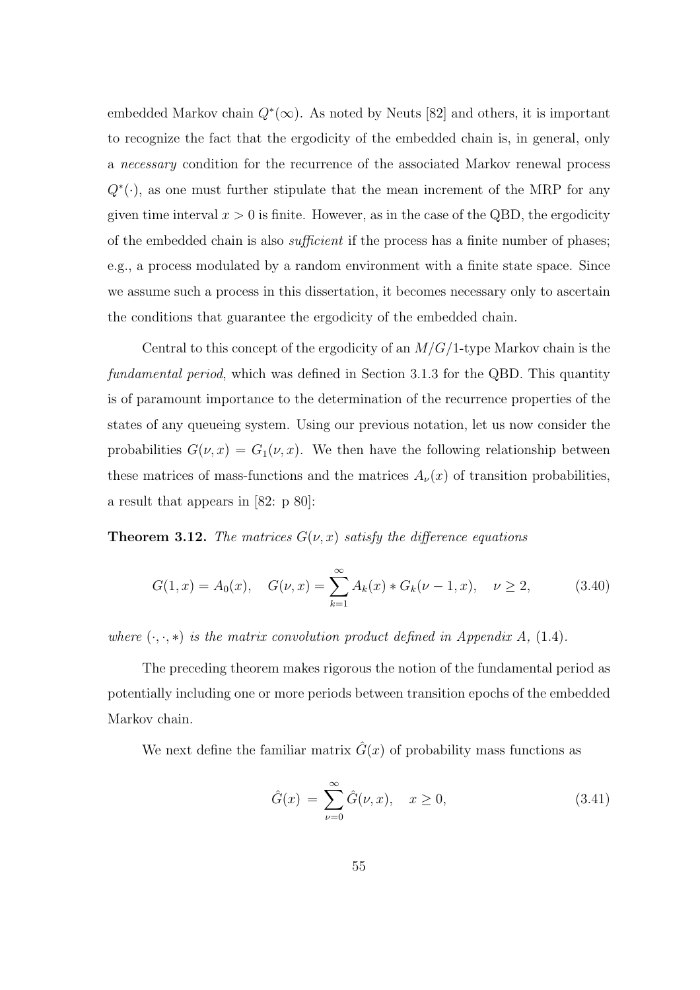embedded Markov chain  $Q^*(\infty)$ . As noted by Neuts [82] and others, it is important to recognize the fact that the ergodicity of the embedded chain is, in general, only a necessary condition for the recurrence of the associated Markov renewal process  $Q^*(\cdot)$ , as one must further stipulate that the mean increment of the MRP for any given time interval  $x > 0$  is finite. However, as in the case of the QBD, the ergodicity of the embedded chain is also *sufficient* if the process has a finite number of phases; e.g., a process modulated by a random environment with a finite state space. Since we assume such a process in this dissertation, it becomes necessary only to ascertain the conditions that guarantee the ergodicity of the embedded chain.

Central to this concept of the ergodicity of an  $M/G/1$ -type Markov chain is the fundamental period, which was defined in Section 3.1.3 for the QBD. This quantity is of paramount importance to the determination of the recurrence properties of the states of any queueing system. Using our previous notation, let us now consider the probabilities  $G(\nu, x) = G_1(\nu, x)$ . We then have the following relationship between these matrices of mass-functions and the matrices  $A_{\nu}(x)$  of transition probabilities, a result that appears in [82: p 80]:

**Theorem 3.12.** The matrices  $G(\nu, x)$  satisfy the difference equations

$$
G(1, x) = A_0(x), \quad G(\nu, x) = \sum_{k=1}^{\infty} A_k(x) * G_k(\nu - 1, x), \quad \nu \ge 2,
$$
 (3.40)

where  $(\cdot, \cdot, *)$  is the matrix convolution product defined in Appendix A, (1.4).

The preceding theorem makes rigorous the notion of the fundamental period as potentially including one or more periods between transition epochs of the embedded Markov chain.

We next define the familiar matrix  $\hat{G}(x)$  of probability mass functions as

$$
\hat{G}(x) = \sum_{\nu=0}^{\infty} \hat{G}(\nu, x), \quad x \ge 0,
$$
\n(3.41)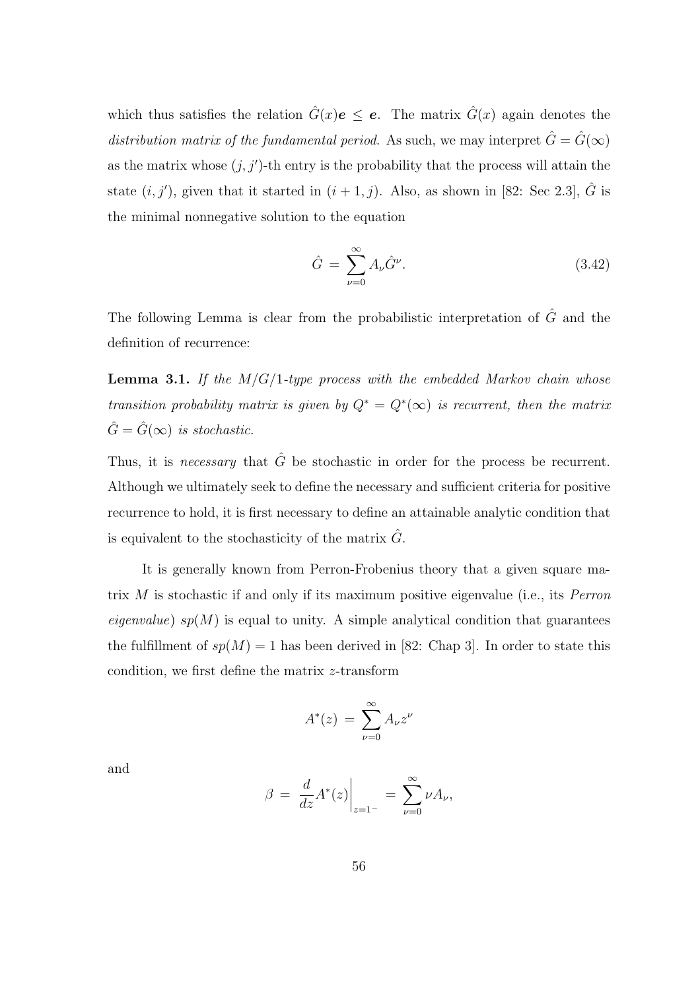which thus satisfies the relation  $\hat{G}(x)e \leq e$ . The matrix  $\hat{G}(x)$  again denotes the distribution matrix of the fundamental period. As such, we may interpret  $\hat{G} = \hat{G}(\infty)$ as the matrix whose  $(j, j')$ -th entry is the probability that the process will attain the state  $(i, j')$ , given that it started in  $(i + 1, j)$ . Also, as shown in [82: Sec 2.3],  $\hat{G}$  is the minimal nonnegative solution to the equation

$$
\hat{G} = \sum_{\nu=0}^{\infty} A_{\nu} \hat{G}^{\nu}.
$$
\n(3.42)

The following Lemma is clear from the probabilistic interpretation of  $\hat{G}$  and the definition of recurrence:

**Lemma 3.1.** If the  $M/G/1$ -type process with the embedded Markov chain whose transition probability matrix is given by  $Q^* = Q^*(\infty)$  is recurrent, then the matrix  $\hat{G} = \hat{G}(\infty)$  is stochastic.

Thus, it is necessary that  $\hat{G}$  be stochastic in order for the process be recurrent. Although we ultimately seek to define the necessary and sufficient criteria for positive recurrence to hold, it is first necessary to define an attainable analytic condition that is equivalent to the stochasticity of the matrix  $\hat{G}$ .

It is generally known from Perron-Frobenius theory that a given square matrix M is stochastic if and only if its maximum positive eigenvalue (i.e., its Perron *eigenvalue*)  $sp(M)$  is equal to unity. A simple analytical condition that guarantees the fulfillment of  $sp(M) = 1$  has been derived in [82: Chap 3]. In order to state this condition, we first define the matrix z-transform

$$
A^*(z) = \sum_{\nu=0}^{\infty} A_{\nu} z^{\nu}
$$

and

$$
\beta = \left. \frac{d}{dz} A^*(z) \right|_{z=1^-} = \sum_{\nu=0}^{\infty} \nu A_{\nu},
$$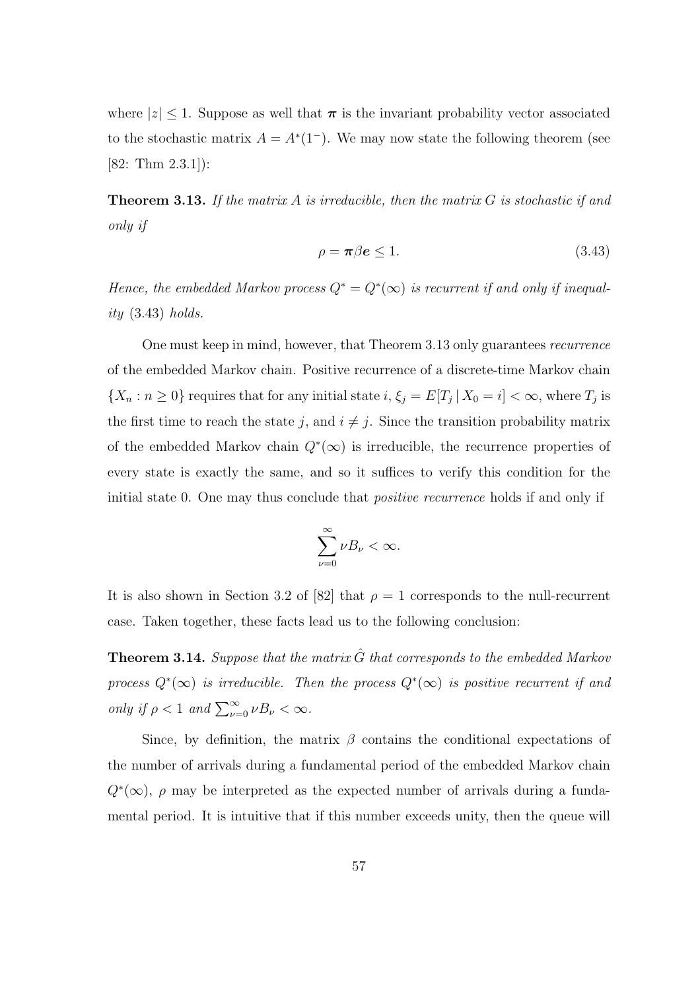where  $|z| \leq 1$ . Suppose as well that  $\pi$  is the invariant probability vector associated to the stochastic matrix  $A = A^*(1^-)$ . We may now state the following theorem (see [82: Thm 2.3.1]):

**Theorem 3.13.** If the matrix A is irreducible, then the matrix  $G$  is stochastic if and only if

$$
\rho = \pi \beta e \le 1. \tag{3.43}
$$

Hence, the embedded Markov process  $Q^* = Q^*(\infty)$  is recurrent if and only if inequality  $(3.43)$  holds.

One must keep in mind, however, that Theorem 3.13 only guarantees recurrence of the embedded Markov chain. Positive recurrence of a discrete-time Markov chain  $\{X_n : n \geq 0\}$  requires that for any initial state  $i, \xi_j = E[T_j | X_0 = i] < \infty$ , where  $T_j$  is the first time to reach the state j, and  $i \neq j$ . Since the transition probability matrix of the embedded Markov chain  $Q^*(\infty)$  is irreducible, the recurrence properties of every state is exactly the same, and so it suffices to verify this condition for the initial state 0. One may thus conclude that *positive recurrence* holds if and only if

$$
\sum_{\nu=0}^{\infty} \nu B_{\nu} < \infty.
$$

It is also shown in Section 3.2 of [82] that  $\rho = 1$  corresponds to the null-recurrent case. Taken together, these facts lead us to the following conclusion:

**Theorem 3.14.** Suppose that the matrix  $\hat{G}$  that corresponds to the embedded Markov process  $Q^*(\infty)$  is irreducible. Then the process  $Q^*(\infty)$  is positive recurrent if and only if  $\rho < 1$  and  $\sum_{\nu=0}^{\infty} \nu B_{\nu} < \infty$ .

Since, by definition, the matrix  $\beta$  contains the conditional expectations of the number of arrivals during a fundamental period of the embedded Markov chain  $Q^*(\infty)$ ,  $\rho$  may be interpreted as the expected number of arrivals during a fundamental period. It is intuitive that if this number exceeds unity, then the queue will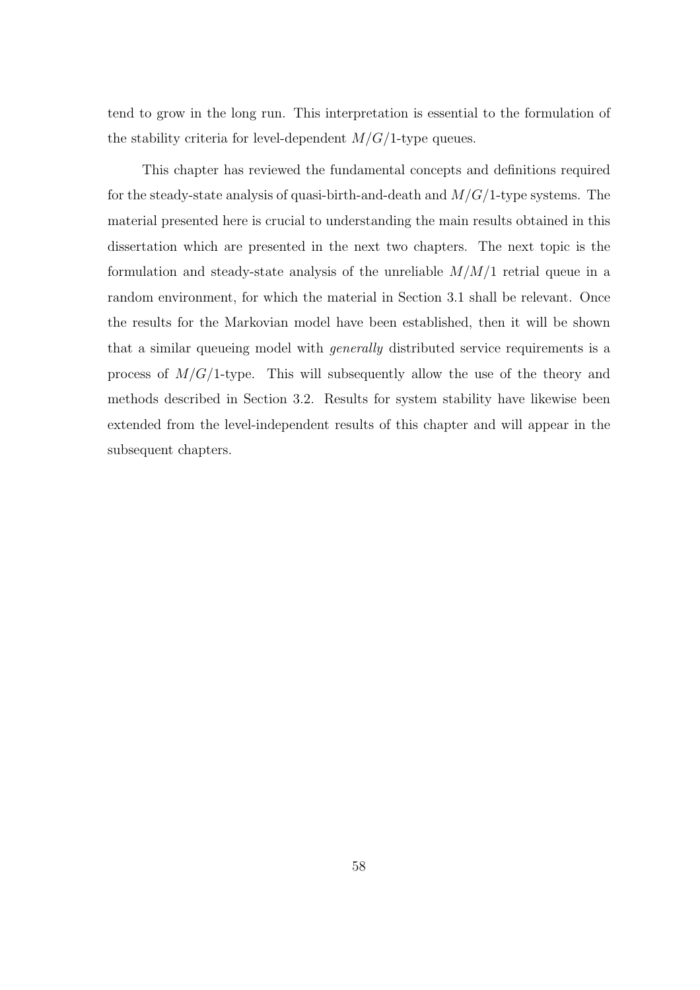tend to grow in the long run. This interpretation is essential to the formulation of the stability criteria for level-dependent  $M/G/1$ -type queues.

This chapter has reviewed the fundamental concepts and definitions required for the steady-state analysis of quasi-birth-and-death and  $M/G/1$ -type systems. The material presented here is crucial to understanding the main results obtained in this dissertation which are presented in the next two chapters. The next topic is the formulation and steady-state analysis of the unreliable  $M/M/1$  retrial queue in a random environment, for which the material in Section 3.1 shall be relevant. Once the results for the Markovian model have been established, then it will be shown that a similar queueing model with *generally* distributed service requirements is a process of  $M/G/1$ -type. This will subsequently allow the use of the theory and methods described in Section 3.2. Results for system stability have likewise been extended from the level-independent results of this chapter and will appear in the subsequent chapters.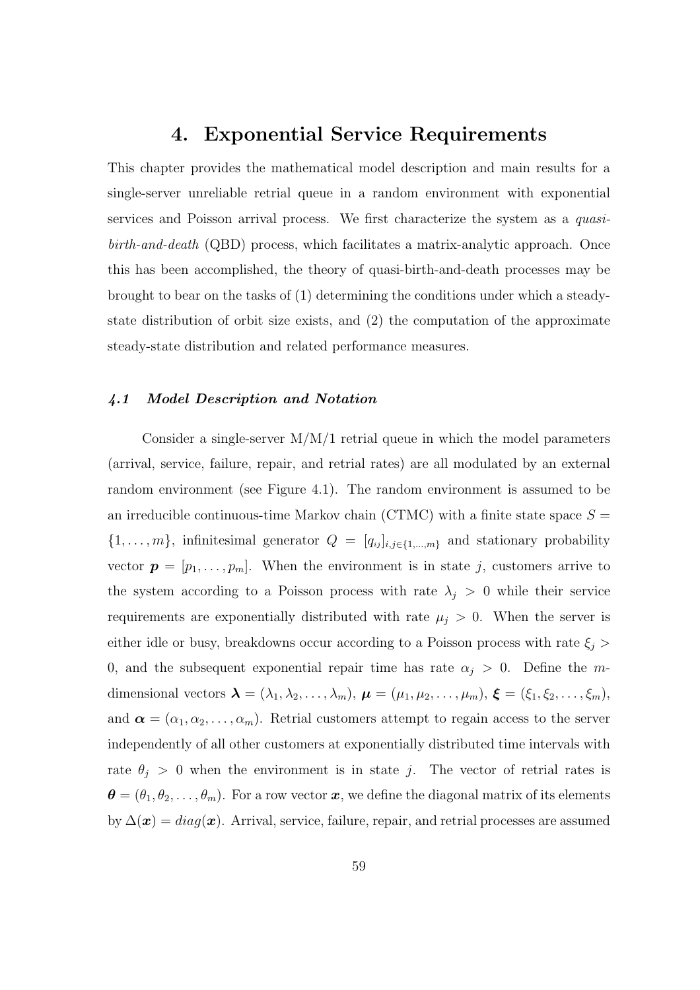## 4. Exponential Service Requirements

This chapter provides the mathematical model description and main results for a single-server unreliable retrial queue in a random environment with exponential services and Poisson arrival process. We first characterize the system as a *quasi*birth-and-death (QBD) process, which facilitates a matrix-analytic approach. Once this has been accomplished, the theory of quasi-birth-and-death processes may be brought to bear on the tasks of (1) determining the conditions under which a steadystate distribution of orbit size exists, and (2) the computation of the approximate steady-state distribution and related performance measures.

### 4.1 Model Description and Notation

Consider a single-server  $M/M/1$  retrial queue in which the model parameters (arrival, service, failure, repair, and retrial rates) are all modulated by an external random environment (see Figure 4.1). The random environment is assumed to be an irreducible continuous-time Markov chain (CTMC) with a finite state space  $S =$  $\{1, \ldots, m\}$ , infinitesimal generator  $Q = [q_{ij}]_{i,j \in \{1,\ldots,m\}}$  and stationary probability vector  $\mathbf{p} = [p_1, \ldots, p_m]$ . When the environment is in state j, customers arrive to the system according to a Poisson process with rate  $\lambda_j > 0$  while their service requirements are exponentially distributed with rate  $\mu_j > 0$ . When the server is either idle or busy, breakdowns occur according to a Poisson process with rate  $\xi_j$  > 0, and the subsequent exponential repair time has rate  $\alpha_j > 0$ . Define the mdimensional vectors  $\boldsymbol{\lambda} = (\lambda_1, \lambda_2, \dots, \lambda_m)$ ,  $\boldsymbol{\mu} = (\mu_1, \mu_2, \dots, \mu_m)$ ,  $\boldsymbol{\xi} = (\xi_1, \xi_2, \dots, \xi_m)$ , and  $\boldsymbol{\alpha} = (\alpha_1, \alpha_2, \dots, \alpha_m)$ . Retrial customers attempt to regain access to the server independently of all other customers at exponentially distributed time intervals with rate  $\theta_j > 0$  when the environment is in state j. The vector of retrial rates is  $\boldsymbol{\theta} = (\theta_1, \theta_2, \dots, \theta_m)$ . For a row vector  $\boldsymbol{x}$ , we define the diagonal matrix of its elements by  $\Delta(\boldsymbol{x}) = diag(\boldsymbol{x})$ . Arrival, service, failure, repair, and retrial processes are assumed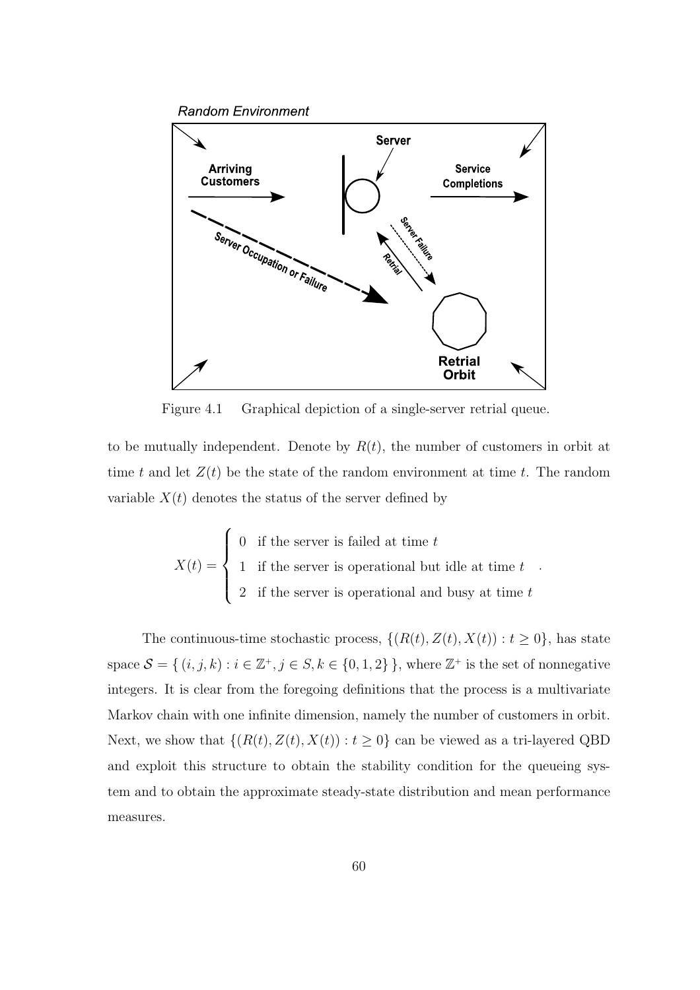**Random Environment** 



Figure 4.1 Graphical depiction of a single-server retrial queue.

to be mutually independent. Denote by  $R(t)$ , the number of customers in orbit at time t and let  $Z(t)$  be the state of the random environment at time t. The random variable  $X(t)$  denotes the status of the server defined by

$$
X(t) = \begin{cases} 0 & \text{if the server is failed at time } t \\ 1 & \text{if the server is operational but idle at time } t \\ 2 & \text{if the server is operational and busy at time } t \end{cases}
$$

.

The continuous-time stochastic process,  $\{(R(t), Z(t), X(t)) : t \ge 0\}$ , has state space  $\mathcal{S} = \{ (i, j, k) : i \in \mathbb{Z}^+, j \in S, k \in \{0, 1, 2\} \}$ , where  $\mathbb{Z}^+$  is the set of nonnegative integers. It is clear from the foregoing definitions that the process is a multivariate Markov chain with one infinite dimension, namely the number of customers in orbit. Next, we show that  $\{(R(t),Z(t),X(t)): t \geq 0\}$  can be viewed as a tri-layered QBD and exploit this structure to obtain the stability condition for the queueing system and to obtain the approximate steady-state distribution and mean performance measures.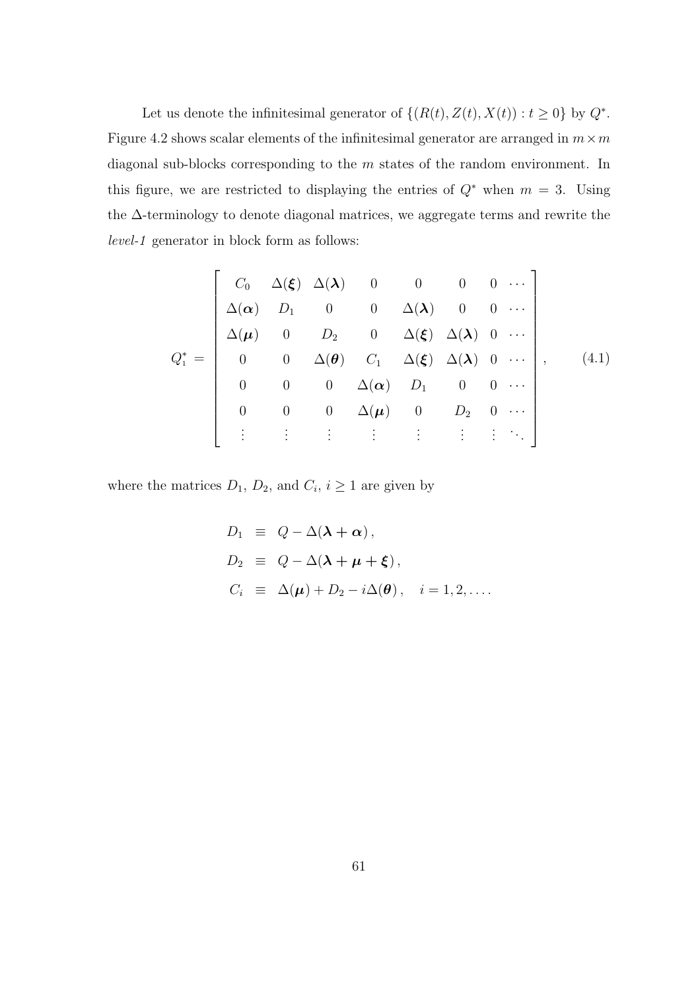Let us denote the infinitesimal generator of  $\{(R(t), Z(t), X(t)) : t \geq 0\}$  by  $Q^*$ . Figure 4.2 shows scalar elements of the infinitesimal generator are arranged in  $m \times m$ diagonal sub-blocks corresponding to the m states of the random environment. In this figure, we are restricted to displaying the entries of  $Q^*$  when  $m = 3$ . Using the ∆-terminology to denote diagonal matrices, we aggregate terms and rewrite the level-1 generator in block form as follows:

$$
Q_1^* = \begin{bmatrix} C_0 & \Delta(\xi) & \Delta(\lambda) & 0 & 0 & 0 & 0 & \cdots \\ \Delta(\alpha) & D_1 & 0 & 0 & \Delta(\lambda) & 0 & 0 & \cdots \\ \Delta(\mu) & 0 & D_2 & 0 & \Delta(\xi) & \Delta(\lambda) & 0 & \cdots \\ 0 & 0 & \Delta(\theta) & C_1 & \Delta(\xi) & \Delta(\lambda) & 0 & \cdots \\ 0 & 0 & 0 & \Delta(\alpha) & D_1 & 0 & 0 & \cdots \\ 0 & 0 & 0 & \Delta(\mu) & 0 & D_2 & 0 & \cdots \\ \vdots & \vdots & \vdots & \vdots & \vdots & \vdots & \vdots & \ddots \end{bmatrix}, \quad (4.1)
$$

where the matrices  $D_1$ ,  $D_2$ , and  $C_i$ ,  $i \geq 1$  are given by

$$
D_1 \equiv Q - \Delta(\lambda + \alpha),
$$
  
\n
$$
D_2 \equiv Q - \Delta(\lambda + \mu + \xi),
$$
  
\n
$$
C_i \equiv \Delta(\mu) + D_2 - i\Delta(\theta), \quad i = 1, 2, ....
$$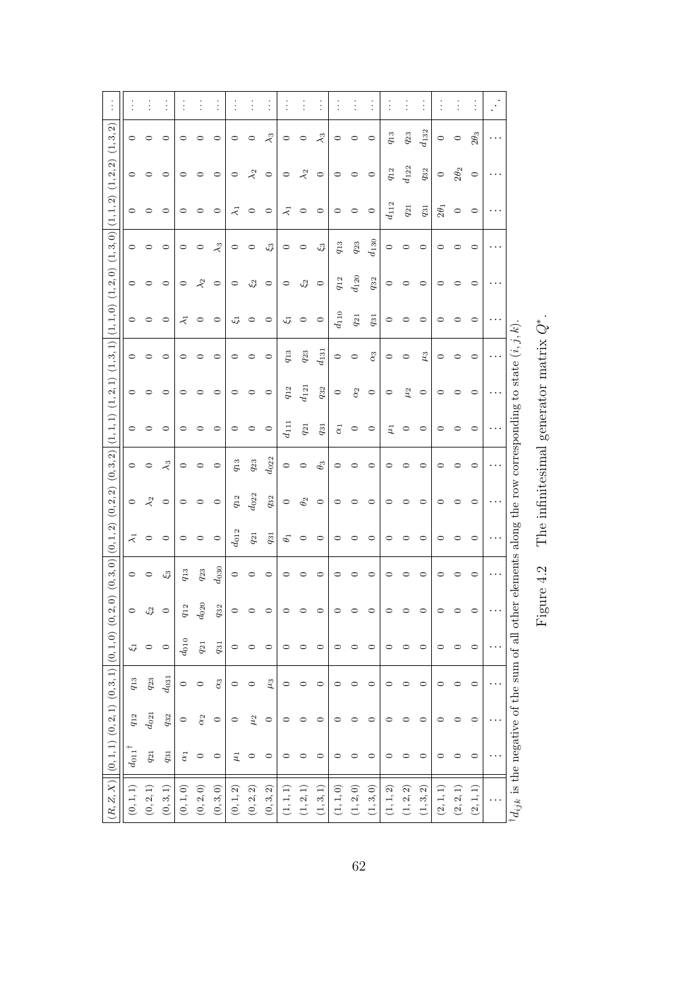|                                                            |                        | $\vdots$    | $\vdots$     |            |             | $\vdots$    |                | $\vdots$         |              |                      | $\vdots$    | $\vdots$     |              | $\vdots$                             | $\vdots$               |           | $\vdots$                             |                                      |             | $\vdots$    |             | $\mathcal{E}$ |                                                               |
|------------------------------------------------------------|------------------------|-------------|--------------|------------|-------------|-------------|----------------|------------------|--------------|----------------------|-------------|--------------|--------------|--------------------------------------|------------------------|-----------|--------------------------------------|--------------------------------------|-------------|-------------|-------------|---------------|---------------------------------------------------------------|
| $(\mathbf{1},\mathbf{3},\mathbf{2})$                       | $\circ$                | $\circ$     | $\circ$      | $\circ$    | っ           | $\circ$     | 0              | $\circ$          | $\lambda$ 3  | $\circ$              | $\circ$     | $\lambda_3$  | $\circ$      | $\circ$                              | $\circ$                | $q_{13}$  | $q_{23}$                             | $d_{132}$                            | $\circ$     | $\circ$     | $2\theta_3$ | .             |                                                               |
| (1, 2, 2)                                                  | $\circ$                | 0           | 0            | 0          |             | $\circ$     | $\circ$        | $\lambda_2$      | $\circ$      | $\circ$              | $\lambda_2$ | $\circ$      | $\circ$      | $\circ$                              | $\circ$                | $q_{12}$  | $d_{122}$                            | $q_{32}$                             | $\circ$     | $2\theta_2$ | $\circ$     | .             |                                                               |
| (1, 1, 2)                                                  | $\circ$                | $\circ$     | $\circ$      | $\circ$    | $\circ$     | $\circ$     | $\bar{\kappa}$ | $\circ$          | $\circ$      | $\overline{\lambda}$ | $\circ$     | $\circ$      | $\circ$      | $\circ$                              | $\circ$                | $d_{112}$ | $q_{\rm 21}$                         | $q_{31}$                             | $2\theta_1$ | $\circ$     | $\circ$     | $\cdots$      |                                                               |
| (1, 3, 0)                                                  | $\circ$                | 0           | $\circ$      | $\circ$    | $\circ$     | $\lambda_3$ | $\circ$        | $\circ$          | $\xi_3$      | $\circ$              | $\circ$     | $\xi_3$      | $q_{13}$     | $q_{23}$                             | $\boldsymbol{d_{130}}$ | $\circ$   | $\circ$                              | $\circ$                              | $\circ$     | ○           | $\circ$     |               |                                                               |
| $(1,2,0)$                                                  | $\circ$                | $\circ$     | $\circ$      | $\circ$    | $\lambda_2$ | $\circ$     | $\circ$        | $\mathfrak{c}_2$ | $\circ$      | $\circ$              | $\xi_2$     | $\circ$      | $q_{\rm 12}$ | $d_{120}$                            | $q_{\rm 32}$           | $\circ$   | $\circ$                              | $\circ$                              | $\circ$     | 0           | $\circ$     | .             |                                                               |
| (1, 1, 0)                                                  | $\circ$                | $\circ$     | $\circ$      | $\vec{z}$  | $\circ$     | $\circ$     | 5              | $\circ$          | $\circ$      | $\zeta_1$            | $\circ$     | $\circ$      | $d_{110}$    | $q_{\rm 21}$                         | $q_{31}$               | $\circ$   | 0                                    | $\circ$                              | $\circ$     | 0           | $\circ$     |               |                                                               |
| (1, 3, 1)                                                  | $\circ$                | $\circ$     | $\circ$      | $\circ$    | $\circ$     | $\circ$     | $\circ$        | $\circ$          | $\circ$      | $q_{13}$             | $q_{23}$    | $d_{131}$    | $\circ$      | $\circ$                              | $\alpha_3$             | $\circ$   | $\circ$                              | $\mu_3$                              | $\circ$     | $\circ$     | $\circ$     |               |                                                               |
| $(\mathbf{1},\mathbf{2},\mathbf{1})$                       | $\circ$                | $\circ$     | $\circ$      | $\circ$    | ○           | $\circ$     | $\circ$        | $\circ$          | $\circ$      | $q_{12}$             | $d_{121}$   | $q_{\rm 32}$ | $\circ$      | $\alpha_2$                           | $\circ$                | $\circ$   | $\mu_2$                              | $\circ$                              | $\circ$     | 0           | $\circ$     |               |                                                               |
| (1, 1, 1)                                                  | $\circ$                | 0           | $\circ$      | $\circ$    |             | $\circ$     | $\circ$        | $\circ$          | $\circ$      | $d_{111}$            | $q_{2\,1}$  | $q_{\rm 31}$ | $\alpha_1$   | $\circ$                              | $\circ$                | $\mu_1$   | $\circ$                              | $\circ$                              | っ           | ○           | $\circ$     |               |                                                               |
| $(0,3,2)$                                                  | $\circ$                | $\circ$     | $\lambda_3$  | $\circ$    | $\circ$     | $\circ$     | $q_{13}$       | $q_{23}$         | $d_{022}$    | $\circ$              | $\circ$     | $\theta_3$   | $\circ$      | $\circ$                              | $\circ$                | $\circ$   | 0                                    | $\circ$                              | $\circ$     | 0           | $\circ$     | $\cdots$      |                                                               |
| (0, 2, 2)                                                  | $\circ$                | $\lambda_2$ | $\circ$      | $\circ$    | $\circ$     | $\circ$     | $q_{12}$       | $d_{022}$        | $q_{\rm 32}$ | $\circ$              | $\theta_2$  | $\circ$      | $\circ$      | $\circ$                              | $\circ$                | $\circ$   | $\circ$                              | $\circ$                              | $\circ$     | 0           | $\circ$     |               |                                                               |
| $(0,1,2)$                                                  | $\tilde{\prec}$        | $\circ$     | $\circ$      | $\circ$    | $\circ$     | $\circ$     | $d_{012}$      | $q_{\rm 21}$     | $q_{31}$     | $\theta_1$           | $\circ$     | $\circ$      | $\circ$      | $\circ$                              | $\circ$                | $\circ$   | $\circ$                              | $\circ$                              | $\circ$     | $\circ$     | $\circ$     |               | her elements along the row corresponding to state $(i, j, k)$ |
| (0, 3, 0)                                                  | $\circ$                | $\circ$     | $\xi_3$      | $q_{13}$   | $q_{23}$    | $d_{030}$   | $\circ$        | $\circ$          | $\circ$      | $\circ$              | $\circ$     | $\circ$      | $\circ$      | $\circ$                              | $\circ$                | $\circ$   | 0                                    | $\circ$                              | $\circ$     | 0           | $\circ$     | $\cdots$      |                                                               |
| (2, 0)                                                     | $\circ$                | $\xi_2$     | $\circ$      | $q_{12}$   | $d_{020}$   | $q_{32}$    | $\circ$        | $\circ$          | $\circ$      | $\circ$              | $\circ$     | $\circ$      | $\circ$      | $\circ$                              | $\circ$                | $\circ$   | $\circ$                              | $\circ$                              | $\circ$     | 0           | $\circ$     | .             |                                                               |
|                                                            | $\zeta_1$              | $\circ$     | $\circ$      | $d_{010}$  | $q_{21}$    | $q_{31}$    | $\circ$        | $\circ$          | 0            | $\circ$              | $\circ$     | $\circ$      | $\circ$      | $\circ$                              | 0                      | $\circ$   | 0                                    | $\circ$                              | $\circ$     | $\circ$     | $\circ$     |               |                                                               |
|                                                            | $q_{13}$               | $q_{23}$    | $d_{031}$    | $\circ$    | $\circ$     | $\alpha_3$  | $\circ$        | $\circ$          | $\mu_3$      | $\circ$              | $\circ$     | $\circ$      | $\circ$      | $\circ$                              | $\circ$                | $\circ$   | 0                                    | $\circ$                              | $\circ$     | 0           | $\circ$     |               |                                                               |
|                                                            | $q_{\rm 12}$           | $d_{021}$   | $q_{\rm 32}$ | $\circ$    | $\alpha_2$  | $\circ$     | 0              | $\mu_2$          | $\circ$      | $\circ$              | $\circ$     | $\circ$      | $\circ$      | $\circ$                              | $\circ$                | っ         |                                      | $\circ$                              | っ           |             | $\circ$     |               |                                                               |
| $\big  (0,1,1) \; (0,2,1) \; (0,3,1) \big  (0,1,0) \; (0,$ | $d_{011}$ <sup>†</sup> | $q_{21}$    | $q_{31}$     | $\alpha_1$ | $\circ$     | $\circ$     | $\mu_1$        | $\circ$          | $\circ$      | $\circ$              | $\circ$     | $\circ$      | $\circ$      | $\circ$                              | $\circ$                | $\circ$   | 0                                    | $\circ$                              | $\circ$     |             | $\circ$     | .             |                                                               |
| (R, Z, X)                                                  | (0, 1, 1)              | (0, 2, 1)   | (0, 3, 1)    | (0, 1, 0)  | $(0,2,0)$   | (0, 3, 0)   | $(0,1,2)$      | $(0,2,2)$        | $(0,3,2)$    | (1, 1, 1)            | (1, 2, 1)   | (1, 3, 1)    | (1, 1, 0)    | $(\mathbf{1},\mathbf{2},\mathbf{0})$ | (1, 3, 0)              | (1, 1, 2) | $(\mathbf{1},\mathbf{2},\mathbf{2})$ | $(\mathbf{1},\mathbf{3},\mathbf{2})$ | (2, 1, 1)   | (2, 2, 1)   | (2, 1, 1)   |               | $id_{ijk}$ is the negative of the sum of all otically         |

Figure 4.2 The infinitesimal generator matrix  $Q^*$ . Figure 4.2 The infinitesimal generator matrix Q∗.

62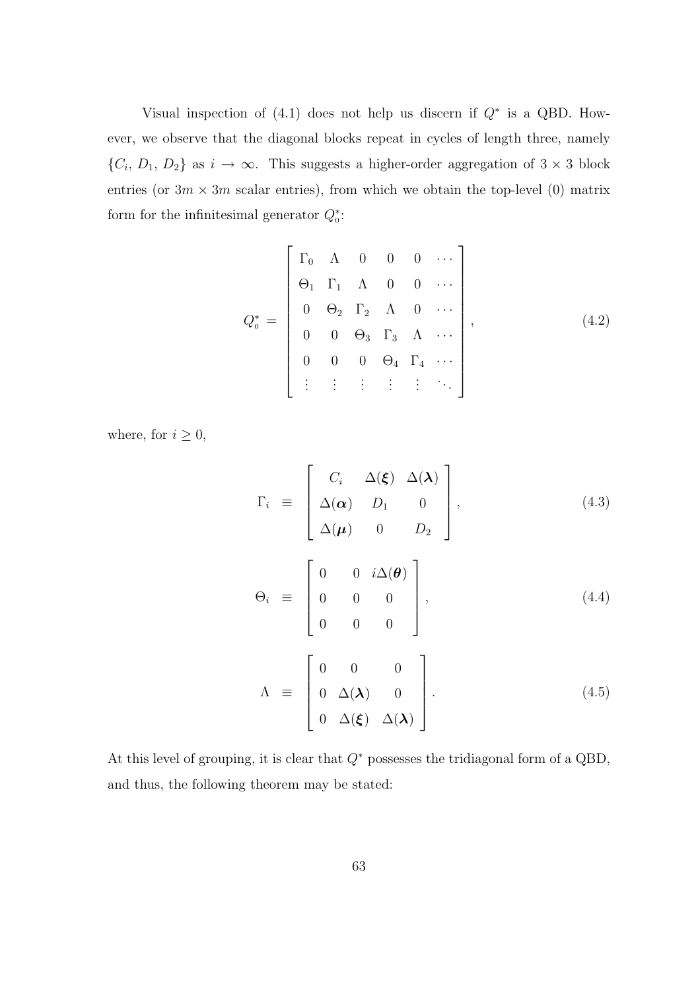Visual inspection of  $(4.1)$  does not help us discern if  $Q^*$  is a QBD. However, we observe that the diagonal blocks repeat in cycles of length three, namely  $\{C_i, D_1, D_2\}$  as  $i \to \infty$ . This suggests a higher-order aggregation of  $3 \times 3$  block entries (or  $3m \times 3m$  scalar entries), from which we obtain the top-level (0) matrix form for the infinitesimal generator  $Q_0^*$ :

$$
Q_0^* = \begin{bmatrix} \Gamma_0 & \Lambda & 0 & 0 & 0 & \cdots \\ \Theta_1 & \Gamma_1 & \Lambda & 0 & 0 & \cdots \\ 0 & \Theta_2 & \Gamma_2 & \Lambda & 0 & \cdots \\ 0 & 0 & \Theta_3 & \Gamma_3 & \Lambda & \cdots \\ 0 & 0 & 0 & \Theta_4 & \Gamma_4 & \cdots \\ \vdots & \vdots & \vdots & \vdots & \vdots & \ddots \end{bmatrix},
$$
(4.2)

where, for  $i\geq 0,$ 

$$
\Gamma_{i} \equiv \begin{bmatrix} C_{i} & \Delta(\xi) & \Delta(\lambda) \\ \Delta(\alpha) & D_{1} & 0 \\ \Delta(\mu) & 0 & D_{2} \end{bmatrix}, \qquad (4.3)
$$
\n
$$
\Theta_{i} \equiv \begin{bmatrix} 0 & 0 & i\Delta(\theta) \\ 0 & 0 & 0 \\ 0 & 0 & 0 \end{bmatrix}, \qquad (4.4)
$$
\n
$$
\Lambda \equiv \begin{bmatrix} 0 & 0 & 0 \\ 0 & \Delta(\lambda) & 0 \\ 0 & \Delta(\xi) & \Delta(\lambda) \end{bmatrix} . \qquad (4.5)
$$

At this level of grouping, it is clear that  $Q^*$  possesses the tridiagonal form of a QBD, and thus, the following theorem may be stated: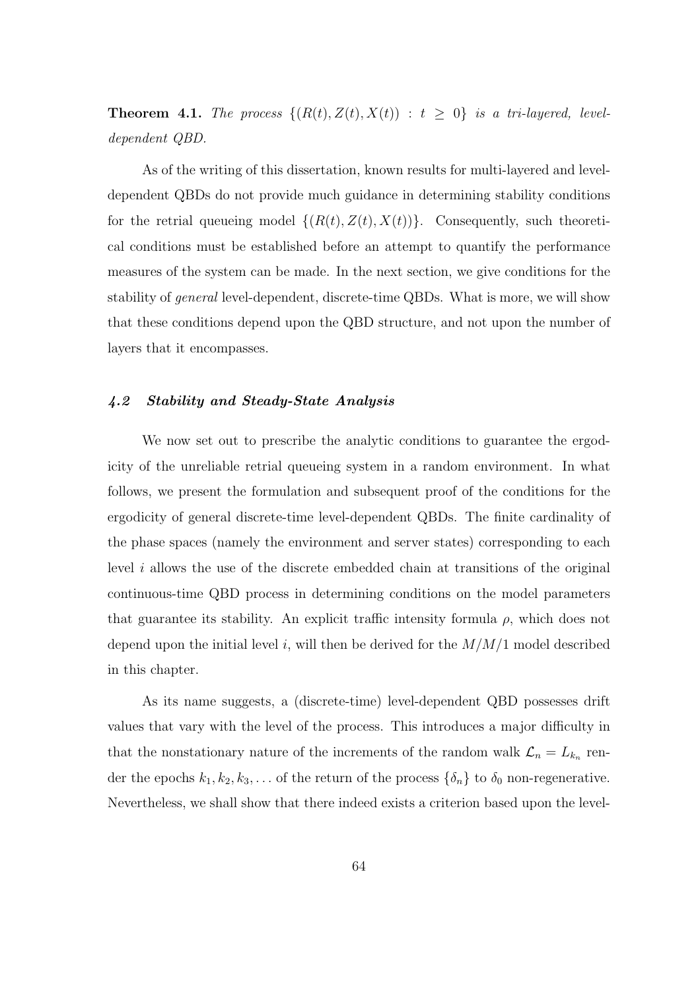**Theorem 4.1.** The process  $\{(R(t), Z(t), X(t)) : t \geq 0\}$  is a tri-layered, leveldependent QBD.

As of the writing of this dissertation, known results for multi-layered and leveldependent QBDs do not provide much guidance in determining stability conditions for the retrial queueing model  $\{(R(t), Z(t), X(t))\}$ . Consequently, such theoretical conditions must be established before an attempt to quantify the performance measures of the system can be made. In the next section, we give conditions for the stability of *general* level-dependent, discrete-time QBDs. What is more, we will show that these conditions depend upon the QBD structure, and not upon the number of layers that it encompasses.

#### 4.2 Stability and Steady-State Analysis

We now set out to prescribe the analytic conditions to guarantee the ergodicity of the unreliable retrial queueing system in a random environment. In what follows, we present the formulation and subsequent proof of the conditions for the ergodicity of general discrete-time level-dependent QBDs. The finite cardinality of the phase spaces (namely the environment and server states) corresponding to each level i allows the use of the discrete embedded chain at transitions of the original continuous-time QBD process in determining conditions on the model parameters that guarantee its stability. An explicit traffic intensity formula  $\rho$ , which does not depend upon the initial level i, will then be derived for the  $M/M/1$  model described in this chapter.

As its name suggests, a (discrete-time) level-dependent QBD possesses drift values that vary with the level of the process. This introduces a major difficulty in that the nonstationary nature of the increments of the random walk  $\mathcal{L}_n = L_{k_n}$  render the epochs  $k_1, k_2, k_3, \ldots$  of the return of the process  $\{\delta_n\}$  to  $\delta_0$  non-regenerative. Nevertheless, we shall show that there indeed exists a criterion based upon the level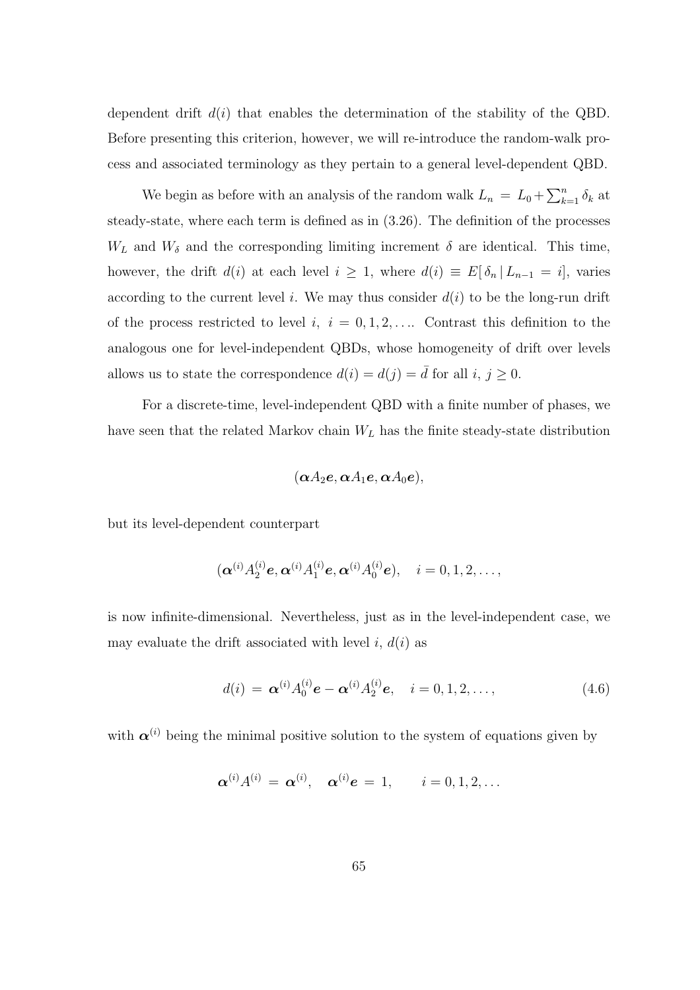dependent drift  $d(i)$  that enables the determination of the stability of the QBD. Before presenting this criterion, however, we will re-introduce the random-walk process and associated terminology as they pertain to a general level-dependent QBD.

We begin as before with an analysis of the random walk  $L_n = L_0 + \sum_k^n$  $_{k=1}^{n}$   $\delta_{k}$  at steady-state, where each term is defined as in (3.26). The definition of the processes  $W_L$  and  $W_\delta$  and the corresponding limiting increment  $\delta$  are identical. This time, however, the drift  $d(i)$  at each level  $i \geq 1$ , where  $d(i) \equiv E[\delta_n | L_{n-1} = i]$ , varies according to the current level i. We may thus consider  $d(i)$  to be the long-run drift of the process restricted to level  $i, i = 0, 1, 2, \ldots$  Contrast this definition to the analogous one for level-independent QBDs, whose homogeneity of drift over levels allows us to state the correspondence  $d(i) = d(j) = \overline{d}$  for all  $i, j \ge 0$ .

For a discrete-time, level-independent QBD with a finite number of phases, we have seen that the related Markov chain  $W_L$  has the finite steady-state distribution

$$
(\boldsymbol{\alpha} A_2\boldsymbol{e}, \boldsymbol{\alpha} A_1\boldsymbol{e}, \boldsymbol{\alpha} A_0\boldsymbol{e}),
$$

but its level-dependent counterpart

$$
(\alpha^{(i)}A_2^{(i)}e, \alpha^{(i)}A_1^{(i)}e, \alpha^{(i)}A_0^{(i)}e), \quad i = 0, 1, 2, \ldots,
$$

is now infinite-dimensional. Nevertheless, just as in the level-independent case, we may evaluate the drift associated with level i,  $d(i)$  as

$$
d(i) = \boldsymbol{\alpha}^{(i)} A_0^{(i)} \boldsymbol{e} - \boldsymbol{\alpha}^{(i)} A_2^{(i)} \boldsymbol{e}, \quad i = 0, 1, 2, \dots,
$$
\n(4.6)

with  $\alpha^{(i)}$  being the minimal positive solution to the system of equations given by

$$
\boldsymbol{\alpha}^{(i)}A^{(i)}=\boldsymbol{\alpha}^{(i)},\quad \boldsymbol{\alpha}^{(i)}\boldsymbol{e}=1,\qquad i=0,1,2,\ldots
$$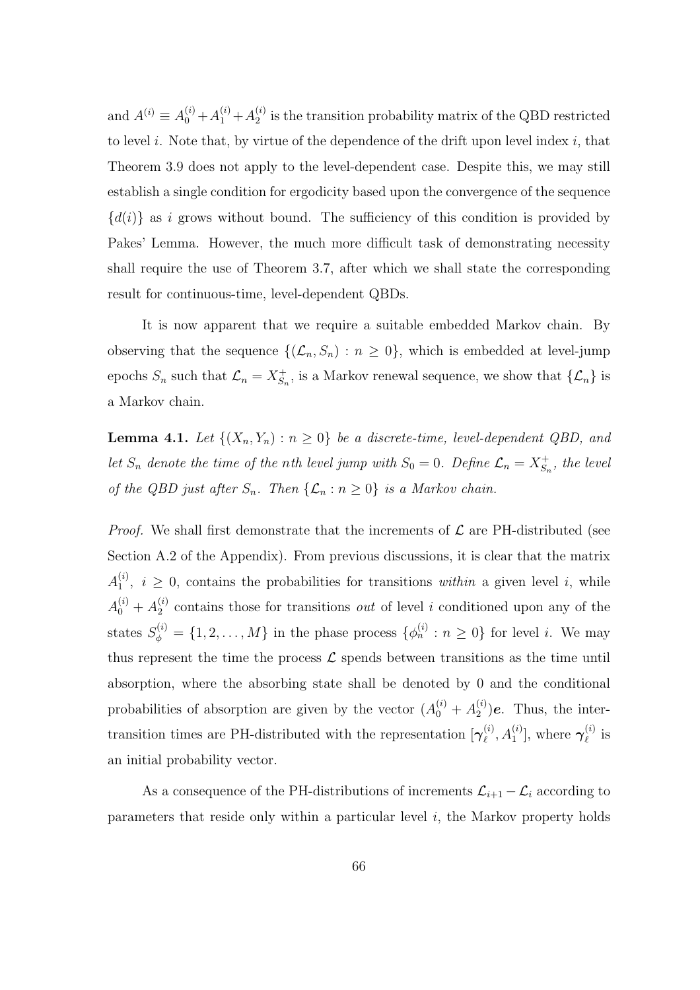and  $A^{(i)} \equiv A_0^{(i)} + A_1^{(i)} + A_2^{(i)}$  $\frac{1}{2}$  is the transition probability matrix of the QBD restricted to level  $i$ . Note that, by virtue of the dependence of the drift upon level index  $i$ , that Theorem 3.9 does not apply to the level-dependent case. Despite this, we may still establish a single condition for ergodicity based upon the convergence of the sequence  ${d(i)}$  as i grows without bound. The sufficiency of this condition is provided by Pakes' Lemma. However, the much more difficult task of demonstrating necessity shall require the use of Theorem 3.7, after which we shall state the corresponding result for continuous-time, level-dependent QBDs.

It is now apparent that we require a suitable embedded Markov chain. By observing that the sequence  $\{(\mathcal{L}_n, S_n) : n \geq 0\}$ , which is embedded at level-jump epochs  $S_n$  such that  $\mathcal{L}_n = X_{S_n}^+$  $S_n^+$ , is a Markov renewal sequence, we show that  $\{\mathcal{L}_n\}$  is a Markov chain.

**Lemma 4.1.** Let  $\{(X_n, Y_n) : n \geq 0\}$  be a discrete-time, level-dependent QBD, and let  $S_n$  denote the time of the nth level jump with  $S_0 = 0$ . Define  $\mathcal{L}_n = X_S^+$  $s_n^+$ , the level of the QBD just after  $S_n$ . Then  $\{\mathcal{L}_n : n \geq 0\}$  is a Markov chain.

*Proof.* We shall first demonstrate that the increments of  $\mathcal{L}$  are PH-distributed (see Section A.2 of the Appendix). From previous discussions, it is clear that the matrix  $A_1^{(i)}$  $1 \choose 1$ ,  $i \geq 0$ , contains the probabilities for transitions within a given level i, while  $A_0^{(i)} + A_2^{(i)}$  $2^{(i)}$  contains those for transitions *out* of level *i* conditioned upon any of the states  $S_{\phi}^{(i)} = \{1, 2, ..., M\}$  in the phase process  $\{\phi_n^{(i)} : n \geq 0\}$  for level *i*. We may thus represent the time the process  $\mathcal L$  spends between transitions as the time until absorption, where the absorbing state shall be denoted by 0 and the conditional probabilities of absorption are given by the vector  $(A_0^{(i)} + A_2^{(i)})$  $2^{(i)}$ )**e**. Thus, the intertransition times are PH-distributed with the representation  $\{\gamma_{\ell}^{(i)}\}$  $\mathcal{A}_{\ell}^{(i)}$ ,  $A_1^{(i)}$ ], where  $\boldsymbol{\gamma}_{\ell}^{(i)}$  $_{\ell}^{\left( \imath\right) }$  is an initial probability vector.

As a consequence of the PH-distributions of increments  $\mathcal{L}_{i+1} - \mathcal{L}_i$  according to parameters that reside only within a particular level  $i$ , the Markov property holds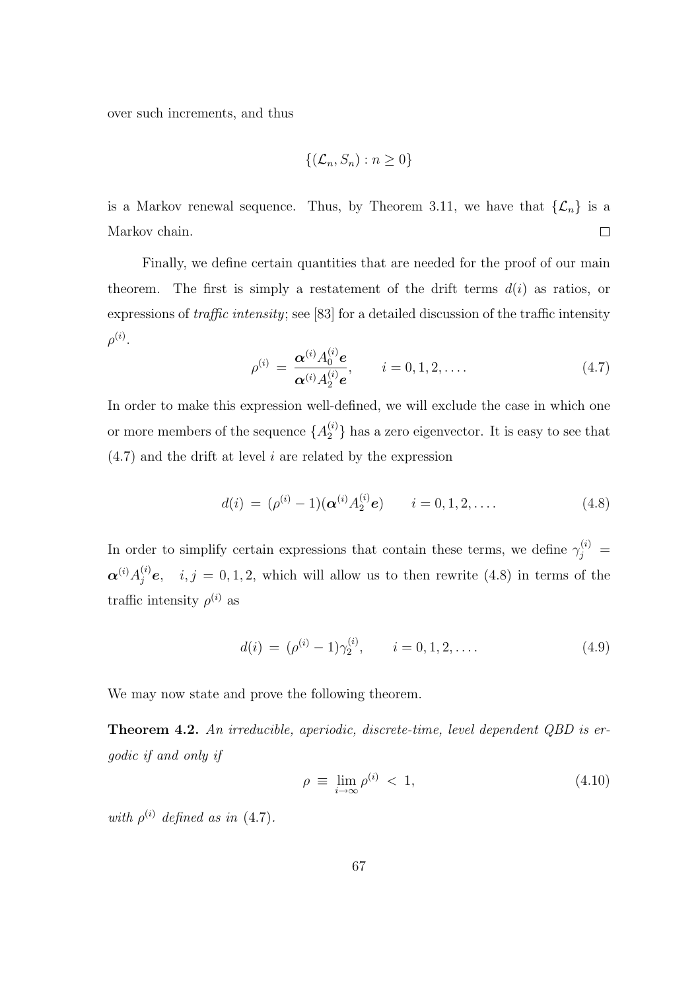over such increments, and thus

$$
\{(\mathcal{L}_n, S_n) : n \ge 0\}
$$

is a Markov renewal sequence. Thus, by Theorem 3.11, we have that  $\{\mathcal{L}_n\}$  is a  $\Box$ Markov chain.

Finally, we define certain quantities that are needed for the proof of our main theorem. The first is simply a restatement of the drift terms  $d(i)$  as ratios, or expressions of traffic intensity; see [83] for a detailed discussion of the traffic intensity  $\rho^{(i)}$ .

$$
\rho^{(i)} = \frac{\alpha^{(i)} A_0^{(i)} e}{\alpha^{(i)} A_2^{(i)} e}, \qquad i = 0, 1, 2, .... \qquad (4.7)
$$

In order to make this expression well-defined, we will exclude the case in which one or more members of the sequence  $\{A_2^{(i)}\}$  has a zero eigenvector. It is easy to see that  $(4.7)$  and the drift at level i are related by the expression

$$
d(i) = (\rho^{(i)} - 1)(\mathbf{\alpha}^{(i)} A_2^{(i)} \mathbf{e}) \qquad i = 0, 1, 2, .... \qquad (4.8)
$$

In order to simplify certain expressions that contain these terms, we define  $\gamma_j^{(i)} =$  $\alpha^{(i)}A_j^{(i)}e$ ,  $i, j = 0, 1, 2$ , which will allow us to then rewrite (4.8) in terms of the traffic intensity  $\rho^{(i)}$  as

$$
d(i) = (\rho^{(i)} - 1)\gamma_2^{(i)}, \qquad i = 0, 1, 2, \dots
$$
\n(4.9)

We may now state and prove the following theorem.

Theorem 4.2. An irreducible, aperiodic, discrete-time, level dependent QBD is ergodic if and only if

$$
\rho \equiv \lim_{i \to \infty} \rho^{(i)} < 1,\tag{4.10}
$$

with  $\rho^{(i)}$  defined as in (4.7).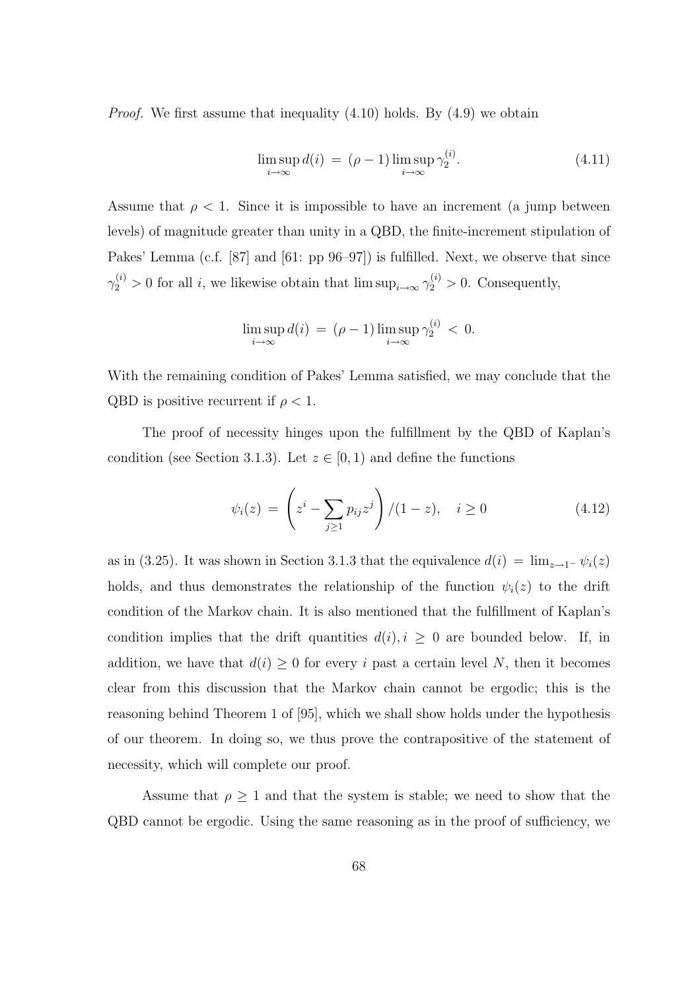*Proof.* We first assume that inequality  $(4.10)$  holds. By  $(4.9)$  we obtain

$$
\limsup_{i \to \infty} d(i) = (\rho - 1) \limsup_{i \to \infty} \gamma_2^{(i)}.
$$
\n(4.11)

Assume that  $\rho < 1$ . Since it is impossible to have an increment (a jump between levels) of magnitude greater than unity in a QBD, the finite-increment stipulation of Pakes' Lemma (c.f. [87] and [61: pp 96–97]) is fulfilled. Next, we observe that since  $\gamma_2^{(i)} > 0$  for all *i*, we likewise obtain that  $\limsup_{i \to \infty} \gamma_2^{(i)} > 0$ . Consequently,

$$
\limsup_{i \to \infty} d(i) = (\rho - 1) \limsup_{i \to \infty} \gamma_2^{(i)} < 0.
$$

With the remaining condition of Pakes' Lemma satisfied, we may conclude that the QBD is positive recurrent if  $\rho < 1$ .

The proof of necessity hinges upon the fulfillment by the QBD of Kaplan's condition (see Section 3.1.3). Let  $z \in [0, 1)$  and define the functions

$$
\psi_i(z) = \left( z^i - \sum_{j \ge 1} p_{ij} z^j \right) / (1 - z), \quad i \ge 0 \tag{4.12}
$$

as in (3.25). It was shown in Section 3.1.3 that the equivalence  $d(i) = \lim_{z\to 1^-} \psi_i(z)$ holds, and thus demonstrates the relationship of the function  $\psi_i(z)$  to the drift condition of the Markov chain. It is also mentioned that the fulfillment of Kaplan's condition implies that the drift quantities  $d(i), i \geq 0$  are bounded below. If, in addition, we have that  $d(i) \geq 0$  for every i past a certain level N, then it becomes clear from this discussion that the Markov chain cannot be ergodic; this is the reasoning behind Theorem 1 of [95], which we shall show holds under the hypothesis of our theorem. In doing so, we thus prove the contrapositive of the statement of necessity, which will complete our proof.

Assume that  $\rho \geq 1$  and that the system is stable; we need to show that the QBD cannot be ergodic. Using the same reasoning as in the proof of sufficiency, we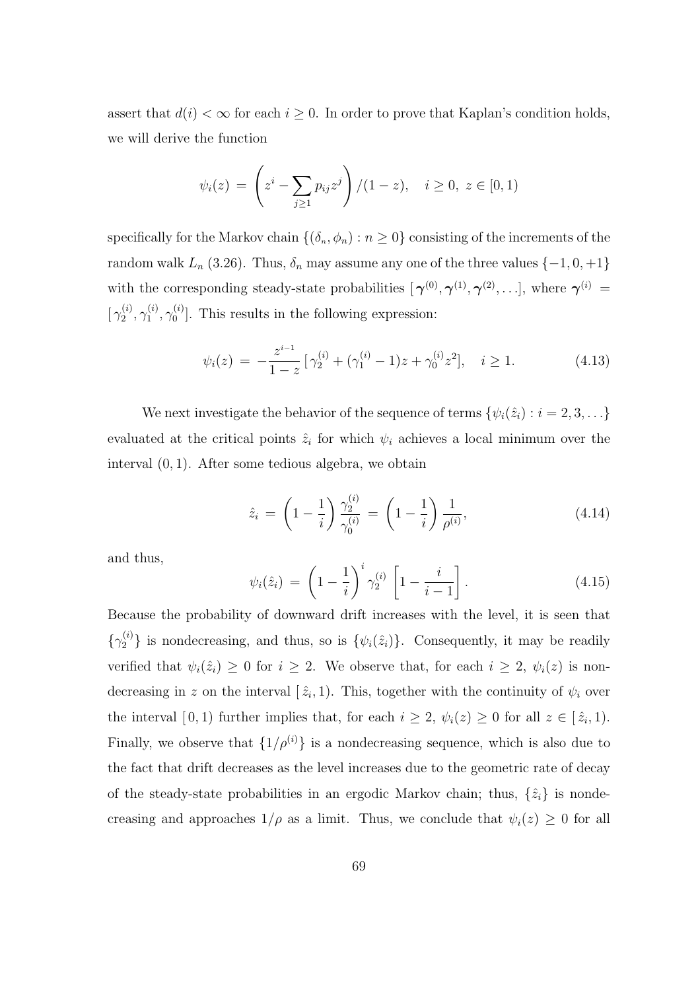assert that  $d(i) < \infty$  for each  $i \geq 0$ . In order to prove that Kaplan's condition holds, we will derive the function

$$
\psi_i(z) = \left(z^i - \sum_{j \ge 1} p_{ij} z^j\right) / (1 - z), \quad i \ge 0, \ z \in [0, 1)
$$

specifically for the Markov chain  $\{(\delta_n, \phi_n) : n \geq 0\}$  consisting of the increments of the random walk  $L_n$  (3.26). Thus,  $\delta_n$  may assume any one of the three values  $\{-1, 0, +1\}$ with the corresponding steady-state probabilities  $[\gamma^{(0)}, \gamma^{(1)}, \gamma^{(2)}, \ldots]$ , where  $\gamma^{(i)} =$  $\gamma_2^{(i)}$  $_2^{(i)},\gamma_1^{(i)}$  $\stackrel{(i)}{1},\gamma_0^{(i)}$  $\binom{10}{0}$ . This results in the following expression:

$$
\psi_i(z) = -\frac{z^{i-1}}{1-z} \left[ \gamma_2^{(i)} + (\gamma_1^{(i)} - 1)z + \gamma_0^{(i)} z^2 \right], \quad i \ge 1.
$$
\n(4.13)

We next investigate the behavior of the sequence of terms  $\{\psi_i(\hat{z}_i): i = 2, 3, \ldots\}$ evaluated at the critical points  $\hat{z}_i$  for which  $\psi_i$  achieves a local minimum over the interval (0, 1). After some tedious algebra, we obtain

$$
\hat{z}_i = \left(1 - \frac{1}{i}\right) \frac{\gamma_2^{(i)}}{\gamma_0^{(i)}} = \left(1 - \frac{1}{i}\right) \frac{1}{\rho^{(i)}},\tag{4.14}
$$

and thus,

$$
\psi_i(\hat{z}_i) = \left(1 - \frac{1}{i}\right)^i \gamma_2^{(i)} \left[1 - \frac{i}{i-1}\right]. \tag{4.15}
$$

Because the probability of downward drift increases with the level, it is seen that  $\{\gamma_2^{(i)}\}\$ is nondecreasing, and thus, so is  $\{\psi_i(\hat{z}_i)\}\$ . Consequently, it may be readily verified that  $\psi_i(\hat{z}_i) \geq 0$  for  $i \geq 2$ . We observe that, for each  $i \geq 2$ ,  $\psi_i(z)$  is nondecreasing in z on the interval  $[\hat{z}_i, 1]$ . This, together with the continuity of  $\psi_i$  over the interval  $[0,1)$  further implies that, for each  $i \geq 2$ ,  $\psi_i(z) \geq 0$  for all  $z \in [\hat{z}_i,1)$ . Finally, we observe that  $\{1/\rho^{(i)}\}$  is a nondecreasing sequence, which is also due to the fact that drift decreases as the level increases due to the geometric rate of decay of the steady-state probabilities in an ergodic Markov chain; thus,  $\{\hat{z}_i\}$  is nondecreasing and approaches  $1/\rho$  as a limit. Thus, we conclude that  $\psi_i(z) \geq 0$  for all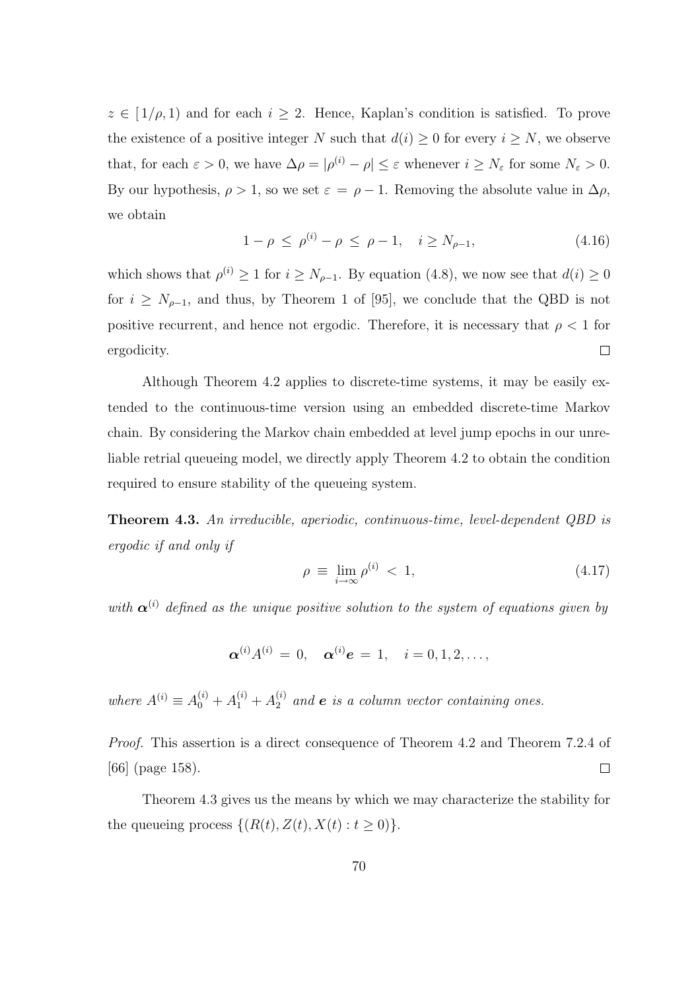$z \in [1/\rho, 1)$  and for each  $i \geq 2$ . Hence, Kaplan's condition is satisfied. To prove the existence of a positive integer N such that  $d(i) \geq 0$  for every  $i \geq N$ , we observe that, for each  $\varepsilon > 0$ , we have  $\Delta \rho = |\rho^{(i)} - \rho| \leq \varepsilon$  whenever  $i \geq N_{\varepsilon}$  for some  $N_{\varepsilon} > 0$ . By our hypothesis,  $\rho > 1$ , so we set  $\varepsilon = \rho - 1$ . Removing the absolute value in  $\Delta \rho$ , we obtain

$$
1 - \rho \le \rho^{(i)} - \rho \le \rho - 1, \quad i \ge N_{\rho - 1}, \tag{4.16}
$$

which shows that  $\rho^{(i)} \geq 1$  for  $i \geq N_{\rho-1}$ . By equation (4.8), we now see that  $d(i) \geq 0$ for  $i \geq N_{\rho-1}$ , and thus, by Theorem 1 of [95], we conclude that the QBD is not positive recurrent, and hence not ergodic. Therefore, it is necessary that  $\rho < 1$  for ergodicity.  $\Box$ 

Although Theorem 4.2 applies to discrete-time systems, it may be easily extended to the continuous-time version using an embedded discrete-time Markov chain. By considering the Markov chain embedded at level jump epochs in our unreliable retrial queueing model, we directly apply Theorem 4.2 to obtain the condition required to ensure stability of the queueing system.

Theorem 4.3. An irreducible, aperiodic, continuous-time, level-dependent QBD is ergodic if and only if

$$
\rho \equiv \lim_{i \to \infty} \rho^{(i)} < 1,\tag{4.17}
$$

with  $\alpha^{(i)}$  defined as the unique positive solution to the system of equations given by

$$
\boldsymbol{\alpha}^{(i)}A^{(i)}\,=\,0,\quad \boldsymbol{\alpha}^{(i)}\boldsymbol{e}\,=\,1,\quad i=0,1,2,\ldots,
$$

where  $A^{(i)} \equiv A_0^{(i)} + A_1^{(i)} + A_2^{(i)}$  and **e** is a column vector containing ones.

Proof. This assertion is a direct consequence of Theorem 4.2 and Theorem 7.2.4 of  $\Box$ [66] (page 158).

Theorem 4.3 gives us the means by which we may characterize the stability for the queueing process  $\{(R(t), Z(t), X(t): t \geq 0)\}.$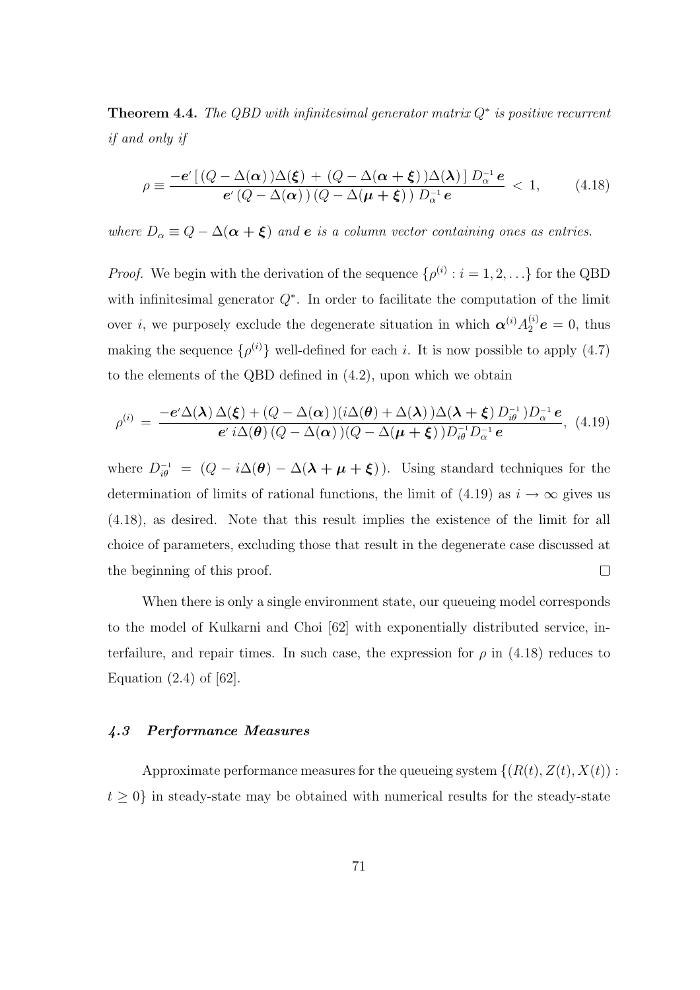**Theorem 4.4.** The QBD with infinitesimal generator matrix  $Q^*$  is positive recurrent if and only if

$$
\rho \equiv \frac{-e'\left[\left(Q-\Delta(\alpha)\right)\Delta(\xi) + \left(Q-\Delta(\alpha+\xi)\right)\Delta(\lambda)\right]D_{\alpha}^{-1}e}{e'\left(Q-\Delta(\alpha)\right)\left(Q-\Delta(\mu+\xi)\right)D_{\alpha}^{-1}e} < 1, \quad (4.18)
$$

where  $D_{\alpha} \equiv Q - \Delta(\alpha + \xi)$  and **e** is a column vector containing ones as entries.

*Proof.* We begin with the derivation of the sequence  $\{\rho^{(i)}: i = 1, 2, ...\}$  for the QBD with infinitesimal generator  $Q^*$ . In order to facilitate the computation of the limit over *i*, we purposely exclude the degenerate situation in which  $\alpha^{(i)} A_2^{(i)} e = 0$ , thus making the sequence  $\{\rho^{(i)}\}\$  well-defined for each i. It is now possible to apply (4.7) to the elements of the QBD defined in (4.2), upon which we obtain

$$
\rho^{(i)} = \frac{-e'\Delta(\lambda)\,\Delta(\boldsymbol{\xi}) + (Q - \Delta(\boldsymbol{\alpha}))(i\Delta(\boldsymbol{\theta}) + \Delta(\lambda))\Delta(\lambda + \boldsymbol{\xi})\,D_{i\boldsymbol{\theta}}^{-1}\,)D_{\alpha}^{-1}\,\boldsymbol{e}}{e'\,i\Delta(\boldsymbol{\theta})\,(Q - \Delta(\boldsymbol{\alpha}))(Q - \Delta(\boldsymbol{\mu} + \boldsymbol{\xi}))\,D_{i\boldsymbol{\theta}}^{-1}\,D_{\alpha}^{-1}\,\boldsymbol{e}},\tag{4.19}
$$

where  $D_{i\theta}^{-1} = (Q - i\Delta(\theta) - \Delta(\lambda + \mu + \xi))$ . Using standard techniques for the determination of limits of rational functions, the limit of (4.19) as  $i \to \infty$  gives us (4.18), as desired. Note that this result implies the existence of the limit for all choice of parameters, excluding those that result in the degenerate case discussed at the beginning of this proof.  $\Box$ 

When there is only a single environment state, our queueing model corresponds to the model of Kulkarni and Choi [62] with exponentially distributed service, interfailure, and repair times. In such case, the expression for  $\rho$  in (4.18) reduces to Equation  $(2.4)$  of  $[62]$ .

### 4.3 Performance Measures

Approximate performance measures for the queueing system  $\{(R(t), Z(t), X(t))\}$ :  $t \geq 0$  in steady-state may be obtained with numerical results for the steady-state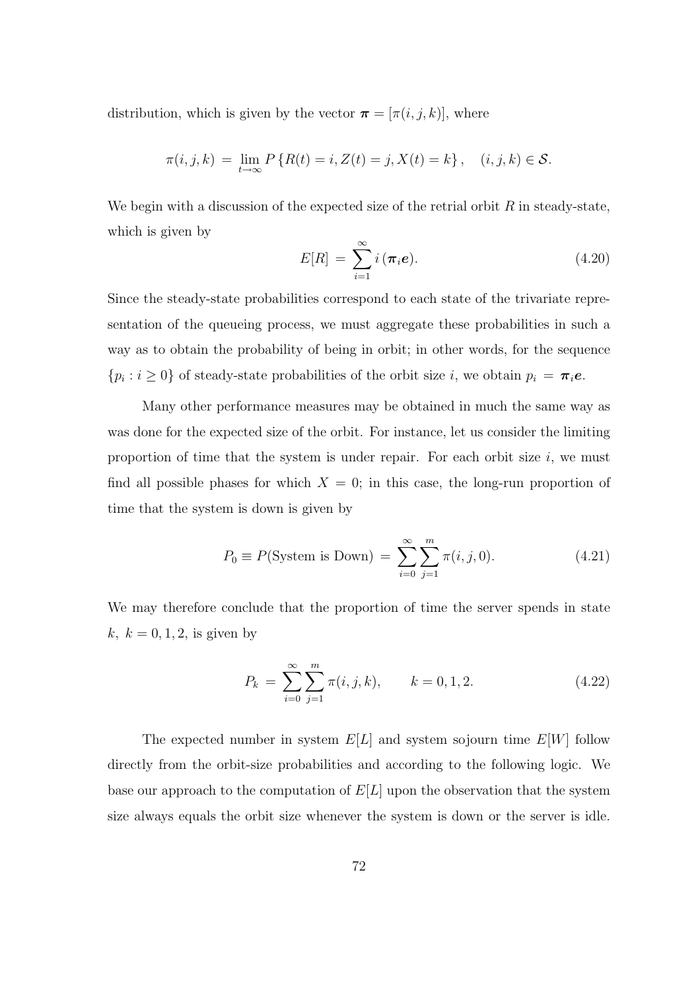distribution, which is given by the vector  $\boldsymbol{\pi} = [\pi(i, j, k)]$ , where

$$
\pi(i, j, k) = \lim_{t \to \infty} P\{R(t) = i, Z(t) = j, X(t) = k\}, \quad (i, j, k) \in S.
$$

We begin with a discussion of the expected size of the retrial orbit  $R$  in steady-state, which is given by

$$
E[R] = \sum_{i=1}^{\infty} i(\pi_i e). \tag{4.20}
$$

Since the steady-state probabilities correspond to each state of the trivariate representation of the queueing process, we must aggregate these probabilities in such a way as to obtain the probability of being in orbit; in other words, for the sequence  $\{p_i : i \geq 0\}$  of steady-state probabilities of the orbit size i, we obtain  $p_i = \pi_i e$ .

Many other performance measures may be obtained in much the same way as was done for the expected size of the orbit. For instance, let us consider the limiting proportion of time that the system is under repair. For each orbit size  $i$ , we must find all possible phases for which  $X = 0$ ; in this case, the long-run proportion of time that the system is down is given by

$$
P_0 \equiv P(\text{System is Down}) = \sum_{i=0}^{\infty} \sum_{j=1}^{m} \pi(i, j, 0). \tag{4.21}
$$

We may therefore conclude that the proportion of time the server spends in state  $k, k = 0, 1, 2$ , is given by

$$
P_k = \sum_{i=0}^{\infty} \sum_{j=1}^{m} \pi(i, j, k), \qquad k = 0, 1, 2.
$$
 (4.22)

The expected number in system  $E[L]$  and system sojourn time  $E[W]$  follow directly from the orbit-size probabilities and according to the following logic. We base our approach to the computation of  $E[L]$  upon the observation that the system size always equals the orbit size whenever the system is down or the server is idle.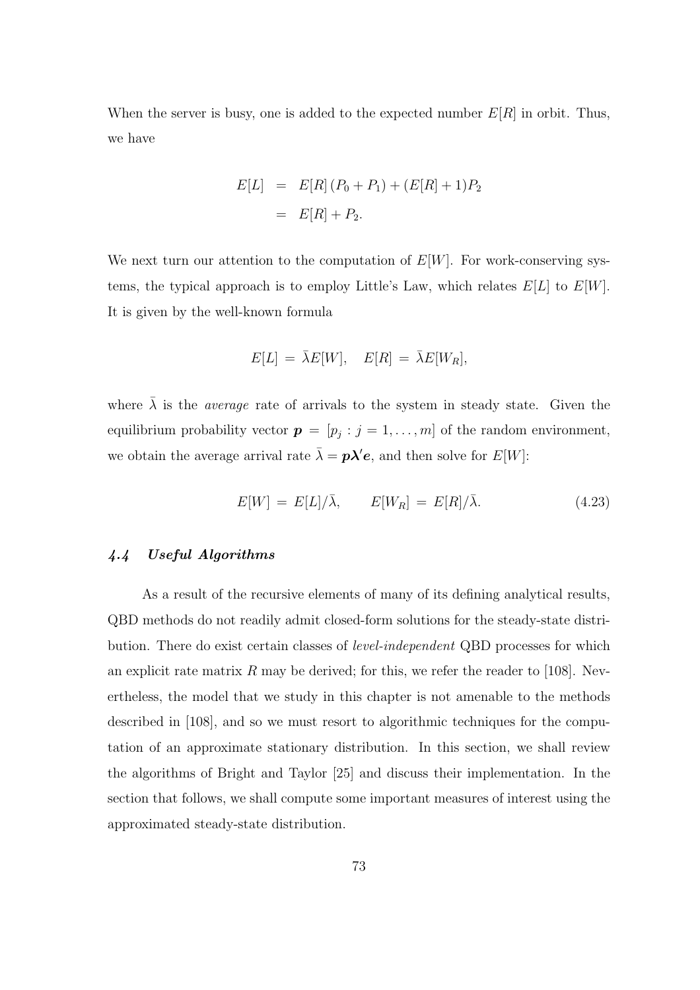When the server is busy, one is added to the expected number  $E[R]$  in orbit. Thus, we have

$$
E[L] = E[R](P_0 + P_1) + (E[R] + 1)P_2
$$
  
= 
$$
E[R] + P_2.
$$

We next turn our attention to the computation of  $E[W]$ . For work-conserving systems, the typical approach is to employ Little's Law, which relates  $E[L]$  to  $E[W]$ . It is given by the well-known formula

$$
E[L] = \bar{\lambda}E[W], \quad E[R] = \bar{\lambda}E[W_R],
$$

where  $\bar{\lambda}$  is the *average* rate of arrivals to the system in steady state. Given the equilibrium probability vector  $p = [p_j : j = 1, ..., m]$  of the random environment, we obtain the average arrival rate  $\bar{\lambda} = p\lambda' e$ , and then solve for  $E[W]$ :

$$
E[W] = E[L]/\bar{\lambda}, \qquad E[W_R] = E[R]/\bar{\lambda}.
$$
 (4.23)

#### 4.4 Useful Algorithms

As a result of the recursive elements of many of its defining analytical results, QBD methods do not readily admit closed-form solutions for the steady-state distribution. There do exist certain classes of level-independent QBD processes for which an explicit rate matrix R may be derived; for this, we refer the reader to [108]. Nevertheless, the model that we study in this chapter is not amenable to the methods described in [108], and so we must resort to algorithmic techniques for the computation of an approximate stationary distribution. In this section, we shall review the algorithms of Bright and Taylor [25] and discuss their implementation. In the section that follows, we shall compute some important measures of interest using the approximated steady-state distribution.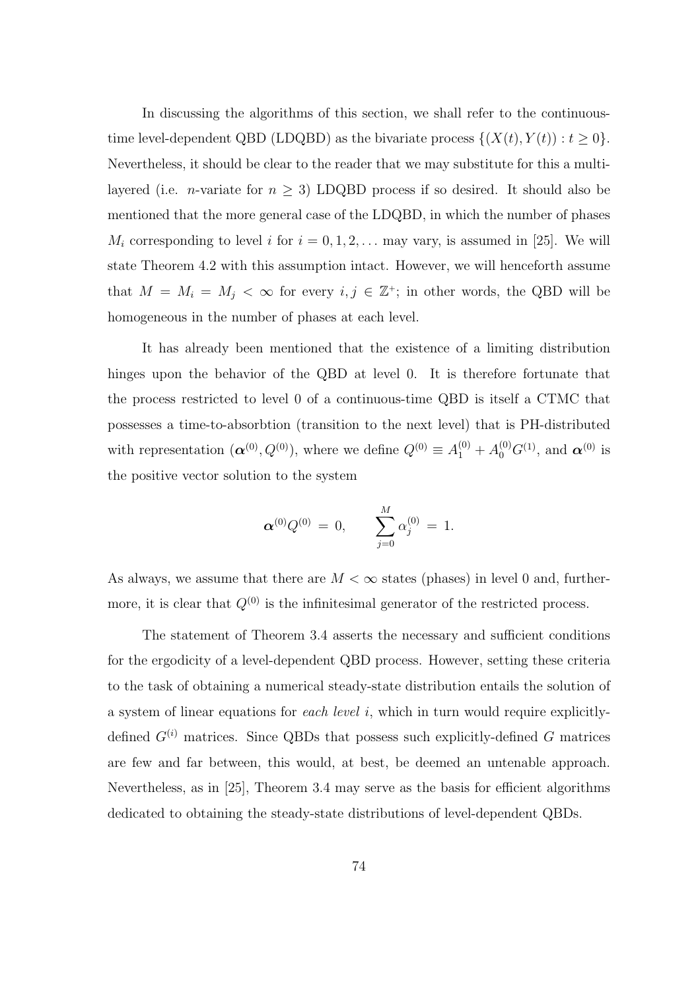In discussing the algorithms of this section, we shall refer to the continuoustime level-dependent QBD (LDQBD) as the bivariate process  $\{(X(t), Y(t)) : t \geq 0\}.$ Nevertheless, it should be clear to the reader that we may substitute for this a multilayered (i.e. *n*-variate for  $n \geq 3$ ) LDQBD process if so desired. It should also be mentioned that the more general case of the LDQBD, in which the number of phases  $M_i$  corresponding to level i for  $i = 0, 1, 2, \ldots$  may vary, is assumed in [25]. We will state Theorem 4.2 with this assumption intact. However, we will henceforth assume that  $M = M_i = M_j < \infty$  for every  $i, j \in \mathbb{Z}^+$ ; in other words, the QBD will be homogeneous in the number of phases at each level.

It has already been mentioned that the existence of a limiting distribution hinges upon the behavior of the QBD at level 0. It is therefore fortunate that the process restricted to level 0 of a continuous-time QBD is itself a CTMC that possesses a time-to-absorbtion (transition to the next level) that is PH-distributed with representation  $(\boldsymbol{\alpha}^{(0)}, Q^{(0)})$ , where we define  $Q^{(0)} \equiv A_1^{(0)} + A_0^{(0)} G^{(1)}$ , and  $\boldsymbol{\alpha}^{(0)}$  is the positive vector solution to the system

$$
\boldsymbol{\alpha}^{(0)}Q^{(0)}\,=\,0,\qquad \sum_{j=0}^M\alpha_j^{(0)}\,=\,1.
$$

As always, we assume that there are  $M < \infty$  states (phases) in level 0 and, furthermore, it is clear that  $Q^{(0)}$  is the infinitesimal generator of the restricted process.

The statement of Theorem 3.4 asserts the necessary and sufficient conditions for the ergodicity of a level-dependent QBD process. However, setting these criteria to the task of obtaining a numerical steady-state distribution entails the solution of a system of linear equations for each level i, which in turn would require explicitlydefined  $G^{(i)}$  matrices. Since QBDs that possess such explicitly-defined G matrices are few and far between, this would, at best, be deemed an untenable approach. Nevertheless, as in [25], Theorem 3.4 may serve as the basis for efficient algorithms dedicated to obtaining the steady-state distributions of level-dependent QBDs.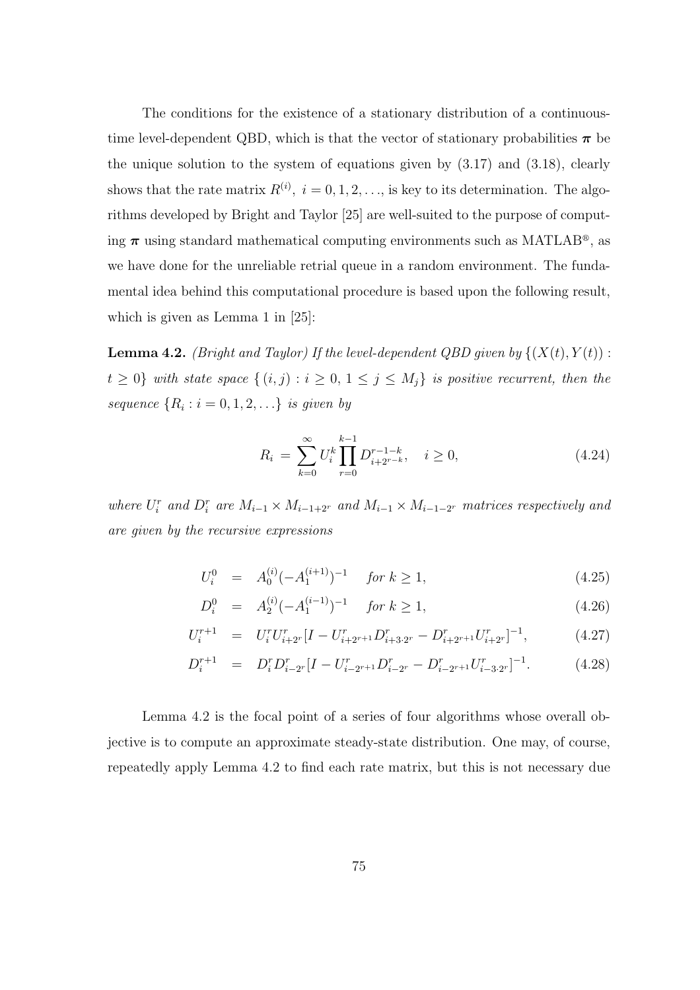The conditions for the existence of a stationary distribution of a continuoustime level-dependent QBD, which is that the vector of stationary probabilities  $\pi$  be the unique solution to the system of equations given by (3.17) and (3.18), clearly shows that the rate matrix  $R^{(i)}$ ,  $i = 0, 1, 2, \ldots$ , is key to its determination. The algorithms developed by Bright and Taylor [25] are well-suited to the purpose of computing  $\pi$  using standard mathematical computing environments such as MATLAB<sup>®</sup>, as we have done for the unreliable retrial queue in a random environment. The fundamental idea behind this computational procedure is based upon the following result, which is given as Lemma 1 in [25]:

**Lemma 4.2.** *(Bright and Taylor) If the level-dependent QBD given by*  $\{(X(t), Y(t))$ :  $t \geq 0$ } with state space  $\{(i, j) : i \geq 0, 1 \leq j \leq M_j\}$  is positive recurrent, then the sequence  $\{R_i : i = 0, 1, 2, \ldots\}$  is given by

$$
R_i = \sum_{k=0}^{\infty} U_i^k \prod_{r=0}^{k-1} D_{i+2^{r-k}}^{r-1-k}, \quad i \ge 0,
$$
\n(4.24)

where  $U_i^r$  and  $D_i^r$  are  $M_{i-1} \times M_{i-1+2^r}$  and  $M_{i-1} \times M_{i-1-2^r}$  matrices respectively and are given by the recursive expressions

$$
U_i^0 = A_0^{(i)}(-A_1^{(i+1)})^{-1} \quad \text{for } k \ge 1,
$$
\n(4.25)

$$
D_i^0 = A_2^{(i)}(-A_1^{(i-1)})^{-1} \quad \text{for } k \ge 1,
$$
\n(4.26)

$$
U_i^{r+1} = U_i^r U_{i+2r}^r [I - U_{i+2r+1}^r D_{i+3\cdot 2r}^r - D_{i+2r+1}^r U_{i+2r}^r]^{-1}, \tag{4.27}
$$

$$
D_i^{r+1} = D_i^r D_{i-2^r}^r [I - U_{i-2^{r+1}}^r D_{i-2^r}^r - D_{i-2^{r+1}}^r U_{i-3\cdot 2^r}^r]^{-1}.
$$
 (4.28)

Lemma 4.2 is the focal point of a series of four algorithms whose overall objective is to compute an approximate steady-state distribution. One may, of course, repeatedly apply Lemma 4.2 to find each rate matrix, but this is not necessary due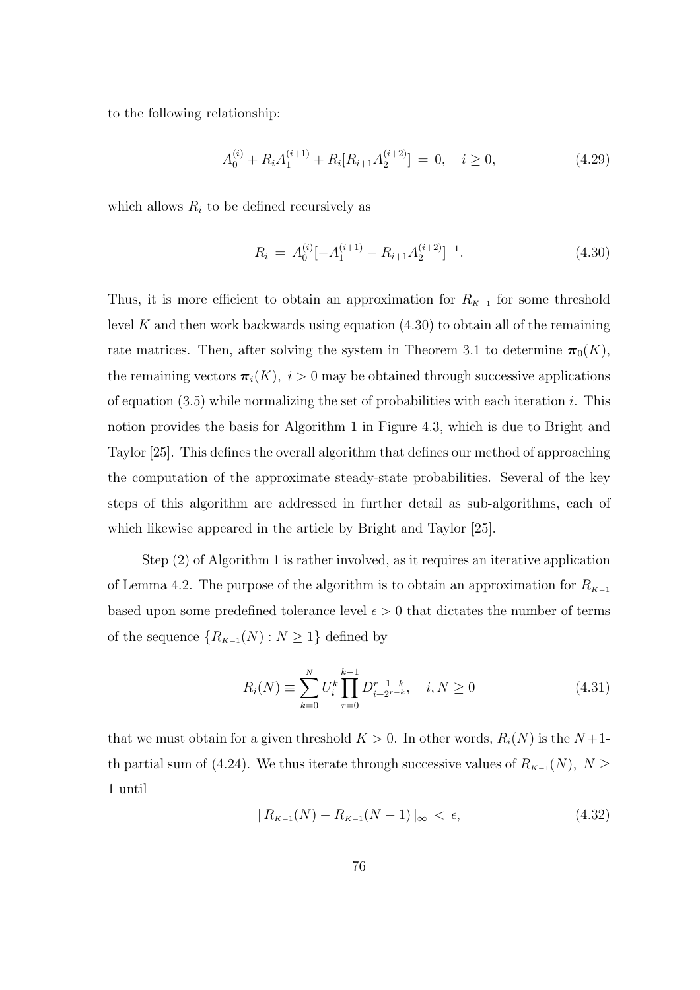to the following relationship:

$$
A_0^{(i)} + R_i A_1^{(i+1)} + R_i [R_{i+1} A_2^{(i+2)}] = 0, \quad i \ge 0,
$$
\n(4.29)

which allows  $R_i$  to be defined recursively as

$$
R_i = A_0^{(i)}[-A_1^{(i+1)} - R_{i+1}A_2^{(i+2)}]^{-1}.
$$
\n(4.30)

Thus, it is more efficient to obtain an approximation for  $R_{K-1}$  for some threshold level K and then work backwards using equation  $(4.30)$  to obtain all of the remaining rate matrices. Then, after solving the system in Theorem 3.1 to determine  $\pi_0(K)$ , the remaining vectors  $\pi_i(K)$ ,  $i > 0$  may be obtained through successive applications of equation  $(3.5)$  while normalizing the set of probabilities with each iteration i. This notion provides the basis for Algorithm 1 in Figure 4.3, which is due to Bright and Taylor [25]. This defines the overall algorithm that defines our method of approaching the computation of the approximate steady-state probabilities. Several of the key steps of this algorithm are addressed in further detail as sub-algorithms, each of which likewise appeared in the article by Bright and Taylor [25].

Step (2) of Algorithm 1 is rather involved, as it requires an iterative application of Lemma 4.2. The purpose of the algorithm is to obtain an approximation for  $R_{K-1}$ based upon some predefined tolerance level  $\epsilon > 0$  that dictates the number of terms of the sequence  $\{R_{K-1}(N): N\geq 1\}$  defined by

$$
R_i(N) \equiv \sum_{k=0}^{N} U_i^k \prod_{r=0}^{k-1} D_{i+2^{r-k}}^{r-1-k}, \quad i, N \ge 0
$$
\n(4.31)

that we must obtain for a given threshold  $K > 0$ . In other words,  $R_i(N)$  is the  $N+1$ th partial sum of (4.24). We thus iterate through successive values of  $R_{K-1}(N)$ ,  $N \geq$ 1 until

$$
|R_{K-1}(N) - R_{K-1}(N-1)|_{\infty} < \epsilon,\tag{4.32}
$$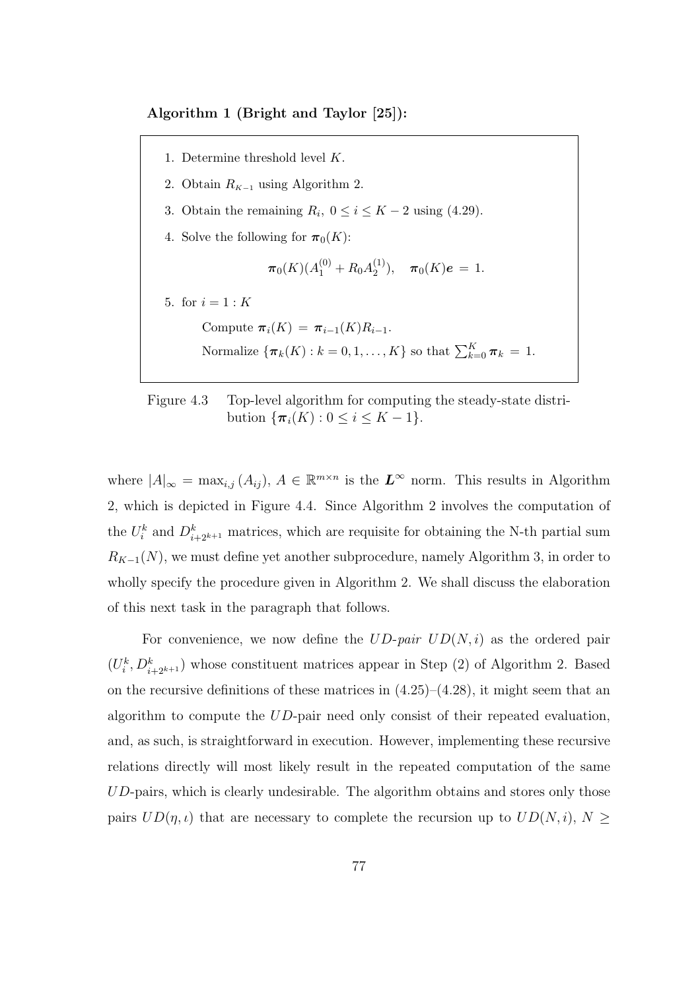Algorithm 1 (Bright and Taylor [25]):

1. Determine threshold level K. 2. Obtain  $R_{K-1}$  using Algorithm 2. 3. Obtain the remaining  $R_i$ ,  $0 \le i \le K - 2$  using (4.29). 4. Solve the following for  $\pi_0(K)$ :  $\pi_0(K) (A_1^{(0)} + R_0 A_2^{(1)}$  $\pi_0(K)e = 1.$ 5. for  $i = 1 : K$ Compute  $\pi_i(K) = \pi_{i-1}(K)R_{i-1}.$ Normalize  $\{\boldsymbol{\pi}_k(K): k=0,1,\ldots,K\}$  so that  $\sum_{k=0}^K \boldsymbol{\pi}_k = 1$ .

# Figure 4.3 Top-level algorithm for computing the steady-state distribution  $\{\pi_i(K): 0 \le i \le K - 1\}.$

where  $|A|_{\infty} = \max_{i,j} (A_{ij}), A \in \mathbb{R}^{m \times n}$  is the  $L^{\infty}$  norm. This results in Algorithm 2, which is depicted in Figure 4.4. Since Algorithm 2 involves the computation of the  $U_i^k$  and  $D_{i+2^{k+1}}^k$  matrices, which are requisite for obtaining the N-th partial sum  $R_{K-1}(N)$ , we must define yet another subprocedure, namely Algorithm 3, in order to wholly specify the procedure given in Algorithm 2. We shall discuss the elaboration of this next task in the paragraph that follows.

For convenience, we now define the  $UD$ -pair  $UD(N, i)$  as the ordered pair  $(U_i^k, D_{i+2^{k+1}}^k)$  whose constituent matrices appear in Step (2) of Algorithm 2. Based on the recursive definitions of these matrices in  $(4.25)-(4.28)$ , it might seem that an algorithm to compute the  $UD$ -pair need only consist of their repeated evaluation, and, as such, is straightforward in execution. However, implementing these recursive relations directly will most likely result in the repeated computation of the same UD-pairs, which is clearly undesirable. The algorithm obtains and stores only those pairs  $UD(\eta, \iota)$  that are necessary to complete the recursion up to  $UD(N, i), N \geq$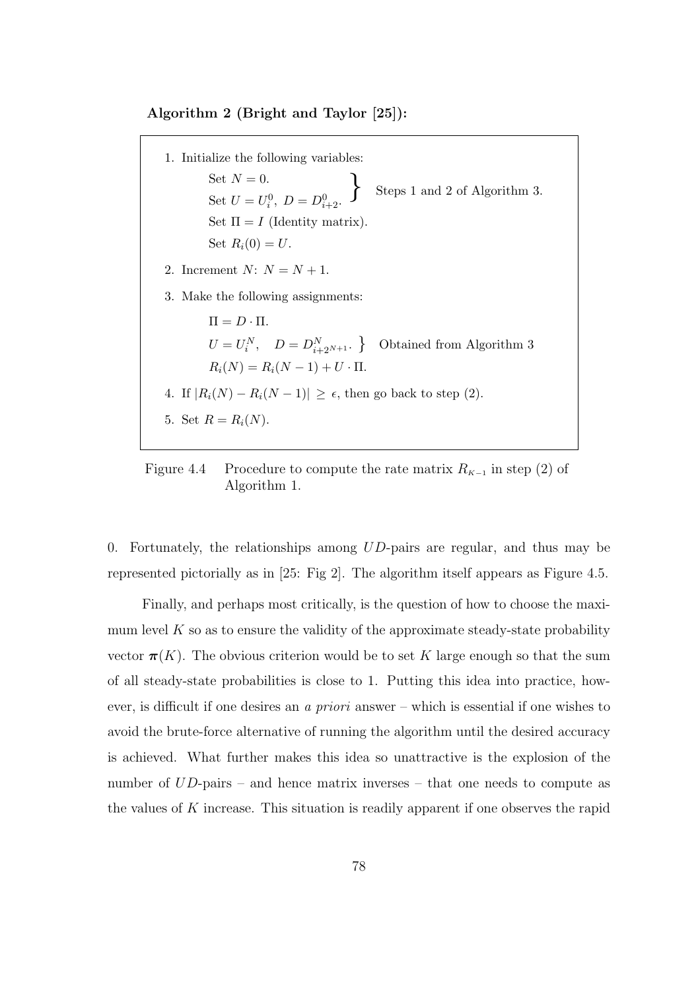#### Algorithm 2 (Bright and Taylor [25]):

1. Initialize the following variables: Set  $N = 0$ . Set  $U = U_i^0$ ,  $D = D_{i+2}^0$ . Steps 1 and 2 of Algorithm 3. Set  $\Pi = I$  (Identity matrix). Set  $R_i(0) = U$ . 2. Increment  $N: N = N + 1$ . 3. Make the following assignments:  $\Pi = D \cdot \Pi$ .  $U = U_i^N$ ,  $D = D_{i+2^{N+1}}^N$  Obtained from Algorithm 3  $R_i(N) = R_i(N-1) + U \cdot \Pi$ . 4. If  $|R_i(N) - R_i(N-1)| \ge \epsilon$ , then go back to step (2). 5. Set  $R = R_i(N)$ .

Figure 4.4 Procedure to compute the rate matrix  $R_{K-1}$  in step (2) of Algorithm 1.

0. Fortunately, the relationships among  $UD$ -pairs are regular, and thus may be represented pictorially as in [25: Fig 2]. The algorithm itself appears as Figure 4.5.

Finally, and perhaps most critically, is the question of how to choose the maximum level  $K$  so as to ensure the validity of the approximate steady-state probability vector  $\pi(K)$ . The obvious criterion would be to set K large enough so that the sum of all steady-state probabilities is close to 1. Putting this idea into practice, however, is difficult if one desires an a priori answer – which is essential if one wishes to avoid the brute-force alternative of running the algorithm until the desired accuracy is achieved. What further makes this idea so unattractive is the explosion of the number of  $UD$ -pairs – and hence matrix inverses – that one needs to compute as the values of K increase. This situation is readily apparent if one observes the rapid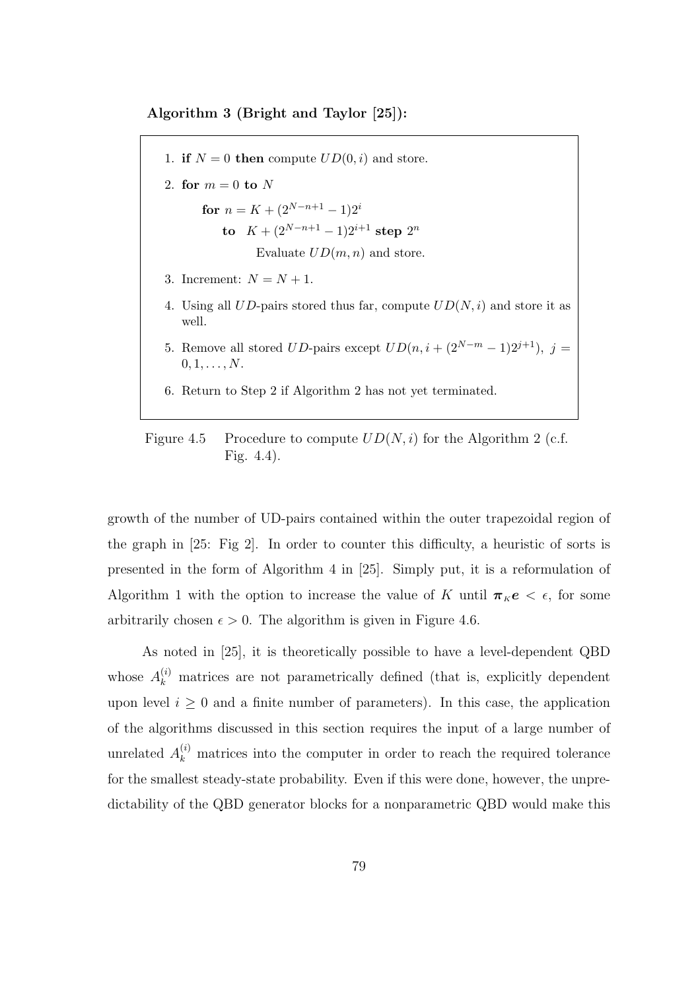Algorithm 3 (Bright and Taylor [25]):

1. if  $N = 0$  then compute  $UD(0, i)$  and store. 2. for  $m = 0$  to N for  $n = K + (2^{N-n+1} - 1)2^i$ to  $K + (2^{N-n+1} - 1)2^{i+1}$  step  $2^n$ Evaluate  $UD(m, n)$  and store. 3. Increment:  $N = N + 1$ . 4. Using all UD-pairs stored thus far, compute  $UD(N, i)$  and store it as well. 5. Remove all stored  $UD$ -pairs except  $UD(n, i + (2^{N-m}-1)2^{j+1}), j =$  $0, 1, \ldots, N$ . 6. Return to Step 2 if Algorithm 2 has not yet terminated.

Figure 4.5 Procedure to compute  $UD(N, i)$  for the Algorithm 2 (c.f. Fig. 4.4).

growth of the number of UD-pairs contained within the outer trapezoidal region of the graph in [25: Fig 2]. In order to counter this difficulty, a heuristic of sorts is presented in the form of Algorithm 4 in [25]. Simply put, it is a reformulation of Algorithm 1 with the option to increase the value of K until  $\pi_k e < \epsilon$ , for some arbitrarily chosen  $\epsilon > 0$ . The algorithm is given in Figure 4.6.

As noted in [25], it is theoretically possible to have a level-dependent QBD whose  $A_k^{(i)}$  matrices are not parametrically defined (that is, explicitly dependent upon level  $i \geq 0$  and a finite number of parameters). In this case, the application of the algorithms discussed in this section requires the input of a large number of unrelated  $A_k^{(i)}$  matrices into the computer in order to reach the required tolerance for the smallest steady-state probability. Even if this were done, however, the unpredictability of the QBD generator blocks for a nonparametric QBD would make this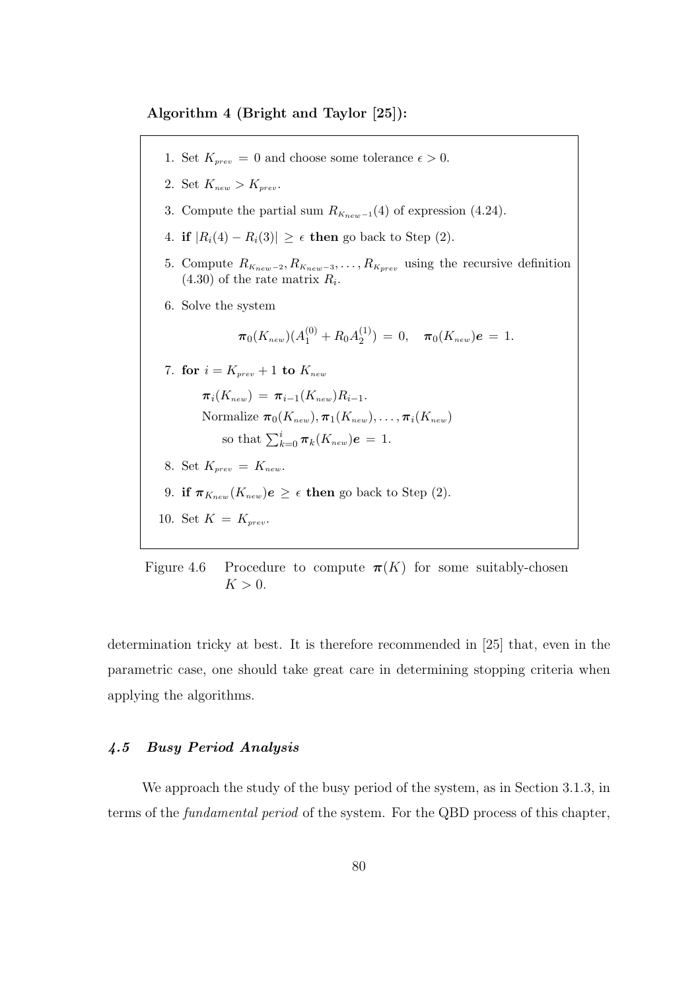Algorithm 4 (Bright and Taylor [25]):

1. Set  $K_{prev} = 0$  and choose some tolerance  $\epsilon > 0$ . 2. Set  $K_{new} > K_{prev}$ . 3. Compute the partial sum  $R_{K_{new}-1}(4)$  of expression (4.24). 4. if  $|R_i(4) - R_i(3)| \geq \epsilon$  then go back to Step (2). 5. Compute  $R_{K_{new}-2}, R_{K_{new}-3}, \ldots, R_{K_{prev}}$  using the recursive definition  $(4.30)$  of the rate matrix  $R_i$ . 6. Solve the system  $\bm{\pi}_{0}(K_{new})(A_1^{(0)}+R_0A_2^{(1)})$  $\sigma_2^{(1)}$ ) = 0,  $\pi_0(K_{new})e = 1$ . 7. for  $i = K_{prev} + 1$  to  $K_{new}$  $\pi_i(K_{new}) = \pi_{i-1}(K_{new})R_{i-1}.$ Normalize  $\pi_0(K_{new}), \pi_1(K_{new}), \ldots, \pi_i(K_{new})$ so that  $\sum_{k=0}^{i} \pi_k(K_{new})e = 1$ . 8. Set  $K_{prev} = K_{new}$ . 9. if  $\pi_{K_{new}}(K_{new})e \geq \epsilon$  then go back to Step (2). 10. Set  $K = K_{prev}$ .

Figure 4.6 Procedure to compute  $\pi(K)$  for some suitably-chosen  $K > 0$ .

determination tricky at best. It is therefore recommended in [25] that, even in the parametric case, one should take great care in determining stopping criteria when applying the algorithms.

#### 4.5 Busy Period Analysis

We approach the study of the busy period of the system, as in Section 3.1.3, in terms of the fundamental period of the system. For the QBD process of this chapter,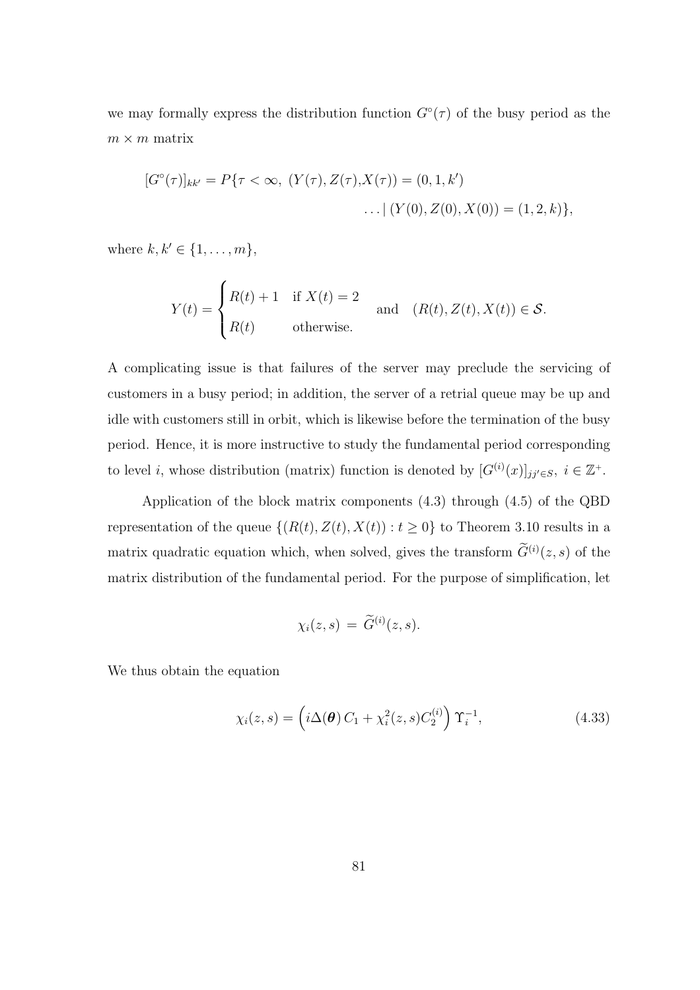we may formally express the distribution function  $G^{\circ}(\tau)$  of the busy period as the  $m \times m$  matrix

$$
[G^{\circ}(\tau)]_{kk'} = P\{\tau < \infty, (Y(\tau), Z(\tau), X(\tau)) = (0, 1, k') \dots | (Y(0), Z(0), X(0)) = (1, 2, k)\},\
$$

where  $k, k' \in \{1, ..., m\}$ ,

$$
Y(t) = \begin{cases} R(t) + 1 & \text{if } X(t) = 2 \\ R(t) & \text{otherwise.} \end{cases} \text{ and } (R(t), Z(t), X(t)) \in \mathcal{S}.
$$

A complicating issue is that failures of the server may preclude the servicing of customers in a busy period; in addition, the server of a retrial queue may be up and idle with customers still in orbit, which is likewise before the termination of the busy period. Hence, it is more instructive to study the fundamental period corresponding to level *i*, whose distribution (matrix) function is denoted by  $[G^{(i)}(x)]_{jj'\in S}$ ,  $i \in \mathbb{Z}^+$ .

Application of the block matrix components (4.3) through (4.5) of the QBD representation of the queue  $\{(R(t),Z(t),X(t)): t \geq 0\}$  to Theorem 3.10 results in a matrix quadratic equation which, when solved, gives the transform  $\widetilde{G}^{(i)}(z,s)$  of the matrix distribution of the fundamental period. For the purpose of simplification, let

$$
\chi_i(z,s)\,=\,\widetilde{G}^{(i)}(z,s).
$$

We thus obtain the equation

$$
\chi_i(z,s) = \left(i\Delta(\boldsymbol{\theta}) C_1 + \chi_i^2(z,s) C_2^{(i)}\right) \Upsilon_i^{-1},
$$
\n(4.33)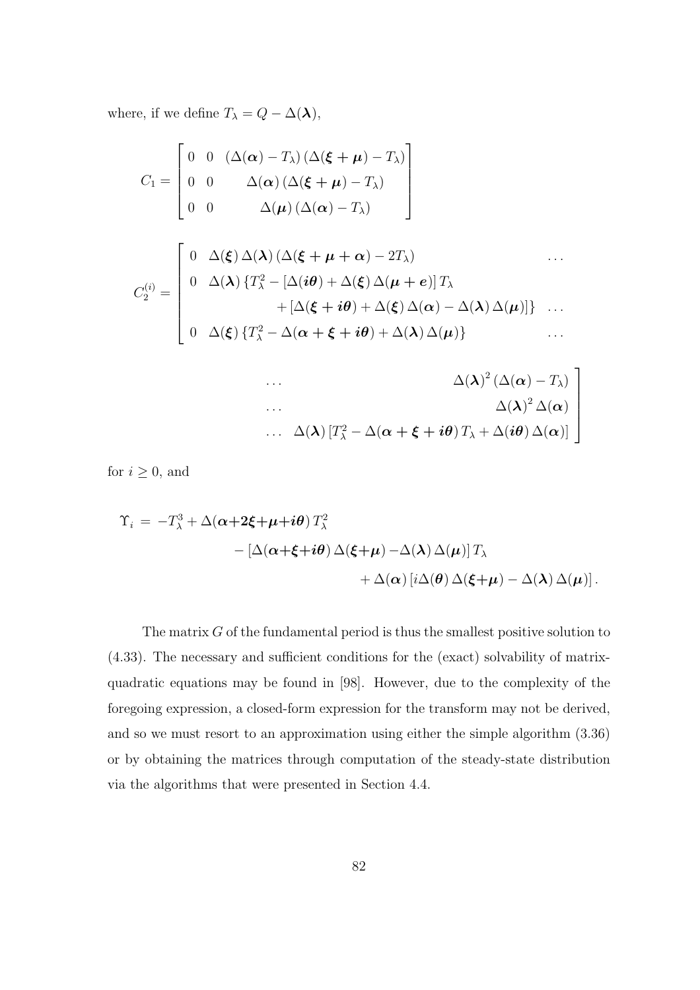where, if we define  $T_{\lambda} = Q - \Delta(\lambda)$ ,

$$
C_{1} = \begin{bmatrix} 0 & 0 & (\Delta(\boldsymbol{\alpha}) - T_{\lambda}) (\Delta(\boldsymbol{\xi} + \boldsymbol{\mu}) - T_{\lambda}) \\ 0 & 0 & \Delta(\boldsymbol{\alpha}) (\Delta(\boldsymbol{\xi} + \boldsymbol{\mu}) - T_{\lambda}) \\ 0 & 0 & \Delta(\boldsymbol{\mu}) (\Delta(\boldsymbol{\alpha}) - T_{\lambda}) \end{bmatrix}
$$
  

$$
C_{2}^{(i)} = \begin{bmatrix} 0 & \Delta(\boldsymbol{\xi}) \Delta(\boldsymbol{\lambda}) (\Delta(\boldsymbol{\xi} + \boldsymbol{\mu} + \boldsymbol{\alpha}) - 2T_{\lambda}) & \cdots \\ 0 & \Delta(\boldsymbol{\lambda}) \{T_{\lambda}^{2} - [\Delta(i\boldsymbol{\theta}) + \Delta(\boldsymbol{\xi}) \Delta(\boldsymbol{\mu} + \boldsymbol{e})] T_{\lambda} \\ & \qquad + [\Delta(\boldsymbol{\xi} + i\boldsymbol{\theta}) + \Delta(\boldsymbol{\xi}) \Delta(\boldsymbol{\alpha}) - \Delta(\boldsymbol{\lambda}) \Delta(\boldsymbol{\mu})] \} & \cdots \\ 0 & \Delta(\boldsymbol{\xi}) \{T_{\lambda}^{2} - \Delta(\boldsymbol{\alpha} + \boldsymbol{\xi} + i\boldsymbol{\theta}) + \Delta(\boldsymbol{\lambda}) \Delta(\boldsymbol{\mu}) \} & \cdots \end{bmatrix}
$$

$$
\begin{bmatrix}\n\cdots & \Delta(\lambda)^2 (\Delta(\alpha) - T_{\lambda}) \\
\vdots & \ddots & \vdots \\
\Delta(\lambda)^2 \Delta(\alpha) & \Delta(\lambda)^2 \Delta(\alpha)\n\end{bmatrix}
$$
\n
$$
\cdots \Delta(\lambda) [T_{\lambda}^2 - \Delta(\alpha + \xi + i\theta) T_{\lambda} + \Delta(i\theta) \Delta(\alpha)]
$$

for  $i \geq 0$ , and

$$
\begin{aligned} \Upsilon_i &= -T_\lambda^3 + \Delta(\alpha + 2\xi + \mu + i\theta) \, T_\lambda^2 \\ &- \left[ \Delta(\alpha + \xi + i\theta) \, \Delta(\xi + \mu) - \Delta(\lambda) \, \Delta(\mu) \right] T_\lambda \\ &+ \Delta(\alpha) \left[ i\Delta(\theta) \, \Delta(\xi + \mu) - \Delta(\lambda) \, \Delta(\mu) \right]. \end{aligned}
$$

The matrix  $G$  of the fundamental period is thus the smallest positive solution to (4.33). The necessary and sufficient conditions for the (exact) solvability of matrixquadratic equations may be found in [98]. However, due to the complexity of the foregoing expression, a closed-form expression for the transform may not be derived, and so we must resort to an approximation using either the simple algorithm (3.36) or by obtaining the matrices through computation of the steady-state distribution via the algorithms that were presented in Section 4.4.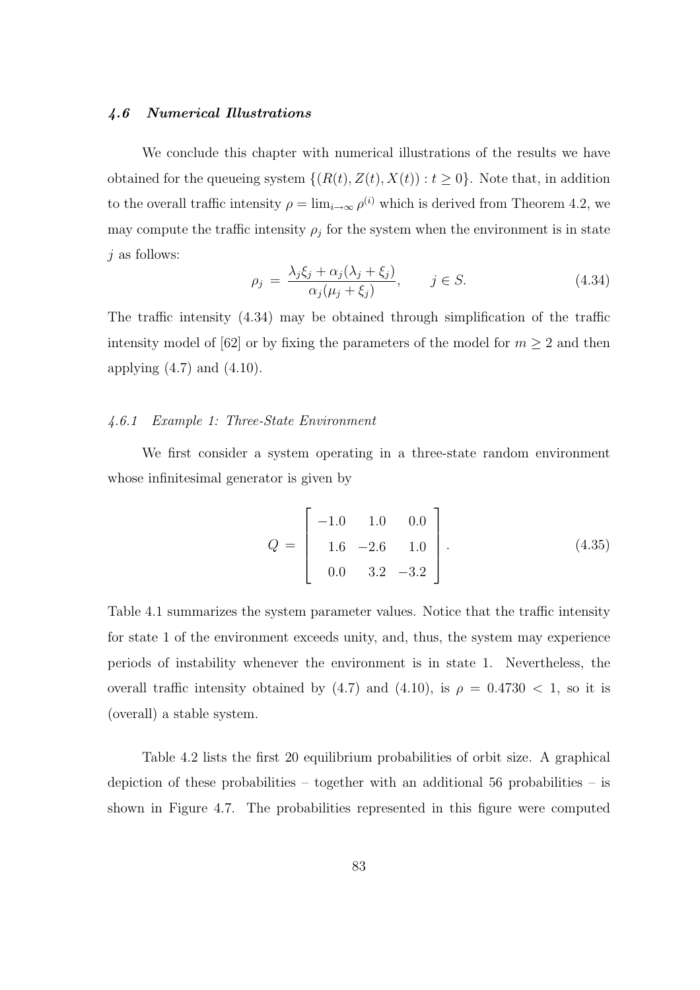#### 4.6 Numerical Illustrations

We conclude this chapter with numerical illustrations of the results we have obtained for the queueing system  $\{(R(t), Z(t), X(t)) : t \geq 0\}$ . Note that, in addition to the overall traffic intensity  $\rho = \lim_{i \to \infty} \rho^{(i)}$  which is derived from Theorem 4.2, we may compute the traffic intensity  $\rho_j$  for the system when the environment is in state  $j$  as follows:

$$
\rho_j = \frac{\lambda_j \xi_j + \alpha_j (\lambda_j + \xi_j)}{\alpha_j (\mu_j + \xi_j)}, \qquad j \in S. \tag{4.34}
$$

The traffic intensity (4.34) may be obtained through simplification of the traffic intensity model of [62] or by fixing the parameters of the model for  $m \geq 2$  and then applying  $(4.7)$  and  $(4.10)$ .

#### 4.6.1 Example 1: Three-State Environment

We first consider a system operating in a three-state random environment whose infinitesimal generator is given by

$$
Q = \begin{bmatrix} -1.0 & 1.0 & 0.0 \\ 1.6 & -2.6 & 1.0 \\ 0.0 & 3.2 & -3.2 \end{bmatrix}.
$$
 (4.35)

Table 4.1 summarizes the system parameter values. Notice that the traffic intensity for state 1 of the environment exceeds unity, and, thus, the system may experience periods of instability whenever the environment is in state 1. Nevertheless, the overall traffic intensity obtained by (4.7) and (4.10), is  $\rho = 0.4730 < 1$ , so it is (overall) a stable system.

Table 4.2 lists the first 20 equilibrium probabilities of orbit size. A graphical depiction of these probabilities – together with an additional 56 probabilities – is shown in Figure 4.7. The probabilities represented in this figure were computed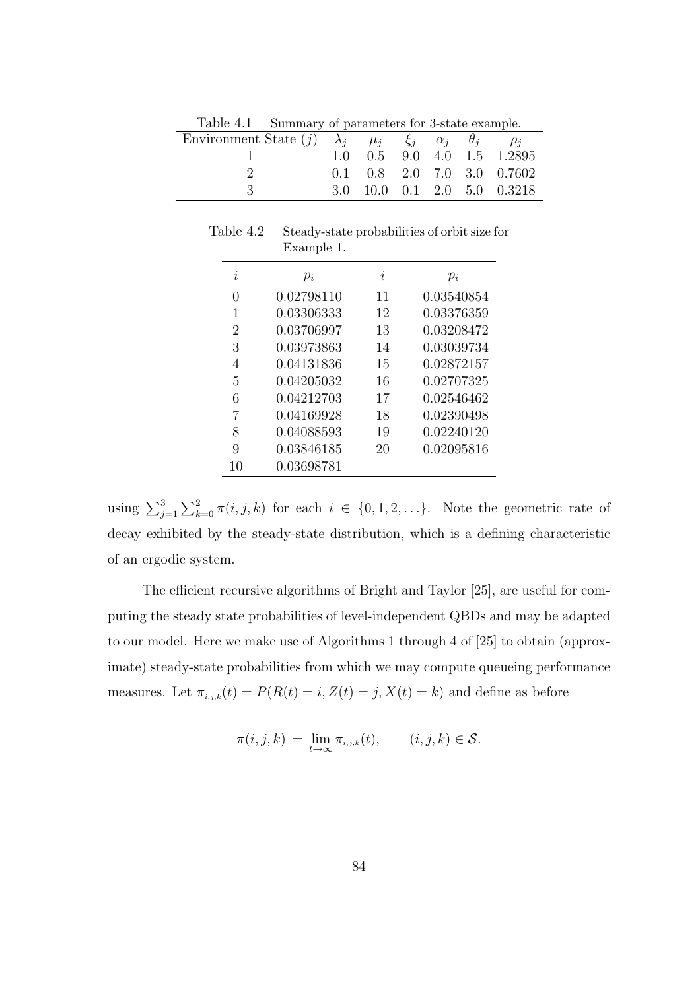| Table 7.1 Dummary or parameters for obstact example.                                       |  |  |                                        |
|--------------------------------------------------------------------------------------------|--|--|----------------------------------------|
| Environment State (j) $\lambda_i$ , $\mu_i$ , $\xi_i$ , $\alpha_i$ , $\theta_i$ , $\rho_i$ |  |  |                                        |
|                                                                                            |  |  | $1.0$ $0.5$ $9.0$ $4.0$ $1.5$ $1.2895$ |
|                                                                                            |  |  | $0.1$ $0.8$ $2.0$ $7.0$ $3.0$ $0.7602$ |
|                                                                                            |  |  | 3.0 10.0 0.1 2.0 5.0 0.3218            |

Table 4.1 Summary of parameters for 3-state example.

Table 4.2 Steady-state probabilities of orbit size for Example 1.

| $\boldsymbol{\eta}$ | $p_i$      | $\boldsymbol{\eta}$ | $p_i$      |
|---------------------|------------|---------------------|------------|
| $\left( \right)$    | 0.02798110 | 11                  | 0.03540854 |
| 1                   | 0.03306333 | 12                  | 0.03376359 |
| 2                   | 0.03706997 | 13                  | 0.03208472 |
| 3                   | 0.03973863 | 14                  | 0.03039734 |
| 4                   | 0.04131836 | 15                  | 0.02872157 |
| 5                   | 0.04205032 | 16                  | 0.02707325 |
| 6                   | 0.04212703 | 17                  | 0.02546462 |
|                     | 0.04169928 | 18                  | 0.02390498 |
| 8                   | 0.04088593 | 19                  | 0.02240120 |
| 9                   | 0.03846185 | 20                  | 0.02095816 |
| 10                  | 0.03698781 |                     |            |

using  $\sum_{j=1}^3$  $\sum_{ }^{\infty}$  $k=0$   $\pi(i, j, k)$  for each  $i \in \{0, 1, 2, \ldots\}$ . Note the geometric rate of decay exhibited by the steady-state distribution, which is a defining characteristic of an ergodic system.

The efficient recursive algorithms of Bright and Taylor [25], are useful for computing the steady state probabilities of level-independent QBDs and may be adapted to our model. Here we make use of Algorithms 1 through 4 of [25] to obtain (approximate) steady-state probabilities from which we may compute queueing performance measures. Let  $\pi_{i,j,k}(t) = P(R(t) = i, Z(t) = j, X(t) = k)$  and define as before

$$
\pi(i,j,k) = \lim_{t \to \infty} \pi_{i,j,k}(t), \qquad (i,j,k) \in \mathcal{S}.
$$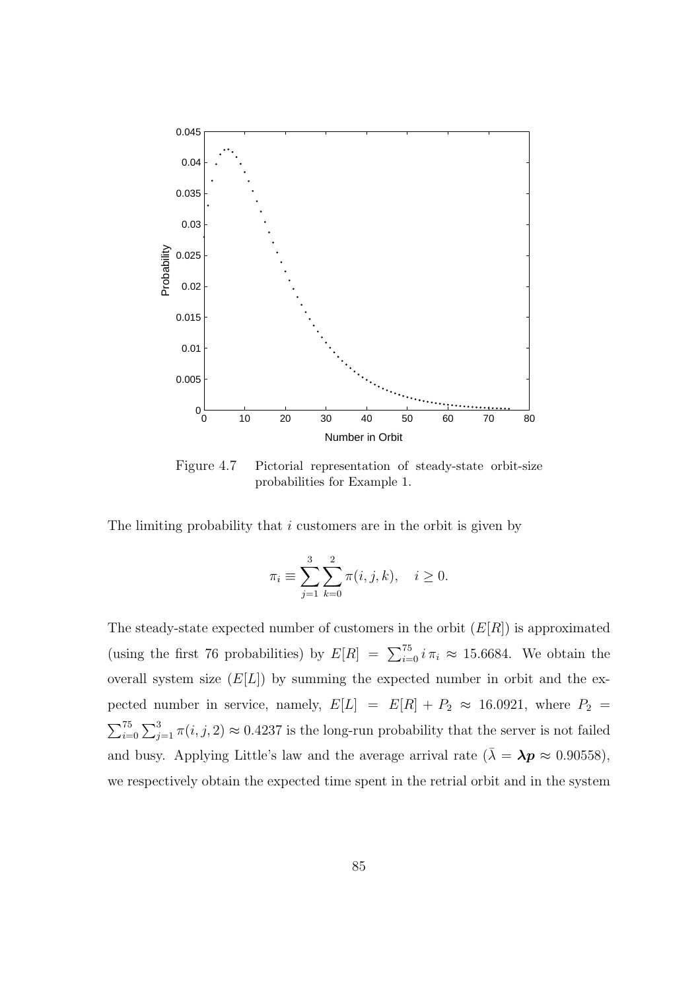

Figure 4.7 Pictorial representation of steady-state orbit-size probabilities for Example 1.

The limiting probability that  $i$  customers are in the orbit is given by

$$
\pi_i \equiv \sum_{j=1}^3 \sum_{k=0}^2 \pi(i, j, k), \quad i \ge 0.
$$

The steady-state expected number of customers in the orbit  $(E[R])$  is approximated (using the first 76 probabilities) by  $E[R] = \sum_{i=0}^{75} i \pi_i \approx 15.6684$ . We obtain the overall system size  $(E[L])$  by summing the expected number in orbit and the expected number in service, namely,  $E[L] = E[R] + P_2 \approx 16.0921$ , where  $P_2 =$  $\sqrt{35}$  $i=0$  $\overline{\phantom{0}}$  $j=1 \pi(i, j, 2) \approx 0.4237$  is the long-run probability that the server is not failed and busy. Applying Little's law and the average arrival rate  $(\bar{\lambda} = \lambda p \approx 0.90558)$ , we respectively obtain the expected time spent in the retrial orbit and in the system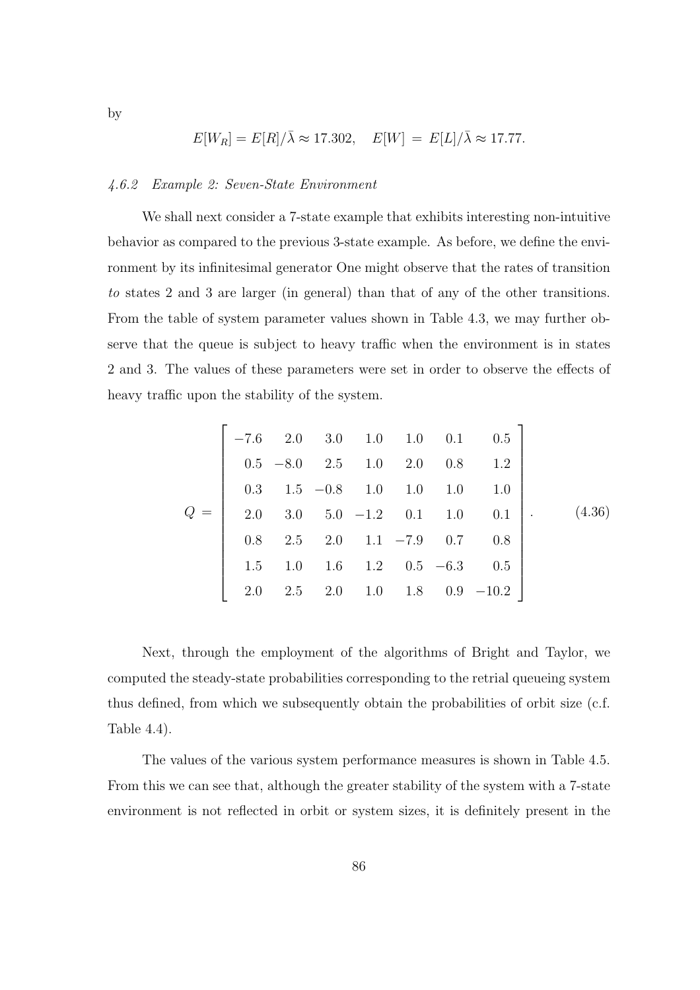$$
E[W_R] = E[R]/\bar{\lambda} \approx 17.302, \quad E[W] = E[L]/\bar{\lambda} \approx 17.77.
$$

#### 4.6.2 Example 2: Seven-State Environment

We shall next consider a 7-state example that exhibits interesting non-intuitive behavior as compared to the previous 3-state example. As before, we define the environment by its infinitesimal generator One might observe that the rates of transition to states 2 and 3 are larger (in general) than that of any of the other transitions. From the table of system parameter values shown in Table 4.3, we may further observe that the queue is subject to heavy traffic when the environment is in states 2 and 3. The values of these parameters were set in order to observe the effects of heavy traffic upon the stability of the system.

$$
Q = \begin{bmatrix} -7.6 & 2.0 & 3.0 & 1.0 & 1.0 & 0.1 & 0.5 \\ 0.5 & -8.0 & 2.5 & 1.0 & 2.0 & 0.8 & 1.2 \\ 0.3 & 1.5 & -0.8 & 1.0 & 1.0 & 1.0 & 1.0 \\ 2.0 & 3.0 & 5.0 & -1.2 & 0.1 & 1.0 & 0.1 \\ 0.8 & 2.5 & 2.0 & 1.1 & -7.9 & 0.7 & 0.8 \\ 1.5 & 1.0 & 1.6 & 1.2 & 0.5 & -6.3 & 0.5 \\ 2.0 & 2.5 & 2.0 & 1.0 & 1.8 & 0.9 & -10.2 \end{bmatrix}.
$$
 (4.36)

Next, through the employment of the algorithms of Bright and Taylor, we computed the steady-state probabilities corresponding to the retrial queueing system thus defined, from which we subsequently obtain the probabilities of orbit size (c.f. Table 4.4).

The values of the various system performance measures is shown in Table 4.5. From this we can see that, although the greater stability of the system with a 7-state environment is not reflected in orbit or system sizes, it is definitely present in the

86

by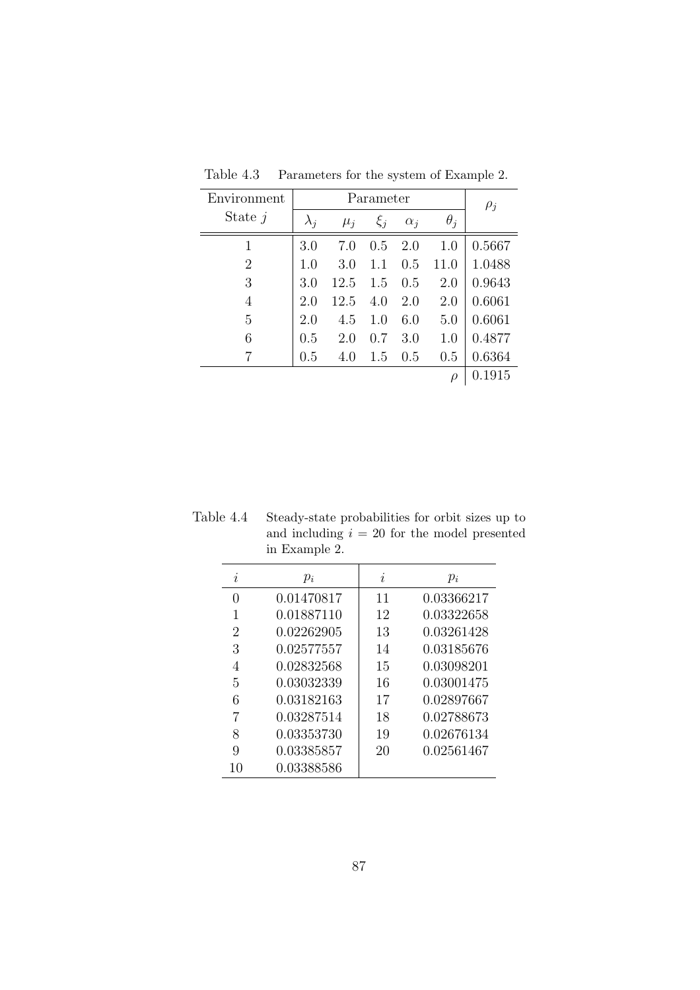| Environment    |             | $\rho_j$ |         |            |            |        |
|----------------|-------------|----------|---------|------------|------------|--------|
| State $j$      | $\lambda_i$ | $\mu_i$  | $\xi_i$ | $\alpha_i$ | $\theta_i$ |        |
|                | 3.0         | 7.0      | 0.5     | 2.0        | 1.0        | 0.5667 |
| $\overline{2}$ | 1.0         | 3.0      | 1.1     | 0.5        | 11.0       | 1.0488 |
| 3              | 3.0         | 12.5     | 1.5     | 0.5        | 2.0        | 0.9643 |
| 4              | 2.0         | 12.5     | 4.0     | 2.0        | 2.0        | 0.6061 |
| 5              | 2.0         | 4.5      | 1.0     | 6.0        | 5.0        | 0.6061 |
| 6              | 0.5         | 2.0      | (0.7)   | 3.0        | 1.0        | 0.4877 |
|                | 0.5         | 4.0      | 1.5     | 0.5        | 0.5        | 0.6364 |
|                |             |          |         |            | $\rho$     | 0.1915 |

Table 4.3 Parameters for the system of Example 2.

Table 4.4 Steady-state probabilities for orbit sizes up to and including  $i = 20$  for the model presented in Example 2.

| $\boldsymbol{\eta}$ | $p_i$      | $\imath$ | $p_i$      |
|---------------------|------------|----------|------------|
| $\left( \right)$    | 0.01470817 | 11       | 0.03366217 |
|                     | 0.01887110 | 12       | 0.03322658 |
| 2                   | 0.02262905 | 13       | 0.03261428 |
| 3                   | 0.02577557 | 14       | 0.03185676 |
| 4                   | 0.02832568 | 15       | 0.03098201 |
| 5                   | 0.03032339 | 16       | 0.03001475 |
| 6                   | 0.03182163 | 17       | 0.02897667 |
| 7                   | 0.03287514 | 18       | 0.02788673 |
| 8                   | 0.03353730 | 19       | 0.02676134 |
| 9                   | 0.03385857 | 20       | 0.02561467 |
| 10                  | 0.03388586 |          |            |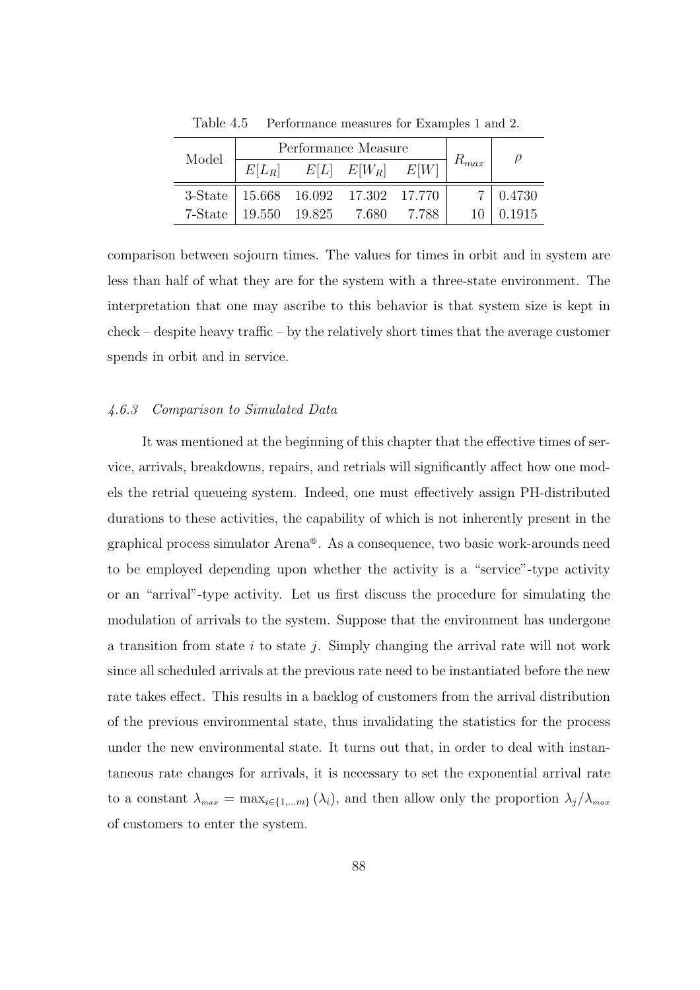|         |                         | Performance Measure |                                       |       |           |                 |  |
|---------|-------------------------|---------------------|---------------------------------------|-------|-----------|-----------------|--|
| Model   | $E[L_R]$                |                     | $E[L]$ $E[W_R]$ $E[W]$                |       | $R_{max}$ | $\rho$          |  |
|         |                         |                     | 3-State   15.668 16.092 17.302 17.770 |       |           | $7 \mid 0.4730$ |  |
| 7-State | $19.550$ $19.825$ 7.680 |                     |                                       | 7.788 |           | 0.1915          |  |

Table 4.5 Performance measures for Examples 1 and 2.

comparison between sojourn times. The values for times in orbit and in system are less than half of what they are for the system with a three-state environment. The interpretation that one may ascribe to this behavior is that system size is kept in check – despite heavy traffic – by the relatively short times that the average customer spends in orbit and in service.

#### 4.6.3 Comparison to Simulated Data

It was mentioned at the beginning of this chapter that the effective times of service, arrivals, breakdowns, repairs, and retrials will significantly affect how one models the retrial queueing system. Indeed, one must effectively assign PH-distributed durations to these activities, the capability of which is not inherently present in the graphical process simulator Arena<sup>®</sup>. As a consequence, two basic work-arounds need to be employed depending upon whether the activity is a "service"-type activity or an "arrival"-type activity. Let us first discuss the procedure for simulating the modulation of arrivals to the system. Suppose that the environment has undergone a transition from state i to state j. Simply changing the arrival rate will not work since all scheduled arrivals at the previous rate need to be instantiated before the new rate takes effect. This results in a backlog of customers from the arrival distribution of the previous environmental state, thus invalidating the statistics for the process under the new environmental state. It turns out that, in order to deal with instantaneous rate changes for arrivals, it is necessary to set the exponential arrival rate to a constant  $\lambda_{max} = \max_{i \in \{1,...m\}} (\lambda_i)$ , and then allow only the proportion  $\lambda_j/\lambda_{max}$ of customers to enter the system.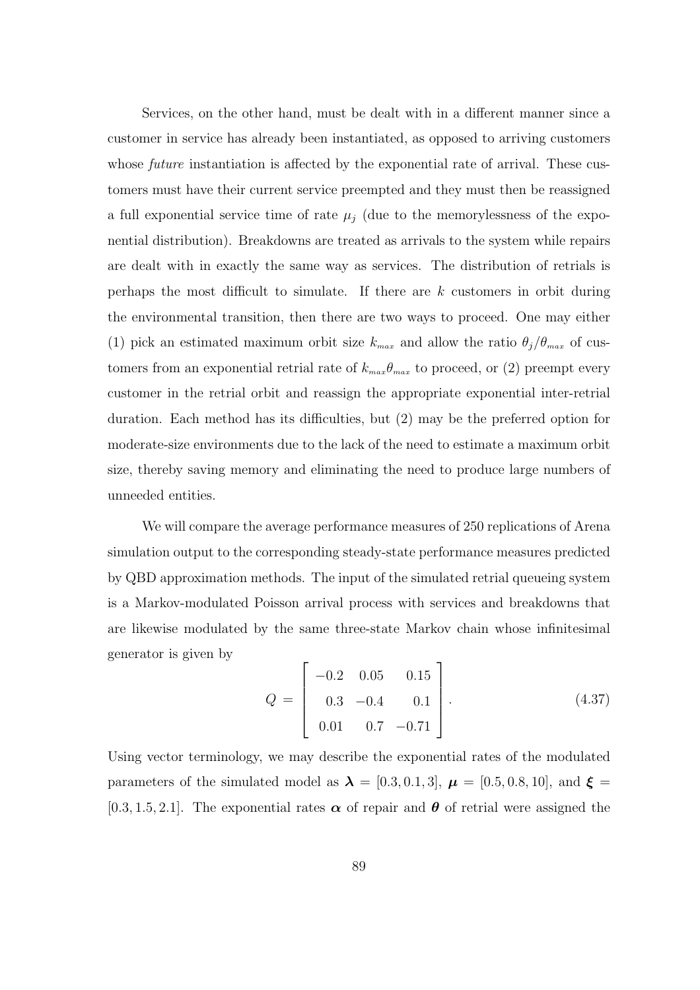Services, on the other hand, must be dealt with in a different manner since a customer in service has already been instantiated, as opposed to arriving customers whose *future* instantiation is affected by the exponential rate of arrival. These customers must have their current service preempted and they must then be reassigned a full exponential service time of rate  $\mu_i$  (due to the memorylessness of the exponential distribution). Breakdowns are treated as arrivals to the system while repairs are dealt with in exactly the same way as services. The distribution of retrials is perhaps the most difficult to simulate. If there are  $k$  customers in orbit during the environmental transition, then there are two ways to proceed. One may either (1) pick an estimated maximum orbit size  $k_{max}$  and allow the ratio  $\theta_j/\theta_{max}$  of customers from an exponential retrial rate of  $k_{max}\theta_{max}$  to proceed, or (2) preempt every customer in the retrial orbit and reassign the appropriate exponential inter-retrial duration. Each method has its difficulties, but (2) may be the preferred option for moderate-size environments due to the lack of the need to estimate a maximum orbit size, thereby saving memory and eliminating the need to produce large numbers of unneeded entities.

We will compare the average performance measures of 250 replications of Arena simulation output to the corresponding steady-state performance measures predicted by QBD approximation methods. The input of the simulated retrial queueing system is a Markov-modulated Poisson arrival process with services and breakdowns that are likewise modulated by the same three-state Markov chain whose infinitesimal generator is given by  $\overline{a}$  $\overline{a}$ 

$$
Q = \begin{bmatrix} -0.2 & 0.05 & 0.15 \\ 0.3 & -0.4 & 0.1 \\ 0.01 & 0.7 & -0.71 \end{bmatrix} . \tag{4.37}
$$

Using vector terminology, we may describe the exponential rates of the modulated parameters of the simulated model as  $\lambda = [0.3, 0.1, 3], \mu = [0.5, 0.8, 10],$  and  $\xi =$ [0.3, 1.5, 2.1]. The exponential rates  $\alpha$  of repair and  $\theta$  of retrial were assigned the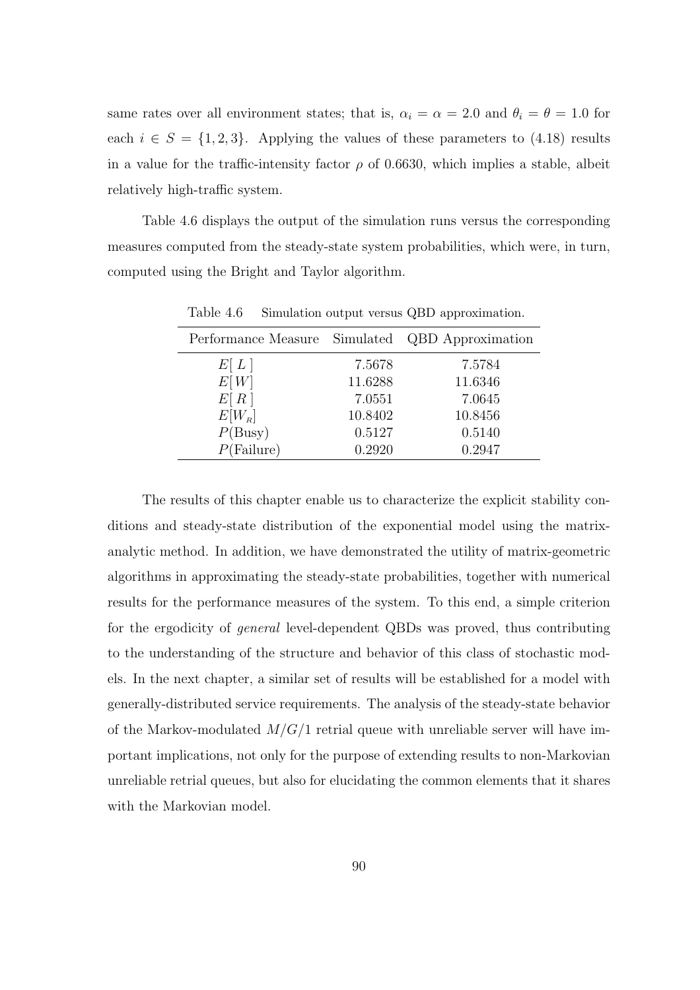same rates over all environment states; that is,  $\alpha_i = \alpha = 2.0$  and  $\theta_i = \theta = 1.0$  for each  $i \in S = \{1, 2, 3\}$ . Applying the values of these parameters to (4.18) results in a value for the traffic-intensity factor  $\rho$  of 0.6630, which implies a stable, albeit relatively high-traffic system.

Table 4.6 displays the output of the simulation runs versus the corresponding measures computed from the steady-state system probabilities, which were, in turn, computed using the Bright and Taylor algorithm.

| Performance Measure Simulated QBD Approximation |         |         |
|-------------------------------------------------|---------|---------|
| E[L]                                            | 7.5678  | 7.5784  |
| E[W]                                            | 11.6288 | 11.6346 |
| E[R]                                            | 7.0551  | 7.0645  |
| $E[W_R]$                                        | 10.8402 | 10.8456 |
| P(Busy)                                         | 0.5127  | 0.5140  |
| $P(\text{Failure})$                             | 0.2920  | 0.2947  |

Table 4.6 Simulation output versus QBD approximation.

The results of this chapter enable us to characterize the explicit stability conditions and steady-state distribution of the exponential model using the matrixanalytic method. In addition, we have demonstrated the utility of matrix-geometric algorithms in approximating the steady-state probabilities, together with numerical results for the performance measures of the system. To this end, a simple criterion for the ergodicity of general level-dependent QBDs was proved, thus contributing to the understanding of the structure and behavior of this class of stochastic models. In the next chapter, a similar set of results will be established for a model with generally-distributed service requirements. The analysis of the steady-state behavior of the Markov-modulated  $M/G/1$  retrial queue with unreliable server will have important implications, not only for the purpose of extending results to non-Markovian unreliable retrial queues, but also for elucidating the common elements that it shares with the Markovian model.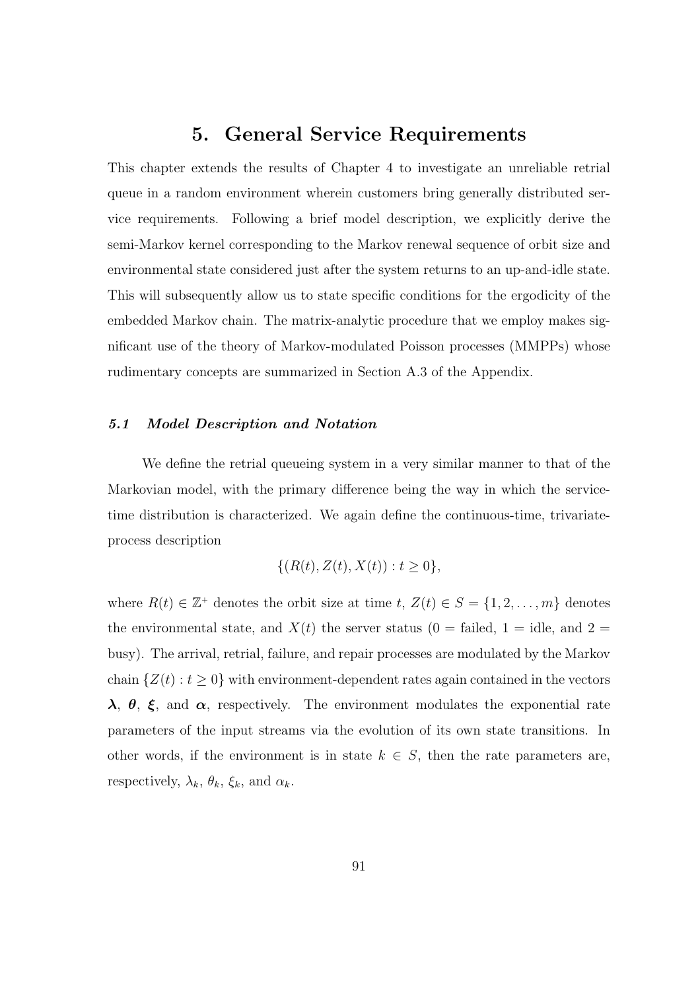# 5. General Service Requirements

This chapter extends the results of Chapter 4 to investigate an unreliable retrial queue in a random environment wherein customers bring generally distributed service requirements. Following a brief model description, we explicitly derive the semi-Markov kernel corresponding to the Markov renewal sequence of orbit size and environmental state considered just after the system returns to an up-and-idle state. This will subsequently allow us to state specific conditions for the ergodicity of the embedded Markov chain. The matrix-analytic procedure that we employ makes significant use of the theory of Markov-modulated Poisson processes (MMPPs) whose rudimentary concepts are summarized in Section A.3 of the Appendix.

#### 5.1 Model Description and Notation

We define the retrial queueing system in a very similar manner to that of the Markovian model, with the primary difference being the way in which the servicetime distribution is characterized. We again define the continuous-time, trivariateprocess description

$$
\{(R(t), Z(t), X(t)) : t \ge 0\},\
$$

where  $R(t) \in \mathbb{Z}^+$  denotes the orbit size at time  $t, Z(t) \in S = \{1, 2, \ldots, m\}$  denotes the environmental state, and  $X(t)$  the server status (0 = failed, 1 = idle, and 2 = busy). The arrival, retrial, failure, and repair processes are modulated by the Markov chain  $\{Z(t): t \geq 0\}$  with environment-dependent rates again contained in the vectors  $\lambda$ ,  $\theta$ ,  $\xi$ , and  $\alpha$ , respectively. The environment modulates the exponential rate parameters of the input streams via the evolution of its own state transitions. In other words, if the environment is in state  $k \in S$ , then the rate parameters are, respectively,  $\lambda_k$ ,  $\theta_k$ ,  $\xi_k$ , and  $\alpha_k$ .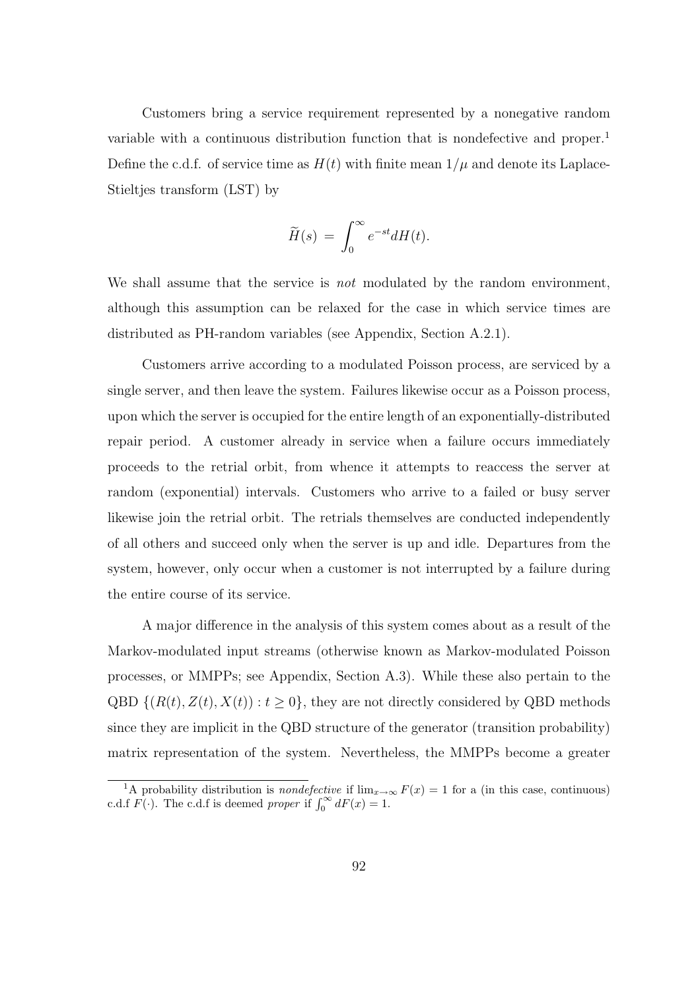Customers bring a service requirement represented by a nonegative random variable with a continuous distribution function that is nondefective and proper.<sup>1</sup> Define the c.d.f. of service time as  $H(t)$  with finite mean  $1/\mu$  and denote its Laplace-Stieltjes transform (LST) by

$$
\widetilde{H}(s) = \int_0^\infty e^{-st} dH(t).
$$

We shall assume that the service is *not* modulated by the random environment, although this assumption can be relaxed for the case in which service times are distributed as PH-random variables (see Appendix, Section A.2.1).

Customers arrive according to a modulated Poisson process, are serviced by a single server, and then leave the system. Failures likewise occur as a Poisson process, upon which the server is occupied for the entire length of an exponentially-distributed repair period. A customer already in service when a failure occurs immediately proceeds to the retrial orbit, from whence it attempts to reaccess the server at random (exponential) intervals. Customers who arrive to a failed or busy server likewise join the retrial orbit. The retrials themselves are conducted independently of all others and succeed only when the server is up and idle. Departures from the system, however, only occur when a customer is not interrupted by a failure during the entire course of its service.

A major difference in the analysis of this system comes about as a result of the Markov-modulated input streams (otherwise known as Markov-modulated Poisson processes, or MMPPs; see Appendix, Section A.3). While these also pertain to the QBD  $\{(R(t), Z(t), X(t)) : t \geq 0\}$ , they are not directly considered by QBD methods since they are implicit in the QBD structure of the generator (transition probability) matrix representation of the system. Nevertheless, the MMPPs become a greater

<sup>&</sup>lt;sup>1</sup>A probability distribution is *nondefective* if  $\lim_{x\to\infty} F(x) = 1$  for a (in this case, continuous) A probability distribution is *nondefective* if  $\lim_{x\to c}$ <br>c.d.f  $F(\cdot)$ . The c.d.f is deemed *proper* if  $\int_0^\infty dF(x) = 1$ .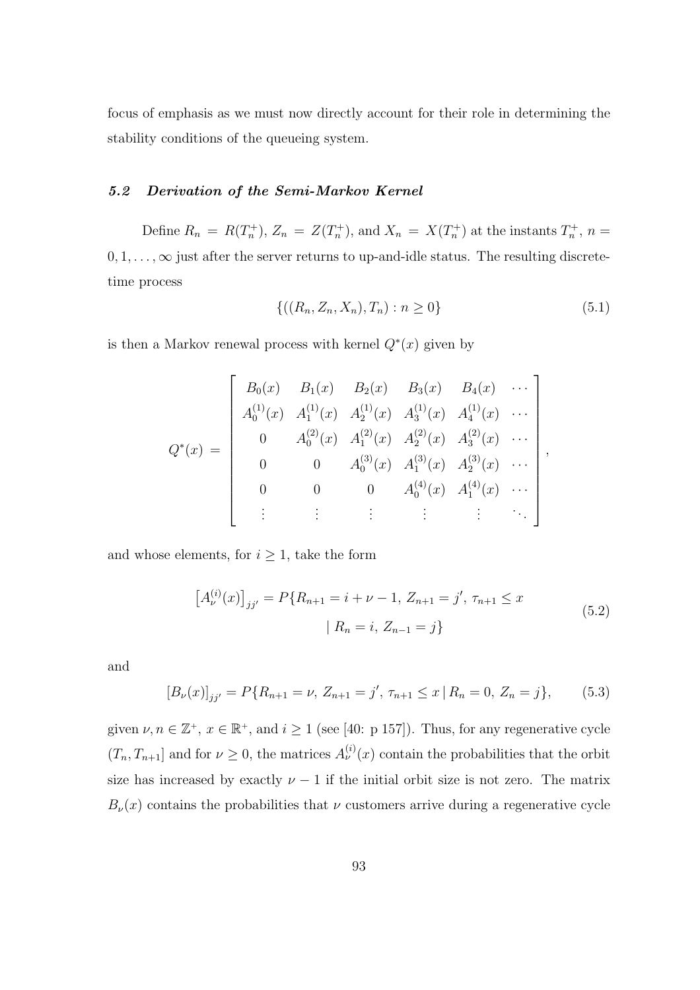focus of emphasis as we must now directly account for their role in determining the stability conditions of the queueing system.

## 5.2 Derivation of the Semi-Markov Kernel

Define  $R_n = R(T_n^+), Z_n = Z(T_n^+),$  and  $X_n = X(T_n^+)$  at the instants  $T_n^+, n =$  $0, 1, \ldots, \infty$  just after the server returns to up-and-idle status. The resulting discretetime process

$$
\{((R_n, Z_n, X_n), T_n) : n \ge 0\}
$$
\n(5.1)

,

is then a Markov renewal process with kernel  $Q^*(x)$  given by

$$
Q^*(x) = \begin{bmatrix} B_0(x) & B_1(x) & B_2(x) & B_3(x) & B_4(x) & \cdots \\ A_0^{(1)}(x) & A_1^{(1)}(x) & A_2^{(1)}(x) & A_3^{(1)}(x) & A_4^{(1)}(x) & \cdots \\ 0 & A_0^{(2)}(x) & A_1^{(2)}(x) & A_2^{(2)}(x) & A_3^{(2)}(x) & \cdots \\ 0 & 0 & A_0^{(3)}(x) & A_1^{(3)}(x) & A_2^{(3)}(x) & \cdots \\ 0 & 0 & 0 & A_0^{(4)}(x) & A_1^{(4)}(x) & \cdots \\ \vdots & \vdots & \vdots & \vdots & \ddots \end{bmatrix}
$$

and whose elements, for  $i \geq 1$ , take the form

$$
[A_{\nu}^{(i)}(x)]_{jj'} = P\{R_{n+1} = i + \nu - 1, Z_{n+1} = j', \tau_{n+1} \le x
$$
  
 
$$
| R_n = i, Z_{n-1} = j \}
$$
 (5.2)

and

$$
[B_{\nu}(x)]_{jj'} = P\{R_{n+1} = \nu, Z_{n+1} = j', \tau_{n+1} \le x \mid R_n = 0, Z_n = j\},\tag{5.3}
$$

given  $\nu, n \in \mathbb{Z}^+, x \in \mathbb{R}^+,$  and  $i \geq 1$  (see [40: p 157]). Thus, for any regenerative cycle  $(T_n, T_{n+1}]$  and for  $\nu \geq 0$ , the matrices  $A_{\nu}^{(i)}(x)$  contain the probabilities that the orbit size has increased by exactly  $\nu - 1$  if the initial orbit size is not zero. The matrix  $B_{\nu}(x)$  contains the probabilities that  $\nu$  customers arrive during a regenerative cycle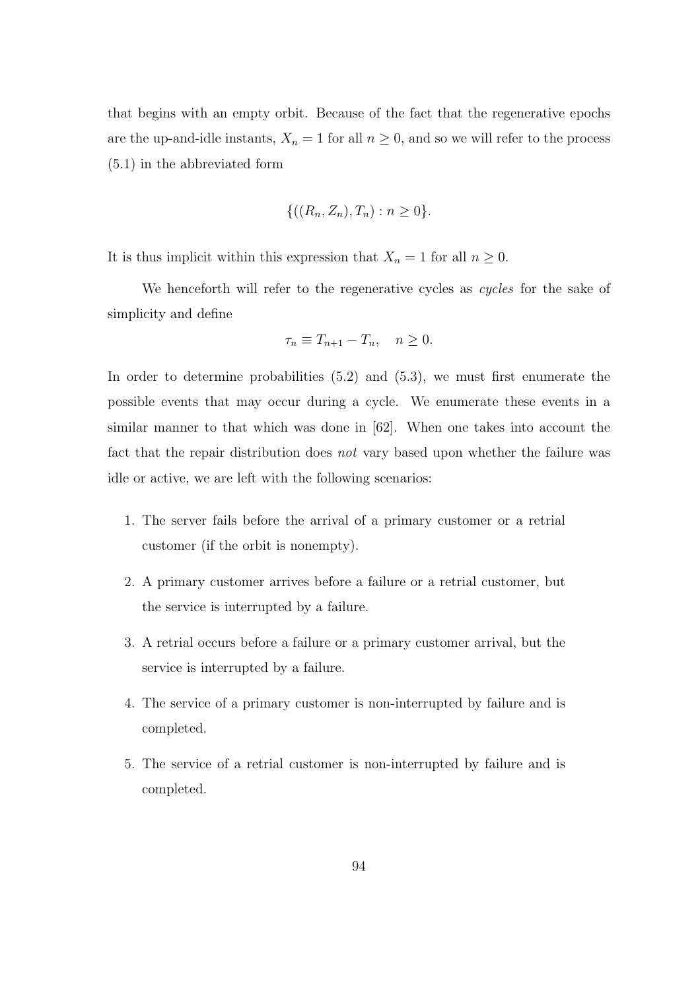that begins with an empty orbit. Because of the fact that the regenerative epochs are the up-and-idle instants,  $X_n = 1$  for all  $n \geq 0$ , and so we will refer to the process (5.1) in the abbreviated form

$$
\{((R_n, Z_n), T_n) : n \ge 0\}.
$$

It is thus implicit within this expression that  $X_n = 1$  for all  $n \geq 0$ .

We henceforth will refer to the regenerative cycles as *cycles* for the sake of simplicity and define

$$
\tau_n \equiv T_{n+1} - T_n, \quad n \ge 0.
$$

In order to determine probabilities (5.2) and (5.3), we must first enumerate the possible events that may occur during a cycle. We enumerate these events in a similar manner to that which was done in [62]. When one takes into account the fact that the repair distribution does not vary based upon whether the failure was idle or active, we are left with the following scenarios:

- 1. The server fails before the arrival of a primary customer or a retrial customer (if the orbit is nonempty).
- 2. A primary customer arrives before a failure or a retrial customer, but the service is interrupted by a failure.
- 3. A retrial occurs before a failure or a primary customer arrival, but the service is interrupted by a failure.
- 4. The service of a primary customer is non-interrupted by failure and is completed.
- 5. The service of a retrial customer is non-interrupted by failure and is completed.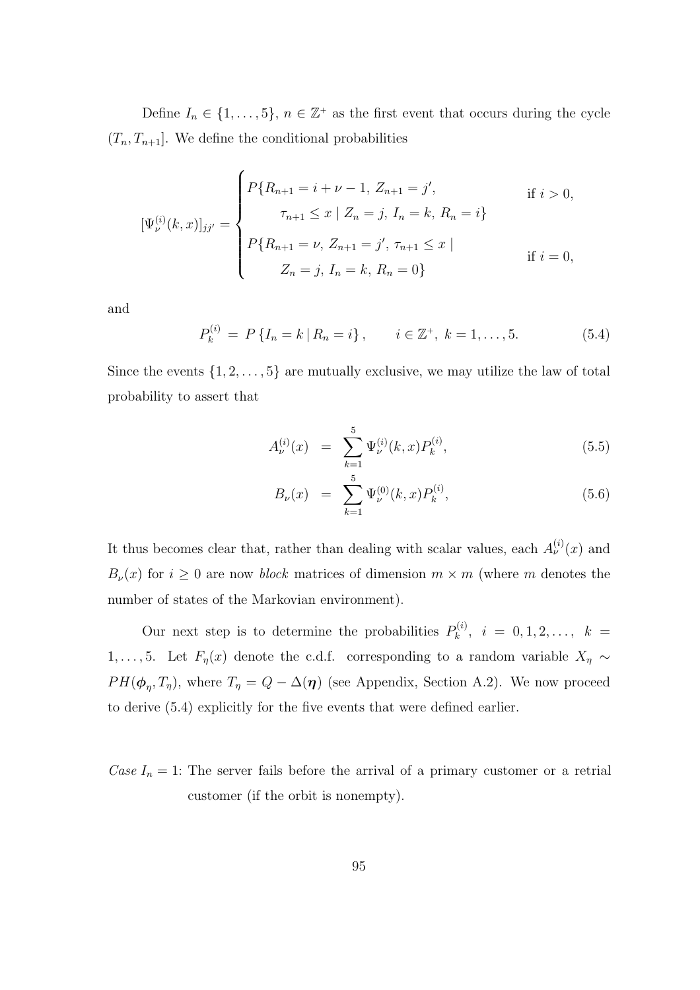Define  $I_n \in \{1, \ldots, 5\}, n \in \mathbb{Z}^+$  as the first event that occurs during the cycle  $(T_n, T_{n+1}]$ . We define the conditional probabilities

$$
[\Psi_{\nu}^{(i)}(k,x)]_{jj'} = \begin{cases} P\{R_{n+1} = i + \nu - 1, Z_{n+1} = j', & \text{if } i > 0, \\ \tau_{n+1} \le x \mid Z_n = j, I_n = k, R_n = i \} \\ P\{R_{n+1} = \nu, Z_{n+1} = j', \tau_{n+1} \le x \mid \\ Z_n = j, I_n = k, R_n = 0 \} & \text{if } i = 0, \end{cases}
$$

and

$$
P_k^{(i)} = P\{I_n = k \,|\, R_n = i\}\,, \qquad i \in \mathbb{Z}^+, \ k = 1, \dots, 5. \tag{5.4}
$$

Since the events  $\{1, 2, \ldots, 5\}$  are mutually exclusive, we may utilize the law of total probability to assert that

$$
A_{\nu}^{(i)}(x) = \sum_{k=1}^{5} \Psi_{\nu}^{(i)}(k, x) P_{k}^{(i)}, \qquad (5.5)
$$

$$
B_{\nu}(x) = \sum_{k=1}^{5} \Psi_{\nu}^{(0)}(k, x) P_{k}^{(i)}, \qquad (5.6)
$$

It thus becomes clear that, rather than dealing with scalar values, each  $A_{\nu}^{(i)}(x)$  and  $B_{\nu}(x)$  for  $i \geq 0$  are now *block* matrices of dimension  $m \times m$  (where m denotes the number of states of the Markovian environment).

Our next step is to determine the probabilities  $P_k^{(i)}$  $k^{(i)}, i = 0, 1, 2, \ldots, k =$ 1, ..., 5. Let  $F_{\eta}(x)$  denote the c.d.f. corresponding to a random variable  $X_{\eta} \sim$  $PH(\boldsymbol{\phi}_{\eta}, T_{\eta})$ , where  $T_{\eta} = Q - \Delta(\boldsymbol{\eta})$  (see Appendix, Section A.2). We now proceed to derive (5.4) explicitly for the five events that were defined earlier.

Case  $I_n = 1$ : The server fails before the arrival of a primary customer or a retrial customer (if the orbit is nonempty).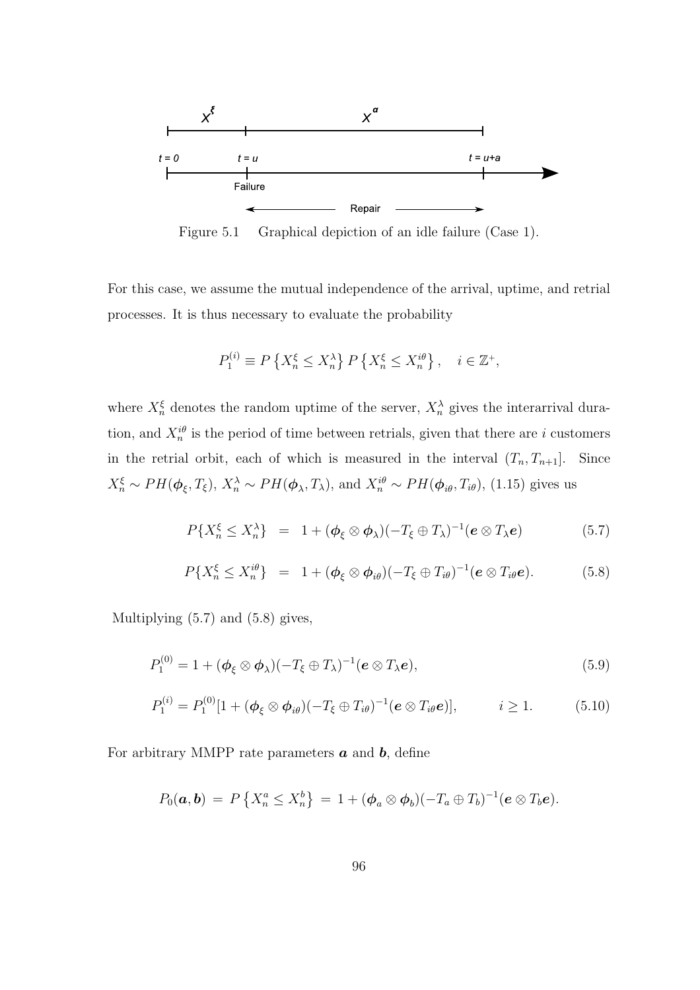

Figure 5.1 Graphical depiction of an idle failure (Case 1).

For this case, we assume the mutual independence of the arrival, uptime, and retrial processes. It is thus necessary to evaluate the probability

$$
P_1^{(i)} \equiv P\left\{X_n^{\xi} \le X_n^{\lambda}\right\} P\left\{X_n^{\xi} \le X_n^{i\theta}\right\}, \quad i \in \mathbb{Z}^+,
$$

where  $X_n^{\xi}$  denotes the random uptime of the server,  $X_n^{\lambda}$  gives the interarrival duration, and  $X_n^{i\theta}$  is the period of time between retrials, given that there are i customers in the retrial orbit, each of which is measured in the interval  $(T_n, T_{n+1}]$ . Since  $X_n^{\xi} \sim PH(\phi_{\xi}, T_{\xi}), X_n^{\lambda} \sim PH(\phi_{\lambda}, T_{\lambda}),$  and  $X_n^{i\theta} \sim PH(\phi_{i\theta}, T_{i\theta}),$  (1.15) gives us

$$
P\{X_n^{\xi} \leq X_n^{\lambda}\} = 1 + (\boldsymbol{\phi}_{\xi} \otimes \boldsymbol{\phi}_{\lambda})(-T_{\xi} \oplus T_{\lambda})^{-1}(\boldsymbol{e} \otimes T_{\lambda} \boldsymbol{e})
$$
(5.7)

$$
P\{X_n^{\xi} \leq X_n^{i\theta}\} = 1 + (\boldsymbol{\phi}_{\xi} \otimes \boldsymbol{\phi}_{i\theta})(-T_{\xi} \oplus T_{i\theta})^{-1}(\boldsymbol{e} \otimes T_{i\theta}\boldsymbol{e}). \hspace{1cm} (5.8)
$$

Multiplying (5.7) and (5.8) gives,

$$
P_1^{(0)} = 1 + (\phi_{\xi} \otimes \phi_{\lambda})(-T_{\xi} \oplus T_{\lambda})^{-1} (\mathbf{e} \otimes T_{\lambda} \mathbf{e}), \qquad (5.9)
$$

$$
P_1^{(i)} = P_1^{(0)} [1 + (\phi_{\xi} \otimes \phi_{i\theta})(-T_{\xi} \oplus T_{i\theta})^{-1} (e \otimes T_{i\theta}e)], \qquad i \ge 1.
$$
 (5.10)

For arbitrary MMPP rate parameters  $\boldsymbol{a}$  and  $\boldsymbol{b}$ , define

$$
P_0(\boldsymbol{a},\boldsymbol{b}) = P\left\{X_n^a \leq X_n^b\right\} = 1 + (\boldsymbol{\phi}_a \otimes \boldsymbol{\phi}_b)(-T_a \oplus T_b)^{-1}(\boldsymbol{e} \otimes T_b \boldsymbol{e}).
$$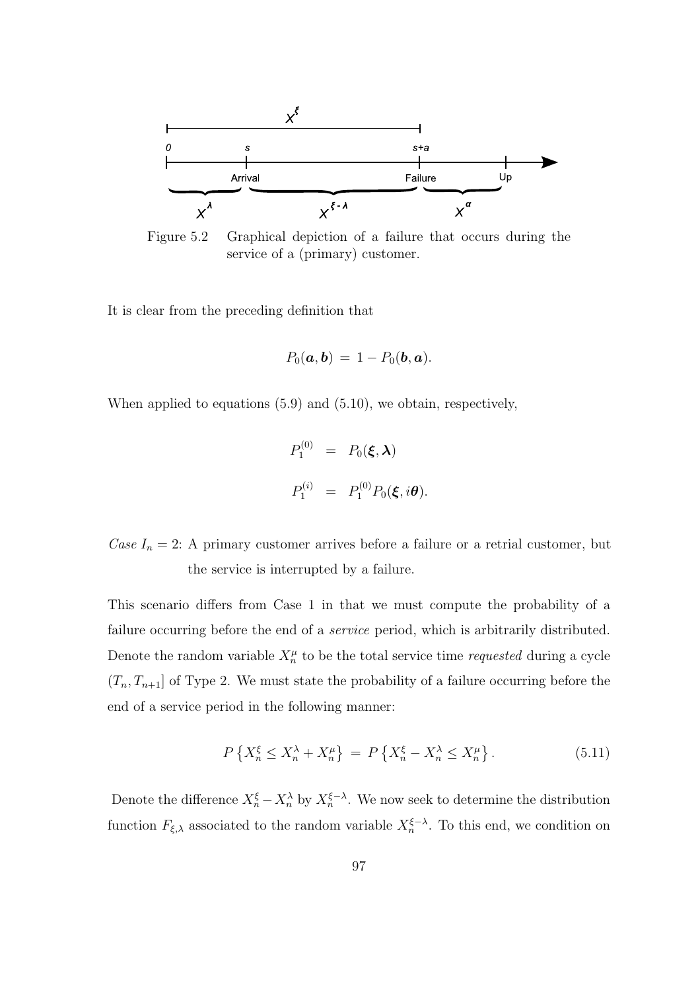

Figure 5.2 Graphical depiction of a failure that occurs during the service of a (primary) customer.

It is clear from the preceding definition that

$$
P_0(\boldsymbol{a},\boldsymbol{b})\,=\,1-P_0(\boldsymbol{b},\boldsymbol{a}).
$$

When applied to equations (5.9) and (5.10), we obtain, respectively,

$$
P_1^{(0)} = P_0(\boldsymbol{\xi}, \boldsymbol{\lambda})
$$
  

$$
P_1^{(i)} = P_1^{(0)} P_0(\boldsymbol{\xi}, i\boldsymbol{\theta}).
$$

Case  $I_n = 2$ : A primary customer arrives before a failure or a retrial customer, but the service is interrupted by a failure.

This scenario differs from Case 1 in that we must compute the probability of a failure occurring before the end of a *service* period, which is arbitrarily distributed. Denote the random variable  $X_n^{\mu}$  to be the total service time *requested* during a cycle  $(T_n, T_{n+1}]$  of Type 2. We must state the probability of a failure occurring before the end of a service period in the following manner:

$$
P\left\{X_n^{\xi} \le X_n^{\lambda} + X_n^{\mu}\right\} = P\left\{X_n^{\xi} - X_n^{\lambda} \le X_n^{\mu}\right\}.
$$
 (5.11)

Denote the difference  $X_n^{\xi} - X_n^{\lambda}$  by  $X_n^{\xi-\lambda}$ . We now seek to determine the distribution function  $F_{\xi,\lambda}$  associated to the random variable  $X_n^{\xi-\lambda}$ . To this end, we condition on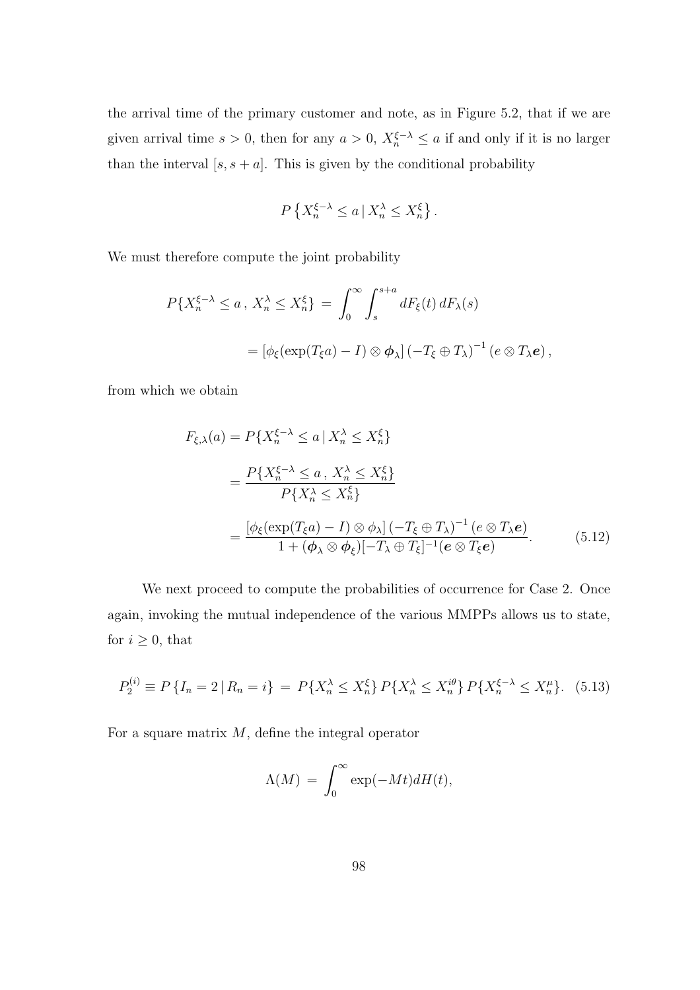the arrival time of the primary customer and note, as in Figure 5.2, that if we are given arrival time  $s > 0$ , then for any  $a > 0$ ,  $X_n^{\xi-\lambda} \le a$  if and only if it is no larger than the interval  $[s, s + a]$ . This is given by the conditional probability

$$
P\left\{X_n^{\xi-\lambda} \le a \,|\, X_n^{\lambda} \le X_n^{\xi}\right\}.
$$

We must therefore compute the joint probability

$$
P\{X_n^{\xi-\lambda} \le a \, , \, X_n^{\lambda} \le X_n^{\xi}\} = \int_0^\infty \int_s^{s+a} dF_{\xi}(t) \, dF_{\lambda}(s)
$$

$$
= \left[\phi_{\xi}(\exp(T_{\xi}a) - I) \otimes \phi_{\lambda}\right] \left(-T_{\xi} \oplus T_{\lambda}\right)^{-1} \left(e \otimes T_{\lambda}e\right),
$$

from which we obtain

$$
F_{\xi,\lambda}(a) = P\{X_n^{\xi-\lambda} \le a \mid X_n^{\lambda} \le X_n^{\xi}\}
$$
  
= 
$$
\frac{P\{X_n^{\xi-\lambda} \le a, X_n^{\lambda} \le X_n^{\xi}\}}{P\{X_n^{\lambda} \le X_n^{\xi}\}}
$$
  
= 
$$
\frac{[\phi_{\xi}(\exp(T_{\xi}a) - I) \otimes \phi_{\lambda}] (-T_{\xi} \oplus T_{\lambda})^{-1} (e \otimes T_{\lambda}e)}{1 + (\phi_{\lambda} \otimes \phi_{\xi}) [-T_{\lambda} \oplus T_{\xi}]^{-1} (e \otimes T_{\xi}e)}.
$$
 (5.12)

We next proceed to compute the probabilities of occurrence for Case 2. Once again, invoking the mutual independence of the various MMPPs allows us to state, for  $i \geq 0$ , that

$$
P_2^{(i)} \equiv P\left\{I_n = 2 \,|\, R_n = i\right\} = P\{X_n^{\lambda} \le X_n^{\xi}\} \, P\{X_n^{\lambda} \le X_n^{i\theta}\} \, P\{X_n^{\xi - \lambda} \le X_n^{\mu}\}.
$$
 (5.13)

For a square matrix  $M$ , define the integral operator

$$
\Lambda(M) = \int_0^\infty \exp(-Mt) dH(t),
$$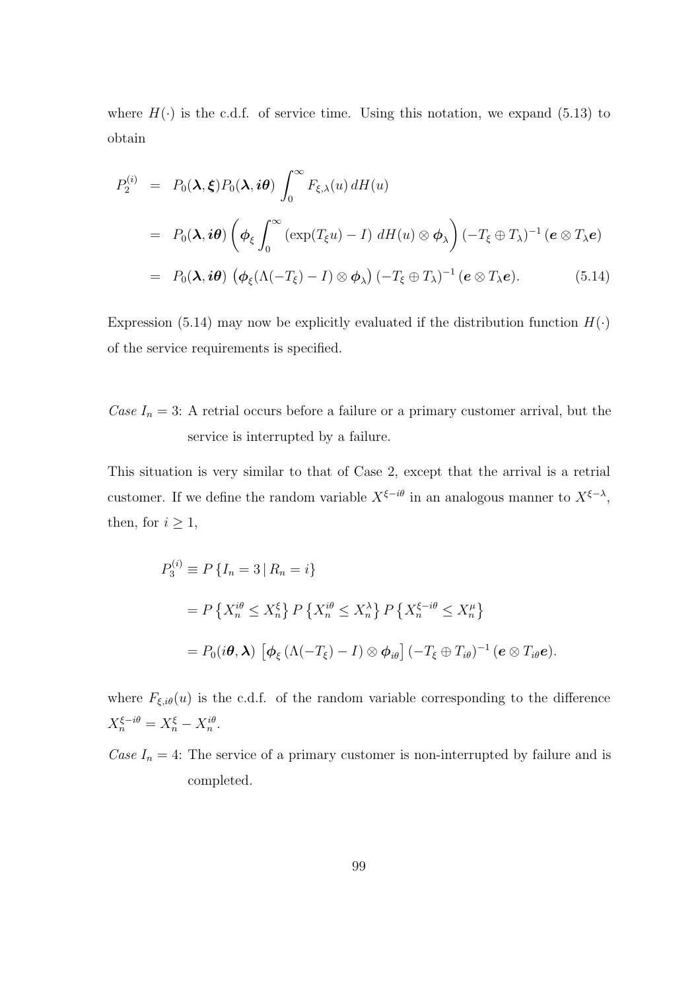where  $H(\cdot)$  is the c.d.f. of service time. Using this notation, we expand (5.13) to obtain

$$
P_2^{(i)} = P_0(\lambda, \xi) P_0(\lambda, i\theta) \int_0^\infty F_{\xi, \lambda}(u) dH(u)
$$
  
=  $P_0(\lambda, i\theta) \left( \phi_\xi \int_0^\infty (\exp(T_\xi u) - I) dH(u) \otimes \phi_\lambda \right) (-T_\xi \oplus T_\lambda)^{-1} (e \otimes T_\lambda e)$   
=  $P_0(\lambda, i\theta) \left( \phi_\xi (\Lambda(-T_\xi) - I) \otimes \phi_\lambda \right) (-T_\xi \oplus T_\lambda)^{-1} (e \otimes T_\lambda e).$  (5.14)

Expression (5.14) may now be explicitly evaluated if the distribution function  $H(\cdot)$ of the service requirements is specified.

Case  $I_n = 3$ : A retrial occurs before a failure or a primary customer arrival, but the service is interrupted by a failure.

This situation is very similar to that of Case 2, except that the arrival is a retrial customer. If we define the random variable  $X^{\xi-i\theta}$  in an analogous manner to  $X^{\xi-\lambda}$ , then, for  $i \geq 1$ ,

$$
P_3^{(i)} \equiv P\{I_n = 3 \mid R_n = i\}
$$
  
=  $P\{X_n^{i\theta} \le X_n^{\xi}\} P\{X_n^{i\theta} \le X_n^{\lambda}\} P\{X_n^{\xi - i\theta} \le X_n^{\mu}\}\$   
=  $P_0(i\theta, \lambda) [\phi_{\xi} (\Lambda(-T_{\xi}) - I) \otimes \phi_{i\theta}] (-T_{\xi} \oplus T_{i\theta})^{-1} (e \otimes T_{i\theta}e).$ 

where  $F_{\xi,i\theta}(u)$  is the c.d.f. of the random variable corresponding to the difference  $X_n^{\xi-i\theta} = X_n^{\xi} - X_n^{i\theta}.$ 

Case  $I_n = 4$ : The service of a primary customer is non-interrupted by failure and is completed.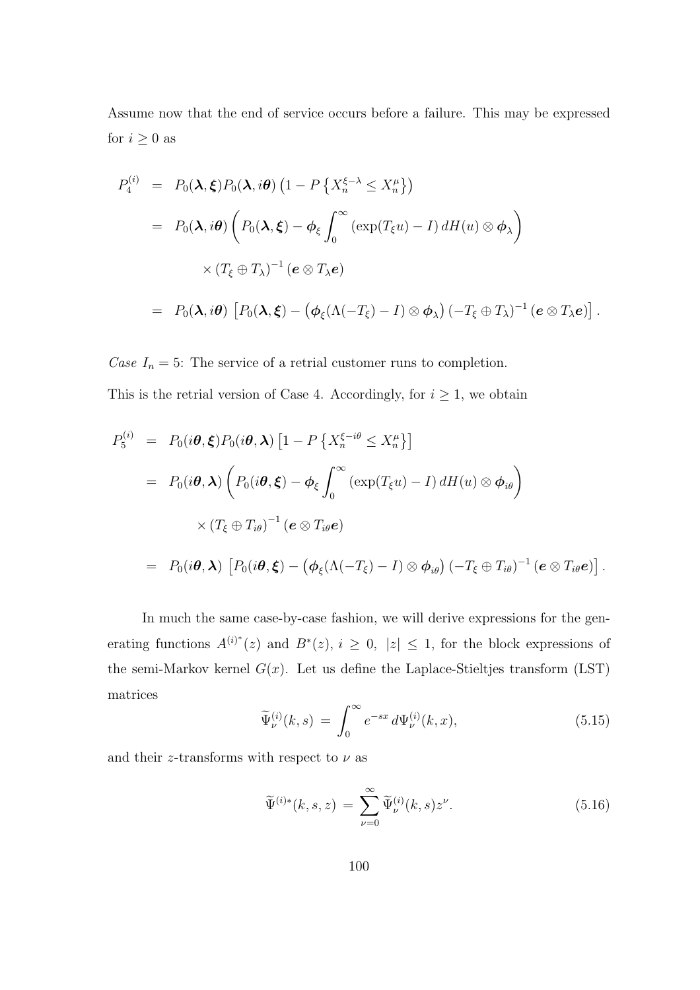Assume now that the end of service occurs before a failure. This may be expressed for  $i\geq 0$  as

$$
P_4^{(i)} = P_0(\lambda, \xi) P_0(\lambda, i\theta) \left(1 - P\left\{X_n^{\xi-\lambda} \le X_n^{\mu}\right\}\right)
$$
  
=  $P_0(\lambda, i\theta) \left(P_0(\lambda, \xi) - \phi_{\xi} \int_0^{\infty} (\exp(T_{\xi}u) - I) dH(u) \otimes \phi_{\lambda}\right)$   
 $\times (T_{\xi} \oplus T_{\lambda})^{-1} (e \otimes T_{\lambda}e)$   
=  $P_0(\lambda, i\theta) \left[P_0(\lambda, \xi) - (\phi_{\xi}(\Lambda(-T_{\xi}) - I) \otimes \phi_{\lambda}) (-T_{\xi} \oplus T_{\lambda})^{-1} (e \otimes T_{\lambda}e)\right].$ 

Case  $I_n = 5$ : The service of a retrial customer runs to completion. This is the retrial version of Case 4. Accordingly, for  $i \geq 1$ , we obtain

$$
P_5^{(i)} = P_0(i\theta, \boldsymbol{\xi}) P_0(i\theta, \boldsymbol{\lambda}) \left[ 1 - P \left\{ X_n^{\xi - i\theta} \le X_n^{\mu} \right\} \right]
$$
  
= 
$$
P_0(i\theta, \boldsymbol{\lambda}) \left( P_0(i\theta, \boldsymbol{\xi}) - \phi_{\xi} \int_0^{\infty} (\exp(T_{\xi}u) - I) dH(u) \otimes \phi_{i\theta} \right)
$$
  

$$
\times (T_{\xi} \oplus T_{i\theta})^{-1} (e \otimes T_{i\theta}e)
$$
  
= 
$$
P_0(i\theta, \boldsymbol{\lambda}) \left[ P_0(i\theta, \boldsymbol{\xi}) - (\phi_{\xi}(\Lambda(-T_{\xi}) - I) \otimes \phi_{i\theta}) (-T_{\xi} \oplus T_{i\theta})^{-1} (e \otimes T_{i\theta}e) \right].
$$

In much the same case-by-case fashion, we will derive expressions for the generating functions  $A^{(i)*}(z)$  and  $B^{*}(z)$ ,  $i \geq 0$ ,  $|z| \leq 1$ , for the block expressions of the semi-Markov kernel  $G(x)$ . Let us define the Laplace-Stieltjes transform (LST) matrices

$$
\widetilde{\Psi}_{\nu}^{(i)}(k,s) = \int_0^\infty e^{-sx} \, d\Psi_{\nu}^{(i)}(k,x),\tag{5.15}
$$

and their z-transforms with respect to  $\nu$  as

$$
\widetilde{\Psi}^{(i)*}(k,s,z) = \sum_{\nu=0}^{\infty} \widetilde{\Psi}^{(i)}_{\nu}(k,s) z^{\nu}.
$$
\n(5.16)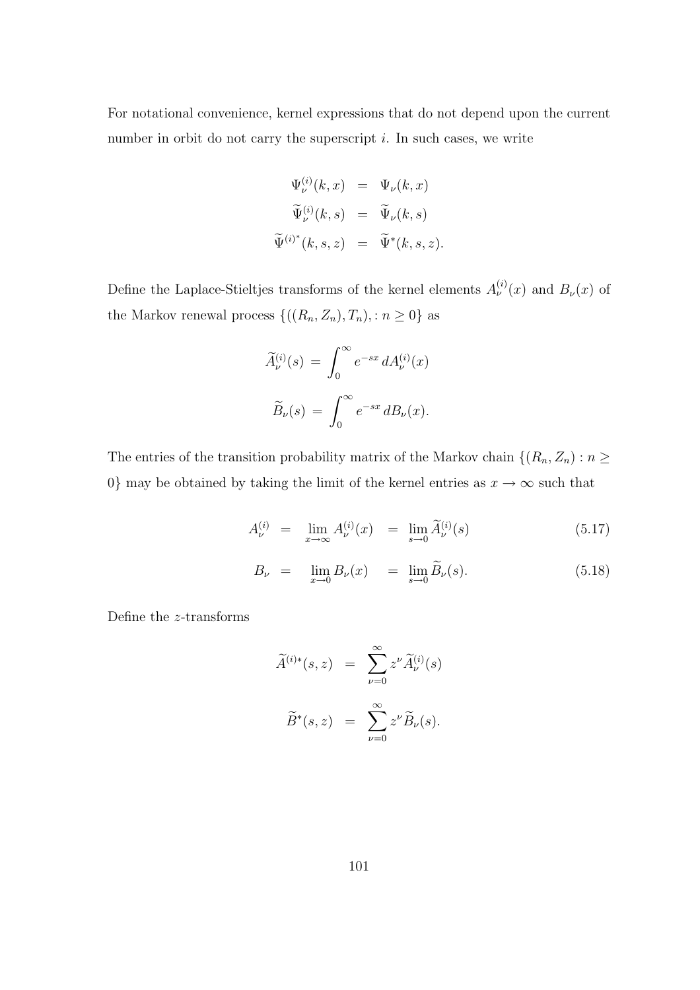For notational convenience, kernel expressions that do not depend upon the current number in orbit do not carry the superscript  $i$ . In such cases, we write

$$
\Psi_{\nu}^{(i)}(k, x) = \Psi_{\nu}(k, x)
$$

$$
\widetilde{\Psi}_{\nu}^{(i)}(k, s) = \widetilde{\Psi}_{\nu}(k, s)
$$

$$
\widetilde{\Psi}^{(i)^{*}}(k, s, z) = \widetilde{\Psi}^{*}(k, s, z).
$$

Define the Laplace-Stieltjes transforms of the kernel elements  $A_{\nu}^{(i)}(x)$  and  $B_{\nu}(x)$  of the Markov renewal process  $\{((R_n, Z_n), T_n), : n \geq 0\}$  as

$$
\widetilde{A}^{(i)}_{\nu}(s) = \int_0^\infty e^{-sx} dA^{(i)}_{\nu}(x)
$$

$$
\widetilde{B}_{\nu}(s) = \int_0^\infty e^{-sx} dB_{\nu}(x).
$$

The entries of the transition probability matrix of the Markov chain  $\{(R_n, Z_n) : n \geq 0\}$ 0} may be obtained by taking the limit of the kernel entries as  $x \to \infty$  such that

$$
A_{\nu}^{(i)} = \lim_{x \to \infty} A_{\nu}^{(i)}(x) = \lim_{s \to 0} \widetilde{A}_{\nu}^{(i)}(s) \tag{5.17}
$$

$$
B_{\nu} = \lim_{x \to 0} B_{\nu}(x) = \lim_{s \to 0} \widetilde{B}_{\nu}(s). \tag{5.18}
$$

Define the z-transforms

$$
\widetilde{A}^{(i)*}(s, z) = \sum_{\nu=0}^{\infty} z^{\nu} \widetilde{A}^{(i)}_{\nu}(s)
$$

$$
\widetilde{B}^{*}(s, z) = \sum_{\nu=0}^{\infty} z^{\nu} \widetilde{B}_{\nu}(s).
$$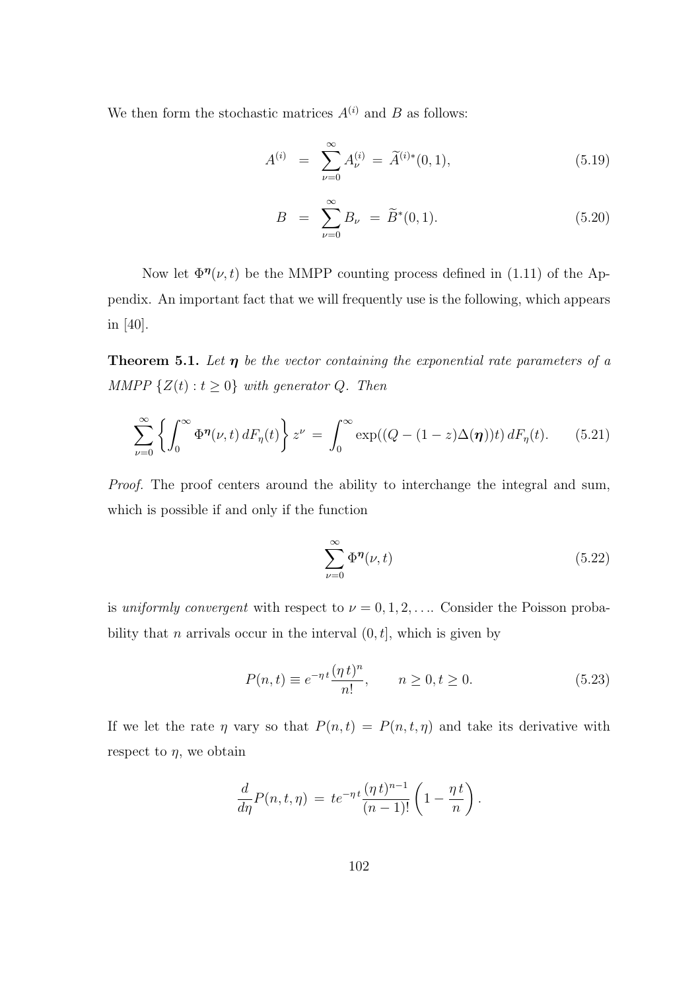We then form the stochastic matrices  $A^{(i)}$  and B as follows:

$$
A^{(i)} = \sum_{\nu=0}^{\infty} A_{\nu}^{(i)} = \widetilde{A}^{(i)*}(0, 1), \tag{5.19}
$$

$$
B = \sum_{\nu=0}^{\infty} B_{\nu} = \widetilde{B}^{*}(0,1). \tag{5.20}
$$

Now let  $\Phi^{\eta}(\nu, t)$  be the MMPP counting process defined in (1.11) of the Appendix. An important fact that we will frequently use is the following, which appears in [40].

**Theorem 5.1.** Let  $\eta$  be the vector containing the exponential rate parameters of a MMPP  $\{Z(t): t \geq 0\}$  with generator Q. Then

$$
\sum_{\nu=0}^{\infty} \left\{ \int_0^{\infty} \Phi^{\eta}(\nu, t) dF_{\eta}(t) \right\} z^{\nu} = \int_0^{\infty} \exp((Q - (1 - z)\Delta(\eta))t) dF_{\eta}(t). \tag{5.21}
$$

Proof. The proof centers around the ability to interchange the integral and sum, which is possible if and only if the function

$$
\sum_{\nu=0}^{\infty} \Phi^{\eta}(\nu, t) \tag{5.22}
$$

is uniformly convergent with respect to  $\nu = 0, 1, 2, \ldots$  Consider the Poisson probability that *n* arrivals occur in the interval  $(0, t]$ , which is given by

$$
P(n,t) \equiv e^{-\eta t} \frac{(\eta t)^n}{n!}, \qquad n \ge 0, t \ge 0.
$$
 (5.23)

If we let the rate  $\eta$  vary so that  $P(n, t) = P(n, t, \eta)$  and take its derivative with respect to  $\eta$ , we obtain

$$
\frac{d}{d\eta}P(n,t,\eta) = te^{-\eta t} \frac{(\eta t)^{n-1}}{(n-1)!} \left(1 - \frac{\eta t}{n}\right).
$$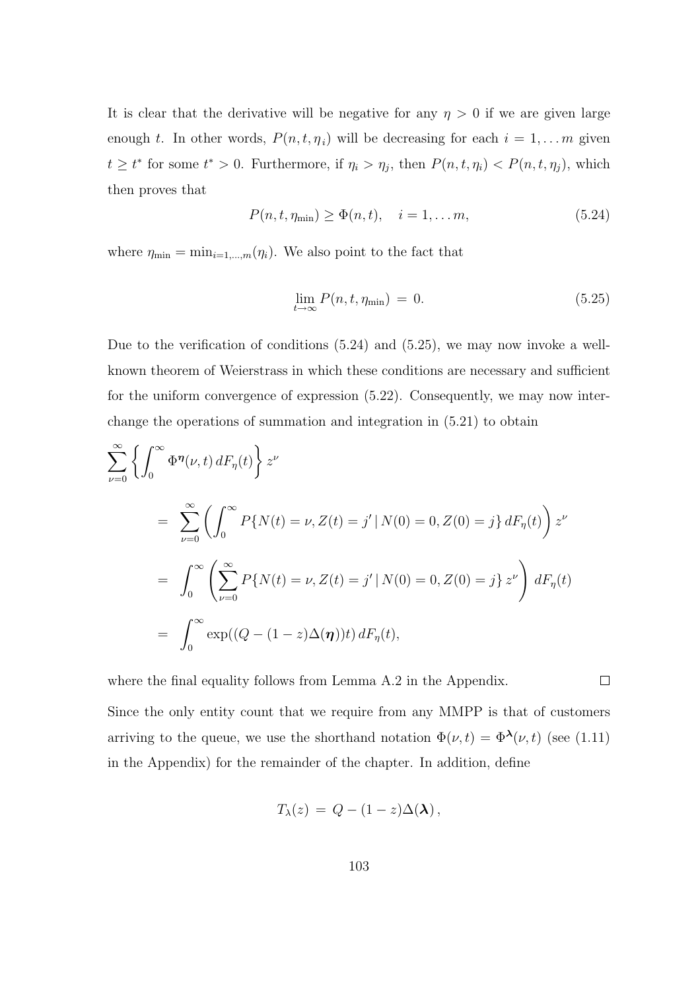It is clear that the derivative will be negative for any  $\eta > 0$  if we are given large enough t. In other words,  $P(n, t, \eta_i)$  will be decreasing for each  $i = 1, \ldots m$  given  $t \geq t^*$  for some  $t^* > 0$ . Furthermore, if  $\eta_i > \eta_j$ , then  $P(n, t, \eta_i) < P(n, t, \eta_j)$ , which then proves that

$$
P(n, t, \eta_{\min}) \ge \Phi(n, t), \quad i = 1, \dots m,
$$
\n(5.24)

where  $\eta_{\min} = \min_{i=1,\dots,m}(\eta_i)$ . We also point to the fact that

$$
\lim_{t \to \infty} P(n, t, \eta_{\min}) = 0. \tag{5.25}
$$

Due to the verification of conditions (5.24) and (5.25), we may now invoke a wellknown theorem of Weierstrass in which these conditions are necessary and sufficient for the uniform convergence of expression (5.22). Consequently, we may now interchange the operations of summation and integration in (5.21) to obtain

$$
\sum_{\nu=0}^{\infty} \left\{ \int_{0}^{\infty} \Phi^{\eta}(\nu, t) dF_{\eta}(t) \right\} z^{\nu}
$$
  
= 
$$
\sum_{\nu=0}^{\infty} \left( \int_{0}^{\infty} P\{N(t) = \nu, Z(t) = j' | N(0) = 0, Z(0) = j\} dF_{\eta}(t) \right) z^{\nu}
$$
  
= 
$$
\int_{0}^{\infty} \left( \sum_{\nu=0}^{\infty} P\{N(t) = \nu, Z(t) = j' | N(0) = 0, Z(0) = j\} z^{\nu} \right) dF_{\eta}(t)
$$
  
= 
$$
\int_{0}^{\infty} \exp((Q - (1 - z)\Delta(\eta))t) dF_{\eta}(t),
$$

where the final equality follows from Lemma A.2 in the Appendix.

 $\Box$ 

Since the only entity count that we require from any MMPP is that of customers arriving to the queue, we use the shorthand notation  $\Phi(\nu, t) = \Phi^{\lambda}(\nu, t)$  (see (1.11) in the Appendix) for the remainder of the chapter. In addition, define

$$
T_{\lambda}(z) = Q - (1-z)\Delta(\lambda) ,
$$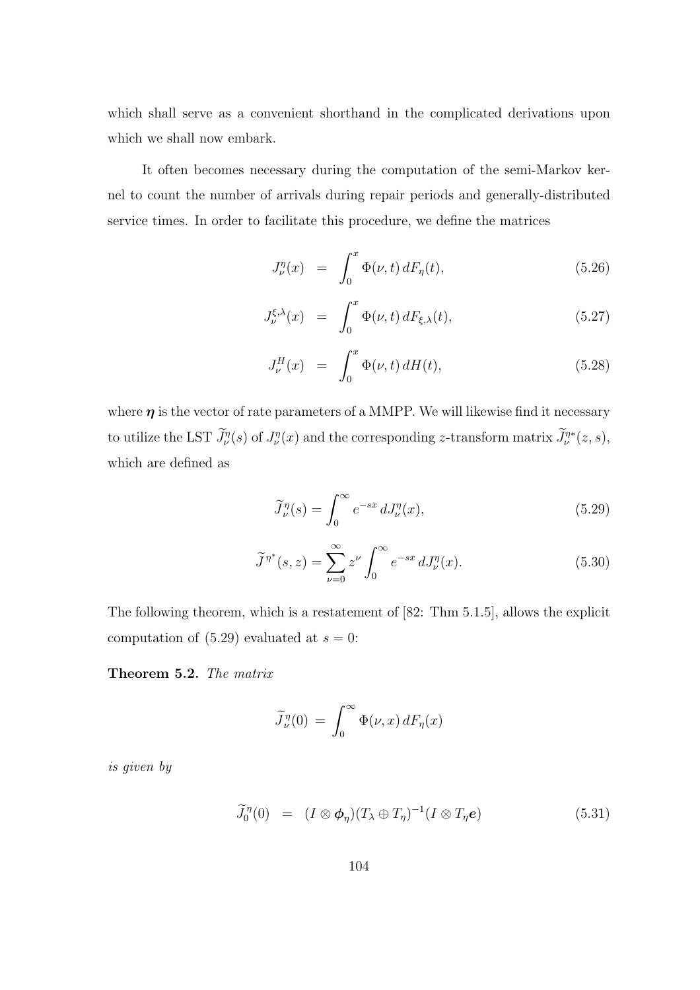which shall serve as a convenient shorthand in the complicated derivations upon which we shall now embark.

It often becomes necessary during the computation of the semi-Markov kernel to count the number of arrivals during repair periods and generally-distributed service times. In order to facilitate this procedure, we define the matrices

$$
J_{\nu}^{\eta}(x) = \int_0^x \Phi(\nu, t) dF_{\eta}(t), \qquad (5.26)
$$

$$
J_{\nu}^{\xi,\lambda}(x) = \int_0^x \Phi(\nu,t) dF_{\xi,\lambda}(t), \qquad (5.27)
$$

$$
J_{\nu}^{H}(x) = \int_{0}^{x} \Phi(\nu, t) dH(t), \qquad (5.28)
$$

where  $\eta$  is the vector of rate parameters of a MMPP. We will likewise find it necessary to utilize the LST  $\widetilde{J}_{\nu}^{\eta}(s)$  of  $J_{\nu}^{\eta}(x)$  and the corresponding z-transform matrix  $\widetilde{J}_{\nu}^{\eta*}(z,s)$ , which are defined as

$$
\widetilde{J}_{\nu}^{\eta}(s) = \int_0^\infty e^{-sx} \, dJ_{\nu}^{\eta}(x),\tag{5.29}
$$

$$
\widetilde{J}^{\eta^*}(s,z) = \sum_{\nu=0}^{\infty} z^{\nu} \int_0^{\infty} e^{-sx} dJ_{\nu}^{\eta}(x).
$$
 (5.30)

The following theorem, which is a restatement of [82: Thm 5.1.5], allows the explicit computation of  $(5.29)$  evaluated at  $s = 0$ :

Theorem 5.2. The matrix

$$
\widetilde{J}_{\nu}^{\eta}(0) = \int_0^\infty \Phi(\nu, x) dF_{\eta}(x)
$$

is given by

$$
\widetilde{J}_0^{\eta}(0) = (I \otimes \boldsymbol{\phi}_{\eta})(T_{\lambda} \oplus T_{\eta})^{-1}(I \otimes T_{\eta}\boldsymbol{e}) \qquad (5.31)
$$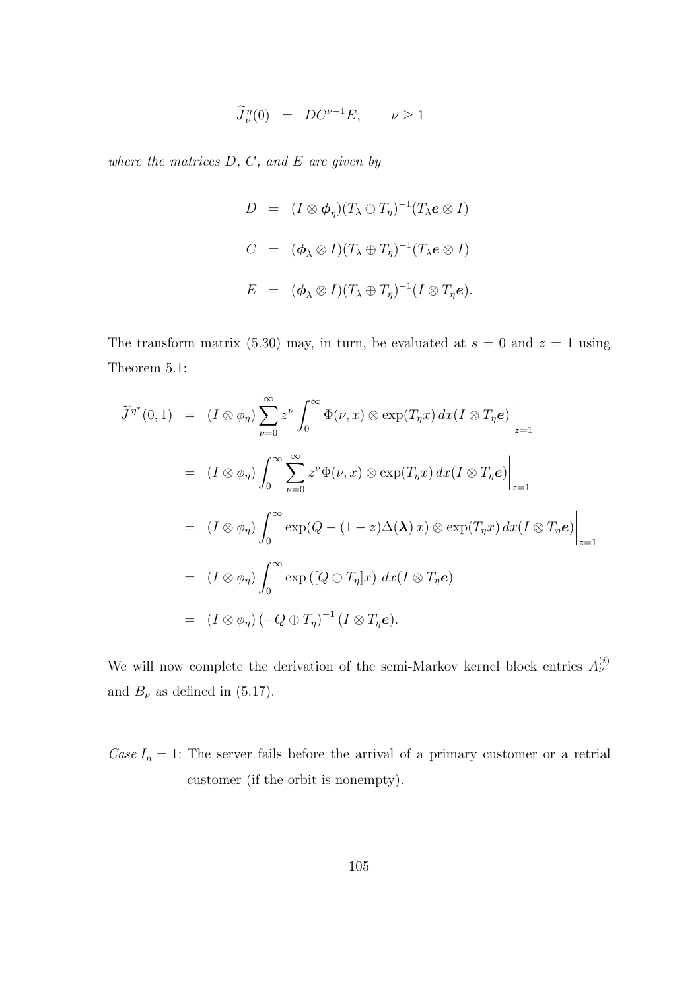$$
\widetilde{J}_{\nu}^{\eta}(0) = DC^{\nu-1}E, \qquad \nu \ge 1
$$

where the matrices  $D, C,$  and  $E$  are given by

$$
D = (I \otimes \phi_{\eta})(T_{\lambda} \oplus T_{\eta})^{-1}(T_{\lambda}e \otimes I)
$$
  
\n
$$
C = (\phi_{\lambda} \otimes I)(T_{\lambda} \oplus T_{\eta})^{-1}(T_{\lambda}e \otimes I)
$$
  
\n
$$
E = (\phi_{\lambda} \otimes I)(T_{\lambda} \oplus T_{\eta})^{-1}(I \otimes T_{\eta}e).
$$

The transform matrix (5.30) may, in turn, be evaluated at  $s = 0$  and  $z = 1$  using Theorem 5.1:

$$
\widetilde{J}^{\eta^*}(0,1) = (I \otimes \phi_{\eta}) \sum_{\nu=0}^{\infty} z^{\nu} \int_0^{\infty} \Phi(\nu, x) \otimes \exp(T_{\eta} x) dx (I \otimes T_{\eta} e) \Big|_{z=1}
$$
  
\n
$$
= (I \otimes \phi_{\eta}) \int_0^{\infty} \sum_{\nu=0}^{\infty} z^{\nu} \Phi(\nu, x) \otimes \exp(T_{\eta} x) dx (I \otimes T_{\eta} e) \Big|_{z=1}
$$
  
\n
$$
= (I \otimes \phi_{\eta}) \int_0^{\infty} \exp(Q - (1 - z) \Delta(\lambda) x) \otimes \exp(T_{\eta} x) dx (I \otimes T_{\eta} e) \Big|_{z=1}
$$
  
\n
$$
= (I \otimes \phi_{\eta}) \int_0^{\infty} \exp([Q \oplus T_{\eta}] x) dx (I \otimes T_{\eta} e)
$$
  
\n
$$
= (I \otimes \phi_{\eta}) (-Q \oplus T_{\eta})^{-1} (I \otimes T_{\eta} e).
$$

We will now complete the derivation of the semi-Markov kernel block entries  $A_{\nu}^{(i)}$ and  $B_{\nu}$  as defined in (5.17).

Case  $I_n = 1$ : The server fails before the arrival of a primary customer or a retrial customer (if the orbit is nonempty).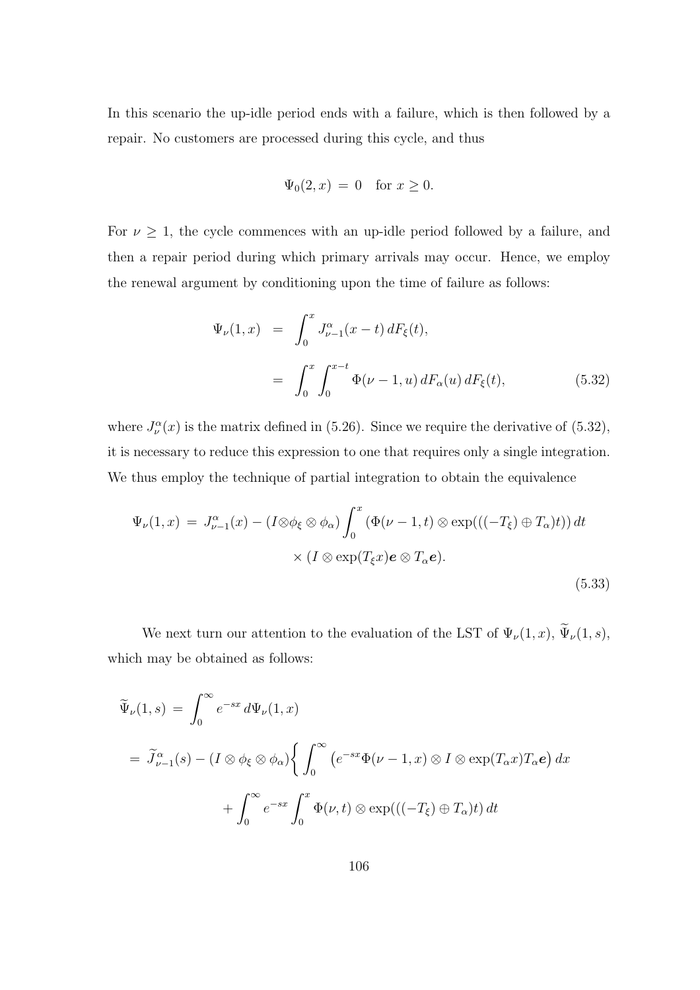In this scenario the up-idle period ends with a failure, which is then followed by a repair. No customers are processed during this cycle, and thus

$$
\Psi_0(2, x) = 0 \quad \text{for } x \ge 0.
$$

For  $\nu \geq 1$ , the cycle commences with an up-idle period followed by a failure, and then a repair period during which primary arrivals may occur. Hence, we employ the renewal argument by conditioning upon the time of failure as follows:

$$
\Psi_{\nu}(1,x) = \int_0^x J_{\nu-1}^{\alpha}(x-t) dF_{\xi}(t),
$$
  
= 
$$
\int_0^x \int_0^{x-t} \Phi(\nu-1, u) dF_{\alpha}(u) dF_{\xi}(t),
$$
 (5.32)

where  $J_{\nu}^{\alpha}(x)$  is the matrix defined in (5.26). Since we require the derivative of (5.32), it is necessary to reduce this expression to one that requires only a single integration. We thus employ the technique of partial integration to obtain the equivalence

$$
\Psi_{\nu}(1,x) = J_{\nu-1}^{\alpha}(x) - (I \otimes \phi_{\xi} \otimes \phi_{\alpha}) \int_{0}^{x} (\Phi(\nu - 1, t) \otimes \exp(((-T_{\xi}) \oplus T_{\alpha})t)) dt
$$

$$
\times (I \otimes \exp(T_{\xi}x)e \otimes T_{\alpha}e).
$$
(5.33)

We next turn our attention to the evaluation of the LST of  $\Psi_{\nu}(1,x)$ ,  $\widetilde{\Psi}_{\nu}(1,s)$ , which may be obtained as follows:

$$
\widetilde{\Psi}_{\nu}(1,s) = \int_0^{\infty} e^{-sx} d\Psi_{\nu}(1,x)
$$
\n
$$
= \widetilde{J}_{\nu-1}^{\alpha}(s) - (I \otimes \phi_{\xi} \otimes \phi_{\alpha}) \left\{ \int_0^{\infty} \left( e^{-sx} \Phi(\nu-1,x) \otimes I \otimes \exp(T_{\alpha}x) T_{\alpha}e \right) dx \right. \\
\left. + \int_0^{\infty} e^{-sx} \int_0^x \Phi(\nu,t) \otimes \exp(((-T_{\xi}) \oplus T_{\alpha})t) dt \right\}
$$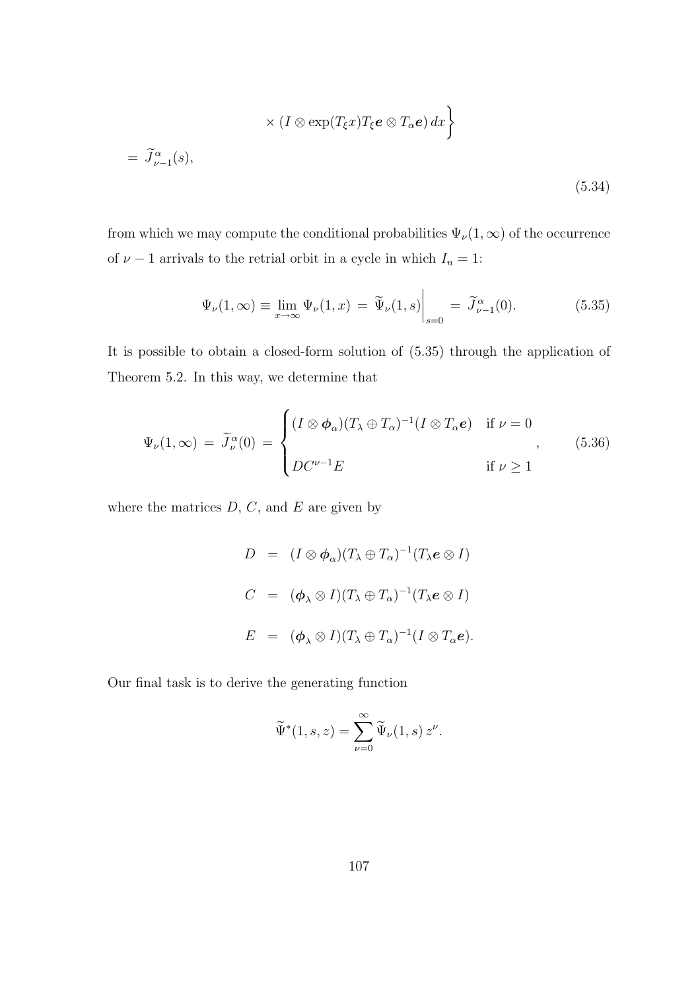$$
\times (I \otimes \exp(T_{\xi}x)T_{\xi}e \otimes T_{\alpha}e) dx \bigg\} = \widetilde{J}_{\nu-1}^{\alpha}(s),
$$
\n(5.34)

from which we may compute the conditional probabilities  $\Psi_{\nu}(1,\infty)$  of the occurrence of  $\nu - 1$  arrivals to the retrial orbit in a cycle in which  $I_n = 1$ :

$$
\Psi_{\nu}(1,\infty) \equiv \lim_{x \to \infty} \Psi_{\nu}(1,x) = \widetilde{\Psi}_{\nu}(1,s) \Big|_{s=0} = \widetilde{J}_{\nu-1}^{\alpha}(0). \tag{5.35}
$$

It is possible to obtain a closed-form solution of (5.35) through the application of Theorem 5.2. In this way, we determine that

$$
\Psi_{\nu}(1,\infty) = \tilde{J}_{\nu}^{\alpha}(0) = \begin{cases} (I \otimes \phi_{\alpha})(T_{\lambda} \oplus T_{\alpha})^{-1}(I \otimes T_{\alpha}e) & \text{if } \nu = 0 \\ D C^{\nu-1} E & \text{if } \nu \ge 1 \end{cases}
$$
(5.36)

where the matrices  $D, C$ , and  $E$  are given by

$$
D = (I \otimes \phi_{\alpha})(T_{\lambda} \oplus T_{\alpha})^{-1}(T_{\lambda}e \otimes I)
$$
  
\n
$$
C = (\phi_{\lambda} \otimes I)(T_{\lambda} \oplus T_{\alpha})^{-1}(T_{\lambda}e \otimes I)
$$
  
\n
$$
E = (\phi_{\lambda} \otimes I)(T_{\lambda} \oplus T_{\alpha})^{-1}(I \otimes T_{\alpha}e).
$$

Our final task is to derive the generating function

$$
\widetilde{\Psi}^*(1, s, z) = \sum_{\nu=0}^{\infty} \widetilde{\Psi}_{\nu}(1, s) z^{\nu}.
$$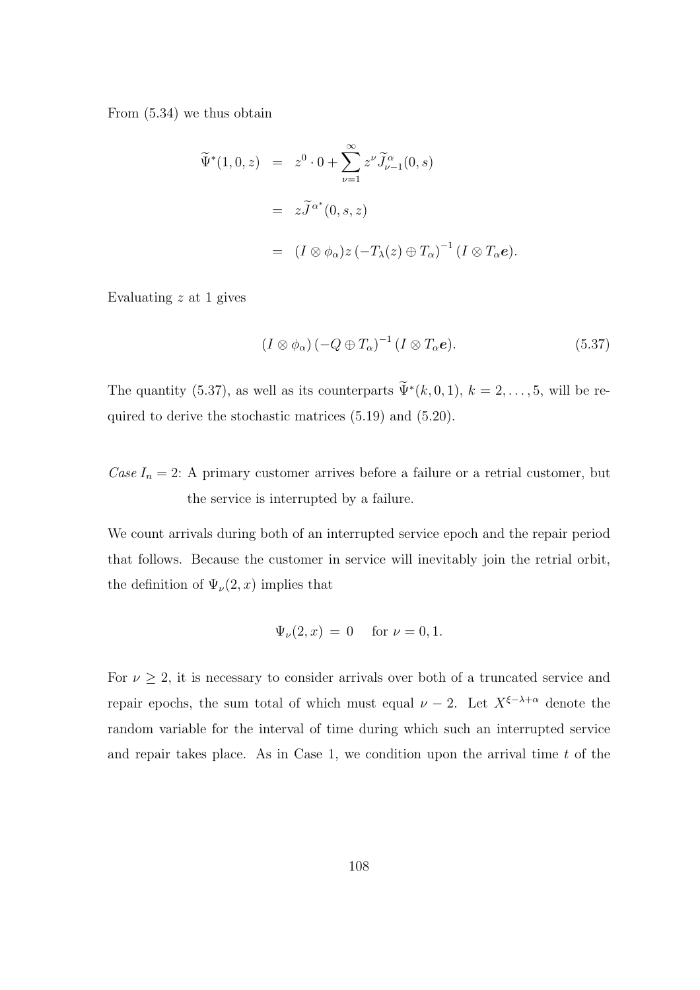From (5.34) we thus obtain

$$
\widetilde{\Psi}^*(1,0,z) = z^0 \cdot 0 + \sum_{\nu=1}^{\infty} z^{\nu} \widetilde{J}_{\nu-1}^{\alpha}(0,s)
$$
  

$$
= z \widetilde{J}^{\alpha^*}(0,s,z)
$$
  

$$
= (I \otimes \phi_{\alpha}) z (-T_{\lambda}(z) \oplus T_{\alpha})^{-1} (I \otimes T_{\alpha}e).
$$

Evaluating  $z$  at 1 gives

$$
(I \otimes \phi_{\alpha}) (-Q \oplus T_{\alpha})^{-1} (I \otimes T_{\alpha}e). \tag{5.37}
$$

The quantity (5.37), as well as its counterparts  $\widetilde{\Psi}^*(k,0,1)$ ,  $k=2,\ldots,5$ , will be required to derive the stochastic matrices (5.19) and (5.20).

Case  $I_n = 2$ : A primary customer arrives before a failure or a retrial customer, but the service is interrupted by a failure.

We count arrivals during both of an interrupted service epoch and the repair period that follows. Because the customer in service will inevitably join the retrial orbit, the definition of  $\Psi_{\nu}(2, x)$  implies that

$$
\Psi_{\nu}(2, x) = 0
$$
 for  $\nu = 0, 1$ .

For  $\nu \geq 2$ , it is necessary to consider arrivals over both of a truncated service and repair epochs, the sum total of which must equal  $\nu - 2$ . Let  $X^{\xi - \lambda + \alpha}$  denote the random variable for the interval of time during which such an interrupted service and repair takes place. As in Case 1, we condition upon the arrival time  $t$  of the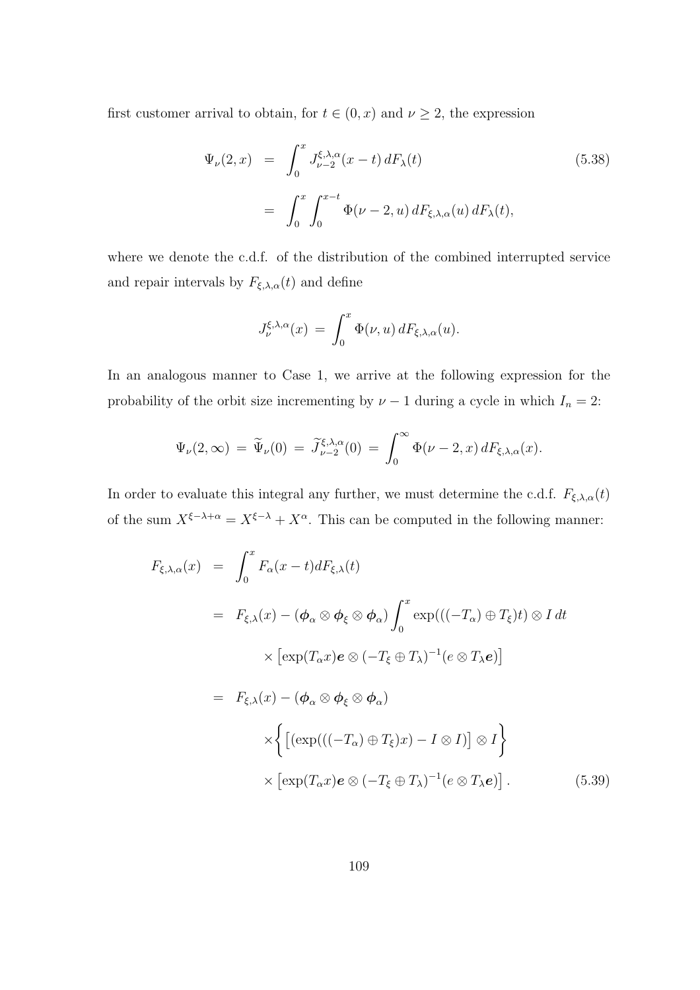first customer arrival to obtain, for  $t \in (0, x)$  and  $\nu \geq 2$ , the expression

$$
\Psi_{\nu}(2,x) = \int_0^x J_{\nu-2}^{\xi,\lambda,\alpha}(x-t) dF_{\lambda}(t)
$$
\n
$$
= \int_0^x \int_0^{x-t} \Phi(\nu-2,u) dF_{\xi,\lambda,\alpha}(u) dF_{\lambda}(t),
$$
\n(5.38)

where we denote the c.d.f. of the distribution of the combined interrupted service and repair intervals by  $F_{\xi,\lambda,\alpha}(t)$  and define

$$
J_{\nu}^{\xi,\lambda,\alpha}(x) = \int_0^x \Phi(\nu,u) dF_{\xi,\lambda,\alpha}(u).
$$

In an analogous manner to Case 1, we arrive at the following expression for the probability of the orbit size incrementing by  $\nu - 1$  during a cycle in which  $I_n = 2$ :

$$
\Psi_{\nu}(2,\infty) = \widetilde{\Psi}_{\nu}(0) = \widetilde{J}_{\nu-2}^{\xi,\lambda,\alpha}(0) = \int_0^\infty \Phi(\nu-2,x) dF_{\xi,\lambda,\alpha}(x).
$$

In order to evaluate this integral any further, we must determine the c.d.f.  $F_{\xi,\lambda,\alpha}(t)$ of the sum  $X^{\xi-\lambda+\alpha} = X^{\xi-\lambda} + X^{\alpha}$ . This can be computed in the following manner:

$$
F_{\xi,\lambda,\alpha}(x) = \int_0^x F_{\alpha}(x-t) dF_{\xi,\lambda}(t)
$$
  
\n
$$
= F_{\xi,\lambda}(x) - (\phi_{\alpha} \otimes \phi_{\xi} \otimes \phi_{\alpha}) \int_0^x \exp(((-T_{\alpha}) \oplus T_{\xi})t) \otimes I dt
$$
  
\n
$$
\times [\exp(T_{\alpha}x)e \otimes (-T_{\xi} \oplus T_{\lambda})^{-1}(e \otimes T_{\lambda}e)]
$$
  
\n
$$
= F_{\xi,\lambda}(x) - (\phi_{\alpha} \otimes \phi_{\xi} \otimes \phi_{\alpha})
$$
  
\n
$$
\times \left\{ [(\exp(((-T_{\alpha}) \oplus T_{\xi})x) - I \otimes I)] \otimes I \right\}
$$
  
\n
$$
\times [\exp(T_{\alpha}x)e \otimes (-T_{\xi} \oplus T_{\lambda})^{-1}(e \otimes T_{\lambda}e)]. \tag{5.39}
$$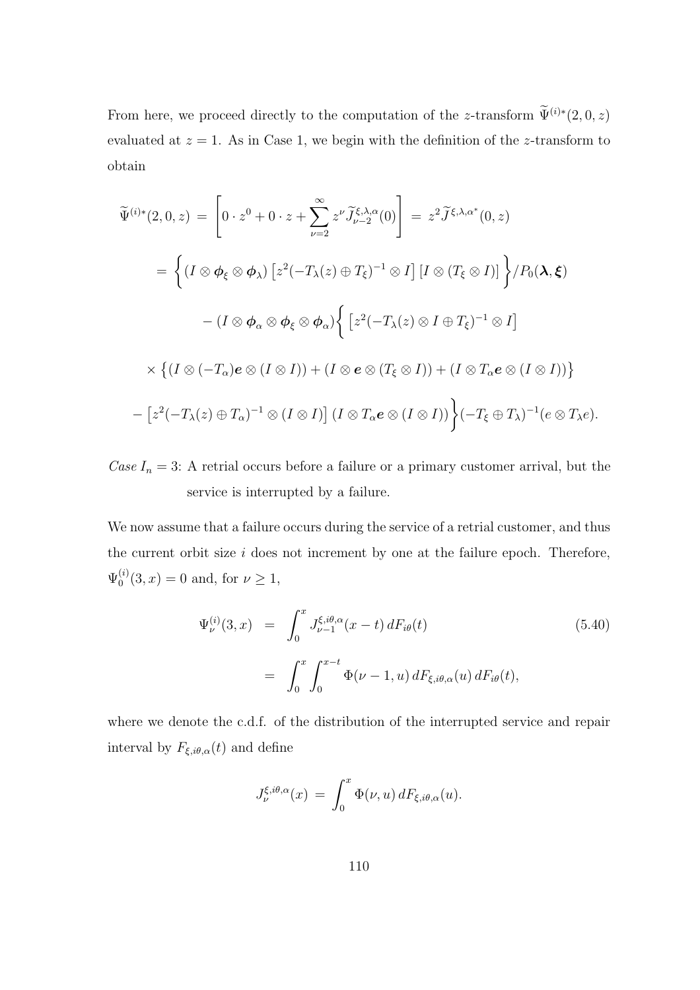From here, we proceed directly to the computation of the z-transform  $\widetilde{\Psi}^{(i)*}(2,0,z)$ evaluated at  $z = 1$ . As in Case 1, we begin with the definition of the z-transform to obtain

$$
\widetilde{\Psi}^{(i)*}(2,0,z) = \left[0 \cdot z^0 + 0 \cdot z + \sum_{\nu=2}^{\infty} z^{\nu} \widetilde{J}_{\nu-2}^{\xi,\lambda,\alpha}(0)\right] = z^2 \widetilde{J}^{\xi,\lambda,\alpha^*}(0,z)
$$
\n
$$
= \left\{ (I \otimes \phi_{\xi} \otimes \phi_{\lambda}) \left[z^2(-T_{\lambda}(z) \oplus T_{\xi})^{-1} \otimes I\right] [I \otimes (T_{\xi} \otimes I)] \right\} / P_0(\lambda, \xi)
$$
\n
$$
- (I \otimes \phi_{\alpha} \otimes \phi_{\xi} \otimes \phi_{\alpha}) \left\{ \left[z^2(-T_{\lambda}(z) \otimes I \oplus T_{\xi})^{-1} \otimes I\right]
$$
\n
$$
\times \left\{ (I \otimes (-T_{\alpha})e \otimes (I \otimes I)) + (I \otimes e \otimes (T_{\xi} \otimes I)) + (I \otimes T_{\alpha}e \otimes (I \otimes I)) \right\}
$$
\n
$$
- \left[z^2(-T_{\lambda}(z) \oplus T_{\alpha})^{-1} \otimes (I \otimes I)\right] (I \otimes T_{\alpha}e \otimes (I \otimes I)) \right\} (-T_{\xi} \oplus T_{\lambda})^{-1} (e \otimes T_{\lambda}e).
$$

Case  $I_n = 3$ : A retrial occurs before a failure or a primary customer arrival, but the service is interrupted by a failure.

We now assume that a failure occurs during the service of a retrial customer, and thus the current orbit size  $i$  does not increment by one at the failure epoch. Therefore,  $\Psi_0^{(i)}$  $_{0}^{(i)}(3, x) = 0$  and, for  $\nu \ge 1$ ,

$$
\Psi_{\nu}^{(i)}(3,x) = \int_0^x J_{\nu-1}^{\xi,i\theta,\alpha}(x-t) dF_{i\theta}(t)
$$
\n
$$
= \int_0^x \int_0^{x-t} \Phi(\nu-1,u) dF_{\xi,i\theta,\alpha}(u) dF_{i\theta}(t),
$$
\n(5.40)

where we denote the c.d.f. of the distribution of the interrupted service and repair interval by  $F_{\xi,i\theta,\alpha}(t)$  and define

$$
J_{\nu}^{\xi,i\theta,\alpha}(x) \,=\, \int_0^x \Phi(\nu,u)\,dF_{\xi,i\theta,\alpha}(u).
$$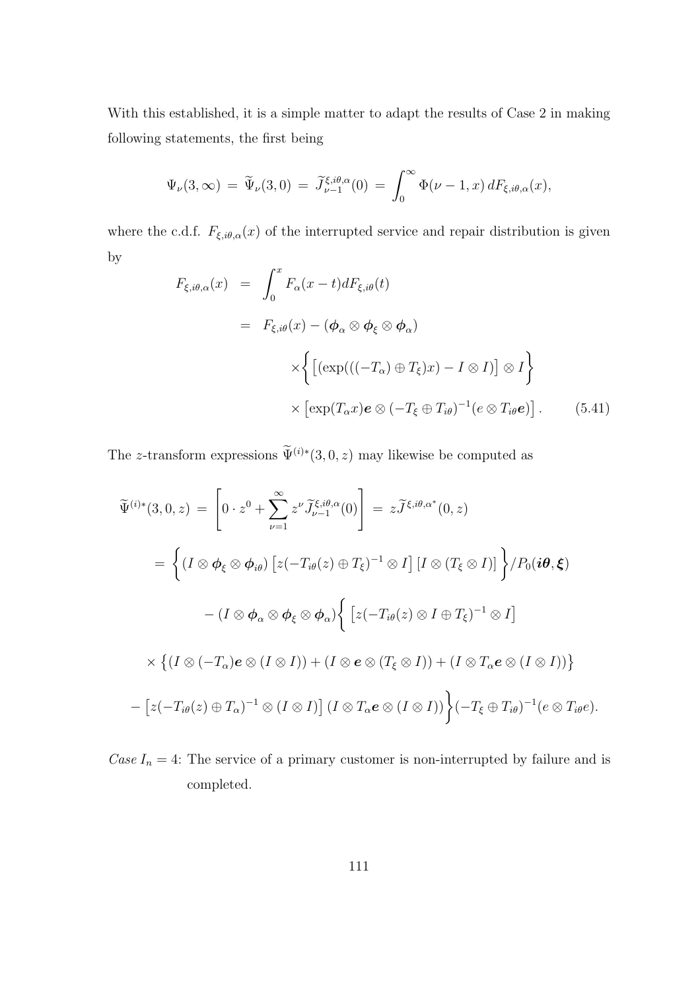With this established, it is a simple matter to adapt the results of Case 2 in making following statements, the first being

$$
\Psi_{\nu}(3,\infty) = \widetilde{\Psi}_{\nu}(3,0) = \widetilde{J}_{\nu-1}^{\xi,i\theta,\alpha}(0) = \int_0^\infty \Phi(\nu-1,x) dF_{\xi,i\theta,\alpha}(x),
$$

where the c.d.f.  $F_{\xi,i\theta,\alpha}(x)$  of the interrupted service and repair distribution is given by

$$
F_{\xi,i\theta,\alpha}(x) = \int_0^x F_{\alpha}(x-t) dF_{\xi,i\theta}(t)
$$
  
\n
$$
= F_{\xi,i\theta}(x) - (\phi_{\alpha} \otimes \phi_{\xi} \otimes \phi_{\alpha})
$$
  
\n
$$
\times \left\{ \left[ (\exp(((-T_{\alpha}) \oplus T_{\xi})x) - I \otimes I) \right] \otimes I \right\}
$$
  
\n
$$
\times \left[ \exp(T_{\alpha}x)e \otimes (-T_{\xi} \oplus T_{i\theta})^{-1}(e \otimes T_{i\theta}e) \right].
$$
 (5.41)

The z-transform expressions  $\widetilde{\Psi}^{(i)*}(3,0,z)$  may likewise be computed as

$$
\widetilde{\Psi}^{(i)*}(3,0,z) = \left[0 \cdot z^0 + \sum_{\nu=1}^{\infty} z^{\nu} \widetilde{J}_{\nu-1}^{\xi,i\theta,\alpha}(0)\right] = z \widetilde{J}^{\xi,i\theta,\alpha^*}(0,z)
$$
\n
$$
= \left\{ (I \otimes \phi_{\xi} \otimes \phi_{i\theta}) \left[z(-T_{i\theta}(z) \oplus T_{\xi})^{-1} \otimes I\right] [I \otimes (T_{\xi} \otimes I)] \right\} / P_0(i\theta,\xi)
$$
\n
$$
- (I \otimes \phi_{\alpha} \otimes \phi_{\xi} \otimes \phi_{\alpha}) \left\{ \left[z(-T_{i\theta}(z) \otimes I \oplus T_{\xi})^{-1} \otimes I\right]
$$
\n
$$
\times \left\{ (I \otimes (-T_{\alpha})e \otimes (I \otimes I)) + (I \otimes e \otimes (T_{\xi} \otimes I)) + (I \otimes T_{\alpha}e \otimes (I \otimes I)) \right\}
$$
\n
$$
- \left[z(-T_{i\theta}(z) \oplus T_{\alpha})^{-1} \otimes (I \otimes I)\right] (I \otimes T_{\alpha}e \otimes (I \otimes I)) \right\} (-T_{\xi} \oplus T_{i\theta})^{-1} (e \otimes T_{i\theta}e).
$$

Case  $I_n = 4$ : The service of a primary customer is non-interrupted by failure and is completed.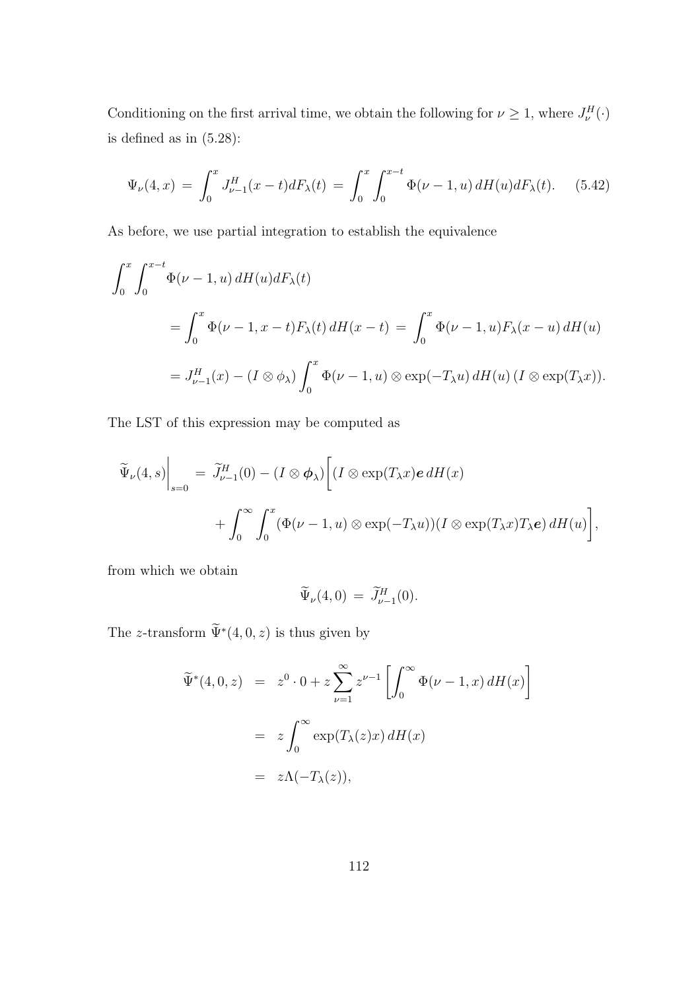Conditioning on the first arrival time, we obtain the following for  $\nu \geq 1$ , where  $J^H_{\nu}(\cdot)$ is defined as in (5.28):

$$
\Psi_{\nu}(4,x) = \int_0^x J_{\nu-1}^H(x-t) dF_{\lambda}(t) = \int_0^x \int_0^{x-t} \Phi(\nu-1,u) dH(u) dF_{\lambda}(t). \tag{5.42}
$$

As before, we use partial integration to establish the equivalence

$$
\int_0^x \int_0^{x-t} \Phi(\nu - 1, u) dH(u) dF_{\lambda}(t)
$$
  
= 
$$
\int_0^x \Phi(\nu - 1, x - t) F_{\lambda}(t) dH(x - t) = \int_0^x \Phi(\nu - 1, u) F_{\lambda}(x - u) dH(u)
$$
  
= 
$$
J_{\nu-1}^H(x) - (I \otimes \phi_{\lambda}) \int_0^x \Phi(\nu - 1, u) \otimes \exp(-T_{\lambda} u) dH(u) (I \otimes \exp(T_{\lambda} x)).
$$

The LST of this expression may be computed as

$$
\widetilde{\Psi}_{\nu}(4, s)\Big|_{s=0} = \widetilde{J}_{\nu-1}^{H}(0) - (I \otimes \phi_{\lambda}) \bigg[ (I \otimes \exp(T_{\lambda} x) \mathbf{e} \, dH(x) \n+ \int_{0}^{\infty} \int_{0}^{x} (\Phi(\nu - 1, u) \otimes \exp(-T_{\lambda} u)) (I \otimes \exp(T_{\lambda} x) T_{\lambda} \mathbf{e}) \, dH(u) \bigg],
$$

from which we obtain

$$
\widetilde{\Psi}_{\nu}(4,0) = \widetilde{J}_{\nu-1}^H(0).
$$

The z-transform  $\widetilde{\Psi}^*(4,0,z)$  is thus given by

$$
\widetilde{\Psi}^*(4,0,z) = z^0 \cdot 0 + z \sum_{\nu=1}^{\infty} z^{\nu-1} \left[ \int_0^{\infty} \Phi(\nu-1,x) dH(x) \right]
$$

$$
= z \int_0^{\infty} \exp(T_{\lambda}(z)x) dH(x)
$$

$$
= z\Lambda(-T_{\lambda}(z)),
$$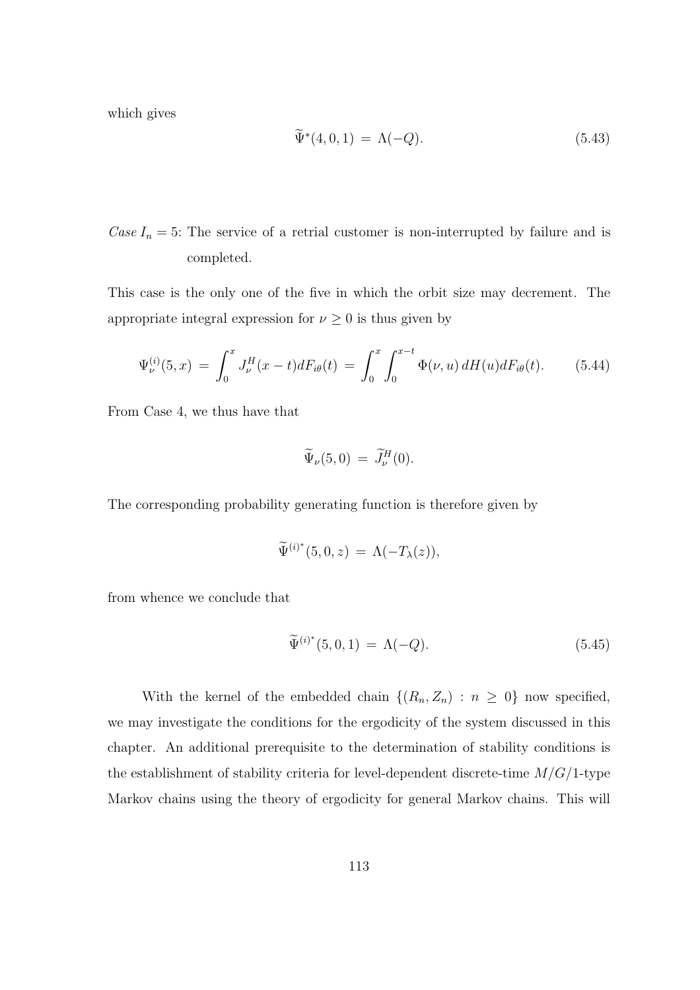which gives

$$
\widetilde{\Psi}^*(4,0,1) = \Lambda(-Q). \tag{5.43}
$$

Case  $I_n = 5$ : The service of a retrial customer is non-interrupted by failure and is completed.

This case is the only one of the five in which the orbit size may decrement. The appropriate integral expression for  $\nu \geq 0$  is thus given by

$$
\Psi_{\nu}^{(i)}(5,x) = \int_0^x J_{\nu}^H(x-t) dF_{i\theta}(t) = \int_0^x \int_0^{x-t} \Phi(\nu, u) dH(u) dF_{i\theta}(t).
$$
 (5.44)

From Case 4, we thus have that

$$
\widetilde{\Psi}_{\nu}(5,0) = \widetilde{J}^H_{\nu}(0).
$$

The corresponding probability generating function is therefore given by

$$
\widetilde{\Psi}^{(i)^*}(5,0,z) = \Lambda(-T_{\lambda}(z)),
$$

from whence we conclude that

$$
\widetilde{\Psi}^{(i)*}(5,0,1) = \Lambda(-Q). \tag{5.45}
$$

With the kernel of the embedded chain  $\{(R_n, Z_n) : n \geq 0\}$  now specified, we may investigate the conditions for the ergodicity of the system discussed in this chapter. An additional prerequisite to the determination of stability conditions is the establishment of stability criteria for level-dependent discrete-time  $M/G/1$ -type Markov chains using the theory of ergodicity for general Markov chains. This will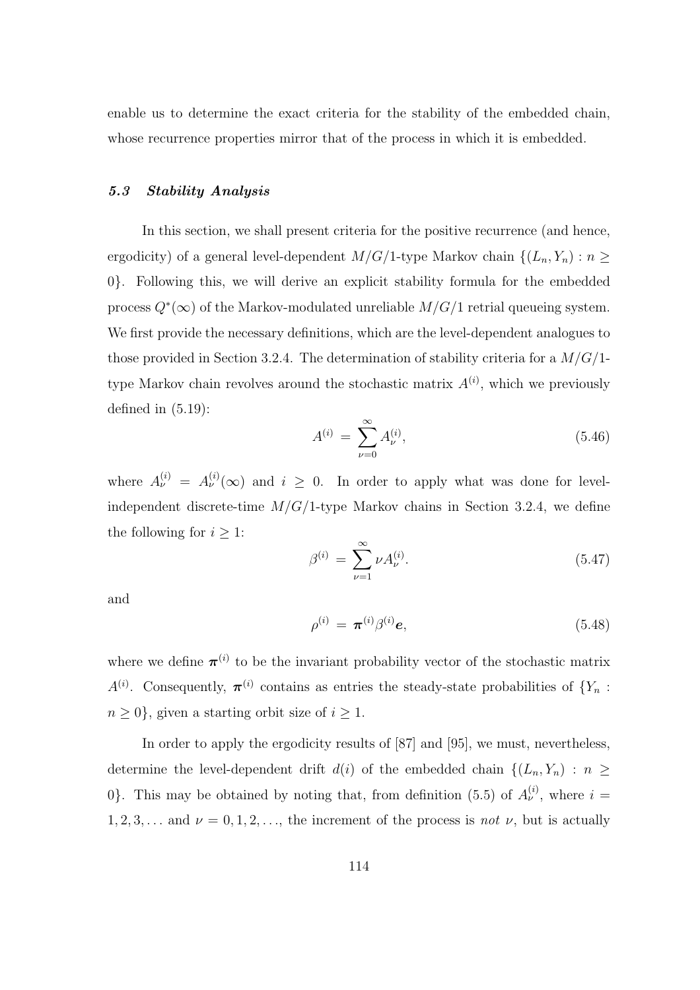enable us to determine the exact criteria for the stability of the embedded chain, whose recurrence properties mirror that of the process in which it is embedded.

### 5.3 Stability Analysis

In this section, we shall present criteria for the positive recurrence (and hence, ergodicity) of a general level-dependent  $M/G/1$ -type Markov chain  $\{(L_n, Y_n) : n \geq$ 0}. Following this, we will derive an explicit stability formula for the embedded process  $Q^*(\infty)$  of the Markov-modulated unreliable  $M/G/1$  retrial queueing system. We first provide the necessary definitions, which are the level-dependent analogues to those provided in Section 3.2.4. The determination of stability criteria for a  $M/G/1$ type Markov chain revolves around the stochastic matrix  $A^{(i)}$ , which we previously defined in (5.19):

$$
A^{(i)} = \sum_{\nu=0}^{\infty} A_{\nu}^{(i)},
$$
\n(5.46)

where  $A_{\nu}^{(i)} = A_{\nu}^{(i)}(\infty)$  and  $i \geq 0$ . In order to apply what was done for levelindependent discrete-time  $M/G/1$ -type Markov chains in Section 3.2.4, we define the following for  $i \geq 1$ :

$$
\beta^{(i)} = \sum_{\nu=1}^{\infty} \nu A_{\nu}^{(i)}.
$$
\n(5.47)

and

$$
\rho^{(i)} = \pi^{(i)} \beta^{(i)} e, \tag{5.48}
$$

where we define  $\pi^{(i)}$  to be the invariant probability vector of the stochastic matrix  $A^{(i)}$ . Consequently,  $\boldsymbol{\pi}^{(i)}$  contains as entries the steady-state probabilities of  $\{Y_n$ :  $n \geq 0$ , given a starting orbit size of  $i \geq 1$ .

In order to apply the ergodicity results of [87] and [95], we must, nevertheless, determine the level-dependent drift  $d(i)$  of the embedded chain  $\{(L_n, Y_n) : n \geq$ 0. This may be obtained by noting that, from definition (5.5) of  $A_{\nu}^{(i)}$ , where  $i =$  $1, 2, 3, \ldots$  and  $\nu = 0, 1, 2, \ldots$ , the increment of the process is *not*  $\nu$ , but is actually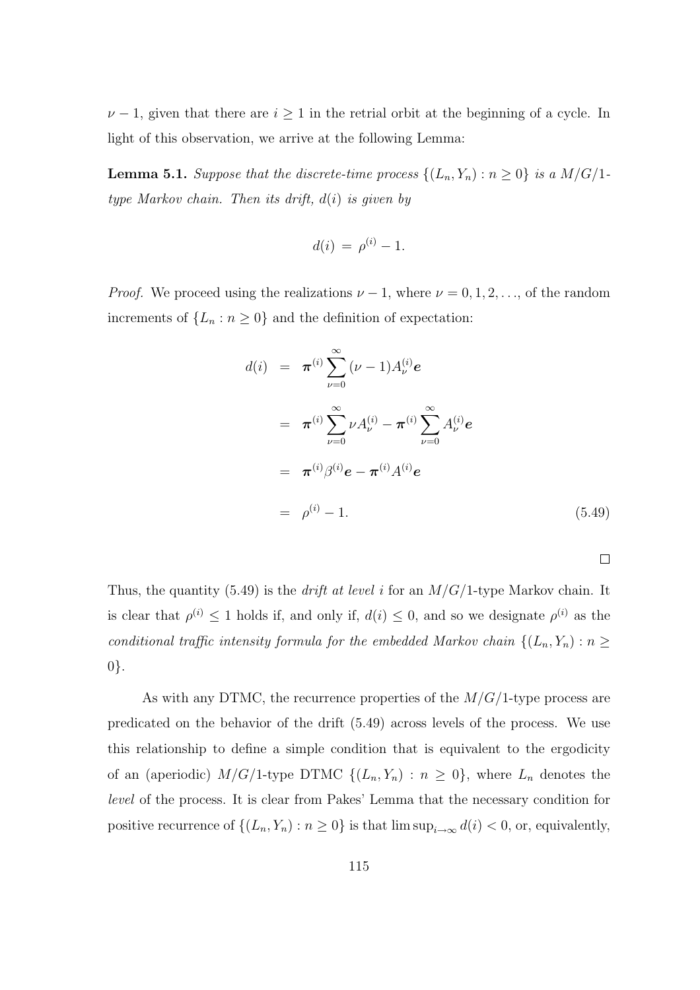$\nu - 1$ , given that there are  $i \geq 1$  in the retrial orbit at the beginning of a cycle. In light of this observation, we arrive at the following Lemma:

**Lemma 5.1.** Suppose that the discrete-time process  $\{(L_n, Y_n) : n \geq 0\}$  is a  $M/G/1$ type Markov chain. Then its drift,  $d(i)$  is given by

$$
d(i) = \rho^{(i)} - 1.
$$

*Proof.* We proceed using the realizations  $\nu - 1$ , where  $\nu = 0, 1, 2, \ldots$ , of the random increments of  $\{L_n : n \geq 0\}$  and the definition of expectation:

$$
d(i) = \pi^{(i)} \sum_{\nu=0}^{\infty} (\nu - 1) A_{\nu}^{(i)} e
$$
  
\n
$$
= \pi^{(i)} \sum_{\nu=0}^{\infty} \nu A_{\nu}^{(i)} - \pi^{(i)} \sum_{\nu=0}^{\infty} A_{\nu}^{(i)} e
$$
  
\n
$$
= \pi^{(i)} \beta^{(i)} e - \pi^{(i)} A^{(i)} e
$$
  
\n
$$
= \rho^{(i)} - 1.
$$
 (5.49)

 $\Box$ 

Thus, the quantity (5.49) is the *drift at level i* for an  $M/G/1$ -type Markov chain. It is clear that  $\rho^{(i)} \leq 1$  holds if, and only if,  $d(i) \leq 0$ , and so we designate  $\rho^{(i)}$  as the conditional traffic intensity formula for the embedded Markov chain  $\{(L_n, Y_n) : n \geq n\}$ 0}.

As with any DTMC, the recurrence properties of the  $M/G/1$ -type process are predicated on the behavior of the drift (5.49) across levels of the process. We use this relationship to define a simple condition that is equivalent to the ergodicity of an (aperiodic)  $M/G/1$ -type DTMC  $\{(L_n, Y_n) : n \geq 0\}$ , where  $L_n$  denotes the level of the process. It is clear from Pakes' Lemma that the necessary condition for positive recurrence of  $\{(L_n, Y_n) : n \geq 0\}$  is that  $\limsup_{i \to \infty} d(i) < 0$ , or, equivalently,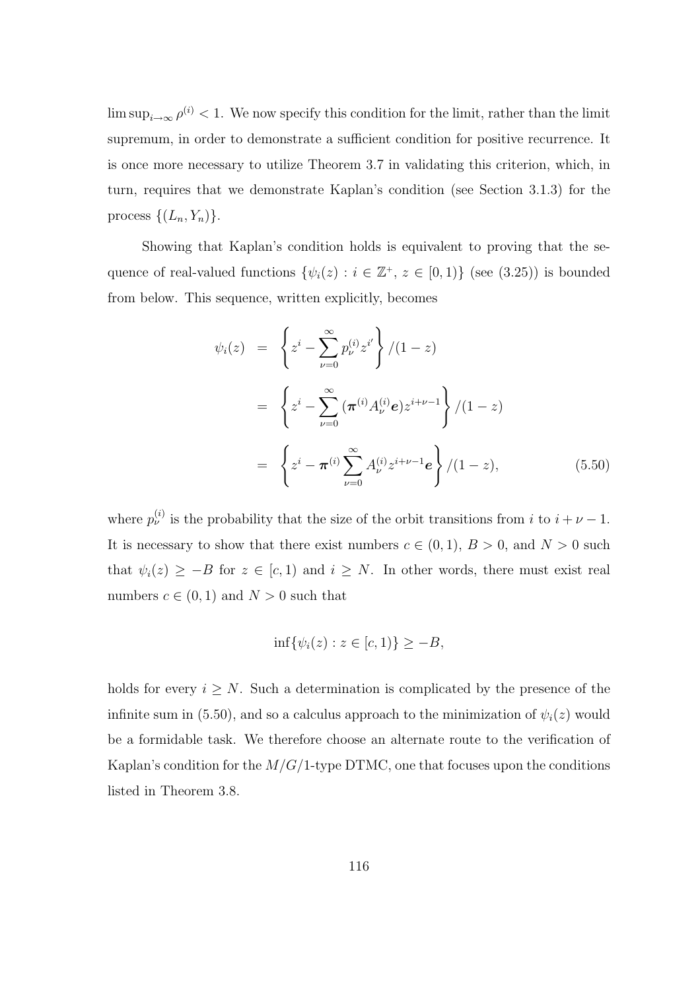$\limsup_{i\to\infty}\rho^{(i)} < 1$ . We now specify this condition for the limit, rather than the limit supremum, in order to demonstrate a sufficient condition for positive recurrence. It is once more necessary to utilize Theorem 3.7 in validating this criterion, which, in turn, requires that we demonstrate Kaplan's condition (see Section 3.1.3) for the process  $\{(L_n, Y_n)\}.$ 

Showing that Kaplan's condition holds is equivalent to proving that the sequence of real-valued functions  $\{\psi_i(z) : i \in \mathbb{Z}^+, z \in [0,1)\}\$  (see (3.25)) is bounded from below. This sequence, written explicitly, becomes

$$
\psi_i(z) = \left\{ z^i - \sum_{\nu=0}^{\infty} p_{\nu}^{(i)} z^{i'} \right\} / (1 - z)
$$
  
= 
$$
\left\{ z^i - \sum_{\nu=0}^{\infty} (\pi^{(i)} A_{\nu}^{(i)} e) z^{i+\nu-1} \right\} / (1 - z)
$$
  
= 
$$
\left\{ z^i - \pi^{(i)} \sum_{\nu=0}^{\infty} A_{\nu}^{(i)} z^{i+\nu-1} e \right\} / (1 - z),
$$
(5.50)

where  $p_{\nu}^{(i)}$  is the probability that the size of the orbit transitions from i to  $i + \nu - 1$ . It is necessary to show that there exist numbers  $c \in (0,1)$ ,  $B > 0$ , and  $N > 0$  such that  $\psi_i(z) \geq -B$  for  $z \in [c, 1)$  and  $i \geq N$ . In other words, there must exist real numbers  $c \in (0,1)$  and  $N > 0$  such that

$$
\inf\{\psi_i(z):z\in[c,1)\}\geq-B,
$$

holds for every  $i \geq N$ . Such a determination is complicated by the presence of the infinite sum in (5.50), and so a calculus approach to the minimization of  $\psi_i(z)$  would be a formidable task. We therefore choose an alternate route to the verification of Kaplan's condition for the  $M/G/1$ -type DTMC, one that focuses upon the conditions listed in Theorem 3.8.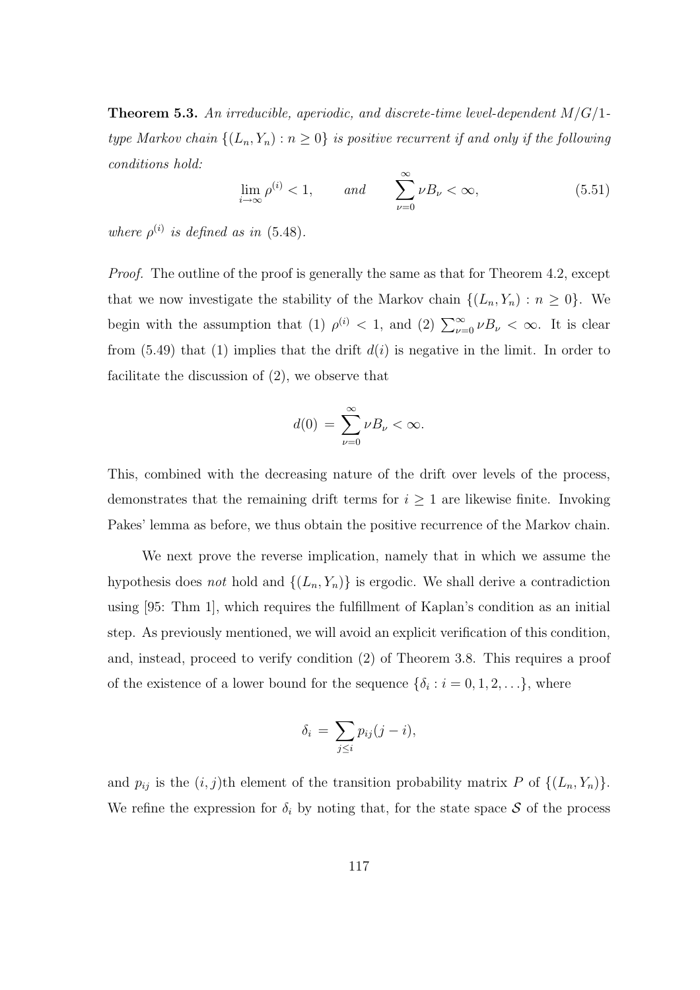**Theorem 5.3.** An irreducible, aperiodic, and discrete-time level-dependent  $M/G/1$ type Markov chain  $\{(L_n, Y_n) : n \geq 0\}$  is positive recurrent if and only if the following conditions hold:

$$
\lim_{i \to \infty} \rho^{(i)} < 1, \qquad \text{and} \qquad \sum_{\nu=0}^{\infty} \nu B_{\nu} < \infty,\tag{5.51}
$$

where  $\rho^{(i)}$  is defined as in (5.48).

Proof. The outline of the proof is generally the same as that for Theorem 4.2, except that we now investigate the stability of the Markov chain  $\{(L_n, Y_n) : n \geq 0\}$ . We begin with the assumption that (1)  $\rho^{(i)} < 1$ , and (2)  $\sum_{\nu=0}^{\infty} \nu B_{\nu} < \infty$ . It is clear from  $(5.49)$  that  $(1)$  implies that the drift  $d(i)$  is negative in the limit. In order to facilitate the discussion of (2), we observe that

$$
d(0) = \sum_{\nu=0}^{\infty} \nu B_{\nu} < \infty.
$$

This, combined with the decreasing nature of the drift over levels of the process, demonstrates that the remaining drift terms for  $i \geq 1$  are likewise finite. Invoking Pakes' lemma as before, we thus obtain the positive recurrence of the Markov chain.

We next prove the reverse implication, namely that in which we assume the hypothesis does not hold and  $\{(L_n, Y_n)\}\$ is ergodic. We shall derive a contradiction using [95: Thm 1], which requires the fulfillment of Kaplan's condition as an initial step. As previously mentioned, we will avoid an explicit verification of this condition, and, instead, proceed to verify condition (2) of Theorem 3.8. This requires a proof of the existence of a lower bound for the sequence  $\{\delta_i : i = 0, 1, 2, \ldots\}$ , where

$$
\delta_i = \sum_{j \leq i} p_{ij} (j - i),
$$

and  $p_{ij}$  is the  $(i, j)$ th element of the transition probability matrix P of  $\{(L_n, Y_n)\}.$ We refine the expression for  $\delta_i$  by noting that, for the state space S of the process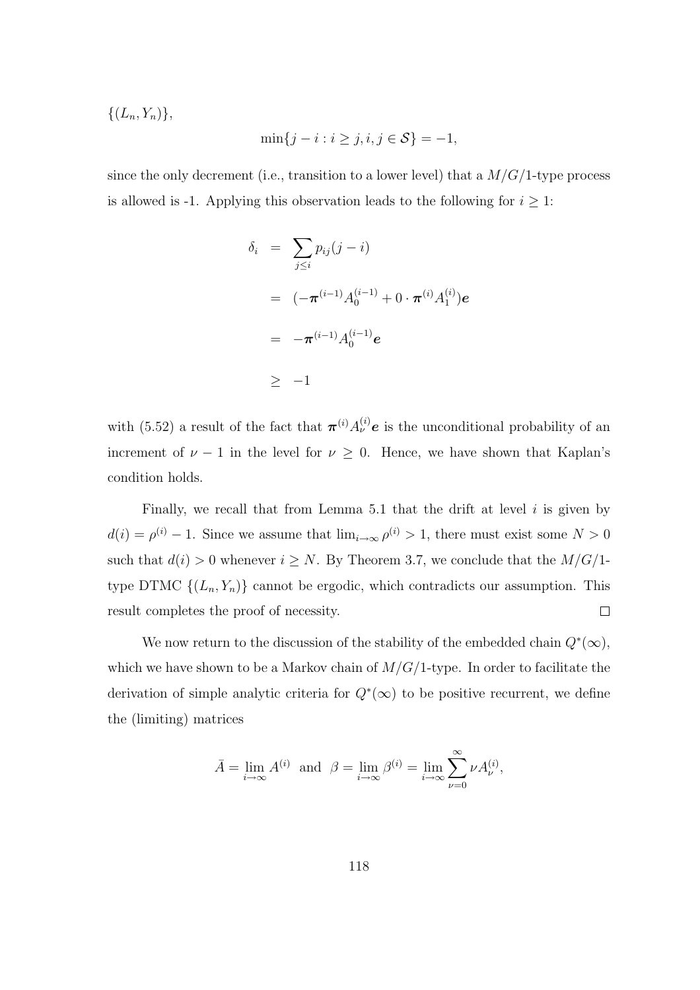$\{(L_n, Y_n)\},\$ 

$$
\min\{j - i : i \ge j, i, j \in S\} = -1,
$$

since the only decrement (i.e., transition to a lower level) that a  $M/G/1$ -type process is allowed is -1. Applying this observation leads to the following for  $i \geq 1$ :

$$
\delta_i = \sum_{j \leq i} p_{ij} (j - i)
$$
  
=  $(-\pi^{(i-1)} A_0^{(i-1)} + 0 \cdot \pi^{(i)} A_1^{(i)}) e$   
=  $-\pi^{(i-1)} A_0^{(i-1)} e$   
 $\geq -1$ 

with (5.52) a result of the fact that  $\pi^{(i)} A_{\nu}^{(i)} e$  is the unconditional probability of an increment of  $\nu - 1$  in the level for  $\nu \geq 0$ . Hence, we have shown that Kaplan's condition holds.

Finally, we recall that from Lemma 5.1 that the drift at level  $i$  is given by  $d(i) = \rho^{(i)} - 1$ . Since we assume that  $\lim_{i \to \infty} \rho^{(i)} > 1$ , there must exist some  $N > 0$ such that  $d(i) > 0$  whenever  $i \geq N$ . By Theorem 3.7, we conclude that the  $M/G/1$ type DTMC  $\{(L_n, Y_n)\}\)$  cannot be ergodic, which contradicts our assumption. This result completes the proof of necessity.  $\Box$ 

We now return to the discussion of the stability of the embedded chain  $Q^*(\infty)$ , which we have shown to be a Markov chain of  $M/G/1$ -type. In order to facilitate the derivation of simple analytic criteria for  $Q^*(\infty)$  to be positive recurrent, we define the (limiting) matrices

$$
\bar{A} = \lim_{i \to \infty} A^{(i)} \text{ and } \beta = \lim_{i \to \infty} \beta^{(i)} = \lim_{i \to \infty} \sum_{\nu=0}^{\infty} \nu A_{\nu}^{(i)},
$$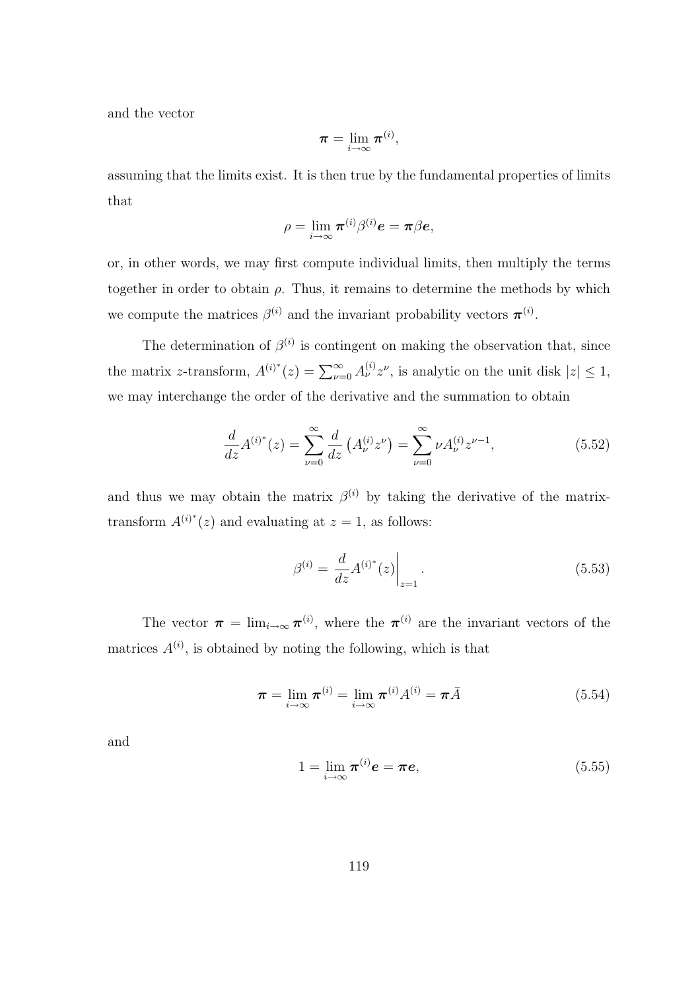and the vector

$$
\boldsymbol{\pi} = \lim_{i \to \infty} \boldsymbol{\pi}^{(i)},
$$

assuming that the limits exist. It is then true by the fundamental properties of limits that

$$
\rho = \lim_{i \to \infty} \boldsymbol{\pi}^{(i)} \beta^{(i)} \boldsymbol{e} = \boldsymbol{\pi} \beta \boldsymbol{e},
$$

or, in other words, we may first compute individual limits, then multiply the terms together in order to obtain  $\rho$ . Thus, it remains to determine the methods by which we compute the matrices  $\beta^{(i)}$  and the invariant probability vectors  $\pi^{(i)}$ .

The determination of  $\beta^{(i)}$  is contingent on making the observation that, since the matrix z-transform,  $A^{(i)*}(z) = \sum_{\nu=0}^{\infty} A^{(i)}_{\nu} z^{\nu}$ , is analytic on the unit disk  $|z| \leq 1$ , we may interchange the order of the derivative and the summation to obtain

$$
\frac{d}{dz}A^{(i)*}(z) = \sum_{\nu=0}^{\infty} \frac{d}{dz} \left( A_{\nu}^{(i)} z^{\nu} \right) = \sum_{\nu=0}^{\infty} \nu A_{\nu}^{(i)} z^{\nu-1},\tag{5.52}
$$

and thus we may obtain the matrix  $\beta^{(i)}$  by taking the derivative of the matrixtransform  $A^{(i)*}(z)$  and evaluating at  $z = 1$ , as follows:

$$
\beta^{(i)} = \frac{d}{dz} A^{(i)^*}(z) \Big|_{z=1}.
$$
\n(5.53)

The vector  $\pi = \lim_{i \to \infty} \pi^{(i)}$ , where the  $\pi^{(i)}$  are the invariant vectors of the matrices  $A^{(i)}$ , is obtained by noting the following, which is that

$$
\boldsymbol{\pi} = \lim_{i \to \infty} \boldsymbol{\pi}^{(i)} = \lim_{i \to \infty} \boldsymbol{\pi}^{(i)} A^{(i)} = \boldsymbol{\pi} \bar{A}
$$
(5.54)

and

$$
1 = \lim_{i \to \infty} \pi^{(i)} \mathbf{e} = \pi \mathbf{e},\tag{5.55}
$$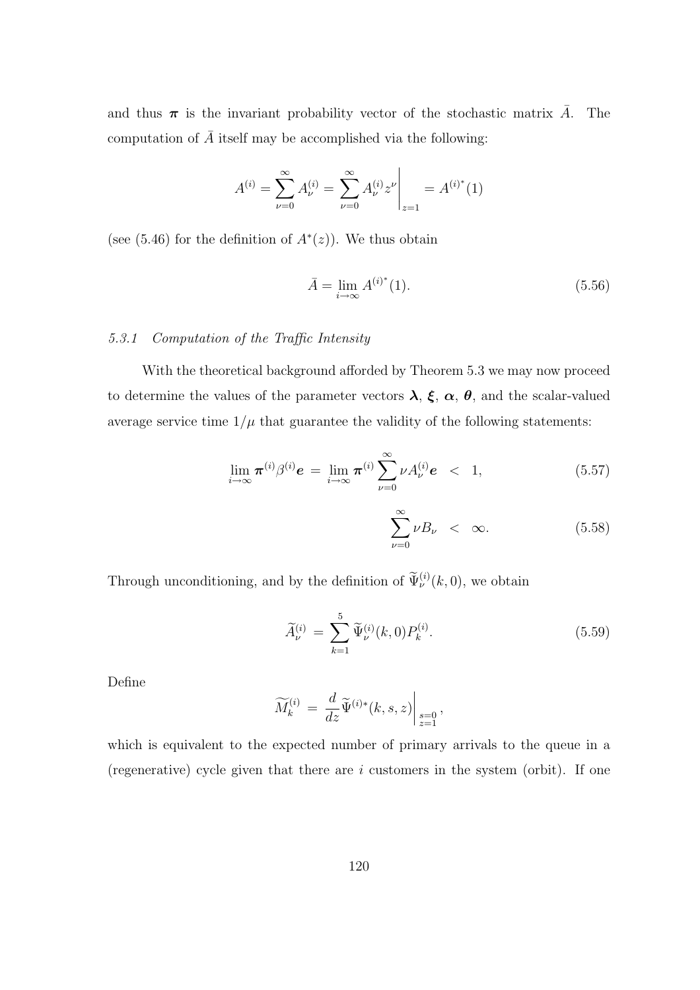and thus  $\pi$  is the invariant probability vector of the stochastic matrix  $\bar{A}$ . The computation of  $\overline{A}$  itself may be accomplished via the following:

$$
A^{(i)} = \sum_{\nu=0}^{\infty} A_{\nu}^{(i)} = \sum_{\nu=0}^{\infty} A_{\nu}^{(i)} z^{\nu} \bigg|_{z=1} = A^{(i)^{*}}(1)
$$

(see  $(5.46)$ ) for the definition of  $A^*(z)$ ). We thus obtain

$$
\bar{A} = \lim_{i \to \infty} A^{(i)^*}(1). \tag{5.56}
$$

### 5.3.1 Computation of the Traffic Intensity

With the theoretical background afforded by Theorem 5.3 we may now proceed to determine the values of the parameter vectors  $\lambda$ ,  $\xi$ ,  $\alpha$ ,  $\theta$ , and the scalar-valued average service time  $1/\mu$  that guarantee the validity of the following statements:

$$
\lim_{i \to \infty} \boldsymbol{\pi}^{(i)} \beta^{(i)} \boldsymbol{e} = \lim_{i \to \infty} \boldsymbol{\pi}^{(i)} \sum_{\nu=0}^{\infty} \nu A_{\nu}^{(i)} \boldsymbol{e} < 1,\tag{5.57}
$$

$$
\sum_{\nu=0}^{\infty} \nu B_{\nu} < \infty. \tag{5.58}
$$

Through unconditioning, and by the definition of  $\widetilde{\Psi}_{\nu}^{(i)}(k,0)$ , we obtain

$$
\widetilde{A}_{\nu}^{(i)} = \sum_{k=1}^{5} \widetilde{\Psi}_{\nu}^{(i)}(k,0) P_{k}^{(i)}.
$$
\n(5.59)

Define

$$
\widetilde{M}_k^{(i)} \ = \ \frac{d}{dz} \widetilde{\Psi}^{(i)*}(k, s, z) \Big|_{\substack{s=0 \\ z=1}} \, ,
$$

which is equivalent to the expected number of primary arrivals to the queue in a (regenerative) cycle given that there are  $i$  customers in the system (orbit). If one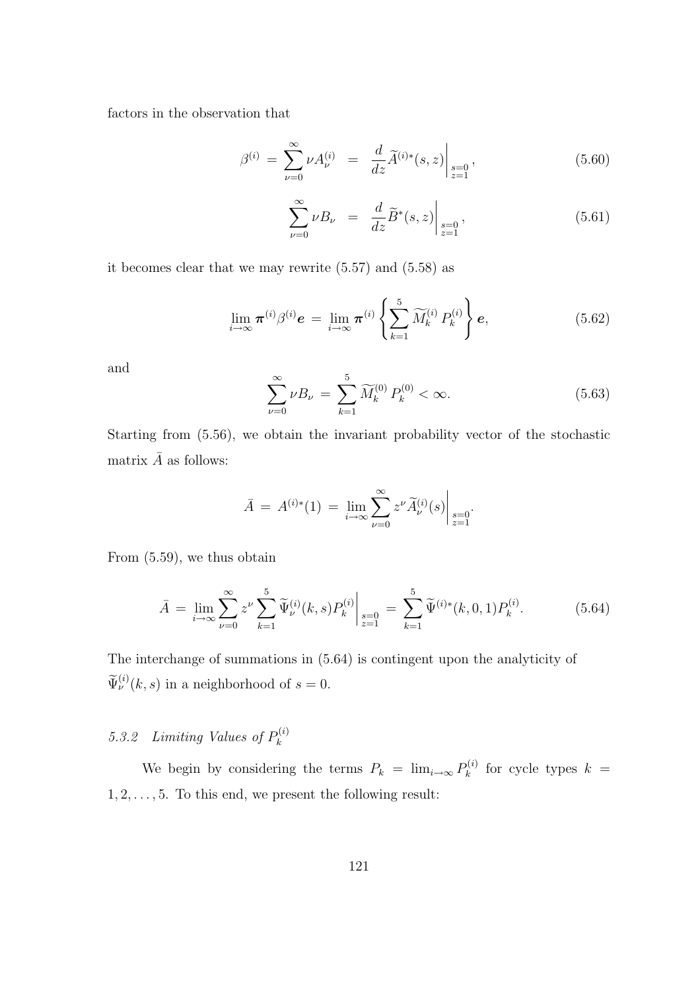factors in the observation that

$$
\beta^{(i)} = \sum_{\nu=0}^{\infty} \nu A_{\nu}^{(i)} = \frac{d}{dz} \widetilde{A}^{(i)*}(s, z) \Big|_{\substack{s=0 \\ z=1}} , \qquad (5.60)
$$

$$
\sum_{\nu=0}^{\infty} \nu B_{\nu} = \frac{d}{dz} \widetilde{B}^*(s, z) \Big|_{\substack{s=0 \\ z=1}} , \tag{5.61}
$$

it becomes clear that we may rewrite (5.57) and (5.58) as

$$
\lim_{i \to \infty} \boldsymbol{\pi}^{(i)} \beta^{(i)} \boldsymbol{e} = \lim_{i \to \infty} \boldsymbol{\pi}^{(i)} \left\{ \sum_{k=1}^{5} \widetilde{M}_{k}^{(i)} P_{k}^{(i)} \right\} \boldsymbol{e}, \tag{5.62}
$$

and

$$
\sum_{\nu=0}^{\infty} \nu B_{\nu} = \sum_{k=1}^{5} \widetilde{M}_{k}^{(0)} P_{k}^{(0)} < \infty. \tag{5.63}
$$

Starting from (5.56), we obtain the invariant probability vector of the stochastic matrix  $\bar{A}$  as follows:

$$
\bar{A} = A^{(i)*}(1) = \lim_{i \to \infty} \sum_{\nu=0}^{\infty} z^{\nu} \tilde{A}^{(i)}_{\nu}(s) \Big|_{\substack{s=0 \\ z=1}}.
$$

From (5.59), we thus obtain

$$
\bar{A} = \lim_{i \to \infty} \sum_{\nu=0}^{\infty} z^{\nu} \sum_{k=1}^{5} \tilde{\Psi}_{\nu}^{(i)}(k, s) P_{k}^{(i)} \Big|_{\substack{s=0 \\ z=1}} = \sum_{k=1}^{5} \tilde{\Psi}^{(i)*}(k, 0, 1) P_{k}^{(i)}.
$$
 (5.64)

The interchange of summations in (5.64) is contingent upon the analyticity of  $\widetilde{\Psi}_{\nu}^{(i)}(k,s)$  in a neighborhood of  $s=0$ .

#### 5.3.2 Limiting Values of  $P_k^{(i)}$ k

We begin by considering the terms  $P_k = \lim_{i \to \infty} P_k^{(i)}$  $\kappa_k^{(i)}$  for cycle types  $k =$  $1, 2, \ldots, 5$ . To this end, we present the following result: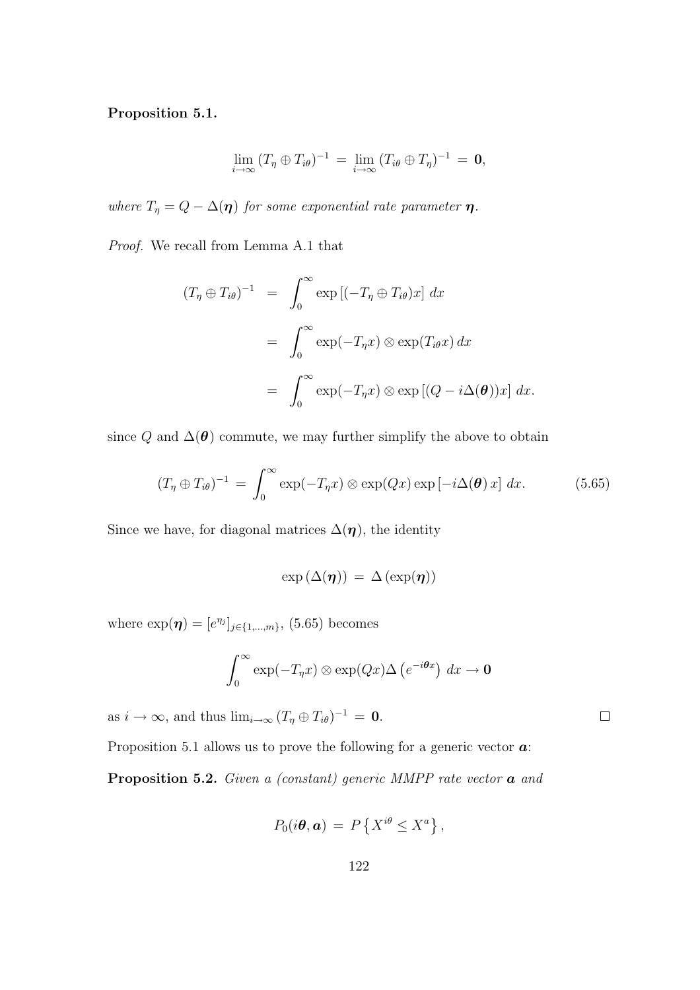### Proposition 5.1.

$$
\lim_{i\to\infty} (T_\eta \oplus T_{i\theta})^{-1} = \lim_{i\to\infty} (T_{i\theta} \oplus T_\eta)^{-1} = \mathbf{0},
$$

where  $T_{\eta} = Q - \Delta(\eta)$  for some exponential rate parameter  $\eta$ .

Proof. We recall from Lemma A.1 that

$$
(T_{\eta} \oplus T_{i\theta})^{-1} = \int_0^{\infty} \exp\left[(-T_{\eta} \oplus T_{i\theta})x\right] dx
$$
  

$$
= \int_0^{\infty} \exp(-T_{\eta}x) \otimes \exp(T_{i\theta}x) dx
$$
  

$$
= \int_0^{\infty} \exp(-T_{\eta}x) \otimes \exp\left[(Q - i\Delta(\theta))x\right] dx.
$$

since Q and  $\Delta(\theta)$  commute, we may further simplify the above to obtain

$$
(T_{\eta} \oplus T_{i\theta})^{-1} = \int_0^{\infty} \exp(-T_{\eta}x) \otimes \exp(Qx) \exp[-i\Delta(\theta)x] dx.
$$
 (5.65)

Since we have, for diagonal matrices  $\Delta(\eta)$ , the identity

$$
\exp\left(\Delta(\eta)\right) = \Delta\left(\exp(\eta)\right)
$$

where  $\exp(\eta) = [e^{\eta_j}]_{j \in \{1,...,m\}},$  (5.65) becomes

$$
\int_0^\infty \exp(-T_\eta x) \otimes \exp(Qx) \Delta \left(e^{-i\theta x}\right) dx \to 0
$$

as  $i \to \infty$ , and thus  $\lim_{i \to \infty} (T_{\eta} \oplus T_{i\theta})^{-1} = 0$ .

Proposition 5.1 allows us to prove the following for a generic vector  $\boldsymbol{a}$ :

Proposition 5.2. Given a (constant) generic MMPP rate vector  $\boldsymbol{a}$  and

$$
P_0(i\theta, \mathbf{a}) = P\left\{X^{i\theta} \leq X^a\right\},\,
$$

 $\Box$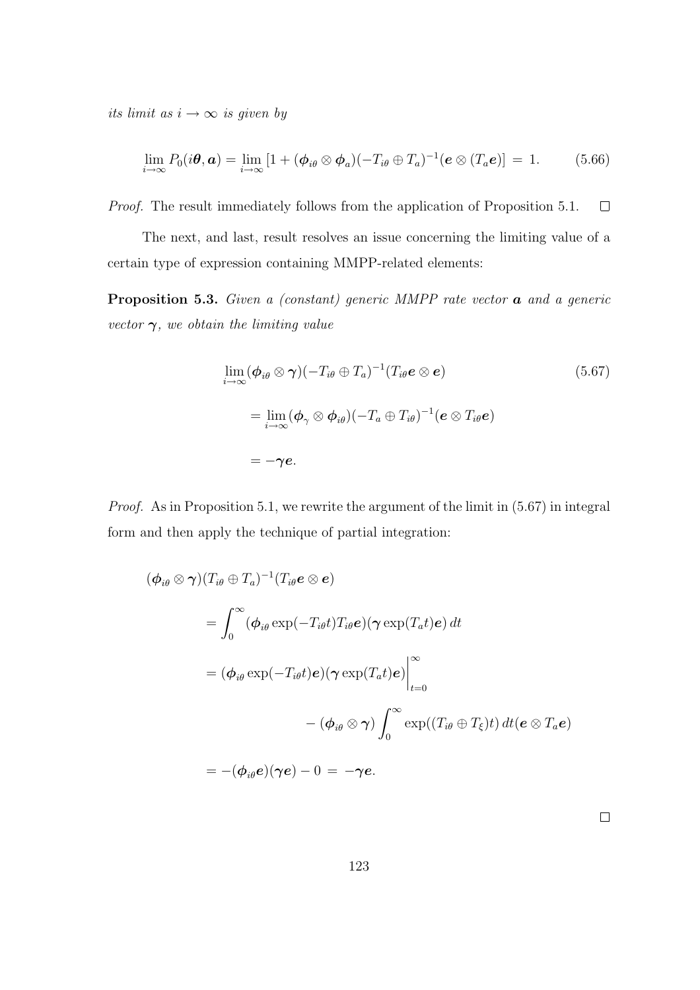its limit as  $i \rightarrow \infty$  is given by

$$
\lim_{i \to \infty} P_0(i\boldsymbol{\theta}, \boldsymbol{a}) = \lim_{i \to \infty} \left[ 1 + (\boldsymbol{\phi}_{i\theta} \otimes \boldsymbol{\phi}_a)(-T_{i\theta} \oplus T_a)^{-1} (\boldsymbol{e} \otimes (T_a \boldsymbol{e}) \right] = 1. \tag{5.66}
$$

Proof. The result immediately follows from the application of Proposition 5.1.  $\Box$ 

The next, and last, result resolves an issue concerning the limiting value of a certain type of expression containing MMPP-related elements:

**Proposition 5.3.** Given a (constant) generic MMPP rate vector  $\boldsymbol{a}$  and a generic vector  $\gamma$ , we obtain the limiting value

$$
\lim_{i \to \infty} (\phi_{i\theta} \otimes \gamma)(-T_{i\theta} \oplus T_a)^{-1}(T_{i\theta}e \otimes e)
$$
\n
$$
= \lim_{i \to \infty} (\phi_{\gamma} \otimes \phi_{i\theta})(-T_a \oplus T_{i\theta})^{-1}(e \otimes T_{i\theta}e)
$$
\n
$$
= -\gamma e.
$$
\n(5.67)

Proof. As in Proposition 5.1, we rewrite the argument of the limit in (5.67) in integral form and then apply the technique of partial integration:

$$
(\phi_{i\theta} \otimes \gamma)(T_{i\theta} \oplus T_a)^{-1}(T_{i\theta}e \otimes e)
$$
  
= 
$$
\int_0^\infty (\phi_{i\theta} \exp(-T_{i\theta}t)T_{i\theta}e)(\gamma \exp(T_a t)e) dt
$$
  
= 
$$
(\phi_{i\theta} \exp(-T_{i\theta}t)e)(\gamma \exp(T_a t)e) \Big|_{t=0}^\infty
$$
  

$$
-(\phi_{i\theta} \otimes \gamma) \int_0^\infty \exp((T_{i\theta} \oplus T_\xi)t) dt(e \otimes T_a e)
$$
  
= 
$$
-(\phi_{i\theta}e)(\gamma e) - 0 = -\gamma e.
$$

 $\Box$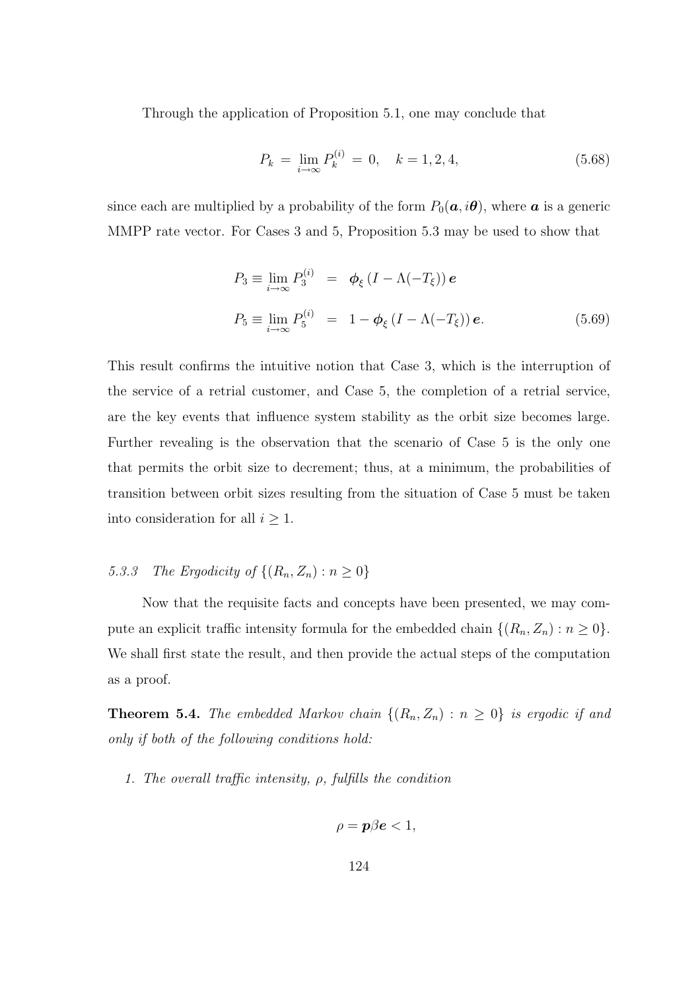Through the application of Proposition 5.1, one may conclude that

$$
P_k = \lim_{i \to \infty} P_k^{(i)} = 0, \quad k = 1, 2, 4,
$$
\n(5.68)

since each are multiplied by a probability of the form  $P_0(a, i\theta)$ , where a is a generic MMPP rate vector. For Cases 3 and 5, Proposition 5.3 may be used to show that

$$
P_3 \equiv \lim_{i \to \infty} P_3^{(i)} = \phi_{\xi} (I - \Lambda(-T_{\xi})) e
$$
  

$$
P_5 \equiv \lim_{i \to \infty} P_5^{(i)} = 1 - \phi_{\xi} (I - \Lambda(-T_{\xi})) e.
$$
 (5.69)

This result confirms the intuitive notion that Case 3, which is the interruption of the service of a retrial customer, and Case 5, the completion of a retrial service, are the key events that influence system stability as the orbit size becomes large. Further revealing is the observation that the scenario of Case 5 is the only one that permits the orbit size to decrement; thus, at a minimum, the probabilities of transition between orbit sizes resulting from the situation of Case 5 must be taken into consideration for all  $i \geq 1$ .

## 5.3.3 The Ergodicity of  $\{(R_n, Z_n) : n \geq 0\}$

Now that the requisite facts and concepts have been presented, we may compute an explicit traffic intensity formula for the embedded chain  $\{(R_n, Z_n) : n \geq 0\}.$ We shall first state the result, and then provide the actual steps of the computation as a proof.

**Theorem 5.4.** The embedded Markov chain  $\{(R_n, Z_n) : n \geq 0\}$  is ergodic if and only if both of the following conditions hold:

1. The overall traffic intensity,  $\rho$ , fulfills the condition

$$
\rho = \mathbf{p}\beta \mathbf{e} < 1,
$$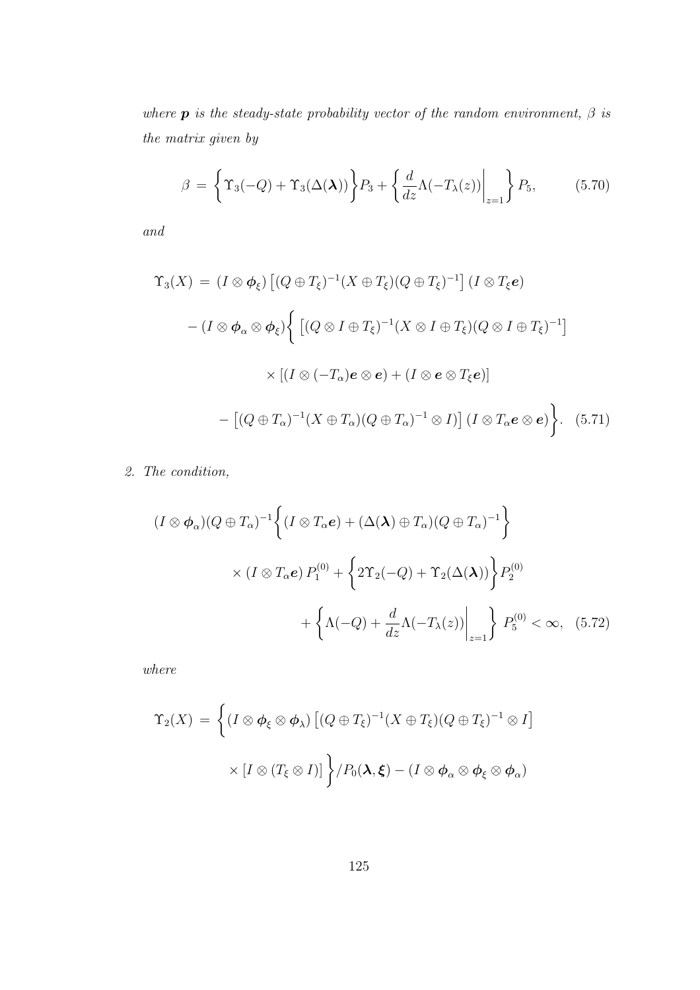where **p** is the steady-state probability vector of the random environment,  $\beta$  is the matrix given by

$$
\beta = \left\{ \Upsilon_3(-Q) + \Upsilon_3(\Delta(\lambda)) \right\} P_3 + \left\{ \frac{d}{dz} \Lambda(-T_\lambda(z)) \Big|_{z=1} \right\} P_5, \tag{5.70}
$$

and

$$
\Upsilon_3(X) = (I \otimes \phi_{\xi}) \left[ (Q \oplus T_{\xi})^{-1} (X \oplus T_{\xi}) (Q \oplus T_{\xi})^{-1} \right] (I \otimes T_{\xi}e)
$$

$$
- (I \otimes \phi_{\alpha} \otimes \phi_{\xi}) \Biggl\{ \left[ (Q \otimes I \oplus T_{\xi})^{-1} (X \otimes I \oplus T_{\xi}) (Q \otimes I \oplus T_{\xi})^{-1} \right]
$$

$$
\times \left[ (I \otimes (-T_{\alpha})e \otimes e) + (I \otimes e \otimes T_{\xi}e) \right]
$$

$$
- \left[ (Q \oplus T_{\alpha})^{-1} (X \oplus T_{\alpha}) (Q \oplus T_{\alpha})^{-1} \otimes I) \right] (I \otimes T_{\alpha}e \otimes e) \Biggr\}.
$$
(5.71)

2. The condition,

$$
(I \otimes \phi_{\alpha})(Q \oplus T_{\alpha})^{-1} \left\{ (I \otimes T_{\alpha}e) + (\Delta(\lambda) \oplus T_{\alpha})(Q \oplus T_{\alpha})^{-1} \right\}
$$

$$
\times (I \otimes T_{\alpha}e) P_1^{(0)} + \left\{ 2\Upsilon_2(-Q) + \Upsilon_2(\Delta(\lambda)) \right\} P_2^{(0)} + \left\{ \Lambda(-Q) + \frac{d}{dz}\Lambda(-T_{\lambda}(z)) \Big|_{z=1} \right\} P_5^{(0)} < \infty, \quad (5.72)
$$

where

$$
\Upsilon_2(X) = \left\{ (I \otimes \phi_{\xi} \otimes \phi_{\lambda}) \left[ (Q \oplus T_{\xi})^{-1} (X \oplus T_{\xi}) (Q \oplus T_{\xi})^{-1} \otimes I \right] \times [I \otimes (T_{\xi} \otimes I)] \right\} / P_0(\lambda, \xi) - (I \otimes \phi_{\alpha} \otimes \phi_{\xi} \otimes \phi_{\alpha})
$$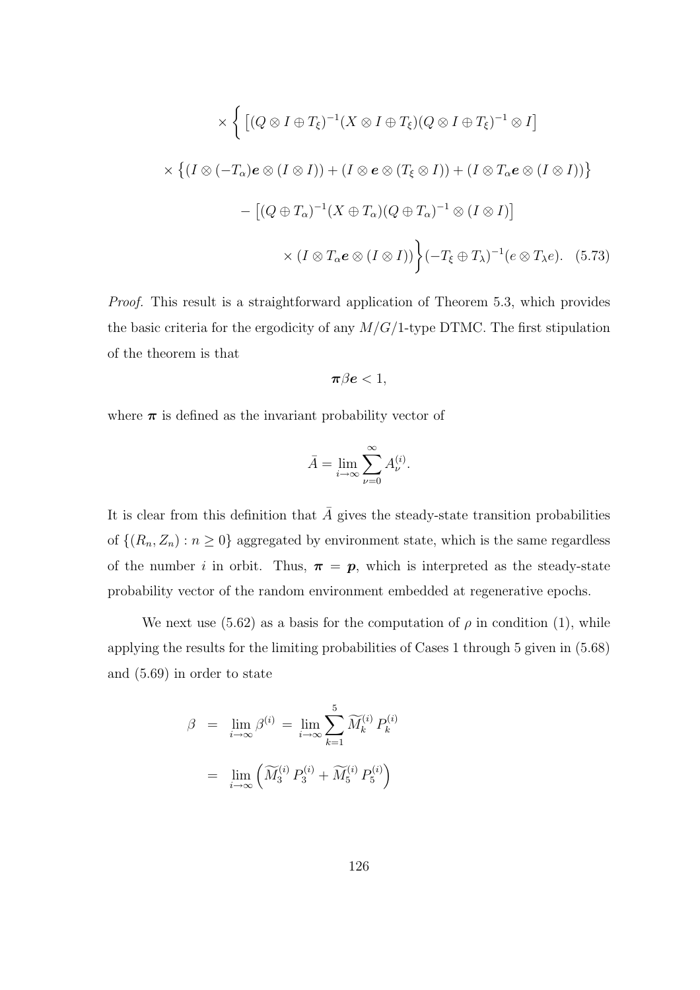$$
\times \left\{ \left[ (Q \otimes I \oplus T_{\xi})^{-1} (X \otimes I \oplus T_{\xi}) (Q \otimes I \oplus T_{\xi})^{-1} \otimes I \right] \right\}
$$
  

$$
\times \left\{ (I \otimes (-T_{\alpha})e \otimes (I \otimes I)) + (I \otimes e \otimes (T_{\xi} \otimes I)) + (I \otimes T_{\alpha}e \otimes (I \otimes I)) \right\}
$$
  

$$
- \left[ (Q \oplus T_{\alpha})^{-1} (X \oplus T_{\alpha}) (Q \oplus T_{\alpha})^{-1} \otimes (I \otimes I) \right]
$$
  

$$
\times (I \otimes T_{\alpha}e \otimes (I \otimes I)) \left\} (-T_{\xi} \oplus T_{\lambda})^{-1} (e \otimes T_{\lambda}e). \quad (5.73)
$$

Proof. This result is a straightforward application of Theorem 5.3, which provides the basic criteria for the ergodicity of any  $M/G/1$ -type DTMC. The first stipulation of the theorem is that

$$
\boldsymbol{\pi\beta e}<1,
$$

where  $\pi$  is defined as the invariant probability vector of

$$
\bar{A} = \lim_{i \to \infty} \sum_{\nu=0}^{\infty} A_{\nu}^{(i)}.
$$

It is clear from this definition that  $\overline{A}$  gives the steady-state transition probabilities of  $\{(R_n, Z_n) : n \geq 0\}$  aggregated by environment state, which is the same regardless of the number i in orbit. Thus,  $\pi = p$ , which is interpreted as the steady-state probability vector of the random environment embedded at regenerative epochs.

We next use (5.62) as a basis for the computation of  $\rho$  in condition (1), while applying the results for the limiting probabilities of Cases 1 through 5 given in (5.68) and (5.69) in order to state

$$
\beta = \lim_{i \to \infty} \beta^{(i)} = \lim_{i \to \infty} \sum_{k=1}^{5} \widetilde{M}_k^{(i)} P_k^{(i)}
$$

$$
= \lim_{i \to \infty} \left( \widetilde{M}_3^{(i)} P_3^{(i)} + \widetilde{M}_5^{(i)} P_5^{(i)} \right)
$$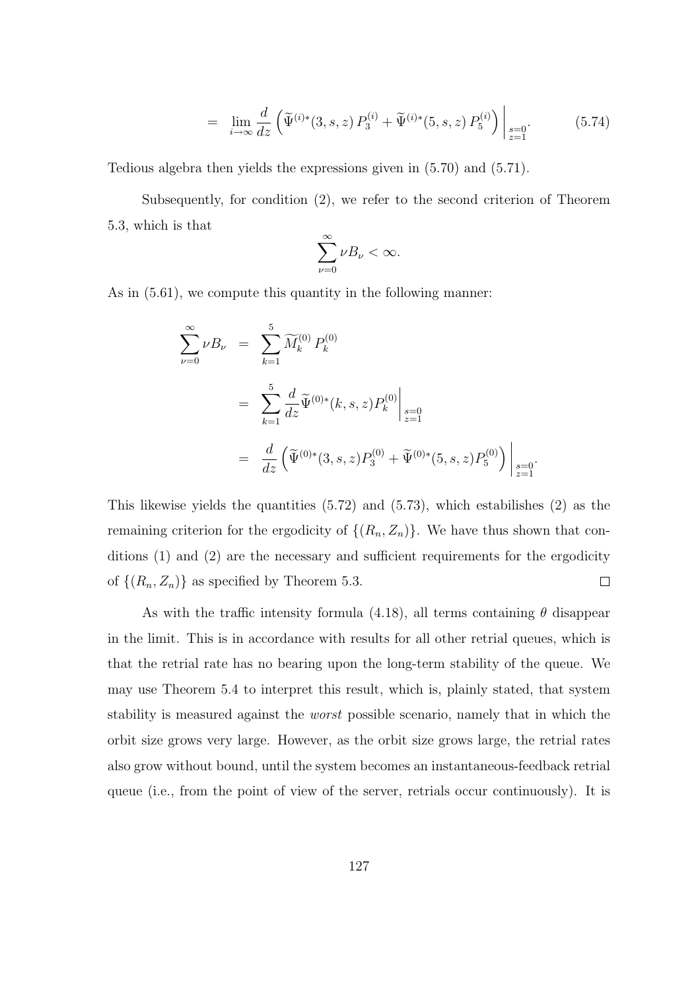$$
= \lim_{i \to \infty} \frac{d}{dz} \left( \widetilde{\Psi}^{(i)*}(3, s, z) P_3^{(i)} + \widetilde{\Psi}^{(i)*}(5, s, z) P_5^{(i)} \right) \Big|_{\substack{s=0 \\ z=1}}.
$$
 (5.74)

Tedious algebra then yields the expressions given in (5.70) and (5.71).

Subsequently, for condition (2), we refer to the second criterion of Theorem 5.3, which is that

$$
\sum_{\nu=0}^{\infty} \nu B_{\nu} < \infty.
$$

As in (5.61), we compute this quantity in the following manner:

$$
\sum_{\nu=0}^{\infty} \nu B_{\nu} = \sum_{k=1}^{5} \widetilde{M}_{k}^{(0)} P_{k}^{(0)}
$$
  
= 
$$
\sum_{k=1}^{5} \frac{d}{dz} \widetilde{\Psi}^{(0)*}(k, s, z) P_{k}^{(0)} \Big|_{\substack{s=0 \ z=1}} = \frac{d}{dz} \left( \widetilde{\Psi}^{(0)*}(3, s, z) P_{3}^{(0)} + \widetilde{\Psi}^{(0)*}(5, s, z) P_{5}^{(0)} \right) \Big|_{\substack{s=0 \ z=1}}.
$$

This likewise yields the quantities (5.72) and (5.73), which estabilishes (2) as the remaining criterion for the ergodicity of  $\{(R_n, Z_n)\}\)$ . We have thus shown that conditions (1) and (2) are the necessary and sufficient requirements for the ergodicity of  $\{(R_n, Z_n)\}\$ as specified by Theorem 5.3.  $\Box$ 

As with the traffic intensity formula (4.18), all terms containing  $\theta$  disappear in the limit. This is in accordance with results for all other retrial queues, which is that the retrial rate has no bearing upon the long-term stability of the queue. We may use Theorem 5.4 to interpret this result, which is, plainly stated, that system stability is measured against the worst possible scenario, namely that in which the orbit size grows very large. However, as the orbit size grows large, the retrial rates also grow without bound, until the system becomes an instantaneous-feedback retrial queue (i.e., from the point of view of the server, retrials occur continuously). It is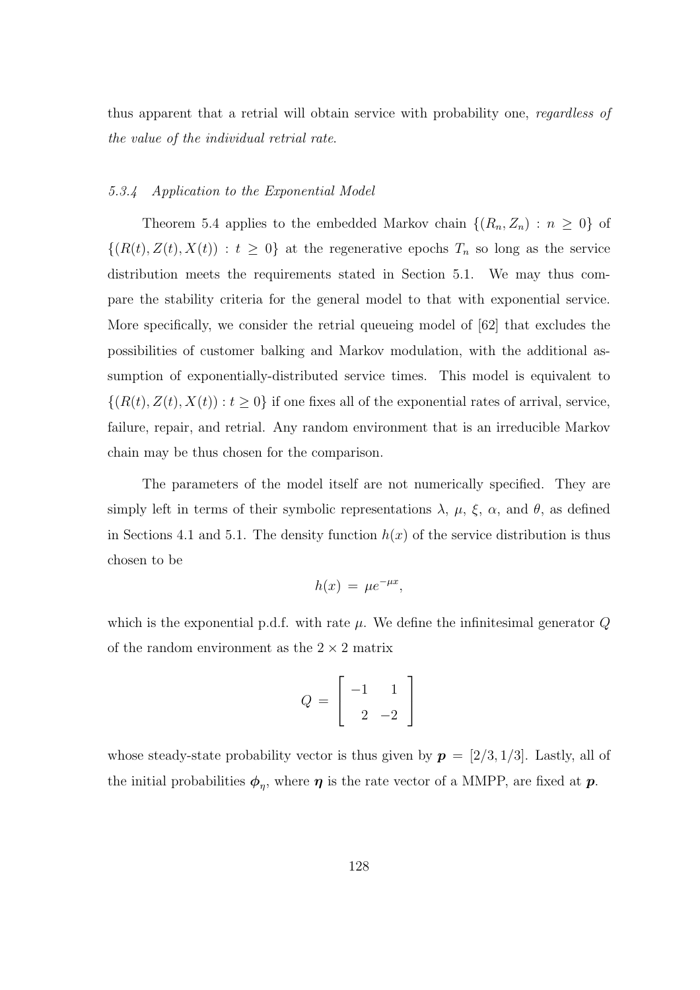thus apparent that a retrial will obtain service with probability one, regardless of the value of the individual retrial rate.

### 5.3.4 Application to the Exponential Model

Theorem 5.4 applies to the embedded Markov chain  $\{(R_n, Z_n) : n \geq 0\}$  of  $\{(R(t), Z(t), X(t)) : t \geq 0\}$  at the regenerative epochs  $T_n$  so long as the service distribution meets the requirements stated in Section 5.1. We may thus compare the stability criteria for the general model to that with exponential service. More specifically, we consider the retrial queueing model of [62] that excludes the possibilities of customer balking and Markov modulation, with the additional assumption of exponentially-distributed service times. This model is equivalent to  $\{(R(t), Z(t), X(t)) : t \geq 0\}$  if one fixes all of the exponential rates of arrival, service, failure, repair, and retrial. Any random environment that is an irreducible Markov chain may be thus chosen for the comparison.

The parameters of the model itself are not numerically specified. They are simply left in terms of their symbolic representations  $\lambda$ ,  $\mu$ ,  $\xi$ ,  $\alpha$ , and  $\theta$ , as defined in Sections 4.1 and 5.1. The density function  $h(x)$  of the service distribution is thus chosen to be

$$
h(x) = \mu e^{-\mu x},
$$

which is the exponential p.d.f. with rate  $\mu$ . We define the infinitesimal generator  $Q$ of the random environment as the  $2 \times 2$  matrix

$$
Q = \left[ \begin{array}{rr} -1 & 1 \\ 2 & -2 \end{array} \right]
$$

whose steady-state probability vector is thus given by  $p = [2/3, 1/3]$ . Lastly, all of the initial probabilities  $\phi_{\eta}$ , where  $\eta$  is the rate vector of a MMPP, are fixed at  $p$ .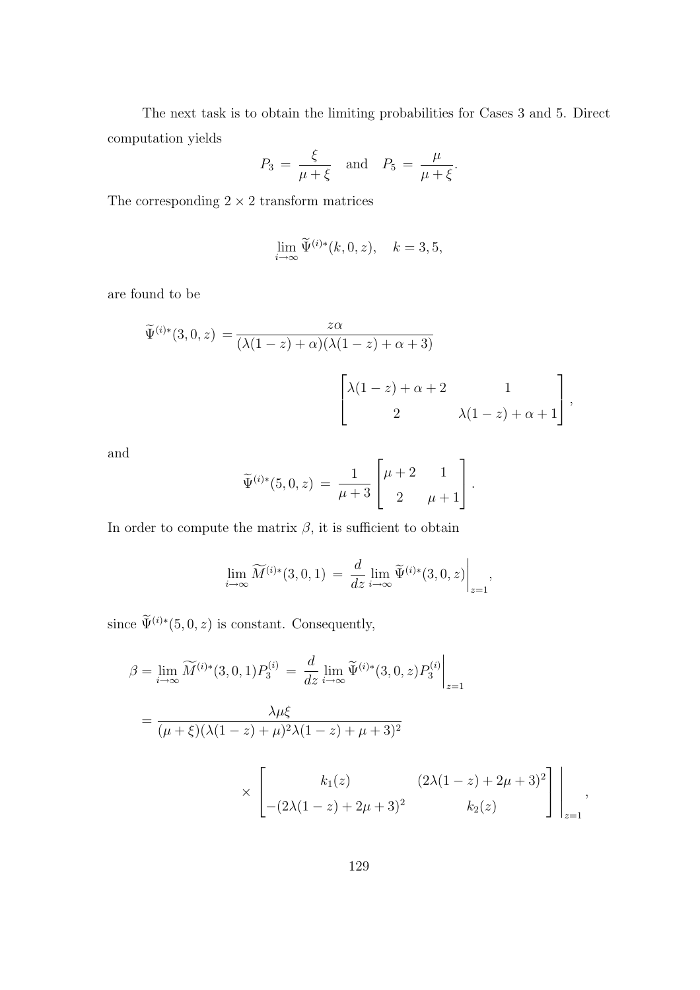The next task is to obtain the limiting probabilities for Cases 3 and 5. Direct computation yields

$$
P_3 = \frac{\xi}{\mu + \xi} \quad \text{and} \quad P_5 = \frac{\mu}{\mu + \xi}.
$$

The corresponding  $2 \times 2$  transform matrices

$$
\lim_{i \to \infty} \widetilde{\Psi}^{(i)*}(k, 0, z), \quad k = 3, 5,
$$

are found to be

$$
\widetilde{\Psi}^{(i)*}(3,0,z) = \frac{z\alpha}{(\lambda(1-z)+\alpha)(\lambda(1-z)+\alpha+3)}
$$
\n
$$
\begin{bmatrix}\n\lambda(1-z)+\alpha+2 & 1 \\
2 & \lambda(1-z)+\alpha+1\n\end{bmatrix},
$$

and

$$
\widetilde{\Psi}^{(i)*}(5,0,z) = \frac{1}{\mu+3} \begin{bmatrix} \mu+2 & 1\\ 2 & \mu+1 \end{bmatrix}.
$$

In order to compute the matrix  $\beta$ , it is sufficient to obtain

$$
\lim_{i \to \infty} \widetilde{M}^{(i)*}(3,0,1) = \frac{d}{dz} \lim_{i \to \infty} \widetilde{\Psi}^{(i)*}(3,0,z) \Big|_{z=1},
$$

since  $\widetilde{\Psi}^{(i)*}(5,0,z)$  is constant. Consequently,

$$
\beta = \lim_{i \to \infty} \widetilde{M}^{(i)*}(3,0,1) P_3^{(i)} = \frac{d}{dz} \lim_{i \to \infty} \widetilde{\Psi}^{(i)*}(3,0,z) P_3^{(i)} \Big|_{z=1}
$$
  
= 
$$
\frac{\lambda \mu \xi}{(\mu + \xi)(\lambda(1-z) + \mu)^2 \lambda(1-z) + \mu + 3)^2}
$$
  

$$
\times \left[ \begin{array}{cc} k_1(z) & (2\lambda(1-z) + 2\mu + 3)^2 \\ -(2\lambda(1-z) + 2\mu + 3)^2 & k_2(z) \end{array} \right] \Big|_{z=1},
$$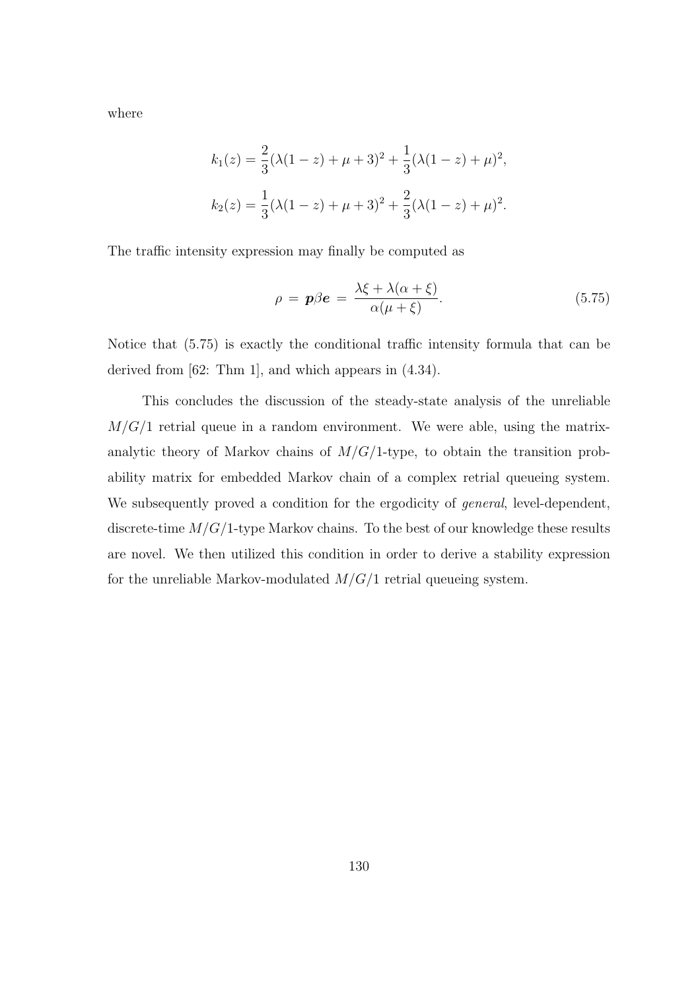where

$$
k_1(z) = \frac{2}{3}(\lambda(1-z) + \mu + 3)^2 + \frac{1}{3}(\lambda(1-z) + \mu)^2,
$$
  
\n
$$
k_2(z) = \frac{1}{3}(\lambda(1-z) + \mu + 3)^2 + \frac{2}{3}(\lambda(1-z) + \mu)^2.
$$

The traffic intensity expression may finally be computed as

$$
\rho = \mathbf{p}\beta\mathbf{e} = \frac{\lambda\xi + \lambda(\alpha + \xi)}{\alpha(\mu + \xi)}.
$$
\n(5.75)

Notice that (5.75) is exactly the conditional traffic intensity formula that can be derived from [62: Thm 1], and which appears in (4.34).

This concludes the discussion of the steady-state analysis of the unreliable  $M/G/1$  retrial queue in a random environment. We were able, using the matrixanalytic theory of Markov chains of  $M/G/1$ -type, to obtain the transition probability matrix for embedded Markov chain of a complex retrial queueing system. We subsequently proved a condition for the ergodicity of *general*, level-dependent, discrete-time  $M/G/1$ -type Markov chains. To the best of our knowledge these results are novel. We then utilized this condition in order to derive a stability expression for the unreliable Markov-modulated  $M/G/1$  retrial queueing system.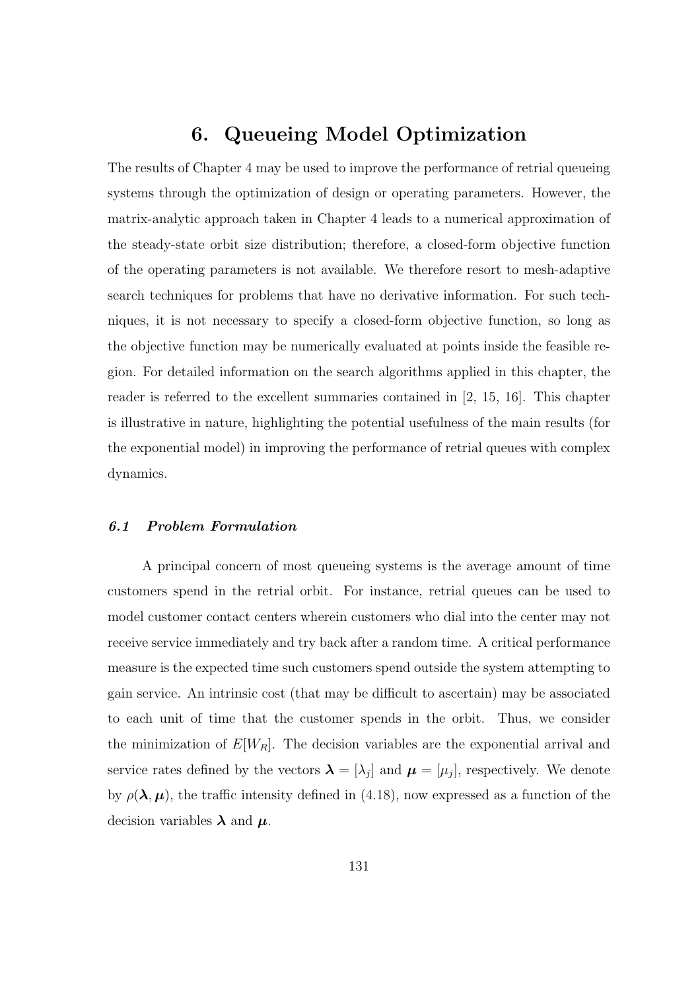# 6. Queueing Model Optimization

The results of Chapter 4 may be used to improve the performance of retrial queueing systems through the optimization of design or operating parameters. However, the matrix-analytic approach taken in Chapter 4 leads to a numerical approximation of the steady-state orbit size distribution; therefore, a closed-form objective function of the operating parameters is not available. We therefore resort to mesh-adaptive search techniques for problems that have no derivative information. For such techniques, it is not necessary to specify a closed-form objective function, so long as the objective function may be numerically evaluated at points inside the feasible region. For detailed information on the search algorithms applied in this chapter, the reader is referred to the excellent summaries contained in [2, 15, 16]. This chapter is illustrative in nature, highlighting the potential usefulness of the main results (for the exponential model) in improving the performance of retrial queues with complex dynamics.

### 6.1 Problem Formulation

A principal concern of most queueing systems is the average amount of time customers spend in the retrial orbit. For instance, retrial queues can be used to model customer contact centers wherein customers who dial into the center may not receive service immediately and try back after a random time. A critical performance measure is the expected time such customers spend outside the system attempting to gain service. An intrinsic cost (that may be difficult to ascertain) may be associated to each unit of time that the customer spends in the orbit. Thus, we consider the minimization of  $E[W_R]$ . The decision variables are the exponential arrival and service rates defined by the vectors  $\boldsymbol{\lambda} = [\lambda_j]$  and  $\boldsymbol{\mu} = [\mu_j]$ , respectively. We denote by  $\rho(\lambda, \mu)$ , the traffic intensity defined in (4.18), now expressed as a function of the decision variables  $\lambda$  and  $\mu$ .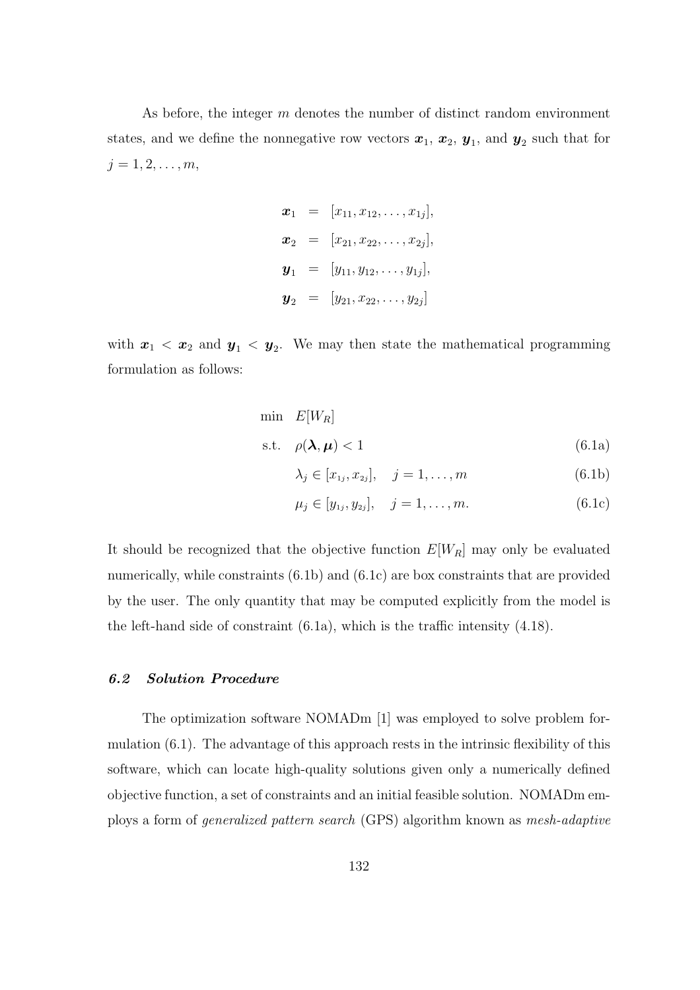As before, the integer m denotes the number of distinct random environment states, and we define the nonnegative row vectors  $x_1, x_2, y_1$ , and  $y_2$  such that for  $j = 1, 2, \ldots, m,$ 

$$
\boldsymbol{x}_1 = [x_{11}, x_{12}, \dots, x_{1j}],
$$
  
\n
$$
\boldsymbol{x}_2 = [x_{21}, x_{22}, \dots, x_{2j}],
$$
  
\n
$$
\boldsymbol{y}_1 = [y_{11}, y_{12}, \dots, y_{1j}],
$$
  
\n
$$
\boldsymbol{y}_2 = [y_{21}, x_{22}, \dots, y_{2j}]
$$

with  $x_1 < x_2$  and  $y_1 < y_2$ . We may then state the mathematical programming formulation as follows:

$$
\begin{aligned}\n\min \quad & E[W_R] \\
\text{s.t.} \quad & \rho(\lambda, \mu) < 1\n\end{aligned}\n\tag{6.1a}
$$

$$
\lambda_j \in [x_{1j}, x_{2j}], \quad j = 1, \dots, m \tag{6.1b}
$$

$$
\mu_j \in [y_{1j}, y_{2j}], \quad j = 1, \dots, m. \tag{6.1c}
$$

It should be recognized that the objective function  $E[W_R]$  may only be evaluated numerically, while constraints (6.1b) and (6.1c) are box constraints that are provided by the user. The only quantity that may be computed explicitly from the model is the left-hand side of constraint (6.1a), which is the traffic intensity (4.18).

### 6.2 Solution Procedure

The optimization software NOMADm [1] was employed to solve problem formulation (6.1). The advantage of this approach rests in the intrinsic flexibility of this software, which can locate high-quality solutions given only a numerically defined objective function, a set of constraints and an initial feasible solution. NOMADm employs a form of generalized pattern search (GPS) algorithm known as mesh-adaptive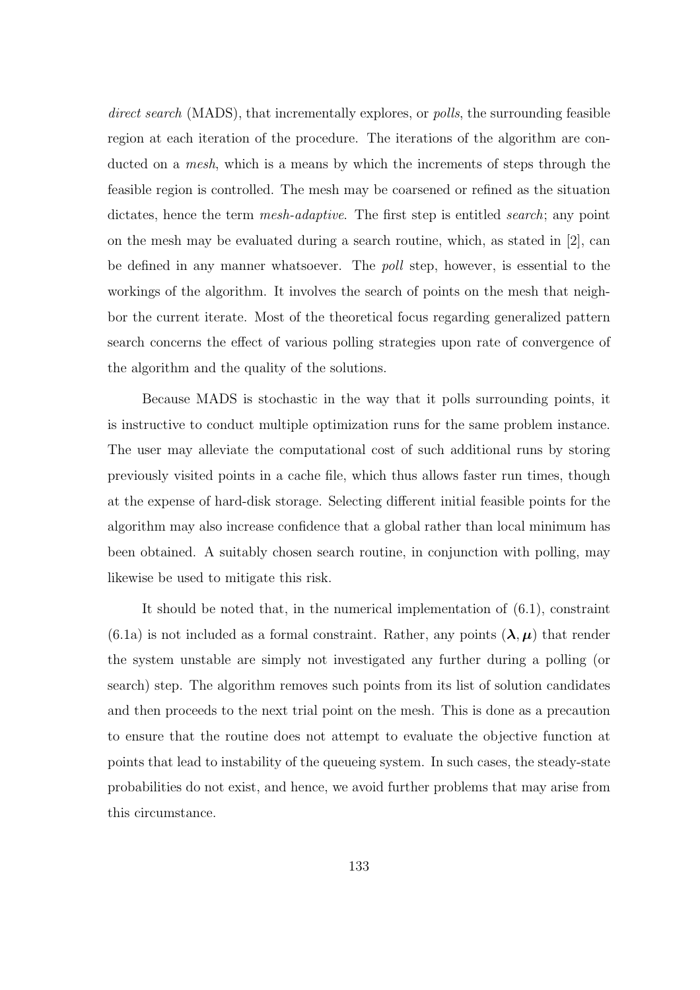direct search (MADS), that incrementally explores, or *polls*, the surrounding feasible region at each iteration of the procedure. The iterations of the algorithm are conducted on a *mesh*, which is a means by which the increments of steps through the feasible region is controlled. The mesh may be coarsened or refined as the situation dictates, hence the term *mesh-adaptive*. The first step is entitled *search*; any point on the mesh may be evaluated during a search routine, which, as stated in [2], can be defined in any manner whatsoever. The poll step, however, is essential to the workings of the algorithm. It involves the search of points on the mesh that neighbor the current iterate. Most of the theoretical focus regarding generalized pattern search concerns the effect of various polling strategies upon rate of convergence of the algorithm and the quality of the solutions.

Because MADS is stochastic in the way that it polls surrounding points, it is instructive to conduct multiple optimization runs for the same problem instance. The user may alleviate the computational cost of such additional runs by storing previously visited points in a cache file, which thus allows faster run times, though at the expense of hard-disk storage. Selecting different initial feasible points for the algorithm may also increase confidence that a global rather than local minimum has been obtained. A suitably chosen search routine, in conjunction with polling, may likewise be used to mitigate this risk.

It should be noted that, in the numerical implementation of (6.1), constraint  $(6.1a)$  is not included as a formal constraint. Rather, any points  $(\lambda, \mu)$  that render the system unstable are simply not investigated any further during a polling (or search) step. The algorithm removes such points from its list of solution candidates and then proceeds to the next trial point on the mesh. This is done as a precaution to ensure that the routine does not attempt to evaluate the objective function at points that lead to instability of the queueing system. In such cases, the steady-state probabilities do not exist, and hence, we avoid further problems that may arise from this circumstance.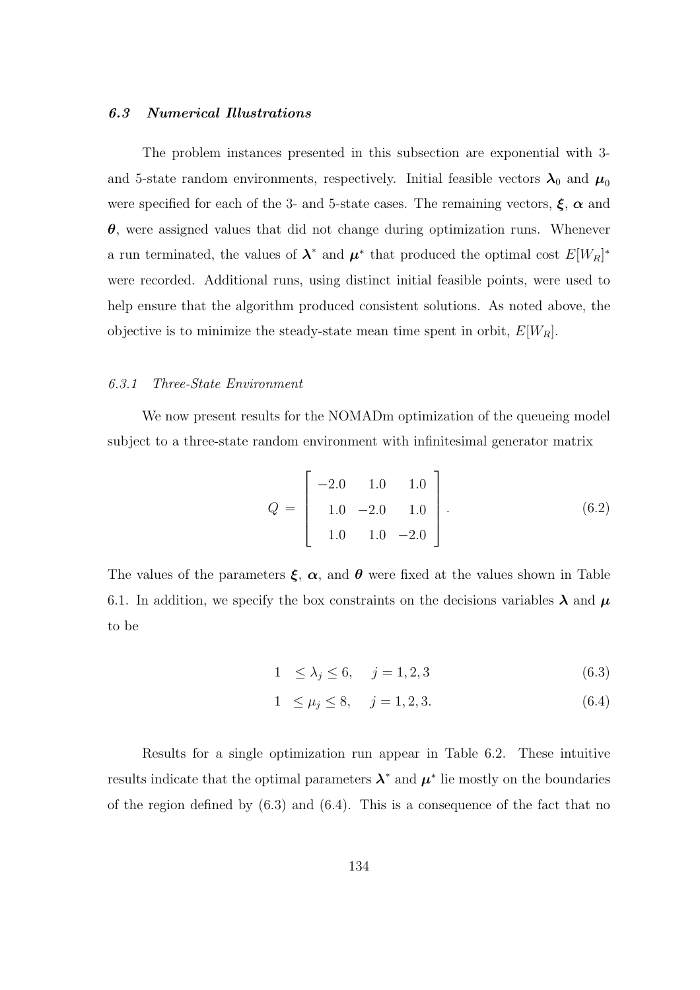## 6.3 Numerical Illustrations

The problem instances presented in this subsection are exponential with 3 and 5-state random environments, respectively. Initial feasible vectors  $\lambda_0$  and  $\mu_0$ were specified for each of the 3- and 5-state cases. The remaining vectors,  $\xi$ ,  $\alpha$  and  $\theta$ , were assigned values that did not change during optimization runs. Whenever a run terminated, the values of  $\lambda^*$  and  $\mu^*$  that produced the optimal cost  $E[W_R]^*$ were recorded. Additional runs, using distinct initial feasible points, were used to help ensure that the algorithm produced consistent solutions. As noted above, the objective is to minimize the steady-state mean time spent in orbit,  $E[W_R]$ .

#### 6.3.1 Three-State Environment

We now present results for the NOMADm optimization of the queueing model subject to a three-state random environment with infinitesimal generator matrix

$$
Q = \begin{bmatrix} -2.0 & 1.0 & 1.0 \\ 1.0 & -2.0 & 1.0 \\ 1.0 & 1.0 & -2.0 \end{bmatrix}.
$$
 (6.2)

The values of the parameters  $\xi$ ,  $\alpha$ , and  $\theta$  were fixed at the values shown in Table 6.1. In addition, we specify the box constraints on the decisions variables  $\lambda$  and  $\mu$ to be

$$
1 \le \lambda_j \le 6, \quad j = 1, 2, 3 \tag{6.3}
$$

$$
1 \le \mu_j \le 8, \quad j = 1, 2, 3. \tag{6.4}
$$

Results for a single optimization run appear in Table 6.2. These intuitive results indicate that the optimal parameters  $\lambda^*$  and  $\mu^*$  lie mostly on the boundaries of the region defined by  $(6.3)$  and  $(6.4)$ . This is a consequence of the fact that no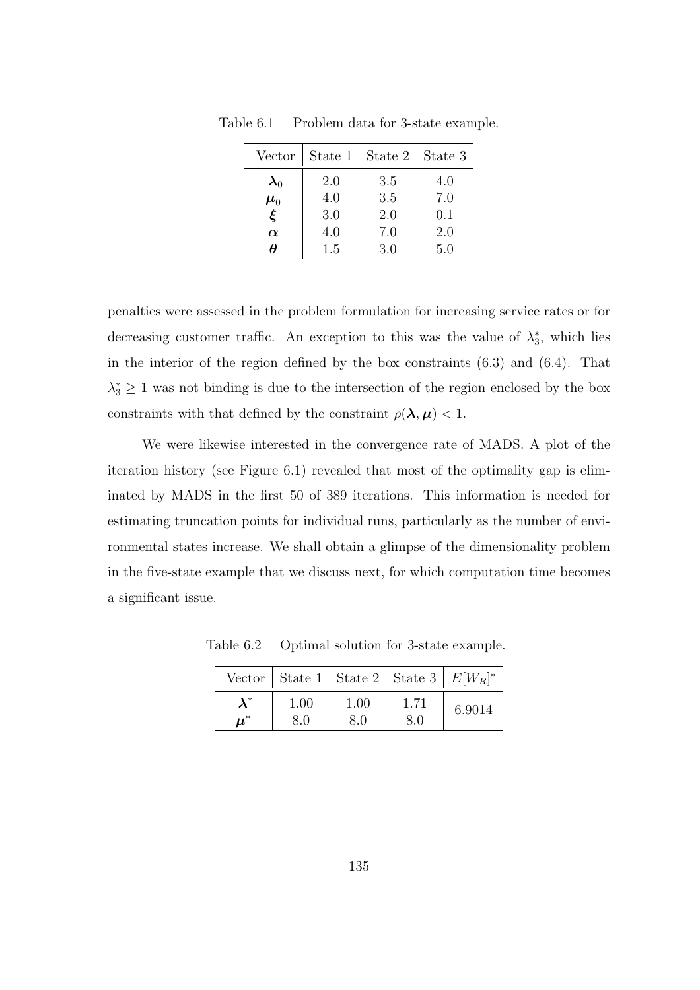| Vector                   |     | State 1 State 2 State 3 |     |
|--------------------------|-----|-------------------------|-----|
| $\boldsymbol{\lambda}_0$ | 2.0 | 3.5                     | 4.0 |
| $\boldsymbol{\mu}_0$     | 4.0 | 3.5                     | 7.0 |
| ξ                        | 3.0 | 2.0                     | 0.1 |
| $\alpha$                 | 4.0 | 7.0                     | 2.0 |
| Ĥ                        | 1.5 | 3.0                     | 5.0 |

Table 6.1 Problem data for 3-state example.

penalties were assessed in the problem formulation for increasing service rates or for decreasing customer traffic. An exception to this was the value of  $\lambda_3^*$ , which lies in the interior of the region defined by the box constraints (6.3) and (6.4). That  $\lambda_3^* \geq 1$  was not binding is due to the intersection of the region enclosed by the box constraints with that defined by the constraint  $\rho(\lambda, \mu) < 1$ .

We were likewise interested in the convergence rate of MADS. A plot of the iteration history (see Figure 6.1) revealed that most of the optimality gap is eliminated by MADS in the first 50 of 389 iterations. This information is needed for estimating truncation points for individual runs, particularly as the number of environmental states increase. We shall obtain a glimpse of the dimensionality problem in the five-state example that we discuss next, for which computation time becomes a significant issue.

Table 6.2 Optimal solution for 3-state example.

|                      |      | Vector   State 1 State 2 State 3   $E[W_R]^*$ |      |        |  |
|----------------------|------|-----------------------------------------------|------|--------|--|
|                      | 1.00 | 1.00                                          | 1.71 | 6.9014 |  |
| $\boldsymbol{\mu}^*$ | 8.0  | 8.0                                           | 8.0  |        |  |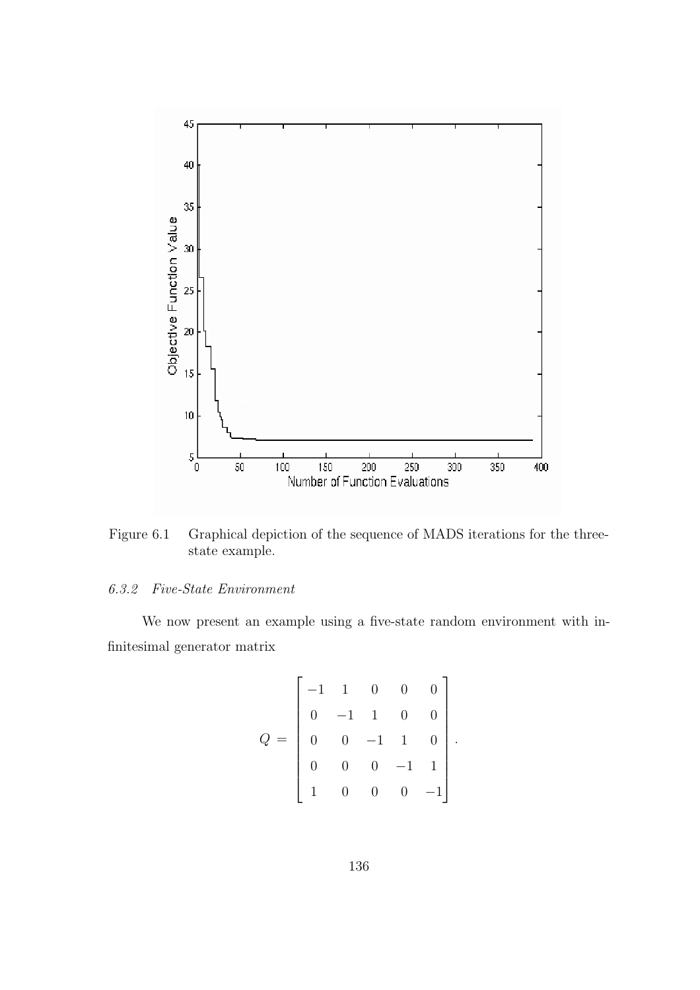

Figure 6.1 Graphical depiction of the sequence of MADS iterations for the threestate example.

## 6.3.2 Five-State Environment

We now present an example using a five-state random environment with infinitesimal generator matrix

$$
Q = \begin{bmatrix} -1 & 1 & 0 & 0 & 0 \\ 0 & -1 & 1 & 0 & 0 \\ 0 & 0 & -1 & 1 & 0 \\ 0 & 0 & 0 & -1 & 1 \\ 1 & 0 & 0 & 0 & -1 \end{bmatrix}.
$$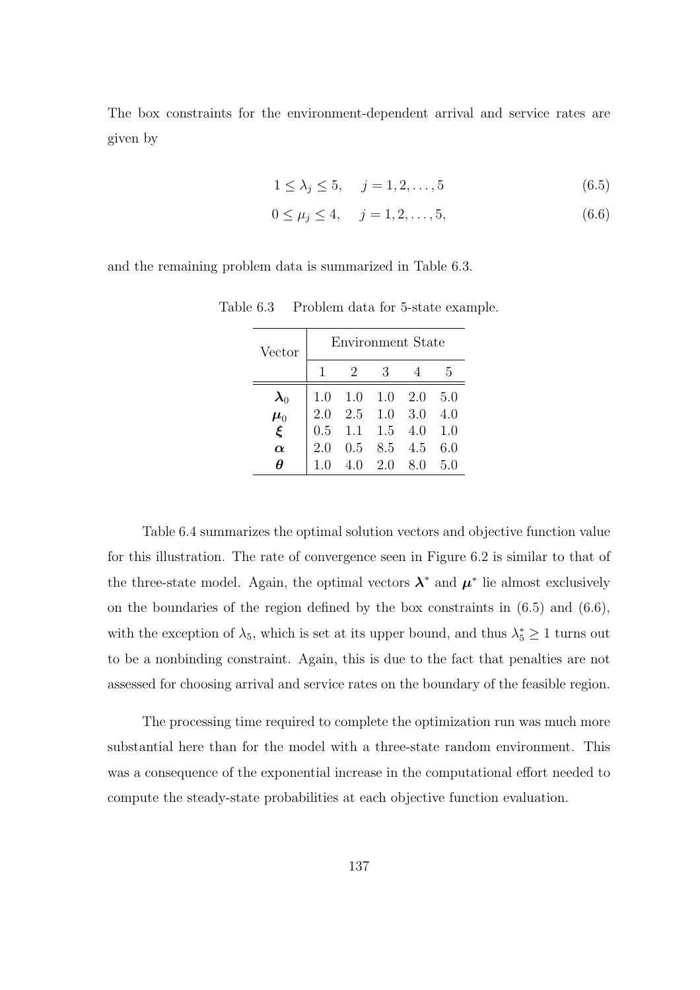The box constraints for the environment-dependent arrival and service rates are given by

$$
1 \le \lambda_j \le 5, \quad j = 1, 2, \dots, 5
$$
\n(6.5)

$$
0 \le \mu_j \le 4, \quad j = 1, 2, \dots, 5,
$$
\n(6.6)

and the remaining problem data is summarized in Table 6.3.

| Vector                   | Environment State |                           |               |      |     |
|--------------------------|-------------------|---------------------------|---------------|------|-----|
|                          | 1                 | 2                         | 3             |      | 5   |
| $\boldsymbol{\lambda}_0$ | 1.0               | $1.0 \quad 1.0 \quad 2.0$ |               |      | 5.0 |
| $\mu_0^+$                | 2.0               | $2.5$ 1.0 3.0             |               |      | 4.0 |
| $\xi$                    |                   | $0.5$ 1.1 1.5 4.0         |               |      | 1.0 |
| $\alpha$                 | 2.0               |                           | $0.5$ 8.5 4.5 |      | 6.0 |
| Ĥ                        | 10                | 4.0                       | 2.0           | -8.0 | 50  |

Table 6.3 Problem data for 5-state example.

Table 6.4 summarizes the optimal solution vectors and objective function value for this illustration. The rate of convergence seen in Figure 6.2 is similar to that of the three-state model. Again, the optimal vectors  $\lambda^*$  and  $\mu^*$  lie almost exclusively on the boundaries of the region defined by the box constraints in  $(6.5)$  and  $(6.6)$ , with the exception of  $\lambda_5$ , which is set at its upper bound, and thus  $\lambda_5^* \geq 1$  turns out to be a nonbinding constraint. Again, this is due to the fact that penalties are not assessed for choosing arrival and service rates on the boundary of the feasible region.

The processing time required to complete the optimization run was much more substantial here than for the model with a three-state random environment. This was a consequence of the exponential increase in the computational effort needed to compute the steady-state probabilities at each objective function evaluation.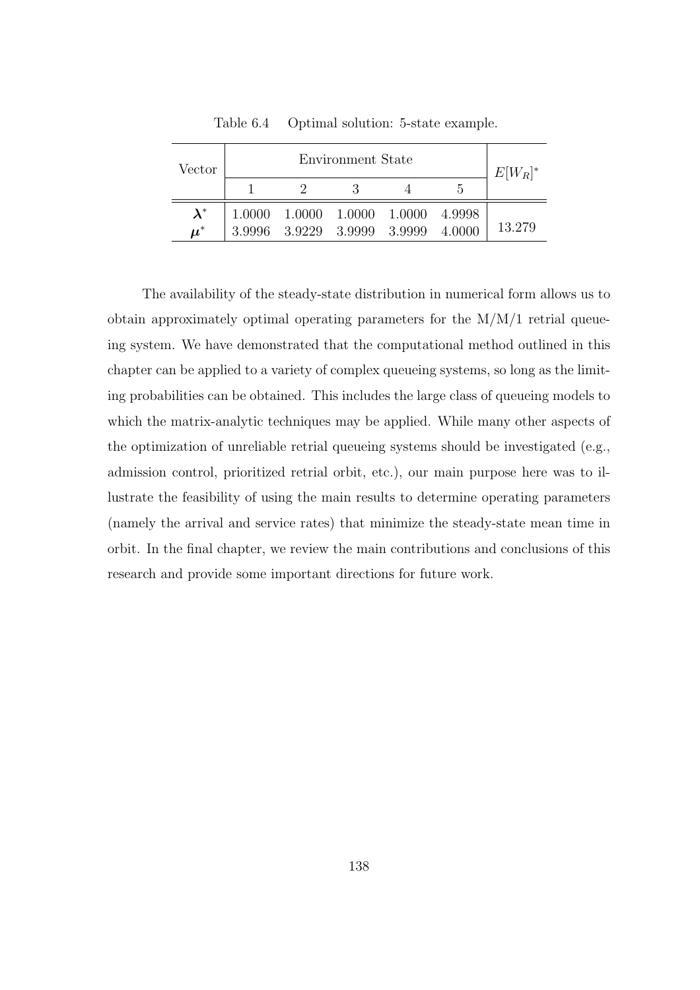| Vector               | Environment State |  |                                                              |  |        | $E[W_R]^*$ |
|----------------------|-------------------|--|--------------------------------------------------------------|--|--------|------------|
|                      |                   |  |                                                              |  | h      |            |
| $\lambda^*$          |                   |  | $1.0000 \quad 1.0000 \quad 1.0000 \quad 1.0000 \quad 4.9998$ |  |        |            |
| $\boldsymbol{\mu}^*$ |                   |  | 3.9996 3.9229 3.9999 3.9999                                  |  | 4.0000 | 13.279     |

Table 6.4 Optimal solution: 5-state example.

The availability of the steady-state distribution in numerical form allows us to obtain approximately optimal operating parameters for the M/M/1 retrial queueing system. We have demonstrated that the computational method outlined in this chapter can be applied to a variety of complex queueing systems, so long as the limiting probabilities can be obtained. This includes the large class of queueing models to which the matrix-analytic techniques may be applied. While many other aspects of the optimization of unreliable retrial queueing systems should be investigated (e.g., admission control, prioritized retrial orbit, etc.), our main purpose here was to illustrate the feasibility of using the main results to determine operating parameters (namely the arrival and service rates) that minimize the steady-state mean time in orbit. In the final chapter, we review the main contributions and conclusions of this research and provide some important directions for future work.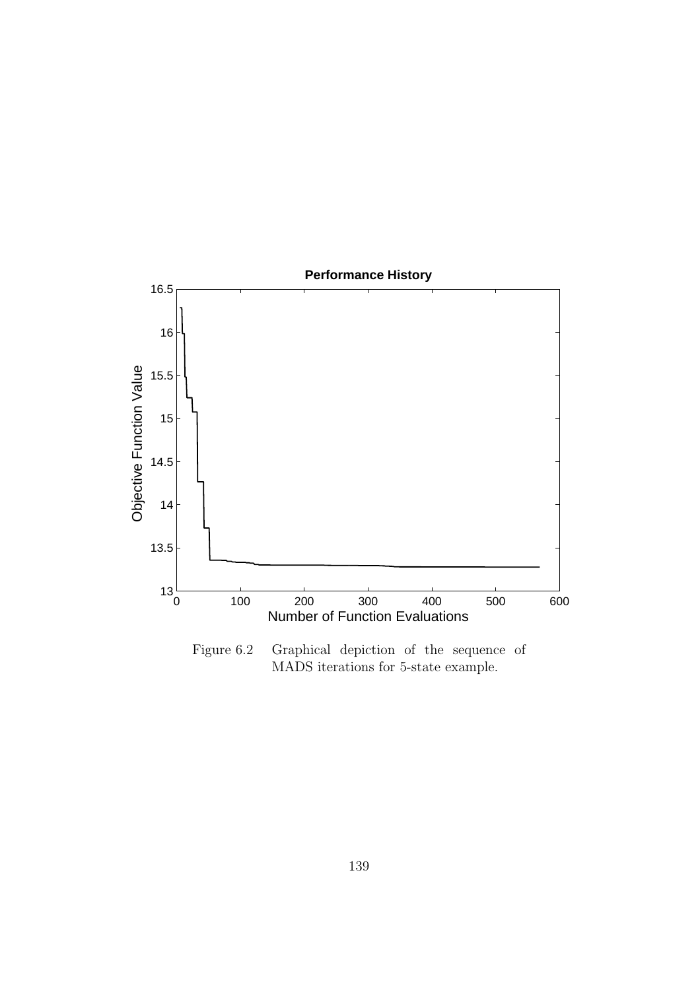

Figure 6.2 Graphical depiction of the sequence of MADS iterations for 5-state example.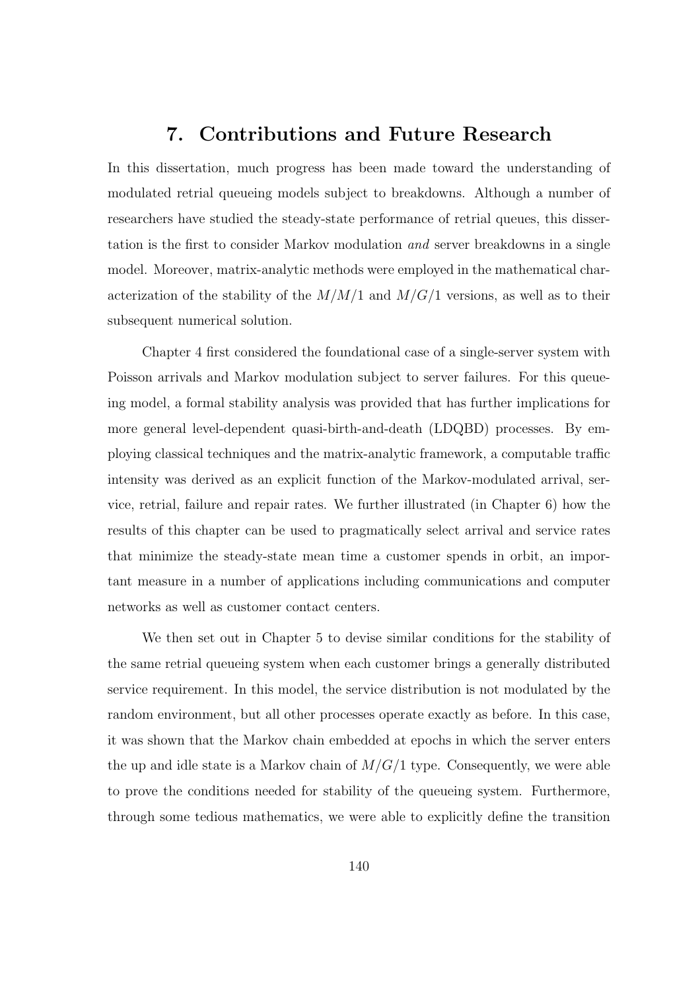## 7. Contributions and Future Research

In this dissertation, much progress has been made toward the understanding of modulated retrial queueing models subject to breakdowns. Although a number of researchers have studied the steady-state performance of retrial queues, this dissertation is the first to consider Markov modulation and server breakdowns in a single model. Moreover, matrix-analytic methods were employed in the mathematical characterization of the stability of the  $M/M/1$  and  $M/G/1$  versions, as well as to their subsequent numerical solution.

Chapter 4 first considered the foundational case of a single-server system with Poisson arrivals and Markov modulation subject to server failures. For this queueing model, a formal stability analysis was provided that has further implications for more general level-dependent quasi-birth-and-death (LDQBD) processes. By employing classical techniques and the matrix-analytic framework, a computable traffic intensity was derived as an explicit function of the Markov-modulated arrival, service, retrial, failure and repair rates. We further illustrated (in Chapter 6) how the results of this chapter can be used to pragmatically select arrival and service rates that minimize the steady-state mean time a customer spends in orbit, an important measure in a number of applications including communications and computer networks as well as customer contact centers.

We then set out in Chapter 5 to devise similar conditions for the stability of the same retrial queueing system when each customer brings a generally distributed service requirement. In this model, the service distribution is not modulated by the random environment, but all other processes operate exactly as before. In this case, it was shown that the Markov chain embedded at epochs in which the server enters the up and idle state is a Markov chain of  $M/G/1$  type. Consequently, we were able to prove the conditions needed for stability of the queueing system. Furthermore, through some tedious mathematics, we were able to explicitly define the transition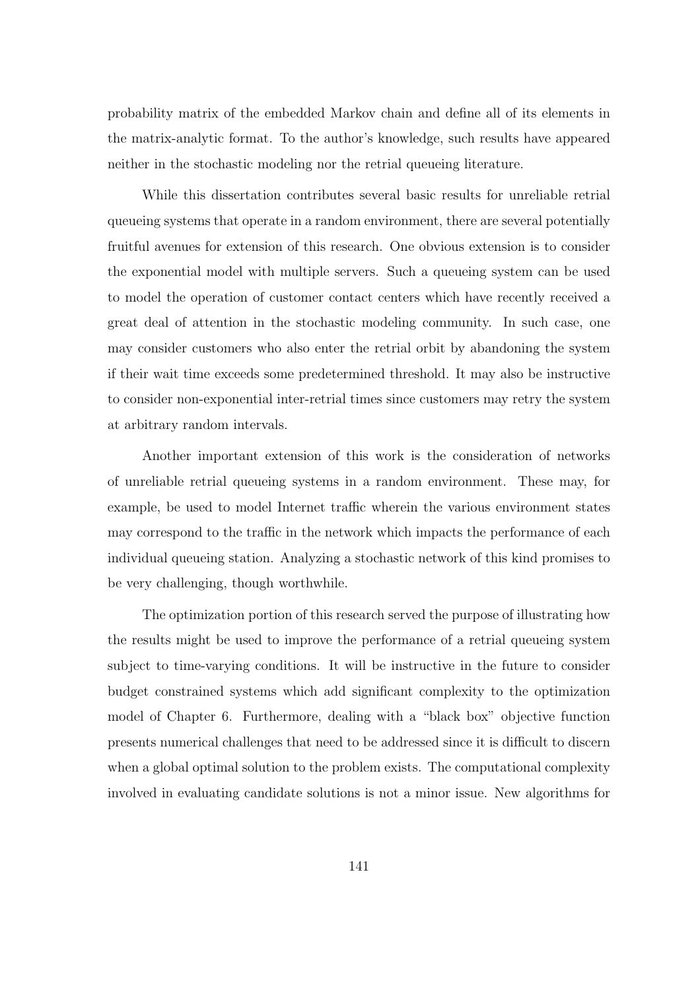probability matrix of the embedded Markov chain and define all of its elements in the matrix-analytic format. To the author's knowledge, such results have appeared neither in the stochastic modeling nor the retrial queueing literature.

While this dissertation contributes several basic results for unreliable retrial queueing systems that operate in a random environment, there are several potentially fruitful avenues for extension of this research. One obvious extension is to consider the exponential model with multiple servers. Such a queueing system can be used to model the operation of customer contact centers which have recently received a great deal of attention in the stochastic modeling community. In such case, one may consider customers who also enter the retrial orbit by abandoning the system if their wait time exceeds some predetermined threshold. It may also be instructive to consider non-exponential inter-retrial times since customers may retry the system at arbitrary random intervals.

Another important extension of this work is the consideration of networks of unreliable retrial queueing systems in a random environment. These may, for example, be used to model Internet traffic wherein the various environment states may correspond to the traffic in the network which impacts the performance of each individual queueing station. Analyzing a stochastic network of this kind promises to be very challenging, though worthwhile.

The optimization portion of this research served the purpose of illustrating how the results might be used to improve the performance of a retrial queueing system subject to time-varying conditions. It will be instructive in the future to consider budget constrained systems which add significant complexity to the optimization model of Chapter 6. Furthermore, dealing with a "black box" objective function presents numerical challenges that need to be addressed since it is difficult to discern when a global optimal solution to the problem exists. The computational complexity involved in evaluating candidate solutions is not a minor issue. New algorithms for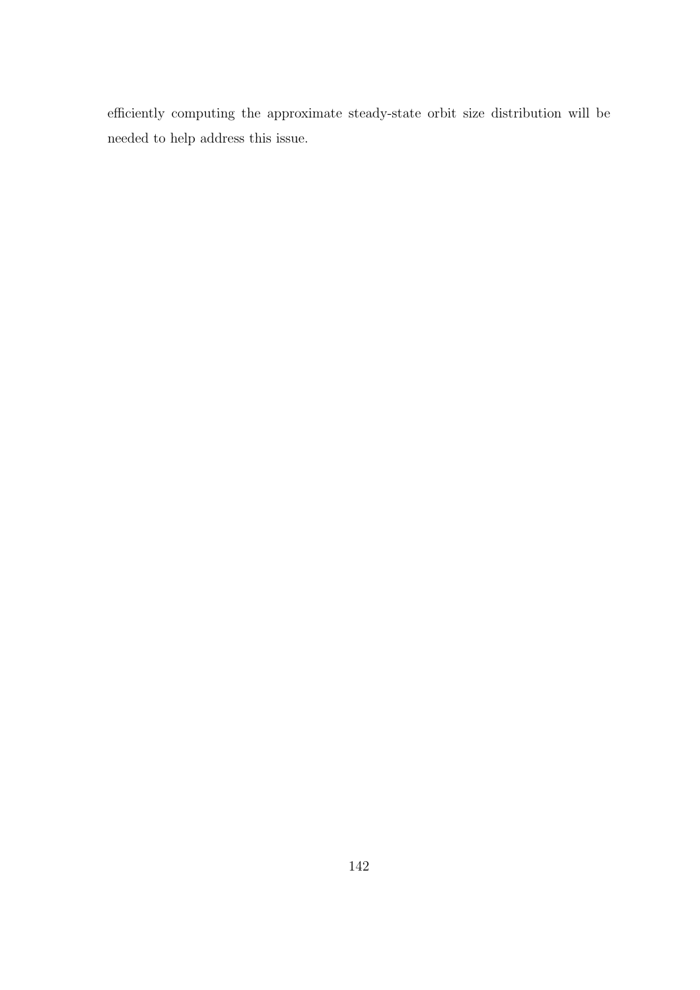efficiently computing the approximate steady-state orbit size distribution will be needed to help address this issue.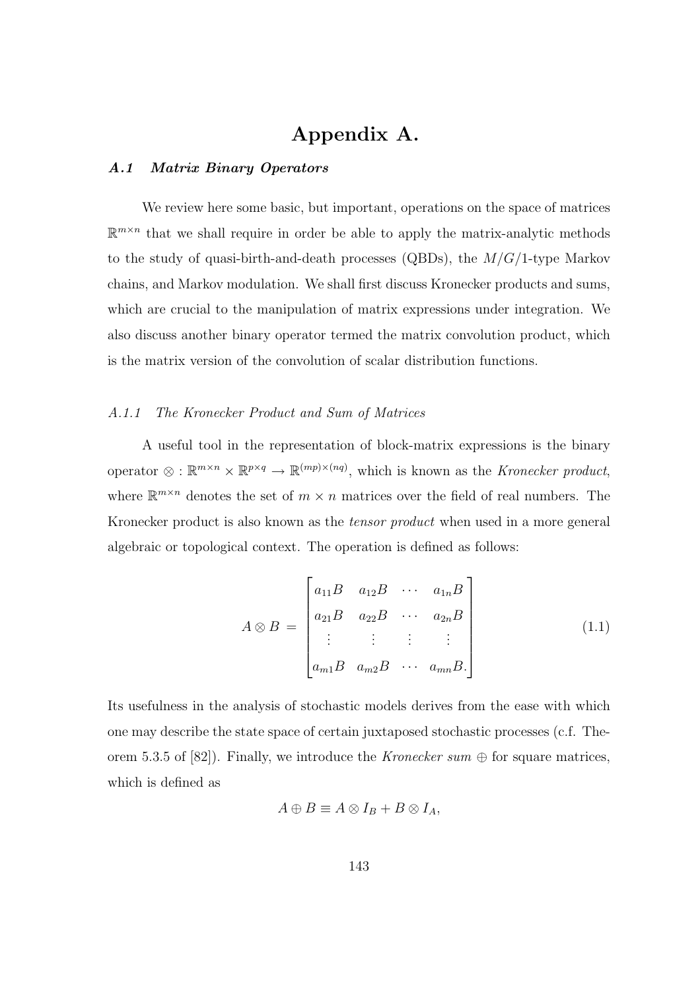# Appendix A.

## A.1 Matrix Binary Operators

We review here some basic, but important, operations on the space of matrices  $\mathbb{R}^{m \times n}$  that we shall require in order be able to apply the matrix-analytic methods to the study of quasi-birth-and-death processes (QBDs), the  $M/G/1$ -type Markov chains, and Markov modulation. We shall first discuss Kronecker products and sums, which are crucial to the manipulation of matrix expressions under integration. We also discuss another binary operator termed the matrix convolution product, which is the matrix version of the convolution of scalar distribution functions.

## A.1.1 The Kronecker Product and Sum of Matrices

A useful tool in the representation of block-matrix expressions is the binary operator  $\otimes : \mathbb{R}^{m \times n} \times \mathbb{R}^{p \times q} \to \mathbb{R}^{(mp) \times (nq)}$ , which is known as the Kronecker product, where  $\mathbb{R}^{m \times n}$  denotes the set of  $m \times n$  matrices over the field of real numbers. The Kronecker product is also known as the *tensor product* when used in a more general algebraic or topological context. The operation is defined as follows:

$$
A \otimes B = \begin{bmatrix} a_{11}B & a_{12}B & \cdots & a_{1n}B \\ a_{21}B & a_{22}B & \cdots & a_{2n}B \\ \vdots & \vdots & \vdots & \vdots \\ a_{m1}B & a_{m2}B & \cdots & a_{mn}B. \end{bmatrix}
$$
 (1.1)

Its usefulness in the analysis of stochastic models derives from the ease with which one may describe the state space of certain juxtaposed stochastic processes (c.f. Theorem 5.3.5 of [82]). Finally, we introduce the *Kronecker sum*  $\oplus$  for square matrices, which is defined as

$$
A \oplus B \equiv A \otimes I_B + B \otimes I_A,
$$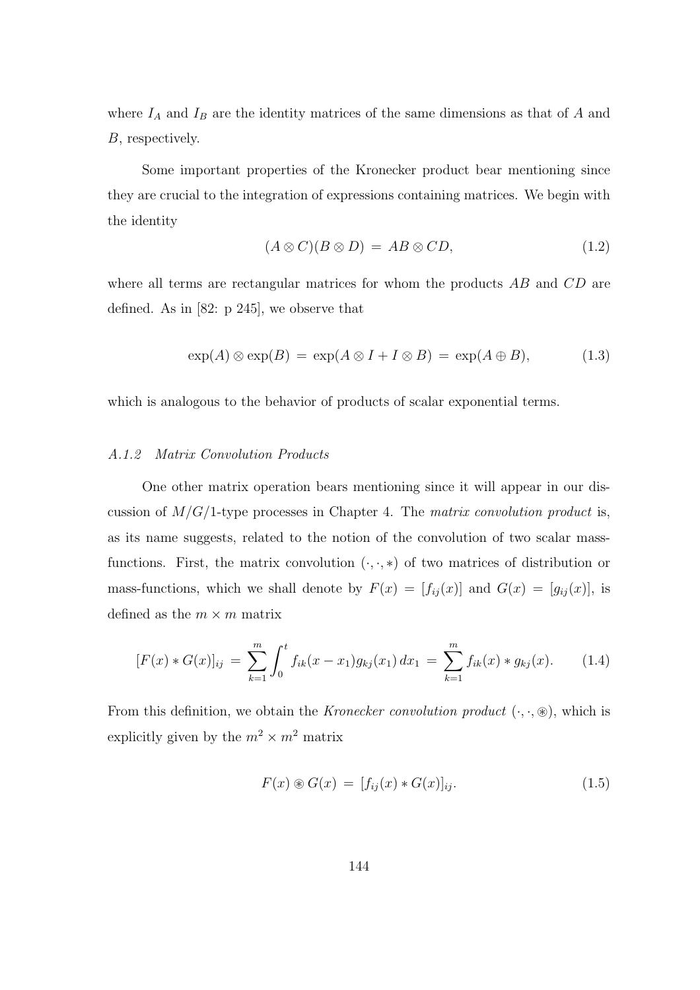where  $I_A$  and  $I_B$  are the identity matrices of the same dimensions as that of A and B, respectively.

Some important properties of the Kronecker product bear mentioning since they are crucial to the integration of expressions containing matrices. We begin with the identity

$$
(A \otimes C)(B \otimes D) = AB \otimes CD,\tag{1.2}
$$

where all terms are rectangular matrices for whom the products  $AB$  and  $CD$  are defined. As in [82: p 245], we observe that

$$
\exp(A) \otimes \exp(B) = \exp(A \otimes I + I \otimes B) = \exp(A \oplus B), \tag{1.3}
$$

which is analogous to the behavior of products of scalar exponential terms.

#### A.1.2 Matrix Convolution Products

One other matrix operation bears mentioning since it will appear in our discussion of  $M/G/1$ -type processes in Chapter 4. The matrix convolution product is, as its name suggests, related to the notion of the convolution of two scalar massfunctions. First, the matrix convolution  $(.,.,*)$  of two matrices of distribution or mass-functions, which we shall denote by  $F(x) = [f_{ij}(x)]$  and  $G(x) = [g_{ij}(x)]$ , is defined as the  $m \times m$  matrix

$$
[F(x) * G(x)]_{ij} = \sum_{k=1}^{m} \int_0^t f_{ik}(x - x_1) g_{kj}(x_1) dx_1 = \sum_{k=1}^{m} f_{ik}(x) * g_{kj}(x).
$$
 (1.4)

From this definition, we obtain the *Kronecker convolution product*  $(\cdot, \cdot, \circledast)$ , which is explicitly given by the  $m^2 \times m^2$  matrix

$$
F(x) \circledast G(x) = [f_{ij}(x) * G(x)]_{ij}.
$$
\n
$$
(1.5)
$$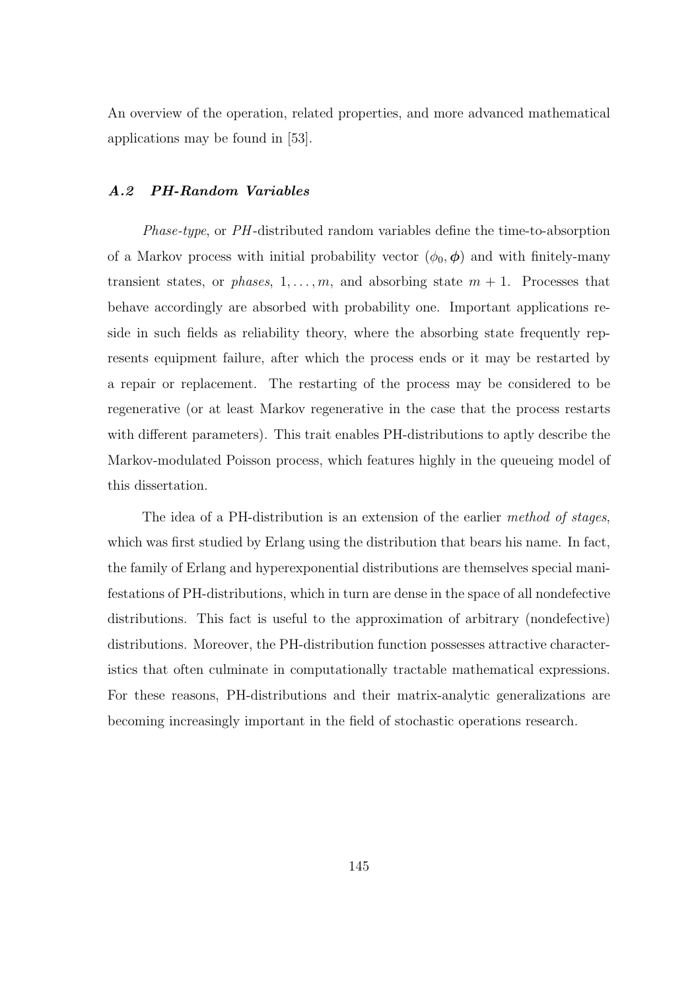An overview of the operation, related properties, and more advanced mathematical applications may be found in [53].

#### A.2 PH-Random Variables

Phase-type, or PH -distributed random variables define the time-to-absorption of a Markov process with initial probability vector  $(\phi_0, \phi)$  and with finitely-many transient states, or *phases*,  $1, \ldots, m$ , and absorbing state  $m + 1$ . Processes that behave accordingly are absorbed with probability one. Important applications reside in such fields as reliability theory, where the absorbing state frequently represents equipment failure, after which the process ends or it may be restarted by a repair or replacement. The restarting of the process may be considered to be regenerative (or at least Markov regenerative in the case that the process restarts with different parameters). This trait enables PH-distributions to aptly describe the Markov-modulated Poisson process, which features highly in the queueing model of this dissertation.

The idea of a PH-distribution is an extension of the earlier method of stages, which was first studied by Erlang using the distribution that bears his name. In fact, the family of Erlang and hyperexponential distributions are themselves special manifestations of PH-distributions, which in turn are dense in the space of all nondefective distributions. This fact is useful to the approximation of arbitrary (nondefective) distributions. Moreover, the PH-distribution function possesses attractive characteristics that often culminate in computationally tractable mathematical expressions. For these reasons, PH-distributions and their matrix-analytic generalizations are becoming increasingly important in the field of stochastic operations research.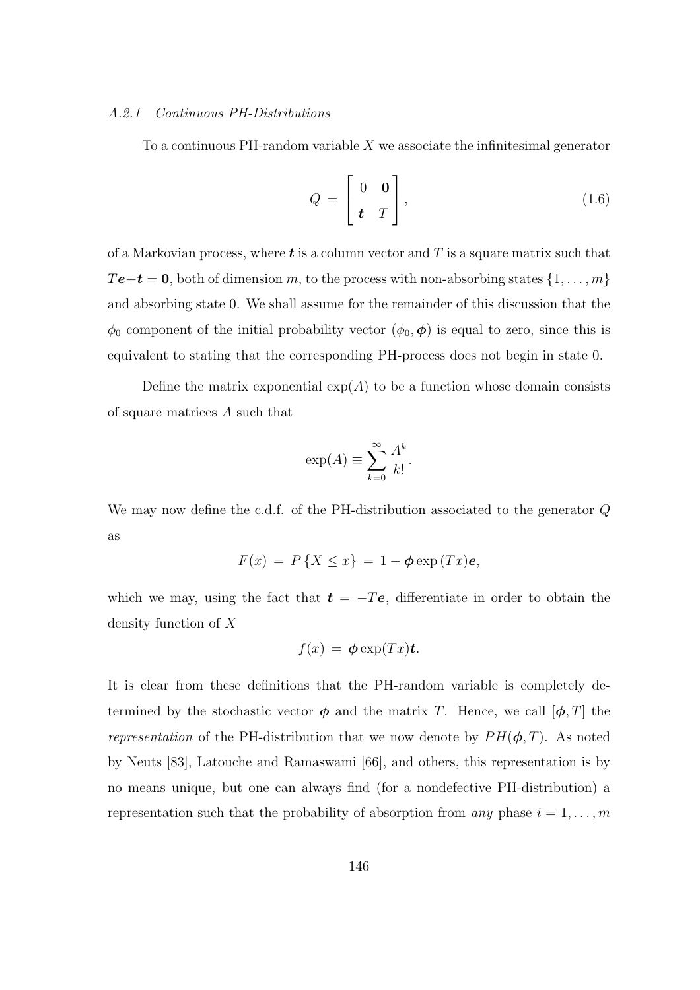## A.2.1 Continuous PH-Distributions

To a continuous PH-random variable  $X$  we associate the infinitesimal generator

$$
Q = \begin{bmatrix} 0 & \mathbf{0} \\ \mathbf{t} & T \end{bmatrix}, \tag{1.6}
$$

of a Markovian process, where  $t$  is a column vector and T is a square matrix such that  $T\mathbf{e}+\mathbf{t}=\mathbf{0}$ , both of dimension m, to the process with non-absorbing states  $\{1,\ldots,m\}$ and absorbing state 0. We shall assume for the remainder of this discussion that the  $\phi_0$  component of the initial probability vector  $(\phi_0, \phi)$  is equal to zero, since this is equivalent to stating that the corresponding PH-process does not begin in state 0.

Define the matrix exponential  $exp(A)$  to be a function whose domain consists of square matrices A such that

$$
\exp(A) \equiv \sum_{k=0}^{\infty} \frac{A^k}{k!}.
$$

We may now define the c.d.f. of the PH-distribution associated to the generator Q as

$$
F(x) = P\{X \le x\} = 1 - \phi \exp(Tx)e,
$$

which we may, using the fact that  $t = -Te$ , differentiate in order to obtain the density function of X

$$
f(x) = \boldsymbol{\phi} \exp(Tx) \boldsymbol{t}.
$$

It is clear from these definitions that the PH-random variable is completely determined by the stochastic vector  $\phi$  and the matrix T. Hence, we call  $[\phi, T]$  the representation of the PH-distribution that we now denote by  $PH(\phi, T)$ . As noted by Neuts [83], Latouche and Ramaswami [66], and others, this representation is by no means unique, but one can always find (for a nondefective PH-distribution) a representation such that the probability of absorption from any phase  $i = 1, \ldots, m$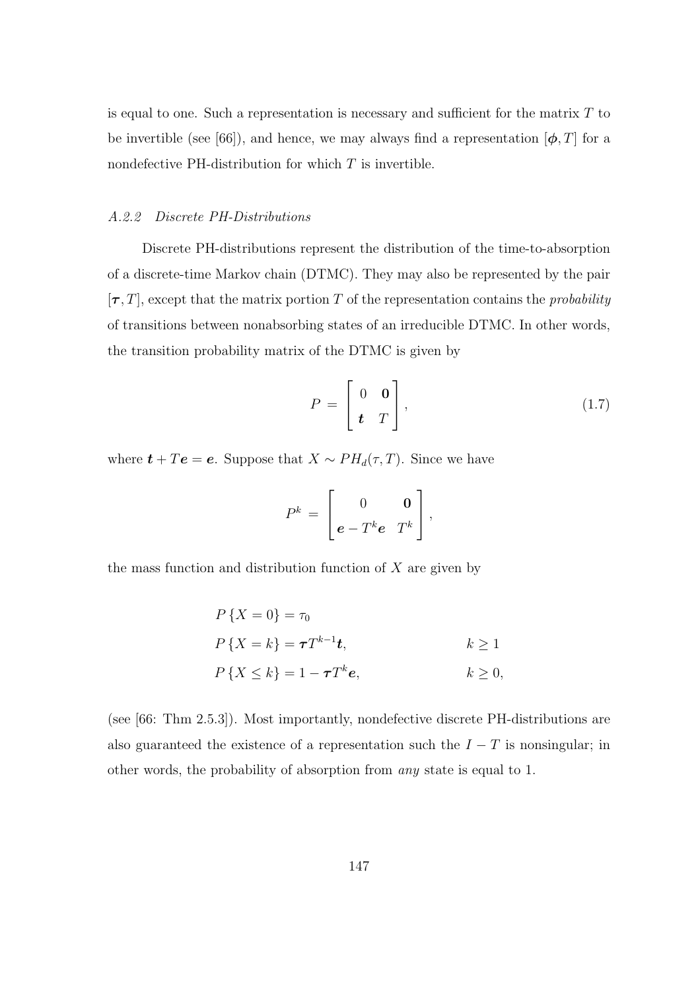is equal to one. Such a representation is necessary and sufficient for the matrix  $T$  to be invertible (see [66]), and hence, we may always find a representation  $[\phi, T]$  for a nondefective PH-distribution for which  $T$  is invertible.

## A.2.2 Discrete PH-Distributions

Discrete PH-distributions represent the distribution of the time-to-absorption of a discrete-time Markov chain (DTMC). They may also be represented by the pair  $[\tau, T]$ , except that the matrix portion T of the representation contains the *probability* of transitions between nonabsorbing states of an irreducible DTMC. In other words, the transition probability matrix of the DTMC is given by

$$
P = \begin{bmatrix} 0 & \mathbf{0} \\ \mathbf{t} & T \end{bmatrix}, \tag{1.7}
$$

where  $t + Te = e$ . Suppose that  $X \sim PH_d(\tau, T)$ . Since we have

$$
P^k = \begin{bmatrix} 0 & \mathbf{0} \\ \mathbf{e} - T^k \mathbf{e} & T^k \end{bmatrix},
$$

the mass function and distribution function of  $X$  are given by

$$
P\{X = 0\} = \tau_0
$$
  
\n
$$
P\{X = k\} = \tau T^{k-1}t, \qquad k \ge 1
$$
  
\n
$$
P\{X \le k\} = 1 - \tau T^k e, \qquad k \ge 0,
$$

(see [66: Thm 2.5.3]). Most importantly, nondefective discrete PH-distributions are also guaranteed the existence of a representation such the  $I - T$  is nonsingular; in other words, the probability of absorption from any state is equal to 1.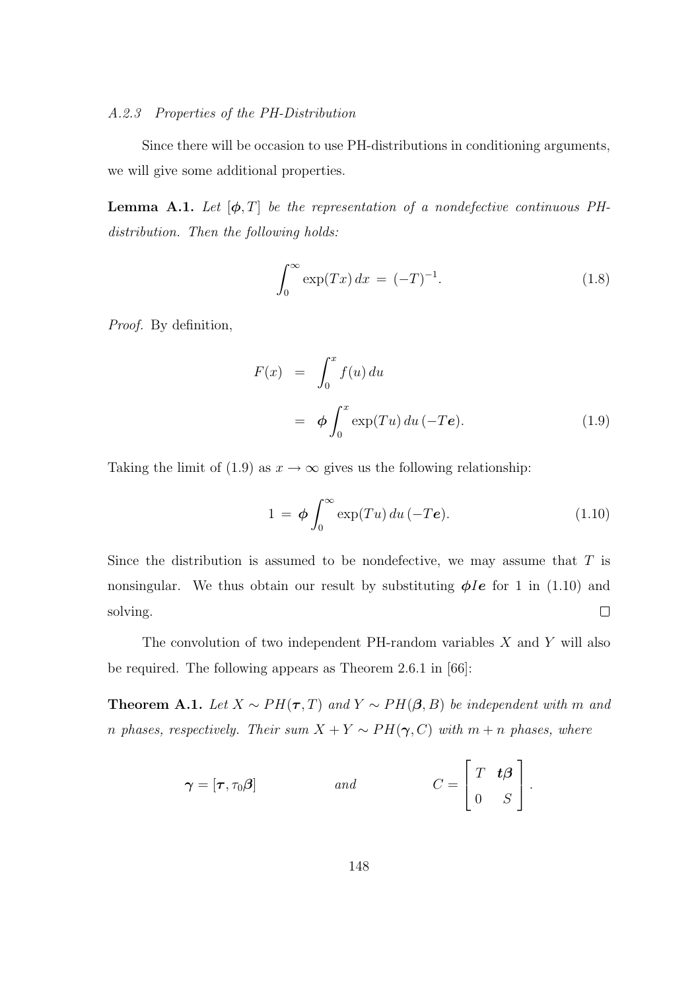## A.2.3 Properties of the PH-Distribution

Since there will be occasion to use PH-distributions in conditioning arguments, we will give some additional properties.

**Lemma A.1.** Let  $[\phi, T]$  be the representation of a nondefective continuous PHdistribution. Then the following holds:

$$
\int_0^\infty \exp(Tx) \, dx = (-T)^{-1}.
$$
\n(1.8)

Proof. By definition,

$$
F(x) = \int_0^x f(u) du
$$
  
=  $\phi \int_0^x \exp(Tu) du (-Te).$  (1.9)

Taking the limit of (1.9) as  $x \to \infty$  gives us the following relationship:

$$
1 = \phi \int_0^\infty \exp(Tu) \, du \, (-Te). \tag{1.10}
$$

Since the distribution is assumed to be nondefective, we may assume that  $T$  is nonsingular. We thus obtain our result by substituting  $\phi Ie$  for 1 in (1.10) and  $\Box$ solving.

The convolution of two independent PH-random variables  $X$  and  $Y$  will also be required. The following appears as Theorem 2.6.1 in [66]:

**Theorem A.1.** Let  $X \sim PH(\tau, T)$  and  $Y \sim PH(\beta, B)$  be independent with m and n phases, respectively. Their sum  $X + Y \sim PH(\gamma, C)$  with  $m + n$  phases, where

$$
\boldsymbol{\gamma} = [\boldsymbol{\tau}, \tau_0 \boldsymbol{\beta}] \hspace{1cm} and \hspace{1cm} C = \begin{bmatrix} T & \boldsymbol{t} \boldsymbol{\beta} \\ 0 & S \end{bmatrix}.
$$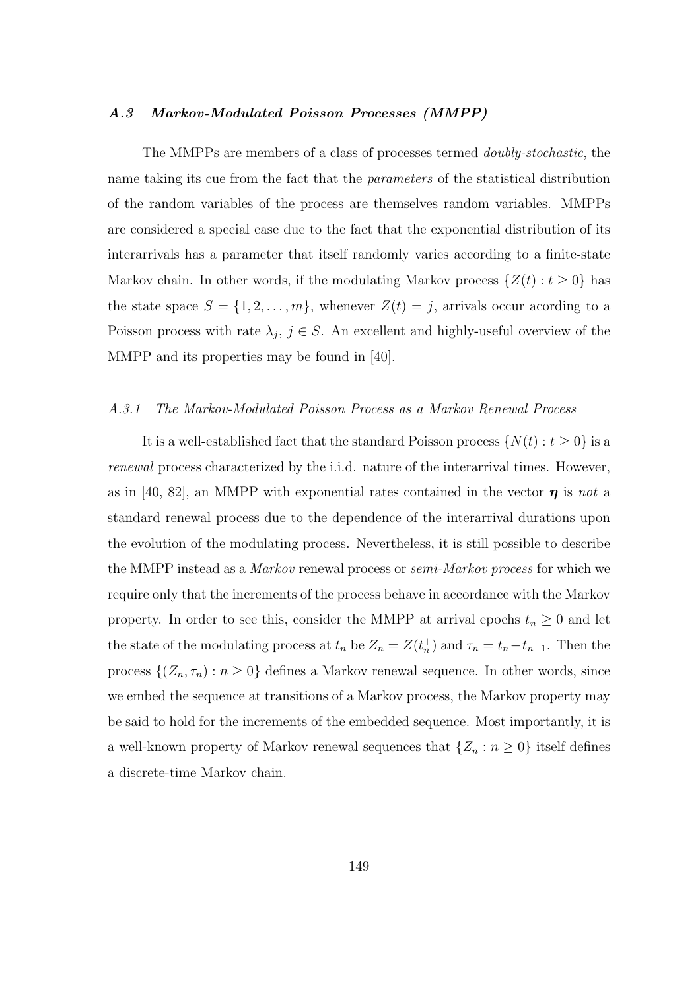## A.3 Markov-Modulated Poisson Processes (MMPP)

The MMPPs are members of a class of processes termed doubly-stochastic, the name taking its cue from the fact that the parameters of the statistical distribution of the random variables of the process are themselves random variables. MMPPs are considered a special case due to the fact that the exponential distribution of its interarrivals has a parameter that itself randomly varies according to a finite-state Markov chain. In other words, if the modulating Markov process  $\{Z(t): t \geq 0\}$  has the state space  $S = \{1, 2, ..., m\}$ , whenever  $Z(t) = j$ , arrivals occur acording to a Poisson process with rate  $\lambda_j$ ,  $j \in S$ . An excellent and highly-useful overview of the MMPP and its properties may be found in [40].

#### A.3.1 The Markov-Modulated Poisson Process as a Markov Renewal Process

It is a well-established fact that the standard Poisson process  $\{N(t): t \geq 0\}$  is a renewal process characterized by the i.i.d. nature of the interarrival times. However, as in [40, 82], an MMPP with exponential rates contained in the vector  $\eta$  is not a standard renewal process due to the dependence of the interarrival durations upon the evolution of the modulating process. Nevertheless, it is still possible to describe the MMPP instead as a *Markov* renewal process or *semi-Markov process* for which we require only that the increments of the process behave in accordance with the Markov property. In order to see this, consider the MMPP at arrival epochs  $t_n \geq 0$  and let the state of the modulating process at  $t_n$  be  $Z_n = Z(t_n^+)$  and  $\tau_n = t_n - t_{n-1}$ . Then the process  $\{(Z_n, \tau_n) : n \geq 0\}$  defines a Markov renewal sequence. In other words, since we embed the sequence at transitions of a Markov process, the Markov property may be said to hold for the increments of the embedded sequence. Most importantly, it is a well-known property of Markov renewal sequences that  $\{Z_n : n \geq 0\}$  itself defines a discrete-time Markov chain.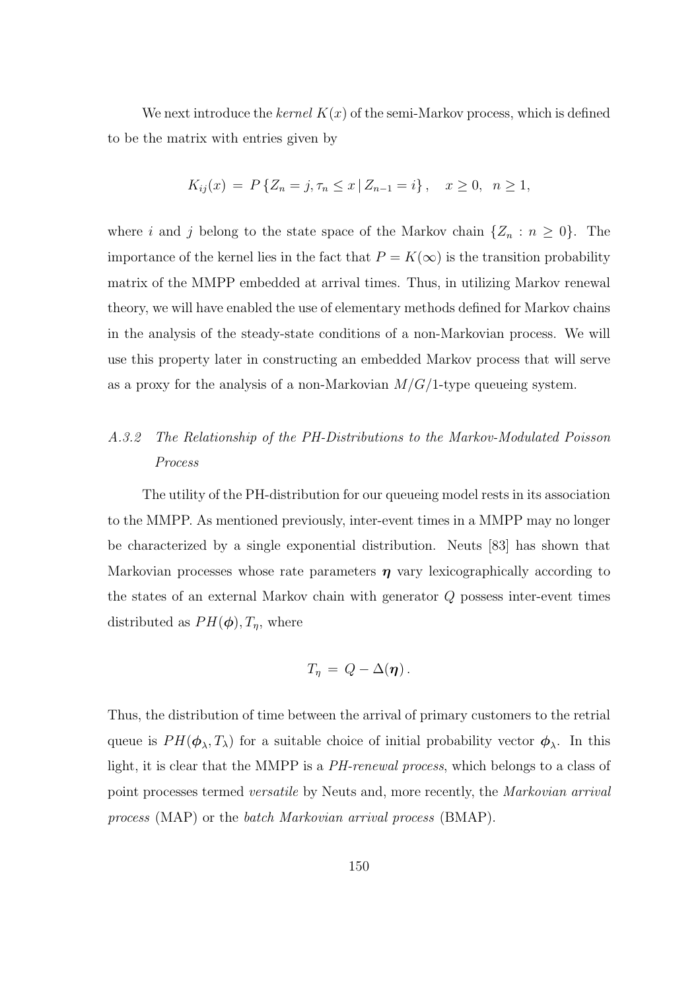We next introduce the kernel  $K(x)$  of the semi-Markov process, which is defined to be the matrix with entries given by

$$
K_{ij}(x) = P\{Z_n = j, \tau_n \le x \mid Z_{n-1} = i\}, \quad x \ge 0, \ \ n \ge 1,
$$

where i and j belong to the state space of the Markov chain  $\{Z_n : n \geq 0\}$ . The importance of the kernel lies in the fact that  $P = K(\infty)$  is the transition probability matrix of the MMPP embedded at arrival times. Thus, in utilizing Markov renewal theory, we will have enabled the use of elementary methods defined for Markov chains in the analysis of the steady-state conditions of a non-Markovian process. We will use this property later in constructing an embedded Markov process that will serve as a proxy for the analysis of a non-Markovian  $M/G/1$ -type queueing system.

## A.3.2 The Relationship of the PH-Distributions to the Markov-Modulated Poisson Process

The utility of the PH-distribution for our queueing model rests in its association to the MMPP. As mentioned previously, inter-event times in a MMPP may no longer be characterized by a single exponential distribution. Neuts [83] has shown that Markovian processes whose rate parameters  $\eta$  vary lexicographically according to the states of an external Markov chain with generator Q possess inter-event times distributed as  $PH(\boldsymbol{\phi}), T_{\eta}$ , where

$$
T_{\eta} = Q - \Delta(\eta).
$$

Thus, the distribution of time between the arrival of primary customers to the retrial queue is  $PH(\phi_{\lambda}, T_{\lambda})$  for a suitable choice of initial probability vector  $\phi_{\lambda}$ . In this light, it is clear that the MMPP is a PH-renewal process, which belongs to a class of point processes termed versatile by Neuts and, more recently, the Markovian arrival process (MAP) or the batch Markovian arrival process (BMAP).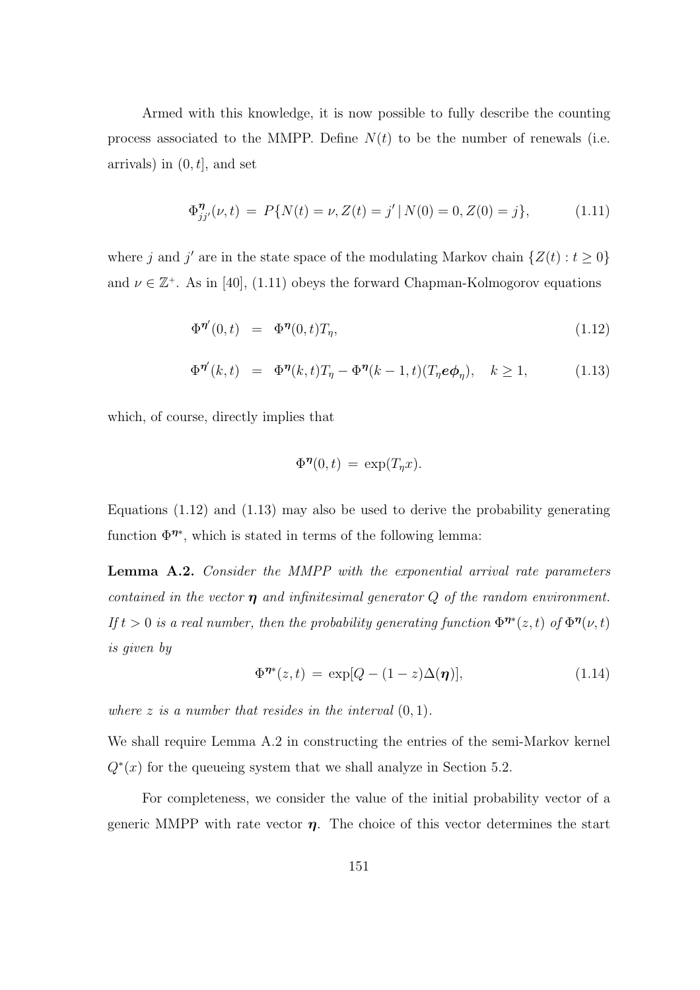Armed with this knowledge, it is now possible to fully describe the counting process associated to the MMPP. Define  $N(t)$  to be the number of renewals (i.e. arrivals) in  $(0, t]$ , and set

$$
\Phi_{jj'}^{\eta}(\nu, t) = P\{N(t) = \nu, Z(t) = j' | N(0) = 0, Z(0) = j\},\tag{1.11}
$$

where j and j' are in the state space of the modulating Markov chain  $\{Z(t): t \geq 0\}$ and  $\nu \in \mathbb{Z}^+$ . As in [40], (1.11) obeys the forward Chapman-Kolmogorov equations

$$
\Phi^{\eta'}(0,t) = \Phi^{\eta}(0,t)T_{\eta}, \qquad (1.12)
$$

$$
\Phi^{\eta\prime}(k,t) = \Phi^{\eta}(k,t)T_{\eta} - \Phi^{\eta}(k-1,t)(T_{\eta}e\phi_{\eta}), \quad k \ge 1,
$$
\n(1.13)

which, of course, directly implies that

$$
\Phi^{\eta}(0,t) = \exp(T_{\eta}x).
$$

Equations (1.12) and (1.13) may also be used to derive the probability generating function  $\Phi^{\eta*}$ , which is stated in terms of the following lemma:

Lemma A.2. Consider the MMPP with the exponential arrival rate parameters contained in the vector  $\eta$  and infinitesimal generator Q of the random environment. If  $t > 0$  is a real number, then the probability generating function  $\Phi^{\eta*}(z,t)$  of  $\Phi^{\eta}(\nu,t)$ is given by

$$
\Phi^{\eta*}(z,t) = \exp[Q - (1-z)\Delta(\eta)],\tag{1.14}
$$

where z is a number that resides in the interval  $(0, 1)$ .

We shall require Lemma A.2 in constructing the entries of the semi-Markov kernel  $Q^*(x)$  for the queueing system that we shall analyze in Section 5.2.

For completeness, we consider the value of the initial probability vector of a generic MMPP with rate vector  $\eta$ . The choice of this vector determines the start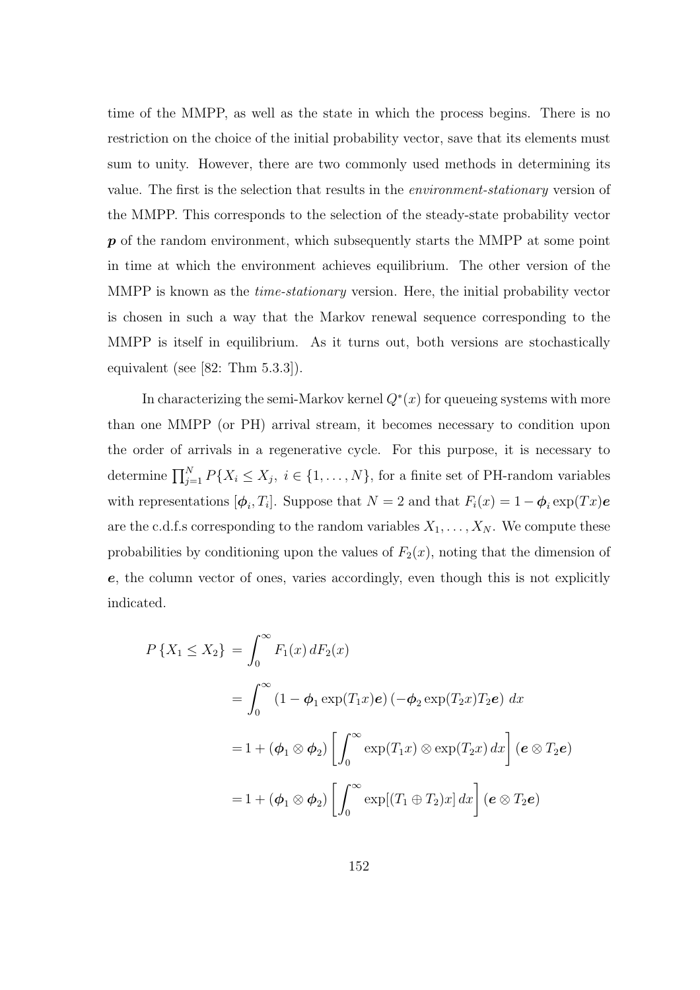time of the MMPP, as well as the state in which the process begins. There is no restriction on the choice of the initial probability vector, save that its elements must sum to unity. However, there are two commonly used methods in determining its value. The first is the selection that results in the environment-stationary version of the MMPP. This corresponds to the selection of the steady-state probability vector  $p$  of the random environment, which subsequently starts the MMPP at some point in time at which the environment achieves equilibrium. The other version of the MMPP is known as the *time-stationary* version. Here, the initial probability vector is chosen in such a way that the Markov renewal sequence corresponding to the MMPP is itself in equilibrium. As it turns out, both versions are stochastically equivalent (see [82: Thm 5.3.3]).

In characterizing the semi-Markov kernel  $Q^*(x)$  for queueing systems with more than one MMPP (or PH) arrival stream, it becomes necessary to condition upon the order of arrivals in a regenerative cycle. For this purpose, it is necessary to determine  $\prod_{j=1}^{N} P\{X_i \leq X_j, i \in \{1, ..., N\}$ , for a finite set of PH-random variables with representations  $[\phi_i, T_i]$ . Suppose that  $N = 2$  and that  $F_i(x) = 1 - \phi_i \exp(Tx)e$ are the c.d.f.s corresponding to the random variables  $X_1, \ldots, X_N$ . We compute these probabilities by conditioning upon the values of  $F_2(x)$ , noting that the dimension of e, the column vector of ones, varies accordingly, even though this is not explicitly indicated.

$$
P\{X_1 \le X_2\} = \int_0^\infty F_1(x) dF_2(x)
$$
  
= 
$$
\int_0^\infty (1 - \phi_1 \exp(T_1 x) e) (-\phi_2 \exp(T_2 x) T_2 e) dx
$$
  
= 
$$
1 + (\phi_1 \otimes \phi_2) \left[ \int_0^\infty \exp(T_1 x) \otimes \exp(T_2 x) dx \right] (e \otimes T_2 e)
$$
  
= 
$$
1 + (\phi_1 \otimes \phi_2) \left[ \int_0^\infty \exp[(T_1 \oplus T_2)x] dx \right] (e \otimes T_2 e)
$$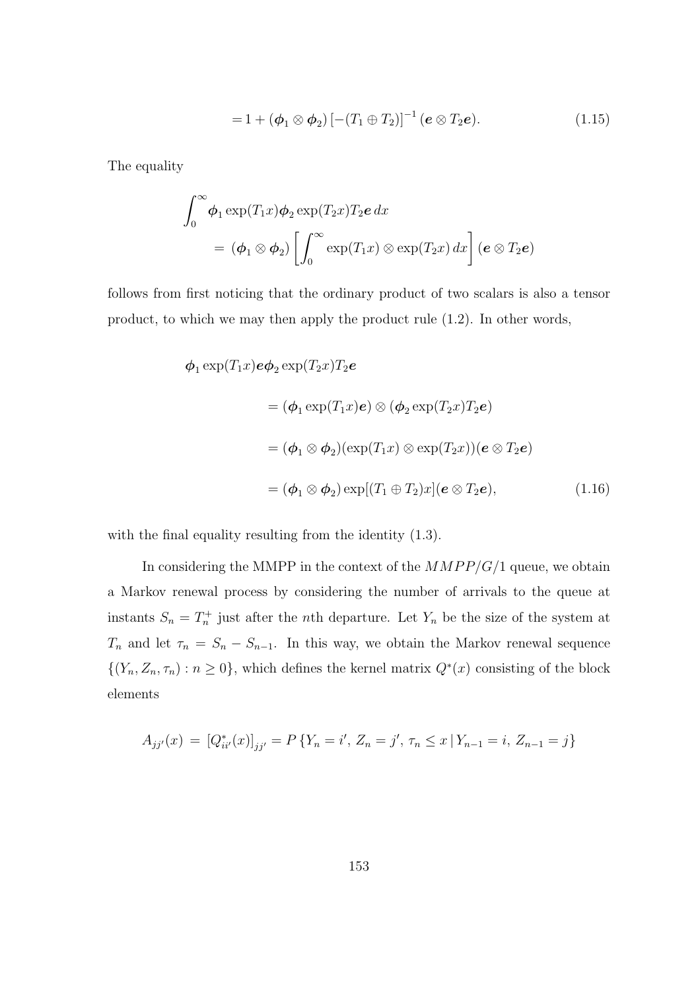$$
=1+(\phi_1\otimes \phi_2)\left[-(T_1\oplus T_2)\right]^{-1}(e\otimes T_2e).
$$
 (1.15)

The equality

$$
\int_0^\infty \phi_1 \exp(T_1 x) \phi_2 \exp(T_2 x) T_2 e \, dx
$$
  
=  $(\phi_1 \otimes \phi_2) \left[ \int_0^\infty \exp(T_1 x) \otimes \exp(T_2 x) \, dx \right] (e \otimes T_2 e)$ 

follows from first noticing that the ordinary product of two scalars is also a tensor product, to which we may then apply the product rule (1.2). In other words,

$$
\phi_1 \exp(T_1 x) e \phi_2 \exp(T_2 x) T_2 e
$$
  
=  $(\phi_1 \exp(T_1 x) e) \otimes (\phi_2 \exp(T_2 x) T_2 e)$   
=  $(\phi_1 \otimes \phi_2)(\exp(T_1 x) \otimes \exp(T_2 x))(e \otimes T_2 e)$   
=  $(\phi_1 \otimes \phi_2) \exp[(T_1 \oplus T_2)x](e \otimes T_2 e),$  (1.16)

with the final equality resulting from the identity  $(1.3)$ .

In considering the MMPP in the context of the  $MMPP/G/1$  queue, we obtain a Markov renewal process by considering the number of arrivals to the queue at instants  $S_n = T_n^+$  just after the *n*th departure. Let  $Y_n$  be the size of the system at  $T_n$  and let  $\tau_n = S_n - S_{n-1}$ . In this way, we obtain the Markov renewal sequence  $\{(Y_n, Z_n, \tau_n) : n \geq 0\}$ , which defines the kernel matrix  $Q^*(x)$  consisting of the block elements

$$
A_{jj'}(x) = [Q_{ii'}^*(x)]_{jj'} = P\{Y_n = i', Z_n = j', \tau_n \le x \mid Y_{n-1} = i, Z_{n-1} = j\}
$$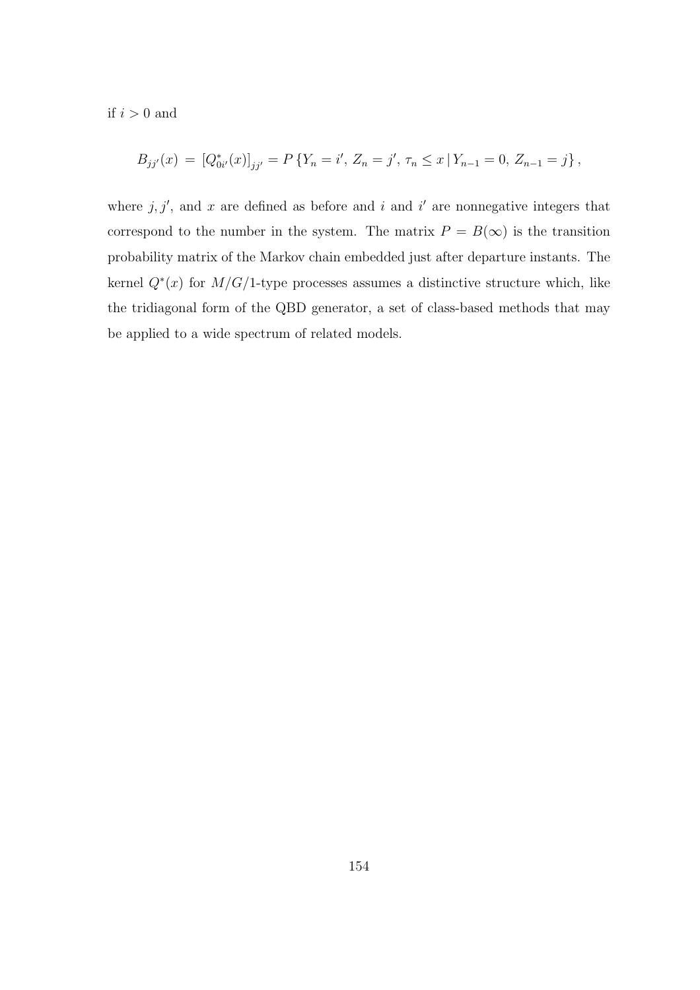if  $i > 0$  and

$$
B_{jj'}(x) = [Q_{0i'}^{*}(x)]_{jj'} = P\left\{Y_n = i', Z_n = j', \, \tau_n \leq x \, | \, Y_{n-1} = 0, \, Z_{n-1} = j\right\},\,
$$

where  $j, j'$ , and x are defined as before and i and i' are nonnegative integers that correspond to the number in the system. The matrix  $P = B(\infty)$  is the transition probability matrix of the Markov chain embedded just after departure instants. The kernel  $Q^*(x)$  for  $M/G/1$ -type processes assumes a distinctive structure which, like the tridiagonal form of the QBD generator, a set of class-based methods that may be applied to a wide spectrum of related models.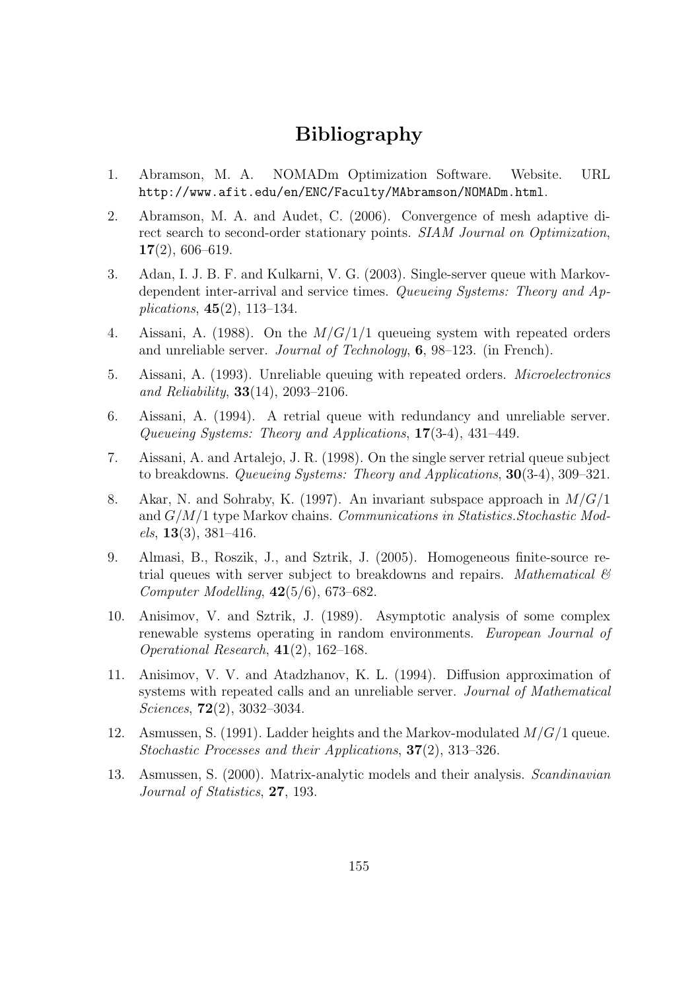# Bibliography

- 1. Abramson, M. A. NOMADm Optimization Software. Website. URL http://www.afit.edu/en/ENC/Faculty/MAbramson/NOMADm.html.
- 2. Abramson, M. A. and Audet, C. (2006). Convergence of mesh adaptive direct search to second-order stationary points. SIAM Journal on Optimization, 17(2), 606–619.
- 3. Adan, I. J. B. F. and Kulkarni, V. G. (2003). Single-server queue with Markovdependent inter-arrival and service times. Queueing Systems: Theory and Applications, 45(2), 113–134.
- 4. Aissani, A. (1988). On the  $M/G/1/1$  queueing system with repeated orders and unreliable server. Journal of Technology, 6, 98–123. (in French).
- 5. Aissani, A. (1993). Unreliable queuing with repeated orders. Microelectronics and Reliability,  $33(14)$ ,  $2093-2106$ .
- 6. Aissani, A. (1994). A retrial queue with redundancy and unreliable server. Queueing Systems: Theory and Applications, 17(3-4), 431–449.
- 7. Aissani, A. and Artalejo, J. R. (1998). On the single server retrial queue subject to breakdowns. Queueing Systems: Theory and Applications, 30(3-4), 309–321.
- 8. Akar, N. and Sohraby, K. (1997). An invariant subspace approach in  $M/G/1$ and G/M/1 type Markov chains. Communications in Statistics.Stochastic Mod $els, 13(3), 381-416.$
- 9. Almasi, B., Roszik, J., and Sztrik, J. (2005). Homogeneous finite-source retrial queues with server subject to breakdowns and repairs. Mathematical  $\mathcal{C}$ Computer Modelling,  $42(5/6)$ , 673–682.
- 10. Anisimov, V. and Sztrik, J. (1989). Asymptotic analysis of some complex renewable systems operating in random environments. European Journal of Operational Research, 41(2), 162–168.
- 11. Anisimov, V. V. and Atadzhanov, K. L. (1994). Diffusion approximation of systems with repeated calls and an unreliable server. Journal of Mathematical Sciences, 72(2), 3032–3034.
- 12. Asmussen, S. (1991). Ladder heights and the Markov-modulated  $M/G/1$  queue. Stochastic Processes and their Applications, 37(2), 313–326.
- 13. Asmussen, S. (2000). Matrix-analytic models and their analysis. Scandinavian Journal of Statistics, 27, 193.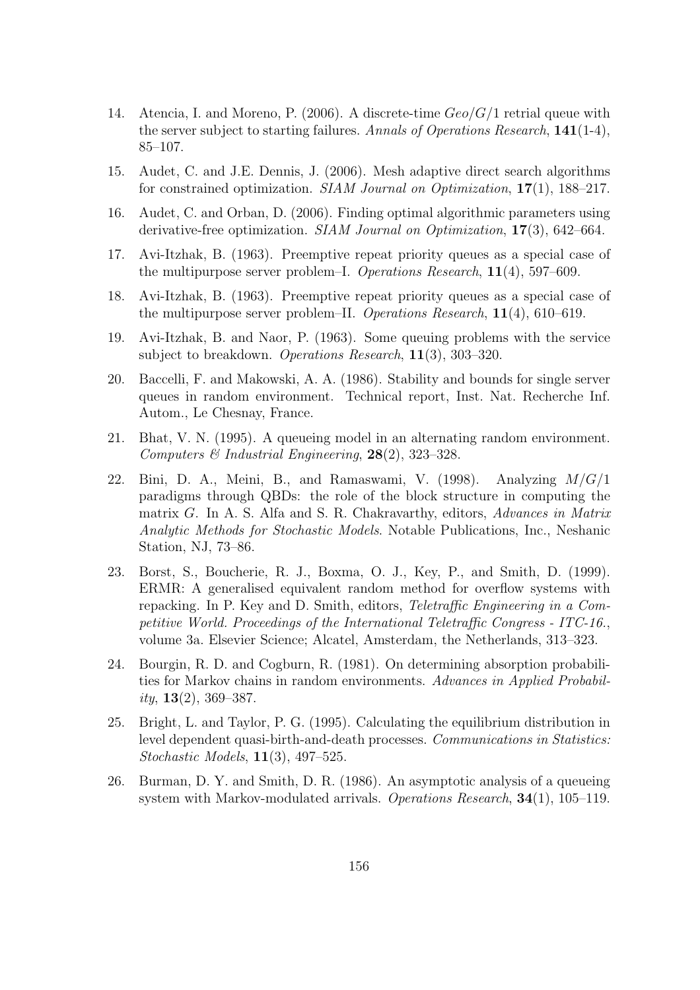- 14. Atencia, I. and Moreno, P. (2006). A discrete-time  $Geo/G/1$  retrial queue with the server subject to starting failures. Annals of Operations Research, 141(1-4), 85–107.
- 15. Audet, C. and J.E. Dennis, J. (2006). Mesh adaptive direct search algorithms for constrained optimization. SIAM Journal on Optimization, 17(1), 188–217.
- 16. Audet, C. and Orban, D. (2006). Finding optimal algorithmic parameters using derivative-free optimization. SIAM Journal on Optimization, 17(3), 642–664.
- 17. Avi-Itzhak, B. (1963). Preemptive repeat priority queues as a special case of the multipurpose server problem–I. Operations Research, 11(4), 597–609.
- 18. Avi-Itzhak, B. (1963). Preemptive repeat priority queues as a special case of the multipurpose server problem–II. Operations Research, 11(4), 610–619.
- 19. Avi-Itzhak, B. and Naor, P. (1963). Some queuing problems with the service subject to breakdown. Operations Research, 11(3), 303–320.
- 20. Baccelli, F. and Makowski, A. A. (1986). Stability and bounds for single server queues in random environment. Technical report, Inst. Nat. Recherche Inf. Autom., Le Chesnay, France.
- 21. Bhat, V. N. (1995). A queueing model in an alternating random environment. Computers  $\mathcal{B}$  Industrial Engineering, 28(2), 323–328.
- 22. Bini, D. A., Meini, B., and Ramaswami, V. (1998). Analyzing  $M/G/1$ paradigms through QBDs: the role of the block structure in computing the matrix G. In A. S. Alfa and S. R. Chakravarthy, editors, Advances in Matrix Analytic Methods for Stochastic Models. Notable Publications, Inc., Neshanic Station, NJ, 73–86.
- 23. Borst, S., Boucherie, R. J., Boxma, O. J., Key, P., and Smith, D. (1999). ERMR: A generalised equivalent random method for overflow systems with repacking. In P. Key and D. Smith, editors, Teletraffic Engineering in a Competitive World. Proceedings of the International Teletraffic Congress - ITC-16., volume 3a. Elsevier Science; Alcatel, Amsterdam, the Netherlands, 313–323.
- 24. Bourgin, R. D. and Cogburn, R. (1981). On determining absorption probabilities for Markov chains in random environments. Advances in Applied Probability,  $13(2)$ ,  $369-387$ .
- 25. Bright, L. and Taylor, P. G. (1995). Calculating the equilibrium distribution in level dependent quasi-birth-and-death processes. Communications in Statistics: Stochastic Models, 11(3), 497–525.
- 26. Burman, D. Y. and Smith, D. R. (1986). An asymptotic analysis of a queueing system with Markov-modulated arrivals. Operations Research, 34(1), 105–119.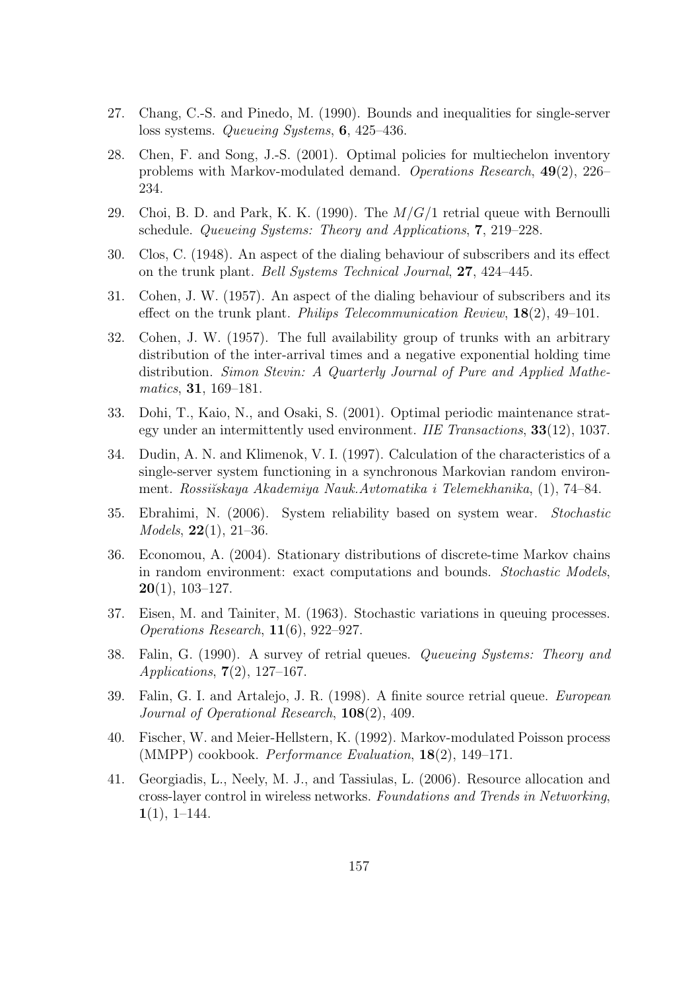- 27. Chang, C.-S. and Pinedo, M. (1990). Bounds and inequalities for single-server loss systems. Queueing Systems, 6, 425–436.
- 28. Chen, F. and Song, J.-S. (2001). Optimal policies for multiechelon inventory problems with Markov-modulated demand. Operations Research, 49(2), 226– 234.
- 29. Choi, B. D. and Park, K. K. (1990). The  $M/G/1$  retrial queue with Bernoulli schedule. Queueing Systems: Theory and Applications, 7, 219–228.
- 30. Clos, C. (1948). An aspect of the dialing behaviour of subscribers and its effect on the trunk plant. Bell Systems Technical Journal, 27, 424–445.
- 31. Cohen, J. W. (1957). An aspect of the dialing behaviour of subscribers and its effect on the trunk plant. Philips Telecommunication Review,  $18(2)$ , 49–101.
- 32. Cohen, J. W. (1957). The full availability group of trunks with an arbitrary distribution of the inter-arrival times and a negative exponential holding time distribution. Simon Stevin: A Quarterly Journal of Pure and Applied Mathematics, 31, 169–181.
- 33. Dohi, T., Kaio, N., and Osaki, S. (2001). Optimal periodic maintenance strategy under an intermittently used environment. IIE Transactions, 33(12), 1037.
- 34. Dudin, A. N. and Klimenok, V. I. (1997). Calculation of the characteristics of a single-server system functioning in a synchronous Markovian random environment. Rossišskaya Akademiya Nauk.Avtomatika i Telemekhanika, (1), 74–84.
- 35. Ebrahimi, N. (2006). System reliability based on system wear. Stochastic Models, 22(1), 21–36.
- 36. Economou, A. (2004). Stationary distributions of discrete-time Markov chains in random environment: exact computations and bounds. Stochastic Models,  $20(1)$ , 103-127.
- 37. Eisen, M. and Tainiter, M. (1963). Stochastic variations in queuing processes. Operations Research, 11(6), 922–927.
- 38. Falin, G. (1990). A survey of retrial queues. Queueing Systems: Theory and Applications, 7(2), 127–167.
- 39. Falin, G. I. and Artalejo, J. R. (1998). A finite source retrial queue. European Journal of Operational Research, 108(2), 409.
- 40. Fischer, W. and Meier-Hellstern, K. (1992). Markov-modulated Poisson process (MMPP) cookbook. Performance Evaluation, 18(2), 149–171.
- 41. Georgiadis, L., Neely, M. J., and Tassiulas, L. (2006). Resource allocation and cross-layer control in wireless networks. Foundations and Trends in Networking,  $1(1), 1-144.$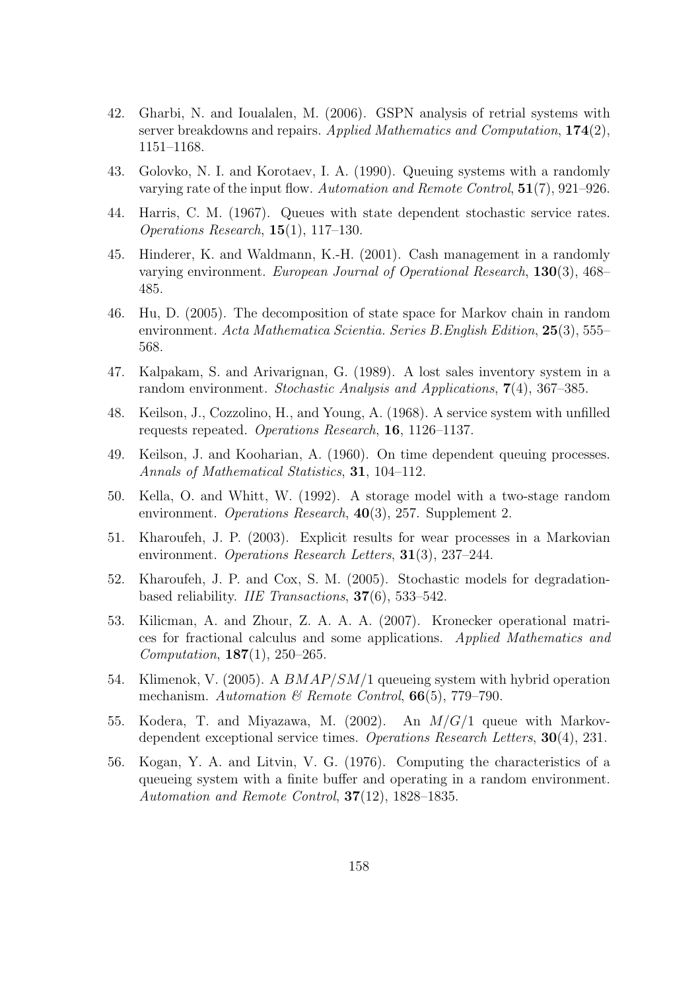- 42. Gharbi, N. and Ioualalen, M. (2006). GSPN analysis of retrial systems with server breakdowns and repairs. Applied Mathematics and Computation, 174(2), 1151–1168.
- 43. Golovko, N. I. and Korotaev, I. A. (1990). Queuing systems with a randomly varying rate of the input flow. Automation and Remote Control, 51(7), 921–926.
- 44. Harris, C. M. (1967). Queues with state dependent stochastic service rates. Operations Research,  $15(1)$ ,  $117-130$ .
- 45. Hinderer, K. and Waldmann, K.-H. (2001). Cash management in a randomly varying environment. European Journal of Operational Research, 130(3), 468– 485.
- 46. Hu, D. (2005). The decomposition of state space for Markov chain in random environment. Acta Mathematica Scientia. Series B.English Edition, 25(3), 555– 568.
- 47. Kalpakam, S. and Arivarignan, G. (1989). A lost sales inventory system in a random environment. Stochastic Analysis and Applications, 7(4), 367–385.
- 48. Keilson, J., Cozzolino, H., and Young, A. (1968). A service system with unfilled requests repeated. Operations Research, 16, 1126–1137.
- 49. Keilson, J. and Kooharian, A. (1960). On time dependent queuing processes. Annals of Mathematical Statistics, 31, 104–112.
- 50. Kella, O. and Whitt, W. (1992). A storage model with a two-stage random environment. Operations Research, 40(3), 257. Supplement 2.
- 51. Kharoufeh, J. P. (2003). Explicit results for wear processes in a Markovian environment. *Operations Research Letters*, **31**(3), 237–244.
- 52. Kharoufeh, J. P. and Cox, S. M. (2005). Stochastic models for degradationbased reliability. IIE Transactions, 37(6), 533–542.
- 53. Kilicman, A. and Zhour, Z. A. A. A. (2007). Kronecker operational matrices for fractional calculus and some applications. Applied Mathematics and Computation, 187(1), 250–265.
- 54. Klimenok, V. (2005). A BMAP/SM/1 queueing system with hybrid operation mechanism. Automation & Remote Control,  $66(5)$ , 779–790.
- 55. Kodera, T. and Miyazawa, M. (2002). An  $M/G/1$  queue with Markovdependent exceptional service times. Operations Research Letters, 30(4), 231.
- 56. Kogan, Y. A. and Litvin, V. G. (1976). Computing the characteristics of a queueing system with a finite buffer and operating in a random environment. Automation and Remote Control, 37(12), 1828–1835.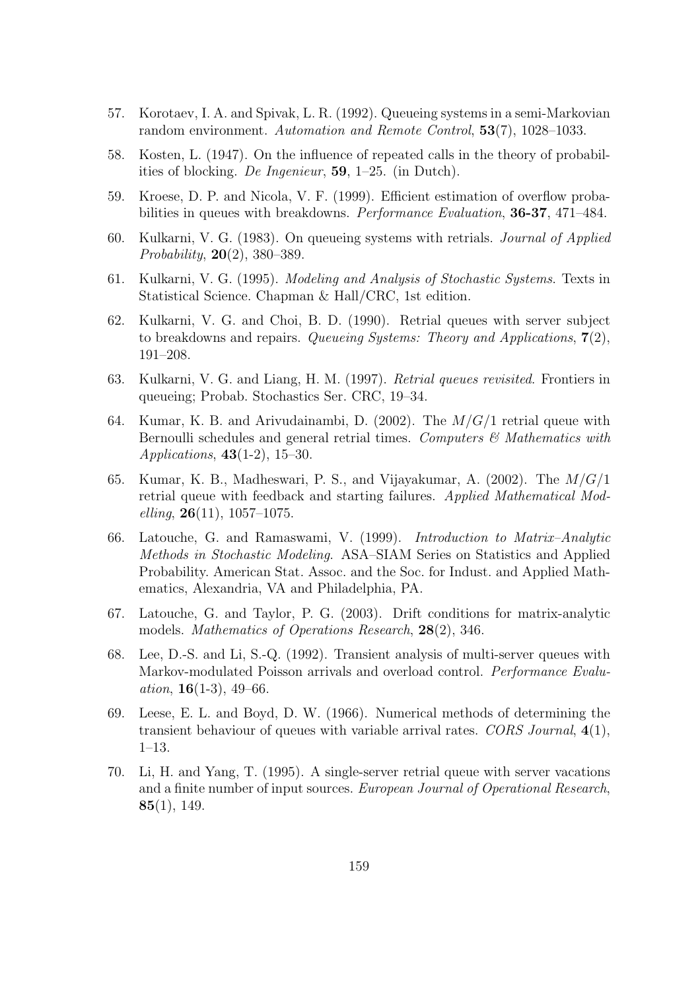- 57. Korotaev, I. A. and Spivak, L. R. (1992). Queueing systems in a semi-Markovian random environment. Automation and Remote Control, 53(7), 1028–1033.
- 58. Kosten, L. (1947). On the influence of repeated calls in the theory of probabilities of blocking. De Ingenieur, 59, 1–25. (in Dutch).
- 59. Kroese, D. P. and Nicola, V. F. (1999). Efficient estimation of overflow probabilities in queues with breakdowns. Performance Evaluation, 36-37, 471–484.
- 60. Kulkarni, V. G. (1983). On queueing systems with retrials. Journal of Applied Probability, 20(2), 380–389.
- 61. Kulkarni, V. G. (1995). Modeling and Analysis of Stochastic Systems. Texts in Statistical Science. Chapman & Hall/CRC, 1st edition.
- 62. Kulkarni, V. G. and Choi, B. D. (1990). Retrial queues with server subject to breakdowns and repairs. Queueing Systems: Theory and Applications,  $7(2)$ , 191–208.
- 63. Kulkarni, V. G. and Liang, H. M. (1997). Retrial queues revisited. Frontiers in queueing; Probab. Stochastics Ser. CRC, 19–34.
- 64. Kumar, K. B. and Arivudainambi, D.  $(2002)$ . The  $M/G/1$  retrial queue with Bernoulli schedules and general retrial times. Computers  $\mathcal{C}$  Mathematics with Applications, 43(1-2), 15–30.
- 65. Kumar, K. B., Madheswari, P. S., and Vijayakumar, A.  $(2002)$ . The  $M/G/1$ retrial queue with feedback and starting failures. Applied Mathematical Mod $elling, 26(11), 1057-1075.$
- 66. Latouche, G. and Ramaswami, V. (1999). Introduction to Matrix–Analytic Methods in Stochastic Modeling. ASA–SIAM Series on Statistics and Applied Probability. American Stat. Assoc. and the Soc. for Indust. and Applied Mathematics, Alexandria, VA and Philadelphia, PA.
- 67. Latouche, G. and Taylor, P. G. (2003). Drift conditions for matrix-analytic models. Mathematics of Operations Research, 28(2), 346.
- 68. Lee, D.-S. and Li, S.-Q. (1992). Transient analysis of multi-server queues with Markov-modulated Poisson arrivals and overload control. Performance Evaluation,  $16(1-3)$ ,  $49-66$ .
- 69. Leese, E. L. and Boyd, D. W. (1966). Numerical methods of determining the transient behaviour of queues with variable arrival rates. CORS Journal, 4(1), 1–13.
- 70. Li, H. and Yang, T. (1995). A single-server retrial queue with server vacations and a finite number of input sources. European Journal of Operational Research,  $85(1), 149.$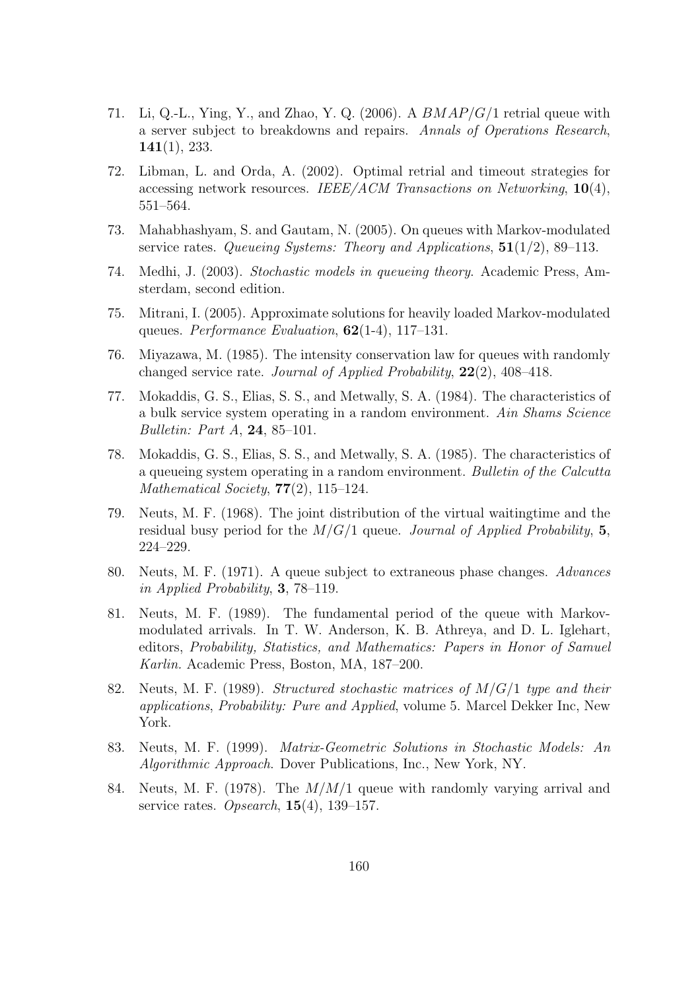- 71. Li, Q.-L., Ying, Y., and Zhao, Y. Q. (2006). A  $BMAP/G/1$  retrial queue with a server subject to breakdowns and repairs. Annals of Operations Research, 141(1), 233.
- 72. Libman, L. and Orda, A. (2002). Optimal retrial and timeout strategies for accessing network resources. IEEE/ACM Transactions on Networking, 10(4), 551–564.
- 73. Mahabhashyam, S. and Gautam, N. (2005). On queues with Markov-modulated service rates. Queueing Systems: Theory and Applications,  $51(1/2)$ , 89–113.
- 74. Medhi, J. (2003). Stochastic models in queueing theory. Academic Press, Amsterdam, second edition.
- 75. Mitrani, I. (2005). Approximate solutions for heavily loaded Markov-modulated queues. Performance Evaluation, 62(1-4), 117–131.
- 76. Miyazawa, M. (1985). The intensity conservation law for queues with randomly changed service rate. Journal of Applied Probability, 22(2), 408–418.
- 77. Mokaddis, G. S., Elias, S. S., and Metwally, S. A. (1984). The characteristics of a bulk service system operating in a random environment. Ain Shams Science Bulletin: Part A, 24, 85–101.
- 78. Mokaddis, G. S., Elias, S. S., and Metwally, S. A. (1985). The characteristics of a queueing system operating in a random environment. Bulletin of the Calcutta Mathematical Society,  $77(2)$ ,  $115-124$ .
- 79. Neuts, M. F. (1968). The joint distribution of the virtual waitingtime and the residual busy period for the  $M/G/1$  queue. Journal of Applied Probability, 5, 224–229.
- 80. Neuts, M. F. (1971). A queue subject to extraneous phase changes. Advances in Applied Probability, 3, 78–119.
- 81. Neuts, M. F. (1989). The fundamental period of the queue with Markovmodulated arrivals. In T. W. Anderson, K. B. Athreya, and D. L. Iglehart, editors, Probability, Statistics, and Mathematics: Papers in Honor of Samuel Karlin. Academic Press, Boston, MA, 187–200.
- 82. Neuts, M. F. (1989). Structured stochastic matrices of  $M/G/1$  type and their applications, Probability: Pure and Applied, volume 5. Marcel Dekker Inc, New York.
- 83. Neuts, M. F. (1999). Matrix-Geometric Solutions in Stochastic Models: An Algorithmic Approach. Dover Publications, Inc., New York, NY.
- 84. Neuts, M. F. (1978). The  $M/M/1$  queue with randomly varying arrival and service rates. Opsearch,  $15(4)$ ,  $139-157$ .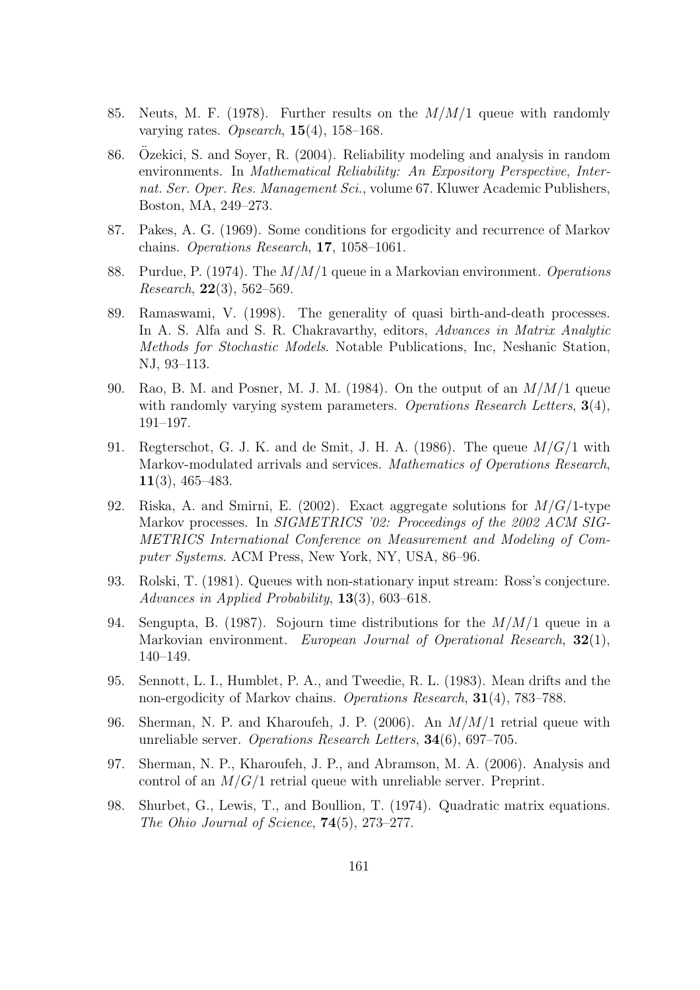- 85. Neuts, M. F. (1978). Further results on the  $M/M/1$  queue with randomly varying rates. Opsearch,  $15(4)$ ,  $158-168$ .
- 86. Ozekici, S. and Soyer, R. (2004). Reliability modeling and analysis in random ¨ environments. In Mathematical Reliability: An Expository Perspective, Internat. Ser. Oper. Res. Management Sci., volume 67. Kluwer Academic Publishers, Boston, MA, 249–273.
- 87. Pakes, A. G. (1969). Some conditions for ergodicity and recurrence of Markov chains. Operations Research, 17, 1058–1061.
- 88. Purdue, P. (1974). The  $M/M/1$  queue in a Markovian environment. Operations Research,  $22(3)$ , 562–569.
- 89. Ramaswami, V. (1998). The generality of quasi birth-and-death processes. In A. S. Alfa and S. R. Chakravarthy, editors, Advances in Matrix Analytic Methods for Stochastic Models. Notable Publications, Inc, Neshanic Station, NJ, 93–113.
- 90. Rao, B. M. and Posner, M. J. M. (1984). On the output of an  $M/M/1$  queue with randomly varying system parameters. Operations Research Letters,  $3(4)$ , 191–197.
- 91. Regterschot, G. J. K. and de Smit, J. H. A. (1986). The queue  $M/G/1$  with Markov-modulated arrivals and services. Mathematics of Operations Research, 11(3), 465–483.
- 92. Riska, A. and Smirni, E. (2002). Exact aggregate solutions for  $M/G/1$ -type Markov processes. In SIGMETRICS '02: Proceedings of the 2002 ACM SIG-METRICS International Conference on Measurement and Modeling of Computer Systems. ACM Press, New York, NY, USA, 86–96.
- 93. Rolski, T. (1981). Queues with non-stationary input stream: Ross's conjecture. Advances in Applied Probability, 13(3), 603–618.
- 94. Sengupta, B. (1987). Sojourn time distributions for the  $M/M/1$  queue in a Markovian environment. European Journal of Operational Research, 32(1), 140–149.
- 95. Sennott, L. I., Humblet, P. A., and Tweedie, R. L. (1983). Mean drifts and the non-ergodicity of Markov chains. Operations Research, 31(4), 783–788.
- 96. Sherman, N. P. and Kharoufeh, J. P. (2006). An  $M/M/1$  retrial queue with unreliable server. Operations Research Letters, 34(6), 697–705.
- 97. Sherman, N. P., Kharoufeh, J. P., and Abramson, M. A. (2006). Analysis and control of an  $M/G/1$  retrial queue with unreliable server. Preprint.
- 98. Shurbet, G., Lewis, T., and Boullion, T. (1974). Quadratic matrix equations. The Ohio Journal of Science, 74(5), 273–277.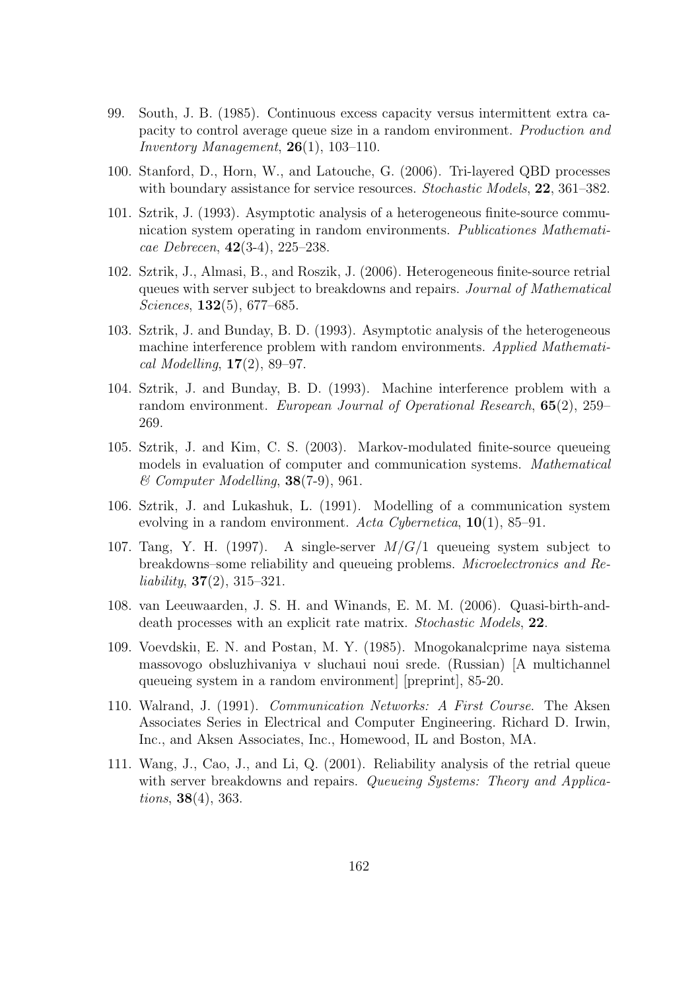- 99. South, J. B. (1985). Continuous excess capacity versus intermittent extra capacity to control average queue size in a random environment. Production and Inventory Management,  $26(1)$ , 103-110.
- 100. Stanford, D., Horn, W., and Latouche, G. (2006). Tri-layered QBD processes with boundary assistance for service resources. Stochastic Models, 22, 361–382.
- 101. Sztrik, J. (1993). Asymptotic analysis of a heterogeneous finite-source communication system operating in random environments. Publicationes Mathematicae Debrecen,  $42(3-4)$ ,  $225-238$ .
- 102. Sztrik, J., Almasi, B., and Roszik, J. (2006). Heterogeneous finite-source retrial queues with server subject to breakdowns and repairs. Journal of Mathematical Sciences, **132**(5), 677–685.
- 103. Sztrik, J. and Bunday, B. D. (1993). Asymptotic analysis of the heterogeneous machine interference problem with random environments. Applied Mathemati $cal$  Modelling,  $17(2)$ , 89–97.
- 104. Sztrik, J. and Bunday, B. D. (1993). Machine interference problem with a random environment. European Journal of Operational Research, 65(2), 259– 269.
- 105. Sztrik, J. and Kim, C. S. (2003). Markov-modulated finite-source queueing models in evaluation of computer and communication systems. Mathematical  $& Computer Modelling, 38(7-9), 961.$
- 106. Sztrik, J. and Lukashuk, L. (1991). Modelling of a communication system evolving in a random environment. Acta Cybernetica,  $10(1)$ , 85–91.
- 107. Tang, Y. H. (1997). A single-server  $M/G/1$  queueing system subject to breakdowns–some reliability and queueing problems. Microelectronics and Reliability,  $37(2)$ ,  $315-321$ .
- 108. van Leeuwaarden, J. S. H. and Winands, E. M. M. (2006). Quasi-birth-anddeath processes with an explicit rate matrix. Stochastic Models, 22.
- 109. Voevdskiı, E. N. and Postan, M. Y. (1985). Mnogokanalcprime naya sistema massovogo obsluzhivaniya v sluchaui noui srede. (Russian) [A multichannel queueing system in a random environment] [preprint], 85-20.
- 110. Walrand, J. (1991). Communication Networks: A First Course. The Aksen Associates Series in Electrical and Computer Engineering. Richard D. Irwin, Inc., and Aksen Associates, Inc., Homewood, IL and Boston, MA.
- 111. Wang, J., Cao, J., and Li, Q. (2001). Reliability analysis of the retrial queue with server breakdowns and repairs. Queueing Systems: Theory and Applications, 38(4), 363.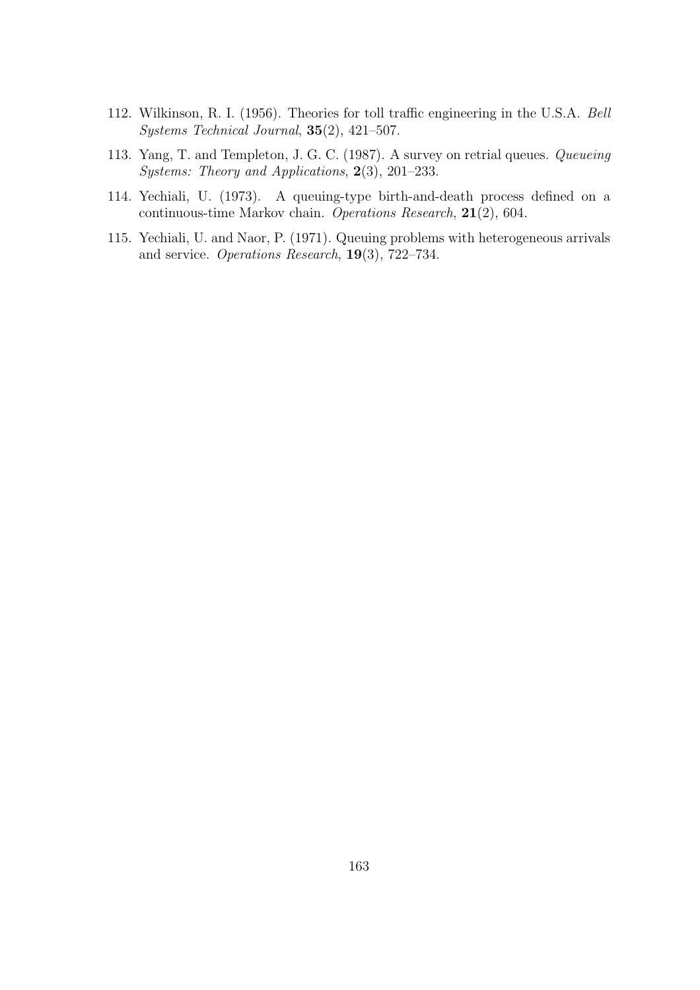- 112. Wilkinson, R. I. (1956). Theories for toll traffic engineering in the U.S.A. Bell Systems Technical Journal, 35(2), 421–507.
- 113. Yang, T. and Templeton, J. G. C. (1987). A survey on retrial queues. Queueing Systems: Theory and Applications, 2(3), 201–233.
- 114. Yechiali, U. (1973). A queuing-type birth-and-death process defined on a continuous-time Markov chain. Operations Research, 21(2), 604.
- 115. Yechiali, U. and Naor, P. (1971). Queuing problems with heterogeneous arrivals and service. Operations Research, 19(3), 722–734.